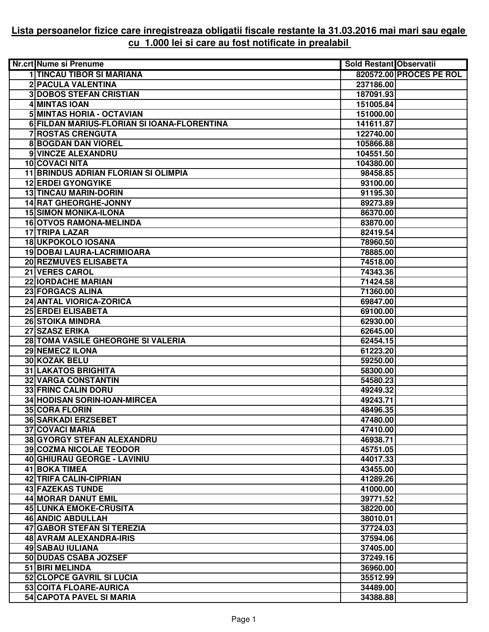## **Lista persoanelor fizice care inregistreaza obligatii fiscale restante la 31.03.2016 mai mari sau egale cu 1.000 lei si care au fost notificate in prealabil**

| Nr.crt Nume si Prenume                      | <b>Sold Restant Observatii</b> |                         |
|---------------------------------------------|--------------------------------|-------------------------|
| <b>1 TINCAU TIBOR SI MARIANA</b>            |                                | 820572.00 PROCES PE ROL |
| 2 PACULA VALENTINA                          | 237186.00                      |                         |
| <b>3DOBOS STEFAN CRISTIAN</b>               | 187091.93                      |                         |
| 4 MINTAS IOAN                               | 151005.84                      |                         |
| 5 MINTAS HORIA - OCTAVIAN                   | 151000.00                      |                         |
| 6 FILDAN MARIUS-FLORIAN SI IOANA-FLORENTINA | 141611.87                      |                         |
| <b>7 ROSTAS CRENGUTA</b>                    | 122740.00                      |                         |
| <b>8 BOGDAN DAN VIOREL</b>                  | 105866.88                      |                         |
| 9 VINCZE ALEXANDRU                          | 104551.50                      |                         |
| <b>10 COVACI NITA</b>                       | 104380.00                      |                         |
| <b>11 BRINDUS ADRIAN FLORIAN SI OLIMPIA</b> | 98458.85                       |                         |
| <b>12 ERDEI GYONGYIKE</b>                   | 93100.00                       |                         |
| <b>13 TINCAU MARIN-DORIN</b>                | 91195.30                       |                         |
| <b>14 RAT GHEORGHE-JONNY</b>                | 89273.89                       |                         |
| <b>15 SIMON MONIKA-ILONA</b>                | 86370.00                       |                         |
| <b>16 OTVOS RAMONA-MELINDA</b>              | 83870.00                       |                         |
| 17 TRIPA LAZAR                              | 82419.54                       |                         |
| <b>18 UKPOKOLO IOSANA</b>                   | 78960.50                       |                         |
| 19 DOBAI LAURA-LACRIMIOARA                  | 78885.00                       |                         |
| 20 REZMUVES ELISABETA                       | 74518.00                       |                         |
| 21 VERES CAROL                              | 74343.36                       |                         |
| <b>22 IORDACHE MARIAN</b>                   | 71424.58                       |                         |
| 23 FORGACS ALINA                            | 71360.00                       |                         |
| 24 ANTAL VIORICA-ZORICA                     | 69847.00                       |                         |
| 25 ERDEI ELISABETA                          | 69100.00                       |                         |
| <b>26 STOIKA MINDRA</b>                     | 62930.00                       |                         |
| 27 SZASZ ERIKA                              | 62645.00                       |                         |
| 28 TOMA VASILE GHEORGHE SI VALERIA          | 62454.15                       |                         |
| 29 NEMECZ ILONA                             | 61223.20                       |                         |
| 30 KOZAK BELU                               | 59250.00                       |                         |
| <b>31 LAKATOS BRIGHITA</b>                  | 58300.00                       |                         |
| <b>32 VARGA CONSTANTIN</b>                  | 54580.23                       |                         |
| <b>33 FRINC CALIN DORU</b>                  | 49249.32                       |                         |
| <b>34 HODISAN SORIN-IOAN-MIRCEA</b>         | 49243.71                       |                         |
| 35 CORA FLORIN                              | 48496.35                       |                         |
| <b>36 SARKADI ERZSEBET</b>                  | 47480.00                       |                         |
| <b>37 COVACI MARIA</b>                      | 47410.00                       |                         |
| 38 GYORGY STEFAN ALEXANDRU                  | 46938.71                       |                         |
| <b>39 COZMA NICOLAE TEODOR</b>              | 45751.05                       |                         |
| 40 GHIURAU GEORGE - LAVINIU                 | 44017.33                       |                         |
| <b>41 BOKA TIMEA</b>                        | 43455.00                       |                         |
| 42 TRIFA CALIN-CIPRIAN<br>43 FAZEKAS TUNDE  | 41289.26                       |                         |
| <b>44 MORAR DANUT EMIL</b>                  | 41000.00                       |                         |
| 45 LUNKA EMOKE-CRUSITA                      | 39771.52<br>38220.00           |                         |
| <b>46 ANDIC ABDULLAH</b>                    | 38010.01                       |                         |
| 47 GABOR STEFAN SI TEREZIA                  | 37724.03                       |                         |
| 48 AVRAM ALEXANDRA-IRIS                     | 37594.06                       |                         |
| <b>49 SABAU IULIANA</b>                     | 37405.00                       |                         |
| 50 DUDAS CSABA JOZSEF                       | 37249.16                       |                         |
| 51 BIRI MELINDA                             | 36960.00                       |                         |
| 52 CLOPCE GAVRIL SI LUCIA                   | 35512.99                       |                         |
| 53 COITA FLOARE-AURICA                      | 34489.00                       |                         |
| 54 CAPOTA PAVEL SI MARIA                    | 34388.88                       |                         |
|                                             |                                |                         |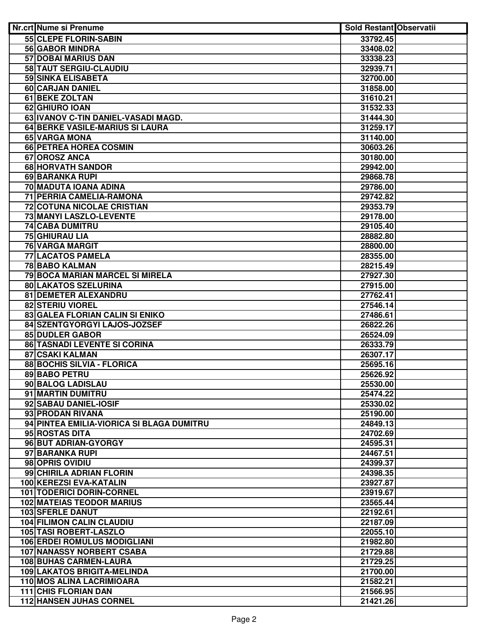| Nr.crt Nume si Prenume                                        | Sold Restant Observatii |  |
|---------------------------------------------------------------|-------------------------|--|
| 55 CLEPE FLORIN-SABIN                                         | 33792.45                |  |
| <b>56 GABOR MINDRA</b>                                        | 33408.02                |  |
| <b>57 DOBAI MARIUS DAN</b>                                    | 33338.23                |  |
| 58 TAUT SERGIU-CLAUDIU                                        | 32939.71                |  |
| <b>59 SINKA ELISABETA</b>                                     | 32700.00                |  |
| 60 CARJAN DANIEL                                              | 31858.00                |  |
| <b>61 BEKE ZOLTAN</b>                                         | 31610.21                |  |
| 62 GHIURO IOAN                                                | 31532.33                |  |
| 63 IVANOV C-TIN DANIEL-VASADI MAGD.                           | 31444.30                |  |
| 64 BERKE VASILE-MARIUS SI LAURA                               | 31259.17                |  |
| 65 VARGA MONA                                                 | 31140.00                |  |
| 66 PETREA HOREA COSMIN                                        | 30603.26                |  |
| 67 OROSZ ANCA                                                 | 30180.00                |  |
| 68 HORVATH SANDOR                                             | 29942.00                |  |
| 69 BARANKA RUPI                                               | 29868.78                |  |
| 70 MADUTA IOANA ADINA                                         | 29786.00                |  |
| 71 PERRIA CAMELIA-RAMONA                                      | 29742.82                |  |
| 72 COTUNA NICOLAE CRISTIAN                                    | 29353.79                |  |
| 73 MANYI LASZLO-LEVENTE                                       | 29178.00                |  |
| 74 CABA DUMITRU                                               | 29105.40                |  |
| 75 GHIURAU LIA                                                | 28882.80                |  |
| 76 VARGA MARGIT                                               | 28800.00                |  |
| <b>77 LACATOS PAMELA</b>                                      | 28355.00                |  |
| 78 BABO KALMAN                                                | 28215.49                |  |
| 79 BOCA MARIAN MARCEL SI MIRELA                               | 27927.30                |  |
| 80 LAKATOS SZELURINA                                          | 27915.00                |  |
| 81 DEMETER ALEXANDRU                                          | 27762.41                |  |
| <b>82 STERIU VIOREL</b>                                       | 27546.14                |  |
| 83 GALEA FLORIAN CALIN SI ENIKO                               | 27486.61                |  |
| 84 SZENTGYORGYI LAJOS-JOZSEF                                  | 26822.26                |  |
| 85 DUDLER GABOR                                               | 26524.09                |  |
| 86 TASNADI LEVENTE SI CORINA                                  | 26333.79                |  |
| 87 CSAKI KALMAN                                               | 26307.17                |  |
| 88 BOCHIS SILVIA - FLORICA                                    | 25695.16                |  |
| 89 BABO PETRU                                                 | 25626.92                |  |
| 90 BALOG LADISLAU                                             | 25530.00                |  |
| 91 MARTIN DUMITRU                                             | 25474.22                |  |
| 92 SABAU DANIEL-IOSIF                                         | 25330.02                |  |
| 93 PRODAN RIVANA<br>94 PINTEA EMILIA-VIORICA SI BLAGA DUMITRU | 25190.00                |  |
| 95 ROSTAS DITA                                                | 24849.13                |  |
| 96 BUT ADRIAN-GYORGY                                          | 24702.69<br>24595.31    |  |
| 97 BARANKA RUPI                                               |                         |  |
| 98 OPRIS OVIDIU                                               | 24467.51<br>24399.37    |  |
| 99 CHIRILA ADRIAN FLORIN                                      | 24398.35                |  |
| 100 KEREZSI EVA-KATALIN                                       | 23927.87                |  |
| 101 TODERICI DORIN-CORNEL                                     | 23919.67                |  |
| <b>102 MATEIAS TEODOR MARIUS</b>                              | 23565.44                |  |
| <b>103 SFERLE DANUT</b>                                       | 22192.61                |  |
| <b>104 FILIMON CALIN CLAUDIU</b>                              | 22187.09                |  |
| 105 TASI ROBERT-LASZLO                                        | 22055.10                |  |
| <b>106 ERDEI ROMULUS MODIGLIANI</b>                           | 21982.80                |  |
| <b>107 NANASSY NORBERT CSABA</b>                              | 21729.88                |  |
| <b>108 BUHAS CARMEN-LAURA</b>                                 | 21729.25                |  |
| <b>109 LAKATOS BRIGITA-MELINDA</b>                            | 21700.00                |  |
| 110 MOS ALINA LACRIMIOARA                                     | 21582.21                |  |
| 111 CHIS FLORIAN DAN                                          | 21566.95                |  |
| <b>112 HANSEN JUHAS CORNEL</b>                                | 21421.26                |  |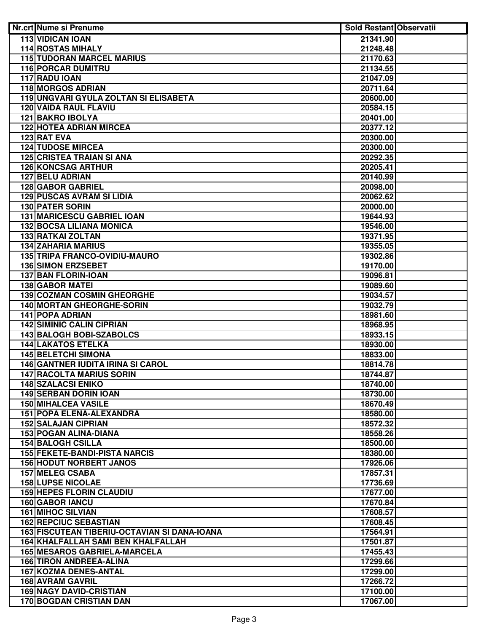| Nr.crt Nume si Prenume                                                      | <b>Sold Restant Observatii</b> |  |
|-----------------------------------------------------------------------------|--------------------------------|--|
| <b>113 VIDICAN IOAN</b>                                                     | 21341.90                       |  |
| <b>114 ROSTAS MIHALY</b>                                                    | 21248.48                       |  |
| <b>115 TUDORAN MARCEL MARIUS</b>                                            | 21170.63                       |  |
| <b>116 PORCAR DUMITRU</b>                                                   | 21134.55                       |  |
| 117 RADU IOAN                                                               | 21047.09                       |  |
| <b>118 MORGOS ADRIAN</b>                                                    | 20711.64                       |  |
| 119 UNGVARI GYULA ZOLTAN SI ELISABETA                                       | 20600.00                       |  |
| <b>120 VAIDA RAUL FLAVIU</b>                                                | 20584.15                       |  |
| 121 BAKRO IBOLYA                                                            | 20401.00                       |  |
| <b>122 HOTEA ADRIAN MIRCEA</b>                                              | 20377.12                       |  |
| 123 RAT EVA                                                                 | 20300.00                       |  |
| <b>124 TUDOSE MIRCEA</b>                                                    | 20300.00                       |  |
| <b>125 CRISTEA TRAIAN SI ANA</b>                                            | 20292.35                       |  |
| <b>126 KONCSAG ARTHUR</b>                                                   | 20205.41                       |  |
| 127 BELU ADRIAN                                                             | 20140.99                       |  |
| 128 GABOR GABRIEL                                                           | 20098.00                       |  |
| <b>129 PUSCAS AVRAM SI LIDIA</b>                                            | 20062.62                       |  |
| <b>130 PATER SORIN</b>                                                      | 20000.00                       |  |
| <b>131 MARICESCU GABRIEL IOAN</b>                                           | 19644.93                       |  |
| 132 BOCSA LILIANA MONICA                                                    | 19546.00                       |  |
| 133 RATKAI ZOLTAN                                                           | 19371.95                       |  |
| <b>134 ZAHARIA MARIUS</b>                                                   | 19355.05                       |  |
| 135 TRIPA FRANCO-OVIDIU-MAURO                                               | 19302.86                       |  |
| <b>136 SIMON ERZSEBET</b>                                                   | 19170.00                       |  |
| 137 BAN FLORIN-IOAN                                                         | 19096.81                       |  |
| <b>138 GABOR MATEI</b>                                                      | 19089.60                       |  |
| <b>139 COZMAN COSMIN GHEORGHE</b>                                           | 19034.57                       |  |
| <b>140 MORTAN GHEORGHE-SORIN</b>                                            | 19032.79                       |  |
| <b>141 POPA ADRIAN</b>                                                      | 18981.60                       |  |
| <b>142 SIMINIC CALIN CIPRIAN</b>                                            | 18968.95                       |  |
| <b>143 BALOGH BOBI-SZABOLCS</b>                                             | 18933.15                       |  |
| <b>144 LAKATOS ETELKA</b>                                                   | 18930.00                       |  |
| <b>145 BELETCHI SIMONA</b>                                                  | 18833.00                       |  |
| <b>146 GANTNER IUDITA IRINA SI CAROL</b><br><b>147 RACOLTA MARIUS SORIN</b> | 18814.78                       |  |
| <b>148 SZALACSI ENIKO</b>                                                   | 18744.87                       |  |
| <b>149 SERBAN DORIN IOAN</b>                                                | 18740.00<br>18730.00           |  |
| <b>150 MIHALCEA VASILE</b>                                                  | 18670.49                       |  |
| 151 POPA ELENA-ALEXANDRA                                                    | 18580.00                       |  |
| <b>152 SALAJAN CIPRIAN</b>                                                  | 18572.32                       |  |
| <b>153 POGAN ALINA-DIANA</b>                                                | 18558.26                       |  |
| <b>154 BALOGH CSILLA</b>                                                    | 18500.00                       |  |
| <b>155 FEKETE-BANDI-PISTA NARCIS</b>                                        | 18380.00                       |  |
| <b>156 HODUT NORBERT JANOS</b>                                              | 17926.06                       |  |
| 157 MELEG CSABA                                                             | 17857.31                       |  |
| <b>158 LUPSE NICOLAE</b>                                                    | 17736.69                       |  |
| <b>159 HEPES FLORIN CLAUDIU</b>                                             | 17677.00                       |  |
| 160 GABOR IANCU                                                             | 17670.84                       |  |
| <b>161 MIHOC SILVIAN</b>                                                    | 17608.57                       |  |
| <b>162 REPCIUC SEBASTIAN</b>                                                | 17608.45                       |  |
| 163 FISCUTEAN TIBERIU-OCTAVIAN SI DANA-IOANA                                | 17564.91                       |  |
| 164 KHALFALLAH SAMI BEN KHALFALLAH                                          | 17501.87                       |  |
| <b>165 MESAROS GABRIELA-MARCELA</b>                                         | 17455.43                       |  |
| <b>166 TIRON ANDREEA-ALINA</b>                                              | 17299.66                       |  |
| <b>167 KOZMA DENES-ANTAL</b>                                                | 17299.00                       |  |
| <b>168 AVRAM GAVRIL</b>                                                     | 17266.72                       |  |
| <b>169 NAGY DAVID-CRISTIAN</b>                                              | 17100.00                       |  |
| 170 BOGDAN CRISTIAN DAN                                                     | 17067.00                       |  |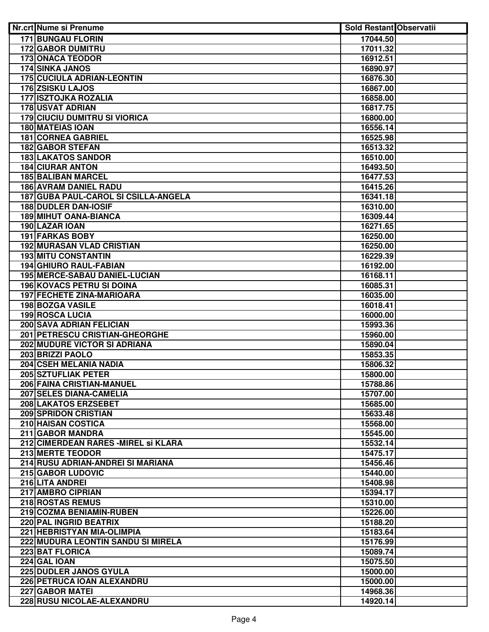| Nr.crt Nume si Prenume               | <b>Sold Restant Observatii</b> |  |
|--------------------------------------|--------------------------------|--|
| <b>171 BUNGAU FLORIN</b>             | 17044.50                       |  |
| <b>172 GABOR DUMITRU</b>             | 17011.32                       |  |
| <b>173 ONACA TEODOR</b>              | 16912.51                       |  |
| <b>174 SINKA JANOS</b>               | 16890.97                       |  |
| <b>175 CUCIULA ADRIAN-LEONTIN</b>    | 16876.30                       |  |
| <b>176 ZSISKU LAJOS</b>              | 16867.00                       |  |
| <b>177 ISZTOJKA ROZALIA</b>          | 16858.00                       |  |
| <b>178 USVAT ADRIAN</b>              | 16817.75                       |  |
| <b>179 CIUCIU DUMITRU SI VIORICA</b> | 16800.00                       |  |
| <b>180 MATEIAS IOAN</b>              | 16556.14                       |  |
| <b>181 CORNEA GABRIEL</b>            | 16525.98                       |  |
| <b>182 GABOR STEFAN</b>              | 16513.32                       |  |
| <b>183 LAKATOS SANDOR</b>            | 16510.00                       |  |
| <b>184 CIURAR ANTON</b>              | 16493.50                       |  |
| <b>185 BALIBAN MARCEL</b>            | 16477.53                       |  |
| <b>186 AVRAM DANIEL RADU</b>         | 16415.26                       |  |
| 187 GUBA PAUL-CAROL SI CSILLA-ANGELA | 16341.18                       |  |
| <b>188 DUDLER DAN-IOSIF</b>          | 16310.00                       |  |
| 189 MIHUT OANA-BIANCA                | 16309.44                       |  |
| 190 LAZAR IOAN                       | 16271.65                       |  |
| <b>191 FARKAS BOBY</b>               | 16250.00                       |  |
| <b>192 MURASAN VLAD CRISTIAN</b>     | 16250.00                       |  |
| <b>193 MITU CONSTANTIN</b>           | 16229.39                       |  |
| <b>194 GHIURO RAUL-FABIAN</b>        | 16192.00                       |  |
| 195 MERCE-SABAU DANIEL-LUCIAN        | 16168.11                       |  |
| <b>196 KOVACS PETRU SI DOINA</b>     | 16085.31                       |  |
| <b>197 FECHETE ZINA-MARIOARA</b>     | 16035.00                       |  |
| 198 BOZGA VASILE                     | 16018.41                       |  |
| <b>199 ROSCA LUCIA</b>               | 16000.00                       |  |
| 200 SAVA ADRIAN FELICIAN             | 15993.36                       |  |
| 201 PETRESCU CRISTIAN-GHEORGHE       | 15960.00                       |  |
| 202 MUDURE VICTOR SI ADRIANA         | 15890.04                       |  |
| 203 BRIZZI PAOLO                     | 15853.35                       |  |
| 204 CSEH MELANIA NADIA               | 15806.32                       |  |
| 205 SZTUFLIAK PETER                  | 15800.00                       |  |
| 206 FAINA CRISTIAN-MANUEL            | 15788.86                       |  |
| 207 SELES DIANA-CAMELIA              | 15707.00                       |  |
| 208 LAKATOS ERZSEBET                 | 15685.00                       |  |
| 209 SPRIDON CRISTIAN                 | 15633.48                       |  |
| 210 HAISAN COSTICA                   | 15568.00                       |  |
| 211 GABOR MANDRA                     | 15545.00                       |  |
| 212 CIMERDEAN RARES - MIREL SI KLARA | 15532.14                       |  |
| <b>213 MERTE TEODOR</b>              | 15475.17                       |  |
| 214 RUSU ADRIAN-ANDREI SI MARIANA    | 15456.46                       |  |
| 215 GABOR LUDOVIC                    | 15440.00                       |  |
| 216 LITA ANDREI                      | 15408.98                       |  |
| 217 AMBRO CIPRIAN                    | 15394.17                       |  |
| 218 ROSTAS REMUS                     | 15310.00                       |  |
| 219 COZMA BENIAMIN-RUBEN             | 15226.00                       |  |
| 220 PAL INGRID BEATRIX               | 15188.20                       |  |
| 221 HEBRISTYAN MIA-OLIMPIA           | 15183.64                       |  |
| 222 MUDURA LEONTIN SANDU SI MIRELA   | 15176.99                       |  |
| 223 BAT FLORICA                      | 15089.74                       |  |
| 224 GAL IOAN                         | 15075.50                       |  |
| <b>225 DUDLER JANOS GYULA</b>        | 15000.00                       |  |
| 226 PETRUCA IOAN ALEXANDRU           | 15000.00                       |  |
| 227 GABOR MATEI                      | 14968.36                       |  |
| 228 RUSU NICOLAE-ALEXANDRU           | 14920.14                       |  |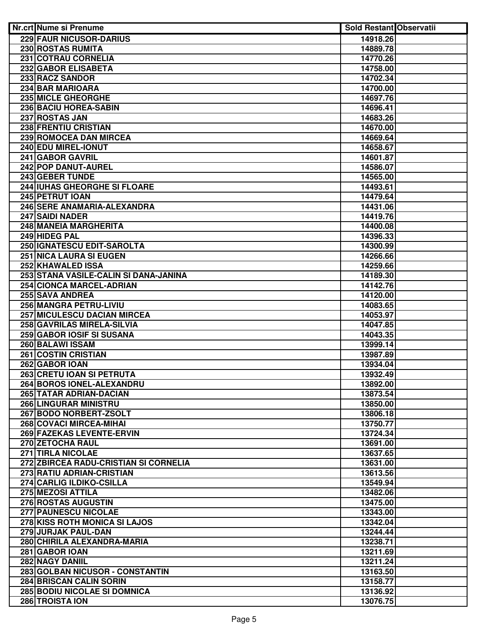| <b>Nr.crt Nume si Prenume</b>           | <b>Sold Restant Observatii</b> |  |
|-----------------------------------------|--------------------------------|--|
| 229 FAUR NICUSOR-DARIUS                 | 14918.26                       |  |
| 230 ROSTAS RUMITA                       | 14889.78                       |  |
| <b>231 COTRAU CORNELIA</b>              | 14770.26                       |  |
| 232 GABOR ELISABETA                     | 14758.00                       |  |
| 233 RACZ SANDOR                         | 14702.34                       |  |
| <b>234 BAR MARIOARA</b>                 | 14700.00                       |  |
| <b>235 MICLE GHEORGHE</b>               | 14697.76                       |  |
| 236 BACIU HOREA-SABIN                   | 14696.41                       |  |
| 237 ROSTAS JAN                          | 14683.26                       |  |
| 238 FRENTIU CRISTIAN                    | 14670.00                       |  |
| 239 ROMOCEA DAN MIRCEA                  | 14669.64                       |  |
| 240 EDU MIREL-IONUT                     | 14658.67                       |  |
| 241 GABOR GAVRIL                        | 14601.87                       |  |
| 242 POP DANUT-AUREL                     | 14586.07                       |  |
| 243 GEBER TUNDE                         | 14565.00                       |  |
| 244 IUHAS GHEORGHE SI FLOARE            | 14493.61                       |  |
| 245 PETRUT IOAN                         | 14479.64                       |  |
| 246 SERE ANAMARIA-ALEXANDRA             | 14431.06                       |  |
| 247 SAIDI NADER                         | 14419.76                       |  |
| 248 MANEIA MARGHERITA                   | 14400.08                       |  |
| 249 HIDEG PAL                           | 14396.33                       |  |
| 250 IGNATESCU EDIT-SAROLTA              | 14300.99                       |  |
| <b>251 NICA LAURA SI EUGEN</b>          | 14266.66                       |  |
| 252 KHAWALED ISSA                       | 14259.66                       |  |
| 253 STANA VASILE-CALIN SI DANA-JANINA   | 14189.30                       |  |
| 254 CIONCA MARCEL-ADRIAN                | 14142.76                       |  |
| 255 SAVA ANDREA                         | 14120.00                       |  |
| <b>256 MANGRA PETRU-LIVIU</b>           | 14083.65                       |  |
| <b>257 MICULESCU DACIAN MIRCEA</b>      | 14053.97                       |  |
| 258 GAVRILAS MIRELA-SILVIA              | 14047.85                       |  |
| 259 GABOR IOSIF SI SUSANA               | 14043.35<br>13999.14           |  |
| 260 BALAWI ISSAM<br>261 COSTIN CRISTIAN | 13987.89                       |  |
| 262 GABOR IOAN                          | 13934.04                       |  |
| 263 CRETU IOAN SI PETRUTA               | 13932.49                       |  |
| 264 BOROS IONEL-ALEXANDRU               | 13892.00                       |  |
| 265 TATAR ADRIAN-DACIAN                 | 13873.54                       |  |
| <b>266 LINGURAR MINISTRU</b>            | 13850.00                       |  |
| 267 BODO NORBERT-ZSOLT                  | 13806.18                       |  |
| 268 COVACI MIRCEA-MIHAI                 | 13750.77                       |  |
| 269 FAZEKAS LEVENTE-ERVIN               | 13724.34                       |  |
| 270 ZETOCHA RAUL                        | 13691.00                       |  |
| 271 TIRLA NICOLAE                       | 13637.65                       |  |
| 272 ZBIRCEA RADU-CRISTIAN SI CORNELIA   | 13631.00                       |  |
| 273 RATIU ADRIAN-CRISTIAN               | 13613.56                       |  |
| 274 CARLIG ILDIKO-CSILLA                | 13549.94                       |  |
| 275 MEZOSI ATTILA                       | 13482.06                       |  |
| 276 ROSTAS AUGUSTIN                     | 13475.00                       |  |
| 277 PAUNESCU NICOLAE                    | 13343.00                       |  |
| 278 KISS ROTH MONICA SI LAJOS           | 13342.04                       |  |
| 279 JURJAK PAUL-DAN                     | 13244.44                       |  |
| 280 CHIRILA ALEXANDRA-MARIA             | 13238.71                       |  |
| 281 GABOR IOAN                          | 13211.69                       |  |
| 282 NAGY DANIIL                         | 13211.24                       |  |
| 283 GOLBAN NICUSOR - CONSTANTIN         | 13163.50                       |  |
| <b>284 BRISCAN CALIN SORIN</b>          | 13158.77                       |  |
| <b>285 BODIU NICOLAE SI DOMNICA</b>     | 13136.92                       |  |
| 286 TROISTA ION                         | 13076.75                       |  |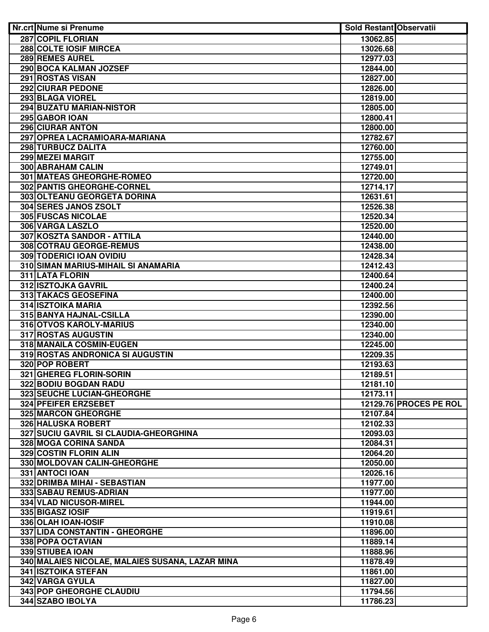| Nr.crt Nume si Prenume                          | <b>Sold Restant Observatii</b> |                        |
|-------------------------------------------------|--------------------------------|------------------------|
| <b>287 COPIL FLORIAN</b>                        | 13062.85                       |                        |
| 288 COLTE IOSIF MIRCEA                          | 13026.68                       |                        |
| 289 REMES AUREL                                 | 12977.03                       |                        |
| 290 BOCA KALMAN JOZSEF                          | 12844.00                       |                        |
| <b>291 ROSTAS VISAN</b>                         | 12827.00                       |                        |
| <b>292 CIURAR PEDONE</b>                        | 12826.00                       |                        |
| <b>293 BLAGA VIOREL</b>                         | 12819.00                       |                        |
| 294 BUZATU MARIAN-NISTOR                        | 12805.00                       |                        |
| 295 GABOR IOAN                                  | 12800.41                       |                        |
| 296 CIURAR ANTON                                | 12800.00                       |                        |
| 297 OPREA LACRAMIOARA-MARIANA                   | 12782.67                       |                        |
| 298 TURBUCZ DALITA                              | 12760.00                       |                        |
| 299 MEZEI MARGIT                                | 12755.00                       |                        |
| 300 ABRAHAM CALIN                               | 12749.01                       |                        |
| 301 MATEAS GHEORGHE-ROMEO                       | 12720.00                       |                        |
| 302 PANTIS GHEORGHE-CORNEL                      | 12714.17                       |                        |
| 303 OLTEANU GEORGETA DORINA                     | 12631.61                       |                        |
| 304 SERES JANOS ZSOLT                           | 12526.38                       |                        |
| 305 FUSCAS NICOLAE                              | 12520.34                       |                        |
| 306 VARGA LASZLO                                | 12520.00                       |                        |
| 307 KOSZTA SANDOR - ATTILA                      | 12440.00                       |                        |
| 308 COTRAU GEORGE-REMUS                         | 12438.00                       |                        |
| 309 TODERICI IOAN OVIDIU                        | 12428.34                       |                        |
|                                                 |                                |                        |
| 310 SIMAN MARIUS-MIHAIL SI ANAMARIA             | 12412.43                       |                        |
| 311 LATA FLORIN                                 | 12400.64                       |                        |
| 312 ISZTOJKA GAVRIL                             | 12400.24                       |                        |
| 313 TAKACS GEOSEFINA                            | 12400.00                       |                        |
| <b>314 ISZTOIKA MARIA</b>                       | 12392.56                       |                        |
| 315 BANYA HAJNAL-CSILLA                         | 12390.00                       |                        |
| 316 OTVOS KAROLY-MARIUS                         | 12340.00                       |                        |
| 317 ROSTAS AUGUSTIN                             | 12340.00                       |                        |
| 318 MANAILA COSMIN-EUGEN                        | 12245.00                       |                        |
| 319 ROSTAS ANDRONICA SI AUGUSTIN                | 12209.35                       |                        |
| 320 POP ROBERT                                  | 12193.63                       |                        |
| 321 GHEREG FLORIN-SORIN                         | 12189.51                       |                        |
| 322 BODIU BOGDAN RADU                           | 12181.10                       |                        |
| 323 SEUCHE LUCIAN-GHEORGHE                      | 12173.11                       |                        |
| 324 PFEIFER ERZSEBET                            |                                | 12129.76 PROCES PE ROL |
| 325 MARCON GHEORGHE                             | 12107.84                       |                        |
| 326 HALUSKA ROBERT                              | 12102.33                       |                        |
| 327 SUCIU GAVRIL SI CLAUDIA-GHEORGHINA          | 12093.03                       |                        |
| <b>328 MOGA CORINA SANDA</b>                    | 12084.31                       |                        |
| 329 COSTIN FLORIN ALIN                          | 12064.20                       |                        |
| 330 MOLDOVAN CALIN-GHEORGHE                     | 12050.00                       |                        |
| 331 ANTOCI IOAN                                 | 12026.16                       |                        |
| 332 DRIMBA MIHAI - SEBASTIAN                    | 11977.00                       |                        |
| 333 SABAU REMUS-ADRIAN                          | 11977.00                       |                        |
| 334 VLAD NICUSOR-MIREL                          | 11944.00                       |                        |
| 335 BIGASZ IOSIF                                | 11919.61                       |                        |
| 336 OLAH IOAN-IOSIF                             | 11910.08                       |                        |
| 337 LIDA CONSTANTIN - GHEORGHE                  | 11896.00                       |                        |
| 338 POPA OCTAVIAN                               | 11889.14                       |                        |
| 339 STIUBEA IOAN                                | 11888.96                       |                        |
| 340 MALAIES NICOLAE, MALAIES SUSANA, LAZAR MINA | 11878.49                       |                        |
| 341 ISZTOIKA STEFAN                             | 11861.00                       |                        |
| 342 VARGA GYULA                                 | 11827.00                       |                        |
| 343 POP GHEORGHE CLAUDIU                        | 11794.56                       |                        |
| 344 SZABO IBOLYA                                | 11786.23                       |                        |
|                                                 |                                |                        |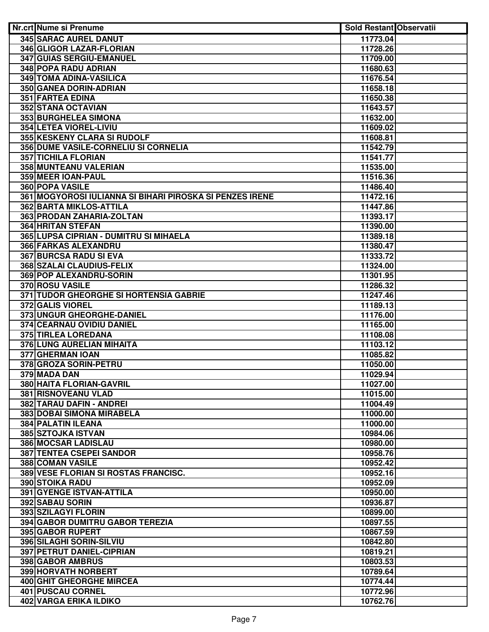| Nr.crt Nume si Prenume                                   | <b>Sold Restant Observatii</b> |  |
|----------------------------------------------------------|--------------------------------|--|
| <b>345 SARAC AUREL DANUT</b>                             | 11773.04                       |  |
| 346 GLIGOR LAZAR-FLORIAN                                 | 11728.26                       |  |
| 347 GUIAS SERGIU-EMANUEL                                 | 11709.00                       |  |
| 348 POPA RADU ADRIAN                                     | 11680.63                       |  |
| <b>349 TOMA ADINA-VASILICA</b>                           | 11676.54                       |  |
| 350 GANEA DORIN-ADRIAN                                   | 11658.18                       |  |
| <b>351 FARTEA EDINA</b>                                  | 11650.38                       |  |
| 352 STANA OCTAVIAN                                       | 11643.57                       |  |
| 353 BURGHELEA SIMONA                                     | 11632.00                       |  |
| 354 LETEA VIOREL-LIVIU                                   | 11609.02                       |  |
| 355 KESKENY CLARA SI RUDOLF                              | 11608.81                       |  |
| 356 DUME VASILE-CORNELIU SI CORNELIA                     | 11542.79                       |  |
| <b>357 TICHILA FLORIAN</b>                               | 11541.77                       |  |
| 358 MUNTEANU VALERIAN                                    | 11535.00                       |  |
| 359 MEER IOAN-PAUL                                       | 11516.36                       |  |
| 360 POPA VASILE                                          | 11486.40                       |  |
| 361 MOGYOROSI IULIANNA SI BIHARI PIROSKA SI PENZES IRENE | 11472.16                       |  |
| <b>362 BARTA MIKLOS-ATTILA</b>                           | 11447.86                       |  |
| 363 PRODAN ZAHARIA-ZOLTAN                                | 11393.17                       |  |
| <b>364 HRITAN STEFAN</b>                                 | 11390.00                       |  |
| 365 LUPSA CIPRIAN - DUMITRU SI MIHAELA                   | 11389.18                       |  |
| <b>366 FARKAS ALEXANDRU</b>                              | 11380.47                       |  |
| 367 BURCSA RADU SI EVA                                   | 11333.72                       |  |
| 368 SZALAI CLAUDIUS-FELIX                                | 11324.00                       |  |
| 369 POP ALEXANDRU-SORIN                                  | 11301.95                       |  |
| 370 ROSU VASILE                                          | 11286.32                       |  |
| <b>371 TUDOR GHEORGHE SI HORTENSIA GABRIE</b>            | 11247.46                       |  |
| <b>372 GALIS VIOREL</b>                                  | 11189.13                       |  |
| 373 UNGUR GHEORGHE-DANIEL                                | 11176.00                       |  |
| 374 CEARNAU OVIDIU DANIEL                                | 11165.00                       |  |
| 375 TIRLEA LOREDANA                                      | 11108.08                       |  |
| 376 LUNG AURELIAN MIHAITA                                | 11103.12                       |  |
| 377 GHERMAN IOAN                                         | 11085.82                       |  |
| 378 GROZA SORIN-PETRU                                    | 11050.00                       |  |
| 379 MADA DAN                                             | 11029.94                       |  |
| 380 HAITA FLORIAN-GAVRIL                                 | 11027.00                       |  |
| 381 RISNOVEANU VLAD                                      | 11015.00                       |  |
| 382 TARAU DAFIN - ANDREI                                 | 11004.49                       |  |
| 383 DOBAI SIMONA MIRABELA                                | 11000.00                       |  |
| 384 PALATIN ILEANA                                       | 11000.00                       |  |
| <b>385 SZTOJKA ISTVAN</b>                                | 10984.06                       |  |
| 386 MOCSAR LADISLAU                                      | 10980.00                       |  |
| <b>387 TENTEA CSEPEI SANDOR</b>                          | 10958.76                       |  |
| 388 COMAN VASILE                                         | 10952.42                       |  |
| 389 VESE FLORIAN SI ROSTAS FRANCISC.                     | 10952.16                       |  |
| 390 STOIKA RADU                                          | 10952.09                       |  |
| 391 GYENGE ISTVAN-ATTILA                                 | 10950.00                       |  |
| 392 SABAU SORIN                                          | 10936.87                       |  |
| 393 SZILAGYI FLORIN                                      | 10899.00                       |  |
| 394 GABOR DUMITRU GABOR TEREZIA                          | 10897.55                       |  |
| 395 GABOR RUPERT                                         | 10867.59                       |  |
| 396 SILAGHI SORIN-SILVIU                                 | 10842.80                       |  |
| 397 PETRUT DANIEL-CIPRIAN                                | 10819.21                       |  |
| 398 GABOR AMBRUS                                         | 10803.53                       |  |
| <b>399 HORVATH NORBERT</b>                               | 10789.64                       |  |
| <b>400 GHIT GHEORGHE MIRCEA</b>                          | 10774.44                       |  |
| <b>401 PUSCAU CORNEL</b>                                 | 10772.96                       |  |
| <b>402 VARGA ERIKA ILDIKO</b>                            |                                |  |
|                                                          | 10762.76                       |  |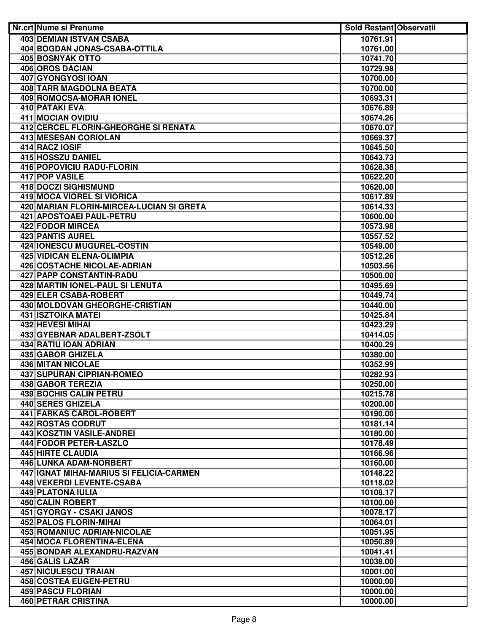| <b>Nr.crt Nume si Prenume</b>            | <b>Sold Restant Observatii</b> |  |
|------------------------------------------|--------------------------------|--|
| <b>403 DEMIAN ISTVAN CSABA</b>           | 10761.91                       |  |
| 404 BOGDAN JONAS-CSABA-OTTILA            | 10761.00                       |  |
| <b>405 BOSNYAK OTTO</b>                  | 10741.70                       |  |
| <b>406 OROS DACIAN</b>                   | 10729.98                       |  |
| <b>407 GYONGYOSI IOAN</b>                | 10700.00                       |  |
| 408 TARR MAGDOLNA BEATA                  | 10700.00                       |  |
| 409 ROMOCSA-MORAR IONEL                  | 10693.31                       |  |
| 410 PATAKI EVA                           | 10676.89                       |  |
| 411 MOCIAN OVIDIU                        | 10674.26                       |  |
| 412 CERCEL FLORIN-GHEORGHE SI RENATA     | 10670.07                       |  |
| 413 MESESAN CORIOLAN                     | 10669.37                       |  |
| 414 RACZ IOSIF                           | 10645.50                       |  |
| 415 HOSSZU DANIEL                        | 10643.73                       |  |
| 416 POPOVICIU RADU-FLORIN                | 10628.38                       |  |
| 417 POP VASILE                           | 10622.20                       |  |
| 418 DOCZI SIGHISMUND                     | 10620.00                       |  |
| 419 MOCA VIOREL SI VIORICA               | 10617.89                       |  |
| 420 MARIAN FLORIN-MIRCEA-LUCIAN SI GRETA | 10614.33                       |  |
| 421 APOSTOAEI PAUL-PETRU                 | 10600.00                       |  |
| 422 FODOR MIRCEA                         | 10573.98                       |  |
| 423 PANTIS AUREL                         | 10557.52                       |  |
| 424 IONESCU MUGUREL-COSTIN               | 10549.00                       |  |
| 425 VIDICAN ELENA-OLIMPIA                | 10512.26                       |  |
| 426 COSTACHE NICOLAE-ADRIAN              | 10503.56                       |  |
| 427 PAPP CONSTANTIN-RADU                 | 10500.00                       |  |
| 428 MARTIN IONEL-PAUL SI LENUTA          | 10495.69                       |  |
| 429 ELER CSABA-ROBERT                    | 10449.74                       |  |
| 430 MOLDOVAN GHEORGHE-CRISTIAN           | 10440.00                       |  |
| <b>431 ISZTOIKA MATEI</b>                | 10425.84                       |  |
| <b>432 HEVESI MIHAI</b>                  | 10423.29                       |  |
| 433 GYEBNAR ADALBERT-ZSOLT               | 10414.05                       |  |
| <b>434 RATIU IOAN ADRIAN</b>             | 10400.29                       |  |
| 435 GABOR GHIZELA                        | 10380.00                       |  |
| <b>436 MITAN NICOLAE</b>                 | 10352.99                       |  |
| <b>437 SUPURAN CIPRIAN-ROMEO</b>         | 10282.93                       |  |
| 438 GABOR TEREZIA                        | 10250.00                       |  |
| 439 BOCHIS CALIN PETRU                   | 10215.78                       |  |
| 440 SERES GHIZELA                        | 10200.00                       |  |
| 441 FARKAS CAROL-ROBERT                  | 10190.00                       |  |
| 442 ROSTAS CODRUT                        | 10181.14                       |  |
| 443 KOSZTIN VASILE-ANDREI                | 10180.00                       |  |
| 444 FODOR PETER-LASZLO                   | 10178.49                       |  |
| 445 HIRTE CLAUDIA                        | 10166.96                       |  |
| 446 LUNKA ADAM-NORBERT                   | 10160.00                       |  |
| 447 IGNAT MIHAI-MARIUS SI FELICIA-CARMEN | 10148.22                       |  |
| 448 VEKERDI LEVENTE-CSABA                | 10118.02                       |  |
| <b>449 PLATONA IULIA</b>                 | 10108.17                       |  |
| 450 CALIN ROBERT                         | 10100.00                       |  |
| 451 GYORGY - CSAKI JANOS                 | 10078.17                       |  |
| 452 PALOS FLORIN-MIHAI                   | 10064.01                       |  |
| 453 ROMANIUC ADRIAN-NICOLAE              | 10051.95                       |  |
| <b>454 MOCA FLORENTINA-ELENA</b>         |                                |  |
|                                          | 10050.89                       |  |
| 455 BONDAR ALEXANDRU-RAZVAN              | 10041.41                       |  |
| 456 GALIS LAZAR                          | 10038.00                       |  |
| <b>457 NICULESCU TRAIAN</b>              | 10001.00                       |  |
| <b>458 COSTEA EUGEN-PETRU</b>            | 10000.00                       |  |
| <b>459 PASCU FLORIAN</b>                 | 10000.00                       |  |
| <b>460 PETRAR CRISTINA</b>               | 10000.00                       |  |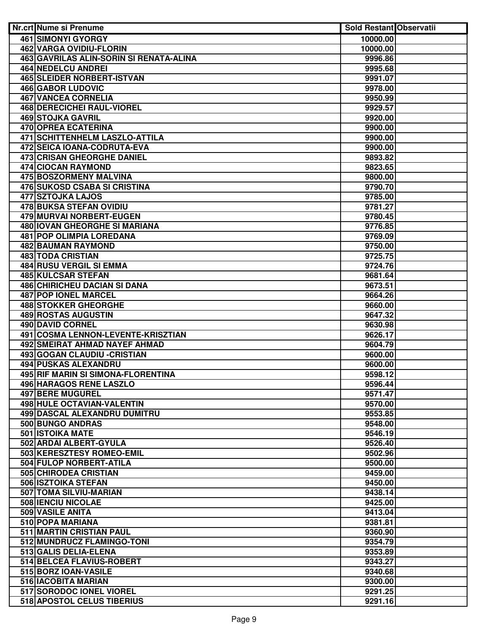| Nr.crt Nume si Prenume                  | <b>Sold Restant Observatii</b> |  |
|-----------------------------------------|--------------------------------|--|
| <b>461 SIMONYI GYORGY</b>               | 10000.00                       |  |
| <b>462 VARGA OVIDIU-FLORIN</b>          | 10000.00                       |  |
| 463 GAVRILAS ALIN-SORIN SI RENATA-ALINA | 9996.86                        |  |
| <b>464 NEDELCU ANDREI</b>               | 9995.68                        |  |
| <b>465 SLEIDER NORBERT-ISTVAN</b>       | 9991.07                        |  |
| <b>466 GABOR LUDOVIC</b>                | 9978.00                        |  |
| <b>467 VANCEA CORNELIA</b>              | 9950.99                        |  |
| <b>468 DERECICHEI RAUL-VIOREL</b>       | 9929.57                        |  |
| <b>469 STOJKA GAVRIL</b>                | 9920.00                        |  |
| 470 OPREA ECATERINA                     | 9900.00                        |  |
| <b>471 SCHITTENHELM LASZLO-ATTILA</b>   | 9900.00                        |  |
| 472 SEICA IOANA-CODRUTA-EVA             | 9900.00                        |  |
| <b>473 CRISAN GHEORGHE DANIEL</b>       | 9893.82                        |  |
| 474 CIOCAN RAYMOND                      | 9823.65                        |  |
| 475 BOSZORMENY MALVINA                  | 9800.00                        |  |
| 476 SUKOSD CSABA SI CRISTINA            | 9790.70                        |  |
| 477 SZTOJKA LAJOS                       | 9785.00                        |  |
| <b>478 BUKSA STEFAN OVIDIU</b>          | 9781.27                        |  |
| 479 MURVAI NORBERT-EUGEN                | 9780.45                        |  |
| 480 IOVAN GHEORGHE SI MARIANA           | 9776.85                        |  |
| 481 POP OLIMPIA LOREDANA                | 9769.09                        |  |
| 482 BAUMAN RAYMOND                      | 9750.00                        |  |
| <b>483 TODA CRISTIAN</b>                | 9725.75                        |  |
| 484 RUSU VERGIL SI EMMA                 | 9724.76                        |  |
| <b>485 KULCSAR STEFAN</b>               | 9681.64                        |  |
| <b>486 CHIRICHEU DACIAN SI DANA</b>     | 9673.51                        |  |
| <b>487 POP IONEL MARCEL</b>             | 9664.26                        |  |
| <b>488 STOKKER GHEORGHE</b>             | 9660.00                        |  |
| <b>489 ROSTAS AUGUSTIN</b>              | 9647.32                        |  |
| <b>490 DAVID CORNEL</b>                 | 9630.98                        |  |
| 491 COSMA LENNON-LEVENTE-KRISZTIAN      | 9626.17                        |  |
| <b>492 SMEIRAT AHMAD NAYEF AHMAD</b>    | 9604.79                        |  |
| 493 GOGAN CLAUDIU - CRISTIAN            | 9600.00                        |  |
| 494 PUSKAS ALEXANDRU                    | 9600.00                        |  |
| 495 RIF MARIN SI SIMONA-FLORENTINA      | 9598.12                        |  |
| 496 HARAGOS RENE LASZLO                 | 9596.44                        |  |
| 497 BERE MUGUREL                        | 9571.47                        |  |
| <b>498 HULE OCTAVIAN-VALENTIN</b>       | 9570.00                        |  |
| 499 DASCAL ALEXANDRU DUMITRU            | 9553.85                        |  |
| 500 BUNGO ANDRAS                        | 9548.00                        |  |
| <b>501 ISTOIKA MATE</b>                 | 9546.19                        |  |
| 502 ARDAI ALBERT-GYULA                  | 9526.40                        |  |
| 503 KERESZTESY ROMEO-EMIL               | 9502.96                        |  |
| 504 FULOP NORBERT-ATILA                 | 9500.00                        |  |
| 505 CHIRODEA CRISTIAN                   | 9459.00                        |  |
| 506 ISZTOIKA STEFAN                     | 9450.00                        |  |
| 507 TOMA SILVIU-MARIAN                  | 9438.14                        |  |
| 508 IENCIU NICOLAE                      | 9425.00                        |  |
| 509 VASILE ANITA                        | 9413.04                        |  |
| 510 POPA MARIANA                        | 9381.81                        |  |
| 511 MARTIN CRISTIAN PAUL                | 9360.90                        |  |
| 512 MUNDRUCZ FLAMINGO-TONI              | 9354.79                        |  |
| 513 GALIS DELIA-ELENA                   | 9353.89                        |  |
| 514 BELCEA FLAVIUS-ROBERT               | 9343.27                        |  |
| 515 BORZ IOAN-VASILE                    | 9340.68                        |  |
| 516 IACOBITA MARIAN                     | 9300.00                        |  |
| 517 SORODOC IONEL VIOREL                | 9291.25                        |  |
| 518 APOSTOL CELUS TIBERIUS              | 9291.16                        |  |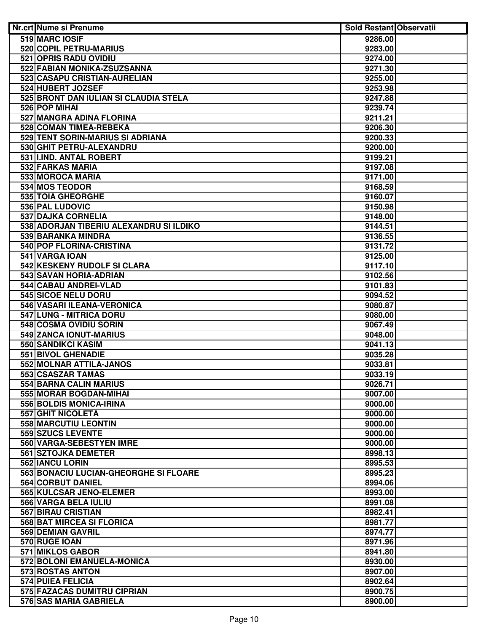| Nr.crt Nume si Prenume                  | <b>Sold Restant Observatii</b> |  |
|-----------------------------------------|--------------------------------|--|
| 519 MARC IOSIF                          | 9286.00                        |  |
| <b>520 COPIL PETRU-MARIUS</b>           | 9283.00                        |  |
| 521 OPRIS RADU OVIDIU                   | 9274.00                        |  |
| 522 FABIAN MONIKA-ZSUZSANNA             | 9271.30                        |  |
| 523 CASAPU CRISTIAN-AURELIAN            | 9255.00                        |  |
| 524 HUBERT JOZSEF                       | 9253.98                        |  |
| 525 BRONT DAN IULIAN SI CLAUDIA STELA   | 9247.88                        |  |
| 526 POP MIHAI                           | 9239.74                        |  |
| 527 MANGRA ADINA FLORINA                | 9211.21                        |  |
| 528 COMAN TIMEA-REBEKA                  | 9206.30                        |  |
| 529 TENT SORIN-MARIUS SI ADRIANA        | 9200.33                        |  |
| 530 GHIT PETRU-ALEXANDRU                | 9200.00                        |  |
| 531 I.IND. ANTAL ROBERT                 | 9199.21                        |  |
| 532 FARKAS MARIA                        | 9197.08                        |  |
| 533 MOROCA MARIA                        | 9171.00                        |  |
| 534 MOS TEODOR                          | 9168.59                        |  |
| 535 TOIA GHEORGHE                       | 9160.07                        |  |
| 536 PAL LUDOVIC                         | 9150.98                        |  |
| 537 DAJKA CORNELIA                      | 9148.00                        |  |
| 538 ADORJAN TIBERIU ALEXANDRU SI ILDIKO | 9144.51                        |  |
| 539 BARANKA MINDRA                      | 9136.55                        |  |
| 540 POP FLORINA-CRISTINA                | 9131.72                        |  |
| 541 VARGA IOAN                          | 9125.00                        |  |
| 542 KESKENY RUDOLF SI CLARA             | 9117.10                        |  |
| 543 SAVAN HORIA-ADRIAN                  | 9102.56                        |  |
| 544 CABAU ANDREI-VLAD                   | 9101.83                        |  |
| 545 SICOE NELU DORU                     | 9094.52                        |  |
| 546 VASARI ILEANA-VERONICA              | 9080.87                        |  |
| 547 LUNG - MITRICA DORU                 | 9080.00                        |  |
| 548 COSMA OVIDIU SORIN                  | 9067.49                        |  |
| 549 ZANCA IONUT-MARIUS                  | 9048.00                        |  |
| <b>550 SANDIKCI KASIM</b>               | 9041.13                        |  |
| 551 BIVOL GHENADIE                      | 9035.28                        |  |
| 552 MOLNAR ATTILA-JANOS                 | 9033.81                        |  |
| 553 CSASZAR TAMAS                       | 9033.19                        |  |
| 554 BARNA CALIN MARIUS                  | 9026.71                        |  |
| 555 MORAR BOGDAN-MIHAI                  | 9007.00                        |  |
| 556 BOLDIS MONICA-IRINA                 | 9000.00                        |  |
| 557 GHIT NICOLETA                       | 9000.00                        |  |
| 558 MARCUTIU LEONTIN                    | 9000.00                        |  |
| 559 SZUCS LEVENTE                       | 9000.00                        |  |
| 560 VARGA-SEBESTYEN IMRE                | 9000.00                        |  |
| 561 SZTOJKA DEMETER                     | 8998.13                        |  |
| 562 IANCU LORIN                         | 8995.53                        |  |
| 563 BONACIU LUCIAN-GHEORGHE SI FLOARE   | 8995.23                        |  |
| 564 CORBUT DANIEL                       | 8994.06                        |  |
| 565 KULCSAR JENO-ELEMER                 | 8993.00                        |  |
| 566 VARGA BELA IULIU                    | 8991.08                        |  |
| 567 BIRAU CRISTIAN                      | 8982.41                        |  |
| 568 BAT MIRCEA SI FLORICA               | 8981.77                        |  |
| 569 DEMIAN GAVRIL                       | 8974.77                        |  |
| 570 RUGE IOAN                           | 8971.96                        |  |
| 571 MIKLOS GABOR                        | 8941.80                        |  |
| 572 BOLONI EMANUELA-MONICA              | 8930.00                        |  |
| 573 ROSTAS ANTON                        | 8907.00                        |  |
| <b>574 PUIEA FELICIA</b>                | 8902.64                        |  |
| 575 FAZACAS DUMITRU CIPRIAN             | 8900.75                        |  |
| 576 SAS MARIA GABRIELA                  | 8900.00                        |  |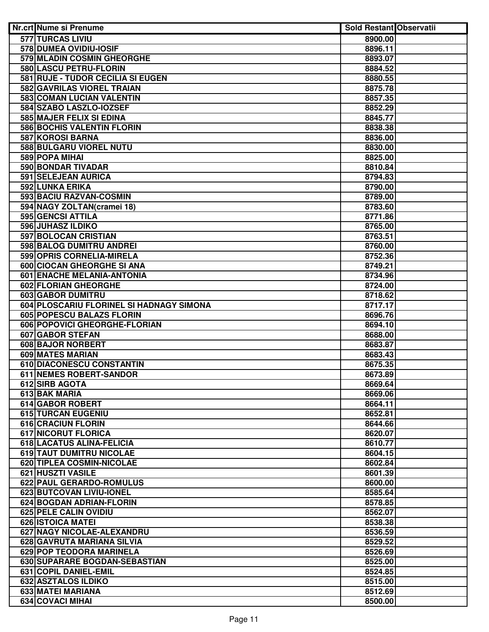| <b>Nr.crt Nume si Prenume</b>            | <b>Sold Restant Observatii</b> |  |
|------------------------------------------|--------------------------------|--|
| <b>577 TURCAS LIVIU</b>                  | 8900.00                        |  |
| 578 DUMEA OVIDIU-IOSIF                   | 8896.11                        |  |
| 579 MLADIN COSMIN GHEORGHE               | 8893.07                        |  |
| 580 LASCU PETRU-FLORIN                   | 8884.52                        |  |
| 581 RUJE - TUDOR CECILIA SI EUGEN        | 8880.55                        |  |
| 582 GAVRILAS VIOREL TRAIAN               | 8875.78                        |  |
| 583 COMAN LUCIAN VALENTIN                | 8857.35                        |  |
| 584 SZABO LASZLO-IOZSEF                  | 8852.29                        |  |
| 585 MAJER FELIX SI EDINA                 | 8845.77                        |  |
| 586 BOCHIS VALENTIN FLORIN               | 8838.38                        |  |
| 587 KOROSI BARNA                         | 8836.00                        |  |
| 588 BULGARU VIOREL NUTU                  | 8830.00                        |  |
| 589 POPA MIHAI                           | 8825.00                        |  |
| 590 BONDAR TIVADAR                       | 8810.84                        |  |
| 591 SELEJEAN AURICA                      | 8794.83                        |  |
| 592 LUNKA ERIKA                          | 8790.00                        |  |
| 593 BACIU RAZVAN-COSMIN                  | 8789.00                        |  |
| 594 NAGY ZOLTAN(cramei 18)               | 8783.60                        |  |
| 595 GENCSI ATTILA                        | 8771.86                        |  |
| 596 JUHASZ ILDIKO                        | 8765.00                        |  |
| 597 BOLOCAN CRISTIAN                     | 8763.51                        |  |
| 598 BALOG DUMITRU ANDREI                 | 8760.00                        |  |
| 599 OPRIS CORNELIA-MIRELA                | 8752.36                        |  |
| 600 CIOCAN GHEORGHE SI ANA               | 8749.21                        |  |
| 601 ENACHE MELANIA-ANTONIA               | 8734.96                        |  |
| 602 FLORIAN GHEORGHE                     | 8724.00                        |  |
| <b>603 GABOR DUMITRU</b>                 | 8718.62                        |  |
| 604 PLOSCARIU FLORINEL SI HADNAGY SIMONA | 8717.17                        |  |
| 605 POPESCU BALAZS FLORIN                | 8696.76                        |  |
| 606 POPOVICI GHEORGHE-FLORIAN            | 8694.10                        |  |
| <b>607 GABOR STEFAN</b>                  | 8688.00                        |  |
| 608 BAJOR NORBERT                        | 8683.87                        |  |
| 609 MATES MARIAN                         | 8683.43                        |  |
| 610 DIACONESCU CONSTANTIN                | 8675.35                        |  |
| 611 NEMES ROBERT-SANDOR                  | 8673.89                        |  |
| 612 SIRB AGOTA                           | 8669.64                        |  |
| 613 BAK MARIA<br>614 GABOR ROBERT        | 8669.06                        |  |
| 615 TURCAN EUGENIU                       | 8664.11<br>8652.81             |  |
| 616 CRACIUN FLORIN                       |                                |  |
| <b>617 NICORUT FLORICA</b>               | 8644.66<br>8620.07             |  |
| 618 LACATUS ALINA-FELICIA                | 8610.77                        |  |
| 619 TAUT DUMITRU NICOLAE                 | 8604.15                        |  |
| 620 TIPLEA COSMIN-NICOLAE                | 8602.84                        |  |
| 621 HUSZTI VASILE                        | 8601.39                        |  |
| 622 PAUL GERARDO-ROMULUS                 | 8600.00                        |  |
| 623 BUTCOVAN LIVIU-IONEL                 | 8585.64                        |  |
| 624 BOGDAN ADRIAN-FLORIN                 | 8578.85                        |  |
| 625 PELE CALIN OVIDIU                    | 8562.07                        |  |
| <b>626 ISTOICA MATEI</b>                 | 8538.38                        |  |
| 627 NAGY NICOLAE-ALEXANDRU               | 8536.59                        |  |
| 628 GAVRUTA MARIANA SILVIA               | 8529.52                        |  |
| 629 POP TEODORA MARINELA                 | 8526.69                        |  |
| 630 SUPARARE BOGDAN-SEBASTIAN            | 8525.00                        |  |
| 631 COPIL DANIEL-EMIL                    | 8524.85                        |  |
| 632 ASZTALOS ILDIKO                      | 8515.00                        |  |
| 633 MATEI MARIANA                        | 8512.69                        |  |
| 634 COVACI MIHAI                         | 8500.00                        |  |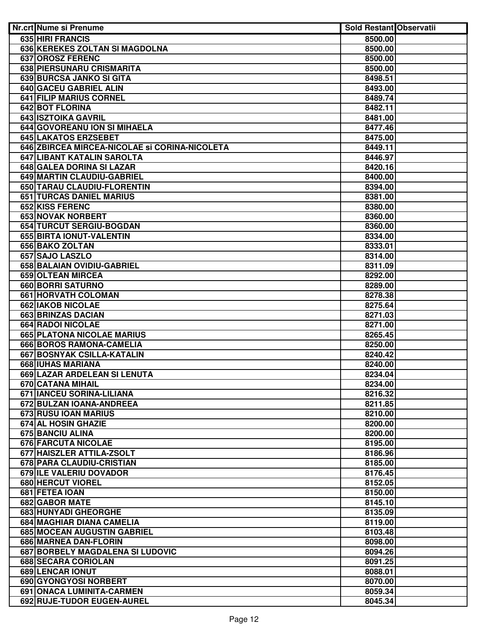| 635 HIRI FRANCIS<br>8500.00<br>636 KEREKES ZOLTAN SI MAGDOLNA<br>8500.00<br><b>637 OROSZ FERENC</b><br>8500.00<br>638 PIERSUNARU CRISMARITA<br>8500.00<br>639 BURCSA JANKO SI GITA<br>8498.51<br>640 GACEU GABRIEL ALIN<br>8493.00<br>641 FILIP MARIUS CORNEL<br>8489.74<br>642 BOT FLORINA<br>8482.11<br>643 ISZTOIKA GAVRIL<br>8481.00<br>644 GOVOREANU ION SI MIHAELA<br>8477.46<br>645 LAKATOS ERZSEBET<br>8475.00<br>646 ZBIRCEA MIRCEA-NICOLAE Si CORINA-NICOLETA<br>8449.11<br>647 LIBANT KATALIN SAROLTA<br>8446.97<br>648 GALEA DORINA SI LAZAR<br>8420.16<br>649 MARTIN CLAUDIU-GABRIEL<br>8400.00<br>650 TARAU CLAUDIU-FLORENTIN<br>8394.00<br>651 TURCAS DANIEL MARIUS<br>8381.00<br>652 KISS FERENC<br>8380.00<br>653 NOVAK NORBERT<br>8360.00<br>654 TURCUT SERGIU-BOGDAN<br>8360.00<br>655 BIRTA IONUT-VALENTIN<br>8334.00<br>656 BAKO ZOLTAN<br>8333.01<br>657 SAJO LASZLO<br>8314.00<br>658 BALAIAN OVIDIU-GABRIEL<br>8311.09<br>659 OLTEAN MIRCEA<br>8292.00<br>660 BORRI SATURNO<br>8289.00<br>661 HORVATH COLOMAN<br>8278.38<br><b>662 IAKOB NICOLAE</b><br>8275.64<br>663 BRINZAS DACIAN<br>8271.03<br><b>664 RADOI NICOLAE</b><br>8271.00<br>665 PLATONA NICOLAE MARIUS<br>8265.45<br>666 BOROS RAMONA-CAMELIA<br>8250.00<br>667 BOSNYAK CSILLA-KATALIN<br>8240.42<br>668 IUHAS MARIANA<br>8240.00<br>669 LAZAR ARDELEAN SI LENUTA<br>8234.04<br>670 CATANA MIHAIL<br>8234.00<br>671 IANCEU SORINA-LILIANA<br>8216.32<br>672 BULZAN IOANA-ANDREEA<br>8211.85<br>673 RUSU IOAN MARIUS<br>8210.00<br>674 AL HOSIN GHAZIE<br>8200.00<br>675 BANCIU ALINA<br>8200.00<br>676 FARCUTA NICOLAE<br>8195.00<br>677 HAISZLER ATTILA-ZSOLT<br>8186.96<br>678 PARA CLAUDIU-CRISTIAN<br>8185.00<br>679 ILE VALERIU DOVADOR<br>8176.45<br>680 HERCUT VIOREL<br>8152.05<br>681 FETEA IOAN<br>8150.00<br>682 GABOR MATE<br>8145.10<br>683 HUNYADI GHEORGHE<br>8135.09<br>684 MAGHIAR DIANA CAMELIA<br>8119.00<br>685 MOCEAN AUGUSTIN GABRIEL<br>8103.48<br>686 MARNEA DAN-FLORIN<br>8098.00<br>687 BORBELY MAGDALENA SI LUDOVIC<br>8094.26<br>688 SECARA CORIOLAN<br>8091.25<br><b>689 LENCAR IONUT</b><br>8088.01<br>690 GYONGYOSI NORBERT<br>8070.00<br>691 ONACA LUMINITA-CARMEN<br>8059.34 | Nr.crt Nume si Prenume     | <b>Sold Restant Observatii</b> |  |
|------------------------------------------------------------------------------------------------------------------------------------------------------------------------------------------------------------------------------------------------------------------------------------------------------------------------------------------------------------------------------------------------------------------------------------------------------------------------------------------------------------------------------------------------------------------------------------------------------------------------------------------------------------------------------------------------------------------------------------------------------------------------------------------------------------------------------------------------------------------------------------------------------------------------------------------------------------------------------------------------------------------------------------------------------------------------------------------------------------------------------------------------------------------------------------------------------------------------------------------------------------------------------------------------------------------------------------------------------------------------------------------------------------------------------------------------------------------------------------------------------------------------------------------------------------------------------------------------------------------------------------------------------------------------------------------------------------------------------------------------------------------------------------------------------------------------------------------------------------------------------------------------------------------------------------------------------------------------------------------------------------------------------------------------------------------------------------------------------------------------------------------------------------------------------------------------------|----------------------------|--------------------------------|--|
|                                                                                                                                                                                                                                                                                                                                                                                                                                                                                                                                                                                                                                                                                                                                                                                                                                                                                                                                                                                                                                                                                                                                                                                                                                                                                                                                                                                                                                                                                                                                                                                                                                                                                                                                                                                                                                                                                                                                                                                                                                                                                                                                                                                                      |                            |                                |  |
|                                                                                                                                                                                                                                                                                                                                                                                                                                                                                                                                                                                                                                                                                                                                                                                                                                                                                                                                                                                                                                                                                                                                                                                                                                                                                                                                                                                                                                                                                                                                                                                                                                                                                                                                                                                                                                                                                                                                                                                                                                                                                                                                                                                                      |                            |                                |  |
|                                                                                                                                                                                                                                                                                                                                                                                                                                                                                                                                                                                                                                                                                                                                                                                                                                                                                                                                                                                                                                                                                                                                                                                                                                                                                                                                                                                                                                                                                                                                                                                                                                                                                                                                                                                                                                                                                                                                                                                                                                                                                                                                                                                                      |                            |                                |  |
|                                                                                                                                                                                                                                                                                                                                                                                                                                                                                                                                                                                                                                                                                                                                                                                                                                                                                                                                                                                                                                                                                                                                                                                                                                                                                                                                                                                                                                                                                                                                                                                                                                                                                                                                                                                                                                                                                                                                                                                                                                                                                                                                                                                                      |                            |                                |  |
|                                                                                                                                                                                                                                                                                                                                                                                                                                                                                                                                                                                                                                                                                                                                                                                                                                                                                                                                                                                                                                                                                                                                                                                                                                                                                                                                                                                                                                                                                                                                                                                                                                                                                                                                                                                                                                                                                                                                                                                                                                                                                                                                                                                                      |                            |                                |  |
|                                                                                                                                                                                                                                                                                                                                                                                                                                                                                                                                                                                                                                                                                                                                                                                                                                                                                                                                                                                                                                                                                                                                                                                                                                                                                                                                                                                                                                                                                                                                                                                                                                                                                                                                                                                                                                                                                                                                                                                                                                                                                                                                                                                                      |                            |                                |  |
|                                                                                                                                                                                                                                                                                                                                                                                                                                                                                                                                                                                                                                                                                                                                                                                                                                                                                                                                                                                                                                                                                                                                                                                                                                                                                                                                                                                                                                                                                                                                                                                                                                                                                                                                                                                                                                                                                                                                                                                                                                                                                                                                                                                                      |                            |                                |  |
|                                                                                                                                                                                                                                                                                                                                                                                                                                                                                                                                                                                                                                                                                                                                                                                                                                                                                                                                                                                                                                                                                                                                                                                                                                                                                                                                                                                                                                                                                                                                                                                                                                                                                                                                                                                                                                                                                                                                                                                                                                                                                                                                                                                                      |                            |                                |  |
|                                                                                                                                                                                                                                                                                                                                                                                                                                                                                                                                                                                                                                                                                                                                                                                                                                                                                                                                                                                                                                                                                                                                                                                                                                                                                                                                                                                                                                                                                                                                                                                                                                                                                                                                                                                                                                                                                                                                                                                                                                                                                                                                                                                                      |                            |                                |  |
|                                                                                                                                                                                                                                                                                                                                                                                                                                                                                                                                                                                                                                                                                                                                                                                                                                                                                                                                                                                                                                                                                                                                                                                                                                                                                                                                                                                                                                                                                                                                                                                                                                                                                                                                                                                                                                                                                                                                                                                                                                                                                                                                                                                                      |                            |                                |  |
|                                                                                                                                                                                                                                                                                                                                                                                                                                                                                                                                                                                                                                                                                                                                                                                                                                                                                                                                                                                                                                                                                                                                                                                                                                                                                                                                                                                                                                                                                                                                                                                                                                                                                                                                                                                                                                                                                                                                                                                                                                                                                                                                                                                                      |                            |                                |  |
|                                                                                                                                                                                                                                                                                                                                                                                                                                                                                                                                                                                                                                                                                                                                                                                                                                                                                                                                                                                                                                                                                                                                                                                                                                                                                                                                                                                                                                                                                                                                                                                                                                                                                                                                                                                                                                                                                                                                                                                                                                                                                                                                                                                                      |                            |                                |  |
|                                                                                                                                                                                                                                                                                                                                                                                                                                                                                                                                                                                                                                                                                                                                                                                                                                                                                                                                                                                                                                                                                                                                                                                                                                                                                                                                                                                                                                                                                                                                                                                                                                                                                                                                                                                                                                                                                                                                                                                                                                                                                                                                                                                                      |                            |                                |  |
|                                                                                                                                                                                                                                                                                                                                                                                                                                                                                                                                                                                                                                                                                                                                                                                                                                                                                                                                                                                                                                                                                                                                                                                                                                                                                                                                                                                                                                                                                                                                                                                                                                                                                                                                                                                                                                                                                                                                                                                                                                                                                                                                                                                                      |                            |                                |  |
|                                                                                                                                                                                                                                                                                                                                                                                                                                                                                                                                                                                                                                                                                                                                                                                                                                                                                                                                                                                                                                                                                                                                                                                                                                                                                                                                                                                                                                                                                                                                                                                                                                                                                                                                                                                                                                                                                                                                                                                                                                                                                                                                                                                                      |                            |                                |  |
|                                                                                                                                                                                                                                                                                                                                                                                                                                                                                                                                                                                                                                                                                                                                                                                                                                                                                                                                                                                                                                                                                                                                                                                                                                                                                                                                                                                                                                                                                                                                                                                                                                                                                                                                                                                                                                                                                                                                                                                                                                                                                                                                                                                                      |                            |                                |  |
|                                                                                                                                                                                                                                                                                                                                                                                                                                                                                                                                                                                                                                                                                                                                                                                                                                                                                                                                                                                                                                                                                                                                                                                                                                                                                                                                                                                                                                                                                                                                                                                                                                                                                                                                                                                                                                                                                                                                                                                                                                                                                                                                                                                                      |                            |                                |  |
|                                                                                                                                                                                                                                                                                                                                                                                                                                                                                                                                                                                                                                                                                                                                                                                                                                                                                                                                                                                                                                                                                                                                                                                                                                                                                                                                                                                                                                                                                                                                                                                                                                                                                                                                                                                                                                                                                                                                                                                                                                                                                                                                                                                                      |                            |                                |  |
|                                                                                                                                                                                                                                                                                                                                                                                                                                                                                                                                                                                                                                                                                                                                                                                                                                                                                                                                                                                                                                                                                                                                                                                                                                                                                                                                                                                                                                                                                                                                                                                                                                                                                                                                                                                                                                                                                                                                                                                                                                                                                                                                                                                                      |                            |                                |  |
|                                                                                                                                                                                                                                                                                                                                                                                                                                                                                                                                                                                                                                                                                                                                                                                                                                                                                                                                                                                                                                                                                                                                                                                                                                                                                                                                                                                                                                                                                                                                                                                                                                                                                                                                                                                                                                                                                                                                                                                                                                                                                                                                                                                                      |                            |                                |  |
|                                                                                                                                                                                                                                                                                                                                                                                                                                                                                                                                                                                                                                                                                                                                                                                                                                                                                                                                                                                                                                                                                                                                                                                                                                                                                                                                                                                                                                                                                                                                                                                                                                                                                                                                                                                                                                                                                                                                                                                                                                                                                                                                                                                                      |                            |                                |  |
|                                                                                                                                                                                                                                                                                                                                                                                                                                                                                                                                                                                                                                                                                                                                                                                                                                                                                                                                                                                                                                                                                                                                                                                                                                                                                                                                                                                                                                                                                                                                                                                                                                                                                                                                                                                                                                                                                                                                                                                                                                                                                                                                                                                                      |                            |                                |  |
|                                                                                                                                                                                                                                                                                                                                                                                                                                                                                                                                                                                                                                                                                                                                                                                                                                                                                                                                                                                                                                                                                                                                                                                                                                                                                                                                                                                                                                                                                                                                                                                                                                                                                                                                                                                                                                                                                                                                                                                                                                                                                                                                                                                                      |                            |                                |  |
|                                                                                                                                                                                                                                                                                                                                                                                                                                                                                                                                                                                                                                                                                                                                                                                                                                                                                                                                                                                                                                                                                                                                                                                                                                                                                                                                                                                                                                                                                                                                                                                                                                                                                                                                                                                                                                                                                                                                                                                                                                                                                                                                                                                                      |                            |                                |  |
|                                                                                                                                                                                                                                                                                                                                                                                                                                                                                                                                                                                                                                                                                                                                                                                                                                                                                                                                                                                                                                                                                                                                                                                                                                                                                                                                                                                                                                                                                                                                                                                                                                                                                                                                                                                                                                                                                                                                                                                                                                                                                                                                                                                                      |                            |                                |  |
|                                                                                                                                                                                                                                                                                                                                                                                                                                                                                                                                                                                                                                                                                                                                                                                                                                                                                                                                                                                                                                                                                                                                                                                                                                                                                                                                                                                                                                                                                                                                                                                                                                                                                                                                                                                                                                                                                                                                                                                                                                                                                                                                                                                                      |                            |                                |  |
|                                                                                                                                                                                                                                                                                                                                                                                                                                                                                                                                                                                                                                                                                                                                                                                                                                                                                                                                                                                                                                                                                                                                                                                                                                                                                                                                                                                                                                                                                                                                                                                                                                                                                                                                                                                                                                                                                                                                                                                                                                                                                                                                                                                                      |                            |                                |  |
|                                                                                                                                                                                                                                                                                                                                                                                                                                                                                                                                                                                                                                                                                                                                                                                                                                                                                                                                                                                                                                                                                                                                                                                                                                                                                                                                                                                                                                                                                                                                                                                                                                                                                                                                                                                                                                                                                                                                                                                                                                                                                                                                                                                                      |                            |                                |  |
|                                                                                                                                                                                                                                                                                                                                                                                                                                                                                                                                                                                                                                                                                                                                                                                                                                                                                                                                                                                                                                                                                                                                                                                                                                                                                                                                                                                                                                                                                                                                                                                                                                                                                                                                                                                                                                                                                                                                                                                                                                                                                                                                                                                                      |                            |                                |  |
|                                                                                                                                                                                                                                                                                                                                                                                                                                                                                                                                                                                                                                                                                                                                                                                                                                                                                                                                                                                                                                                                                                                                                                                                                                                                                                                                                                                                                                                                                                                                                                                                                                                                                                                                                                                                                                                                                                                                                                                                                                                                                                                                                                                                      |                            |                                |  |
|                                                                                                                                                                                                                                                                                                                                                                                                                                                                                                                                                                                                                                                                                                                                                                                                                                                                                                                                                                                                                                                                                                                                                                                                                                                                                                                                                                                                                                                                                                                                                                                                                                                                                                                                                                                                                                                                                                                                                                                                                                                                                                                                                                                                      |                            |                                |  |
|                                                                                                                                                                                                                                                                                                                                                                                                                                                                                                                                                                                                                                                                                                                                                                                                                                                                                                                                                                                                                                                                                                                                                                                                                                                                                                                                                                                                                                                                                                                                                                                                                                                                                                                                                                                                                                                                                                                                                                                                                                                                                                                                                                                                      |                            |                                |  |
|                                                                                                                                                                                                                                                                                                                                                                                                                                                                                                                                                                                                                                                                                                                                                                                                                                                                                                                                                                                                                                                                                                                                                                                                                                                                                                                                                                                                                                                                                                                                                                                                                                                                                                                                                                                                                                                                                                                                                                                                                                                                                                                                                                                                      |                            |                                |  |
|                                                                                                                                                                                                                                                                                                                                                                                                                                                                                                                                                                                                                                                                                                                                                                                                                                                                                                                                                                                                                                                                                                                                                                                                                                                                                                                                                                                                                                                                                                                                                                                                                                                                                                                                                                                                                                                                                                                                                                                                                                                                                                                                                                                                      |                            |                                |  |
|                                                                                                                                                                                                                                                                                                                                                                                                                                                                                                                                                                                                                                                                                                                                                                                                                                                                                                                                                                                                                                                                                                                                                                                                                                                                                                                                                                                                                                                                                                                                                                                                                                                                                                                                                                                                                                                                                                                                                                                                                                                                                                                                                                                                      |                            |                                |  |
|                                                                                                                                                                                                                                                                                                                                                                                                                                                                                                                                                                                                                                                                                                                                                                                                                                                                                                                                                                                                                                                                                                                                                                                                                                                                                                                                                                                                                                                                                                                                                                                                                                                                                                                                                                                                                                                                                                                                                                                                                                                                                                                                                                                                      |                            |                                |  |
|                                                                                                                                                                                                                                                                                                                                                                                                                                                                                                                                                                                                                                                                                                                                                                                                                                                                                                                                                                                                                                                                                                                                                                                                                                                                                                                                                                                                                                                                                                                                                                                                                                                                                                                                                                                                                                                                                                                                                                                                                                                                                                                                                                                                      |                            |                                |  |
|                                                                                                                                                                                                                                                                                                                                                                                                                                                                                                                                                                                                                                                                                                                                                                                                                                                                                                                                                                                                                                                                                                                                                                                                                                                                                                                                                                                                                                                                                                                                                                                                                                                                                                                                                                                                                                                                                                                                                                                                                                                                                                                                                                                                      |                            |                                |  |
|                                                                                                                                                                                                                                                                                                                                                                                                                                                                                                                                                                                                                                                                                                                                                                                                                                                                                                                                                                                                                                                                                                                                                                                                                                                                                                                                                                                                                                                                                                                                                                                                                                                                                                                                                                                                                                                                                                                                                                                                                                                                                                                                                                                                      |                            |                                |  |
|                                                                                                                                                                                                                                                                                                                                                                                                                                                                                                                                                                                                                                                                                                                                                                                                                                                                                                                                                                                                                                                                                                                                                                                                                                                                                                                                                                                                                                                                                                                                                                                                                                                                                                                                                                                                                                                                                                                                                                                                                                                                                                                                                                                                      |                            |                                |  |
|                                                                                                                                                                                                                                                                                                                                                                                                                                                                                                                                                                                                                                                                                                                                                                                                                                                                                                                                                                                                                                                                                                                                                                                                                                                                                                                                                                                                                                                                                                                                                                                                                                                                                                                                                                                                                                                                                                                                                                                                                                                                                                                                                                                                      |                            |                                |  |
|                                                                                                                                                                                                                                                                                                                                                                                                                                                                                                                                                                                                                                                                                                                                                                                                                                                                                                                                                                                                                                                                                                                                                                                                                                                                                                                                                                                                                                                                                                                                                                                                                                                                                                                                                                                                                                                                                                                                                                                                                                                                                                                                                                                                      |                            |                                |  |
|                                                                                                                                                                                                                                                                                                                                                                                                                                                                                                                                                                                                                                                                                                                                                                                                                                                                                                                                                                                                                                                                                                                                                                                                                                                                                                                                                                                                                                                                                                                                                                                                                                                                                                                                                                                                                                                                                                                                                                                                                                                                                                                                                                                                      |                            |                                |  |
|                                                                                                                                                                                                                                                                                                                                                                                                                                                                                                                                                                                                                                                                                                                                                                                                                                                                                                                                                                                                                                                                                                                                                                                                                                                                                                                                                                                                                                                                                                                                                                                                                                                                                                                                                                                                                                                                                                                                                                                                                                                                                                                                                                                                      |                            |                                |  |
|                                                                                                                                                                                                                                                                                                                                                                                                                                                                                                                                                                                                                                                                                                                                                                                                                                                                                                                                                                                                                                                                                                                                                                                                                                                                                                                                                                                                                                                                                                                                                                                                                                                                                                                                                                                                                                                                                                                                                                                                                                                                                                                                                                                                      |                            |                                |  |
|                                                                                                                                                                                                                                                                                                                                                                                                                                                                                                                                                                                                                                                                                                                                                                                                                                                                                                                                                                                                                                                                                                                                                                                                                                                                                                                                                                                                                                                                                                                                                                                                                                                                                                                                                                                                                                                                                                                                                                                                                                                                                                                                                                                                      |                            |                                |  |
|                                                                                                                                                                                                                                                                                                                                                                                                                                                                                                                                                                                                                                                                                                                                                                                                                                                                                                                                                                                                                                                                                                                                                                                                                                                                                                                                                                                                                                                                                                                                                                                                                                                                                                                                                                                                                                                                                                                                                                                                                                                                                                                                                                                                      |                            |                                |  |
|                                                                                                                                                                                                                                                                                                                                                                                                                                                                                                                                                                                                                                                                                                                                                                                                                                                                                                                                                                                                                                                                                                                                                                                                                                                                                                                                                                                                                                                                                                                                                                                                                                                                                                                                                                                                                                                                                                                                                                                                                                                                                                                                                                                                      |                            |                                |  |
|                                                                                                                                                                                                                                                                                                                                                                                                                                                                                                                                                                                                                                                                                                                                                                                                                                                                                                                                                                                                                                                                                                                                                                                                                                                                                                                                                                                                                                                                                                                                                                                                                                                                                                                                                                                                                                                                                                                                                                                                                                                                                                                                                                                                      |                            |                                |  |
|                                                                                                                                                                                                                                                                                                                                                                                                                                                                                                                                                                                                                                                                                                                                                                                                                                                                                                                                                                                                                                                                                                                                                                                                                                                                                                                                                                                                                                                                                                                                                                                                                                                                                                                                                                                                                                                                                                                                                                                                                                                                                                                                                                                                      |                            |                                |  |
|                                                                                                                                                                                                                                                                                                                                                                                                                                                                                                                                                                                                                                                                                                                                                                                                                                                                                                                                                                                                                                                                                                                                                                                                                                                                                                                                                                                                                                                                                                                                                                                                                                                                                                                                                                                                                                                                                                                                                                                                                                                                                                                                                                                                      |                            |                                |  |
|                                                                                                                                                                                                                                                                                                                                                                                                                                                                                                                                                                                                                                                                                                                                                                                                                                                                                                                                                                                                                                                                                                                                                                                                                                                                                                                                                                                                                                                                                                                                                                                                                                                                                                                                                                                                                                                                                                                                                                                                                                                                                                                                                                                                      |                            |                                |  |
|                                                                                                                                                                                                                                                                                                                                                                                                                                                                                                                                                                                                                                                                                                                                                                                                                                                                                                                                                                                                                                                                                                                                                                                                                                                                                                                                                                                                                                                                                                                                                                                                                                                                                                                                                                                                                                                                                                                                                                                                                                                                                                                                                                                                      |                            |                                |  |
|                                                                                                                                                                                                                                                                                                                                                                                                                                                                                                                                                                                                                                                                                                                                                                                                                                                                                                                                                                                                                                                                                                                                                                                                                                                                                                                                                                                                                                                                                                                                                                                                                                                                                                                                                                                                                                                                                                                                                                                                                                                                                                                                                                                                      |                            |                                |  |
|                                                                                                                                                                                                                                                                                                                                                                                                                                                                                                                                                                                                                                                                                                                                                                                                                                                                                                                                                                                                                                                                                                                                                                                                                                                                                                                                                                                                                                                                                                                                                                                                                                                                                                                                                                                                                                                                                                                                                                                                                                                                                                                                                                                                      |                            |                                |  |
|                                                                                                                                                                                                                                                                                                                                                                                                                                                                                                                                                                                                                                                                                                                                                                                                                                                                                                                                                                                                                                                                                                                                                                                                                                                                                                                                                                                                                                                                                                                                                                                                                                                                                                                                                                                                                                                                                                                                                                                                                                                                                                                                                                                                      |                            |                                |  |
|                                                                                                                                                                                                                                                                                                                                                                                                                                                                                                                                                                                                                                                                                                                                                                                                                                                                                                                                                                                                                                                                                                                                                                                                                                                                                                                                                                                                                                                                                                                                                                                                                                                                                                                                                                                                                                                                                                                                                                                                                                                                                                                                                                                                      |                            |                                |  |
|                                                                                                                                                                                                                                                                                                                                                                                                                                                                                                                                                                                                                                                                                                                                                                                                                                                                                                                                                                                                                                                                                                                                                                                                                                                                                                                                                                                                                                                                                                                                                                                                                                                                                                                                                                                                                                                                                                                                                                                                                                                                                                                                                                                                      | 692 RUJE-TUDOR EUGEN-AUREL | 8045.34                        |  |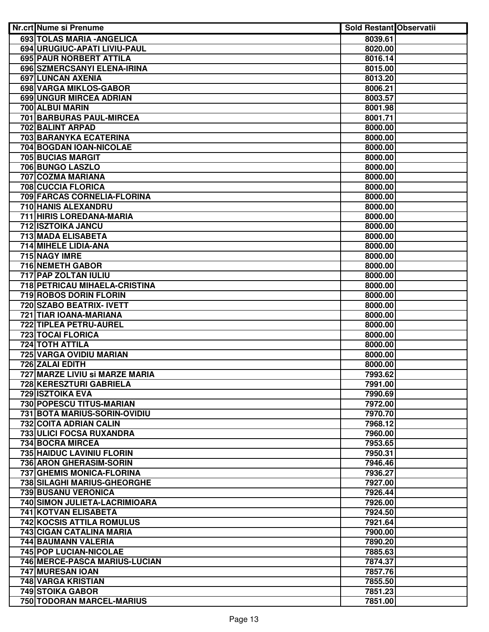| Nr.crt Nume si Prenume           | <b>Sold Restant Observatii</b> |  |
|----------------------------------|--------------------------------|--|
| 693 TOLAS MARIA - ANGELICA       | 8039.61                        |  |
| 694 URUGIUC-APATI LIVIU-PAUL     | 8020.00                        |  |
| 695 PAUR NORBERT ATTILA          | 8016.14                        |  |
| 696 SZMERCSANYI ELENA-IRINA      | 8015.00                        |  |
| 697 LUNCAN AXENIA                | 8013.20                        |  |
| 698 VARGA MIKLOS-GABOR           | 8006.21                        |  |
| 699 UNGUR MIRCEA ADRIAN          | 8003.57                        |  |
| 700 ALBUI MARIN                  | 8001.98                        |  |
| <b>701 BARBURAS PAUL-MIRCEA</b>  | 8001.71                        |  |
| 702 BALINT ARPAD                 | 8000.00                        |  |
| 703 BARANYKA ECATERINA           | 8000.00                        |  |
| 704 BOGDAN IOAN-NICOLAE          | 8000.00                        |  |
| 705 BUCIAS MARGIT                | 8000.00                        |  |
| 706 BUNGO LASZLO                 | 8000.00                        |  |
| 707 COZMA MARIANA                | 8000.00                        |  |
| 708 CUCCIA FLORICA               | 8000.00                        |  |
| 709 FARCAS CORNELIA-FLORINA      | 8000.00                        |  |
| 710 HANIS ALEXANDRU              | 8000.00                        |  |
| 711 HIRIS LOREDANA-MARIA         | 8000.00                        |  |
| 712 ISZTOIKA JANCU               | 8000.00                        |  |
| 713 MADA ELISABETA               | 8000.00                        |  |
| 714 MIHELE LIDIA-ANA             | 8000.00                        |  |
| 715 NAGY IMRE                    | 8000.00                        |  |
| 716 NEMETH GABOR                 | 8000.00                        |  |
| 717 PAP ZOLTAN IULIU             | 8000.00                        |  |
| 718 PETRICAU MIHAELA-CRISTINA    | 8000.00                        |  |
| 719 ROBOS DORIN FLORIN           | 8000.00                        |  |
| 720 SZABO BEATRIX- IVETT         | 8000.00                        |  |
| 721 TIAR IOANA-MARIANA           | 8000.00                        |  |
| 722 TIPLEA PETRU-AUREL           | 8000.00                        |  |
| <b>723 TOCAI FLORICA</b>         | 8000.00                        |  |
| <b>724 TOTH ATTILA</b>           | 8000.00                        |  |
| 725 VARGA OVIDIU MARIAN          | 8000.00                        |  |
| 726 ZALAI EDITH                  | 8000.00                        |  |
| 727 MARZE LIVIU si MARZE MARIA   | 7993.62                        |  |
| 728 KERESZTURI GABRIELA          | 7991.00                        |  |
| 729 ISZTOIKA EVA                 | 7990.69                        |  |
| 730 POPESCU TITUS-MARIAN         | 7972.00                        |  |
| 731 BOTA MARIUS-SORIN-OVIDIU     | 7970.70                        |  |
| 732 COITA ADRIAN CALIN           | 7968.12                        |  |
| 733 ULICI FOCSA RUXANDRA         | 7960.00                        |  |
| 734 BOCRA MIRCEA                 | 7953.65                        |  |
| 735 HAIDUC LAVINIU FLORIN        | 7950.31                        |  |
| 736 ARON GHERASIM-SORIN          | 7946.46                        |  |
| 737 GHEMIS MONICA-FLORINA        | 7936.27                        |  |
| 738 SILAGHI MARIUS-GHEORGHE      | 7927.00                        |  |
| 739 BUSANU VERONICA              | 7926.44                        |  |
| 740 SIMON JULIETA-LACRIMIOARA    | 7926.00                        |  |
| 741 KOTVAN ELISABETA             | 7924.50                        |  |
| <b>742 KOCSIS ATTILA ROMULUS</b> | 7921.64                        |  |
| 743 CIGAN CATALINA MARIA         | 7900.00                        |  |
| 744 BAUMANN VALERIA              | 7890.20                        |  |
| 745 POP LUCIAN-NICOLAE           | 7885.63                        |  |
| 746 MERCE-PASCA MARIUS-LUCIAN    | 7874.37                        |  |
| 747 MURESAN IOAN                 | 7857.76                        |  |
| 748 VARGA KRISTIAN               | 7855.50                        |  |
| <b>749 STOIKA GABOR</b>          | 7851.23                        |  |
| 750 TODORAN MARCEL-MARIUS        | 7851.00                        |  |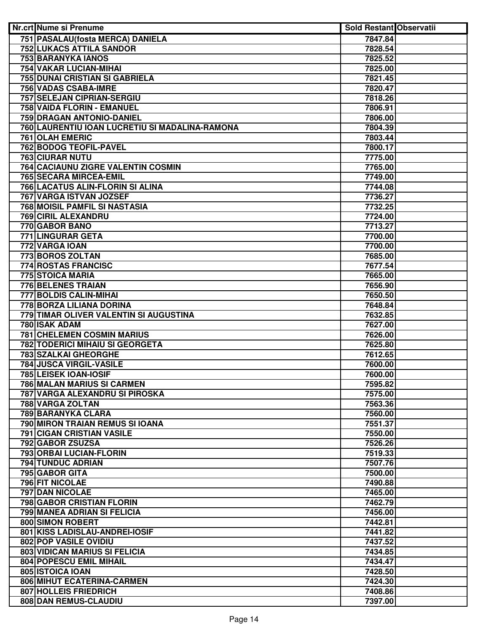| Nr.crt Nume si Prenume                         | <b>Sold Restant Observatii</b> |  |
|------------------------------------------------|--------------------------------|--|
| 751 PASALAU (fosta MERCA) DANIELA              | 7847.84                        |  |
| <b>752 LUKACS ATTILA SANDOR</b>                | 7828.54                        |  |
| <b>753 BARANYKA IANOS</b>                      | 7825.52                        |  |
| <b>754 VAKAR LUCIAN-MIHAI</b>                  | 7825.00                        |  |
| <b>755 DUNAI CRISTIAN SI GABRIELA</b>          | 7821.45                        |  |
| <b>756 VADAS CSABA-IMRE</b>                    | 7820.47                        |  |
| 757 SELEJAN CIPRIAN-SERGIU                     | 7818.26                        |  |
| 758 VAIDA FLORIN - EMANUEL                     | 7806.91                        |  |
| 759 DRAGAN ANTONIO-DANIEL                      | 7806.00                        |  |
| 760 LAURENTIU IOAN LUCRETIU SI MADALINA-RAMONA | 7804.39                        |  |
| <b>761 OLAH EMERIC</b>                         | 7803.44                        |  |
| 762 BODOG TEOFIL-PAVEL                         | 7800.17                        |  |
| 763 CIURAR NUTU                                | 7775.00                        |  |
| 764 CACIAUNU ZIGRE VALENTIN COSMIN             | 7765.00                        |  |
| 765 SECARA MIRCEA-EMIL                         | 7749.00                        |  |
| 766 LACATUS ALIN-FLORIN SI ALINA               | 7744.08                        |  |
| 767 VARGA ISTVAN JOZSEF                        | 7736.27                        |  |
| 768 MOISIL PAMFIL SI NASTASIA                  | 7732.25                        |  |
| 769 CIRIL ALEXANDRU                            | 7724.00                        |  |
| 770 GABOR BANO                                 | 7713.27                        |  |
| 771 LINGURAR GETA                              | 7700.00                        |  |
| 772 VARGA IOAN                                 | 7700.00                        |  |
| 773 BOROS ZOLTAN                               | 7685.00                        |  |
| 774 ROSTAS FRANCISC                            | 7677.54                        |  |
| 775 STOICA MARIA                               | 7665.00                        |  |
| 776 BELENES TRAIAN                             | 7656.90                        |  |
| 777 BOLDIS CALIN-MIHAI                         | 7650.50                        |  |
| 778 BORZA LILIANA DORINA                       | 7648.84                        |  |
| 779 TIMAR OLIVER VALENTIN SI AUGUSTINA         | 7632.85                        |  |
| 780 ISAK ADAM                                  | 7627.00                        |  |
| <b>781 CHELEMEN COSMIN MARIUS</b>              | 7626.00                        |  |
| <b>782 TODERICI MIHAIU SI GEORGETA</b>         | 7625.80                        |  |
| <b>783 SZALKAI GHEORGHE</b>                    | 7612.65                        |  |
| 784 JUSCA VIRGIL-VASILE                        | 7600.00                        |  |
| 785 LEISEK IOAN-IOSIF                          | 7600.00                        |  |
| <b>786 MALAN MARIUS SI CARMEN</b>              | 7595.82                        |  |
| 787 VARGA ALEXANDRU SI PIROSKA                 | 7575.00                        |  |
| 788 VARGA ZOLTAN                               | 7563.36                        |  |
| 789 BARANYKA CLARA                             | 7560.00                        |  |
| 790 MIRON TRAIAN REMUS SI IOANA                | 7551.37                        |  |
| <b>791 CIGAN CRISTIAN VASILE</b>               | 7550.00                        |  |
| 792 GABOR ZSUZSA                               | 7526.26                        |  |
| 793 ORBAI LUCIAN-FLORIN                        | 7519.33                        |  |
| 794 TUNDUC ADRIAN                              | 7507.76                        |  |
| 795 GABOR GITA                                 | 7500.00                        |  |
| 796 FIT NICOLAE                                | 7490.88                        |  |
| 797 DAN NICOLAE                                | 7465.00                        |  |
| 798 GABOR CRISTIAN FLORIN                      | 7462.79                        |  |
| 799 MANEA ADRIAN SI FELICIA                    | 7456.00                        |  |
| 800 SIMON ROBERT                               | 7442.81                        |  |
| 801 KISS LADISLAU-ANDREI-IOSIF                 | 7441.82                        |  |
| <b>802 POP VASILE OVIDIU</b>                   | 7437.52                        |  |
| 803 VIDICAN MARIUS SI FELICIA                  | 7434.85                        |  |
| <b>804 POPESCU EMIL MIHAIL</b>                 | 7434.47                        |  |
| 805 ISTOICA IOAN                               | 7428.50                        |  |
| 806 MIHUT ECATERINA-CARMEN                     | 7424.30                        |  |
| 807 HOLLEIS FRIEDRICH                          | 7408.86                        |  |
| 808 DAN REMUS-CLAUDIU                          | 7397.00                        |  |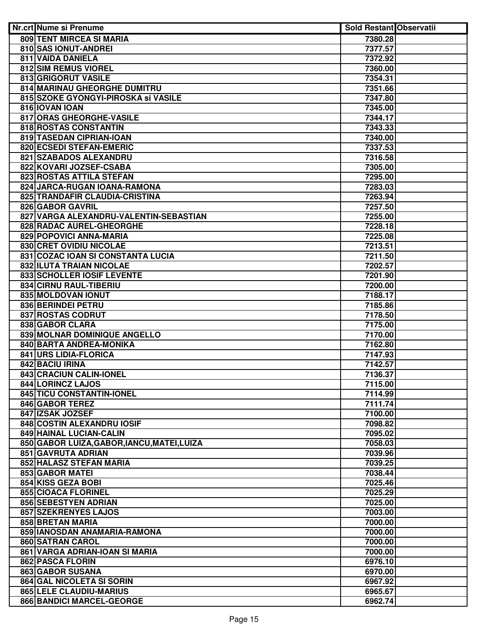| Nr.crt Nume si Prenume                                | <b>Sold Restant Observatii</b> |  |
|-------------------------------------------------------|--------------------------------|--|
| <b>809 TENT MIRCEA SI MARIA</b>                       | 7380.28                        |  |
| 810 SAS IONUT-ANDREI                                  | 7377.57                        |  |
| <b>811 VAIDA DANIELA</b>                              | 7372.92                        |  |
| 812 SIM REMUS VIOREL                                  | 7360.00                        |  |
| 813 GRIGORUT VASILE                                   | 7354.31                        |  |
| 814 MARINAU GHEORGHE DUMITRU                          | 7351.66                        |  |
| 815 SZOKE GYONGYI-PIROSKA si VASILE                   | 7347.80                        |  |
| 816 IOVAN IOAN                                        | 7345.00                        |  |
| 817 ORAS GHEORGHE-VASILE                              | 7344.17                        |  |
| 818 ROSTAS CONSTANTIN                                 | 7343.33                        |  |
| 819 TASEDAN CIPRIAN-IOAN                              | 7340.00                        |  |
| 820 ECSEDI STEFAN-EMERIC                              | 7337.53                        |  |
| 821 SZABADOS ALEXANDRU                                | 7316.58                        |  |
| 822 KOVARI JOZSEF-CSABA                               | 7305.00                        |  |
| 823 ROSTAS ATTILA STEFAN                              | 7295.00                        |  |
| 824 JARCA-RUGAN IOANA-RAMONA                          | 7283.03                        |  |
| 825 TRANDAFIR CLAUDIA-CRISTINA                        | 7263.94                        |  |
| 826 GABOR GAVRIL                                      | 7257.50                        |  |
| 827 VARGA ALEXANDRU-VALENTIN-SEBASTIAN                | 7255.00                        |  |
| 828 RADAC AUREL-GHEORGHE                              | 7228.18                        |  |
| 829 POPOVICI ANNA-MARIA                               | 7225.08                        |  |
| 830 CRET OVIDIU NICOLAE                               | 7213.51                        |  |
| 831 COZAC IOAN SI CONSTANTA LUCIA                     | 7211.50                        |  |
| <b>832 ILUTA TRAIAN NICOLAE</b>                       | 7202.57                        |  |
| 833 SCHOLLER IOSIF LEVENTE                            | 7201.90                        |  |
| 834 CIRNU RAUL-TIBERIU                                | 7200.00                        |  |
| 835 MOLDOVAN IONUT                                    | 7188.17                        |  |
| <b>836 BERINDEI PETRU</b>                             | 7185.86                        |  |
| <b>837 ROSTAS CODRUT</b>                              | 7178.50                        |  |
| <b>838 GABOR CLARA</b>                                | 7175.00                        |  |
| 839 MOLNAR DOMINIQUE ANGELLO                          | 7170.00                        |  |
| 840 BARTA ANDREA-MONIKA                               | 7162.80                        |  |
| 841 URS LIDIA-FLORICA                                 | 7147.93                        |  |
| 842 BACIU IRINA                                       | 7142.57                        |  |
| 843 CRACIUN CALIN-IONEL                               | 7136.37                        |  |
| <b>844 LORINCZ LAJOS</b><br>845 TICU CONSTANTIN-IONEL | 7115.00                        |  |
|                                                       | 7114.99<br>7111.74             |  |
| 846 GABOR TEREZ<br>847 IZSAK JOZSEF                   | 7100.00                        |  |
| 848 COSTIN ALEXANDRU IOSIF                            | 7098.82                        |  |
| 849 HAINAL LUCIAN-CALIN                               | 7095.02                        |  |
| 850 GABOR LUIZA, GABOR, IANCU, MATEI, LUIZA           | 7058.03                        |  |
| 851 GAVRUTA ADRIAN                                    | 7039.96                        |  |
| 852 HALASZ STEFAN MARIA                               | 7039.25                        |  |
| 853 GABOR MATEI                                       | 7038.44                        |  |
| 854 KISS GEZA BOBI                                    | 7025.46                        |  |
| 855 CIOACA FLORINEL                                   | 7025.29                        |  |
| 856 SEBESTYEN ADRIAN                                  | 7025.00                        |  |
| 857 SZEKRENYES LAJOS                                  | 7003.00                        |  |
| 858 BRETAN MARIA                                      | 7000.00                        |  |
| 859 IANOSDAN ANAMARIA-RAMONA                          | 7000.00                        |  |
| 860 SATRAN CAROL                                      | 7000.00                        |  |
| 861 VARGA ADRIAN-IOAN SI MARIA                        | 7000.00                        |  |
| 862 PASCA FLORIN                                      | 6976.10                        |  |
| <b>863 GABOR SUSANA</b>                               | 6970.00                        |  |
| 864 GAL NICOLETA SI SORIN                             | 6967.92                        |  |
| 865 LELE CLAUDIU-MARIUS                               | 6965.67                        |  |
| 866 BANDICI MARCEL-GEORGE                             | 6962.74                        |  |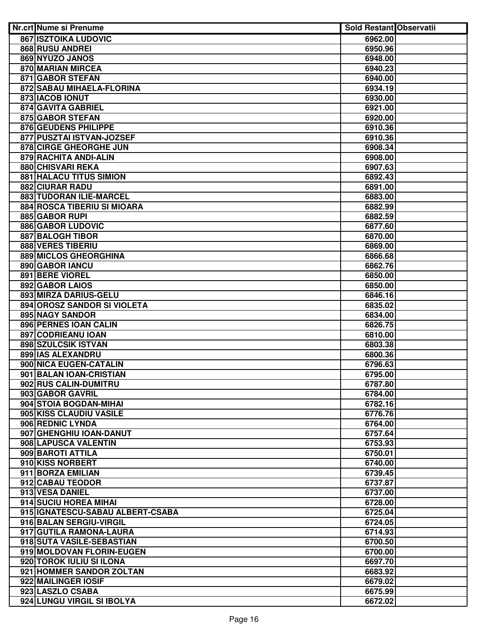| Nr.crt Nume si Prenume           | <b>Sold Restant Observatii</b> |  |
|----------------------------------|--------------------------------|--|
| <b>867 ISZTOIKA LUDOVIC</b>      | 6962.00                        |  |
| 868 RUSU ANDREI                  | 6950.96                        |  |
| 869 NYUZO JANOS                  | 6948.00                        |  |
| <b>870 MARIAN MIRCEA</b>         | 6940.23                        |  |
| <b>871 GABOR STEFAN</b>          | 6940.00                        |  |
| 872 SABAU MIHAELA-FLORINA        | 6934.19                        |  |
| 873 IACOB IONUT                  | 6930.00                        |  |
| 874 GAVITA GABRIEL               | 6921.00                        |  |
| 875 GABOR STEFAN                 | 6920.00                        |  |
| 876 GEUDENS PHILIPPE             | 6910.36                        |  |
| 877 PUSZTAI ISTVAN-JOZSEF        | 6910.36                        |  |
| 878 CIRGE GHEORGHE JUN           | 6908.34                        |  |
| 879 RACHITA ANDI-ALIN            | 6908.00                        |  |
| 880 CHISVARI REKA                | 6907.63                        |  |
| <b>881 HALACU TITUS SIMION</b>   | 6892.43                        |  |
| <b>882 CIURAR RADU</b>           | 6891.00                        |  |
| 883 TUDORAN ILIE-MARCEL          | 6883.00                        |  |
| 884 ROSCA TIBERIU SI MIOARA      | 6882.99                        |  |
| 885 GABOR RUPI                   | 6882.59                        |  |
| 886 GABOR LUDOVIC                | 6877.60                        |  |
| 887 BALOGH TIBOR                 | 6870.00                        |  |
| 888 VERES TIBERIU                | 6869.00                        |  |
| 889 MICLOS GHEORGHINA            | 6866.68                        |  |
| 890 GABOR IANCU                  | 6862.76                        |  |
| 891 BERE VIOREL                  | 6850.00                        |  |
| 892 GABOR LAIOS                  | 6850.00                        |  |
| 893 MIRZA DARIUS-GELU            | 6846.16                        |  |
| 894 OROSZ SANDOR SI VIOLETA      | 6835.02                        |  |
| 895 NAGY SANDOR                  | 6834.00                        |  |
| 896 PERNES IOAN CALIN            | 6826.75                        |  |
| 897 CODRIEANU IOAN               | 6810.00                        |  |
| 898 SZULCSIK ISTVAN              | 6803.38                        |  |
| 899 IAS ALEXANDRU                | 6800.36                        |  |
| 900 NICA EUGEN-CATALIN           | 6796.63                        |  |
| 901 BALAN IOAN-CRISTIAN          | 6795.00                        |  |
| 902 RUS CALIN-DUMITRU            | 6787.80                        |  |
| 903 GABOR GAVRIL                 | 6784.00                        |  |
| 904 STOIA BOGDAN-MIHAI           | 6782.16                        |  |
| 905 KISS CLAUDIU VASILE          | 6776.76                        |  |
| 906 REDNIC LYNDA                 | 6764.00                        |  |
| 907 GHENGHIU IOAN-DANUT          | 6757.64                        |  |
| 908 LAPUSCA VALENTIN             | 6753.93                        |  |
| 909 BAROTI ATTILA                | 6750.01                        |  |
| 910 KISS NORBERT                 | 6740.00                        |  |
| 911 BORZA EMILIAN                | 6739.45                        |  |
| 912 CABAU TEODOR                 | 6737.87                        |  |
| 913 VESA DANIEL                  | 6737.00                        |  |
| 914 SUCIU HOREA MIHAI            | 6728.00                        |  |
| 915 IGNATESCU-SABAU ALBERT-CSABA | 6725.04                        |  |
| 916 BALAN SERGIU-VIRGIL          | 6724.05                        |  |
| 917 GUTILA RAMONA-LAURA          | 6714.93                        |  |
| 918 SUTA VASILE-SEBASTIAN        | 6700.50                        |  |
| 919 MOLDOVAN FLORIN-EUGEN        | 6700.00                        |  |
| 920 TOROK IULIU SI ILONA         | 6697.70                        |  |
| 921 HOMMER SANDOR ZOLTAN         | 6683.92                        |  |
| 922 MAILINGER IOSIF              | 6679.02                        |  |
| 923 LASZLO CSABA                 | 6675.99                        |  |
| 924 LUNGU VIRGIL SI IBOLYA       | 6672.02                        |  |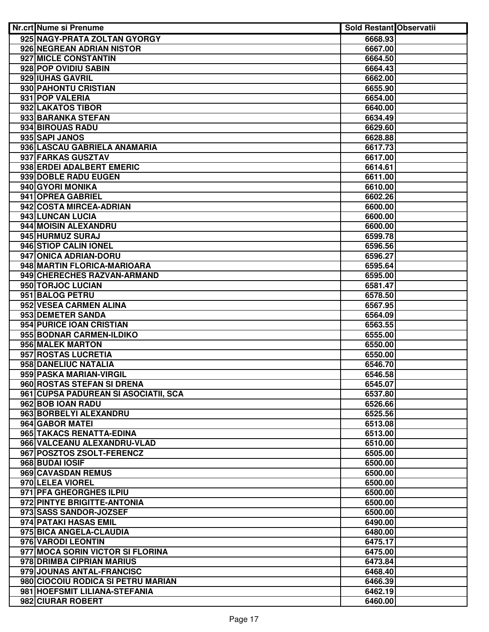| Nr.crt Nume si Prenume                       | <b>Sold Restant Observatii</b> |  |
|----------------------------------------------|--------------------------------|--|
| 925 NAGY-PRATA ZOLTAN GYORGY                 | 6668.93                        |  |
| 926 NEGREAN ADRIAN NISTOR                    | 6667.00                        |  |
| 927 MICLE CONSTANTIN                         | 6664.50                        |  |
| 928 POP OVIDIU SABIN                         | 6664.43                        |  |
| 929 IUHAS GAVRIL                             | 6662.00                        |  |
| 930 PAHONTU CRISTIAN                         | 6655.90                        |  |
| 931 POP VALERIA                              | 6654.00                        |  |
| 932 LAKATOS TIBOR                            | 6640.00                        |  |
| 933 BARANKA STEFAN                           | 6634.49                        |  |
| 934 BIROUAS RADU                             | 6629.60                        |  |
| 935 SAPI JANOS                               | 6628.88                        |  |
| 936 LASCAU GABRIELA ANAMARIA                 | 6617.73                        |  |
| 937 FARKAS GUSZTAV                           | 6617.00                        |  |
| 938 ERDEI ADALBERT EMERIC                    | 6614.61                        |  |
| 939 DOBLE RADU EUGEN                         | 6611.00                        |  |
| 940 GYORI MONIKA                             | 6610.00                        |  |
| 941 OPREA GABRIEL                            | 6602.26                        |  |
| 942 COSTA MIRCEA-ADRIAN                      | 6600.00                        |  |
| 943 LUNCAN LUCIA                             | 6600.00                        |  |
| 944 MOISIN ALEXANDRU                         | 6600.00                        |  |
| 945 HURMUZ SURAJ                             | 6599.78                        |  |
| 946 STIOP CALIN IONEL                        | 6596.56                        |  |
| 947 ONICA ADRIAN-DORU                        | 6596.27                        |  |
| 948 MARTIN FLORICA-MARIOARA                  | 6595.64                        |  |
| 949 CHERECHES RAZVAN-ARMAND                  | 6595.00                        |  |
| 950 TORJOC LUCIAN                            | 6581.47                        |  |
| 951 BALOG PETRU                              | 6578.50                        |  |
| 952 VESEA CARMEN ALINA                       | 6567.95                        |  |
| 953 DEMETER SANDA                            | 6564.09                        |  |
| 954 PURICE IOAN CRISTIAN                     | 6563.55                        |  |
| 955 BODNAR CARMEN-ILDIKO<br>956 MALEK MARTON | 6555.00                        |  |
| 957 ROSTAS LUCRETIA                          | 6550.00<br>6550.00             |  |
| 958 DANELIUC NATALIA                         | 6546.70                        |  |
| 959 PASKA MARIAN-VIRGIL                      | 6546.58                        |  |
| 960 ROSTAS STEFAN SI DRENA                   | 6545.07                        |  |
| 961 CUPSA PADUREAN SI ASOCIATII, SCA         | 6537.80                        |  |
| 962 BOB IOAN RADU                            | 6526.66                        |  |
| 963 BORBELYI ALEXANDRU                       | 6525.56                        |  |
| 964 GABOR MATEI                              | 6513.08                        |  |
| 965 TAKACS RENATTA-EDINA                     | 6513.00                        |  |
| 966 VALCEANU ALEXANDRU-VLAD                  | 6510.00                        |  |
| 967 POSZTOS ZSOLT-FERENCZ                    | 6505.00                        |  |
| 968 BUDAI IOSIF                              | 6500.00                        |  |
| 969 CAVASDAN REMUS                           | 6500.00                        |  |
| 970 LELEA VIOREL                             | 6500.00                        |  |
| 971 PFA GHEORGHES ILPIU                      | 6500.00                        |  |
| 972 PINTYE BRIGITTE-ANTONIA                  | 6500.00                        |  |
| 973 SASS SANDOR-JOZSEF                       | 6500.00                        |  |
| 974 PATAKI HASAS EMIL                        | 6490.00                        |  |
| 975 BICA ANGELA-CLAUDIA                      | 6480.00                        |  |
| 976 VARODI LEONTIN                           | 6475.17                        |  |
| 977 MOCA SORIN VICTOR SI FLORINA             | 6475.00                        |  |
| 978 DRIMBA CIPRIAN MARIUS                    | 6473.84                        |  |
| 979 JOUNAS ANTAL-FRANCISC                    | 6468.40                        |  |
| 980 CIOCOIU RODICA SI PETRU MARIAN           | 6466.39                        |  |
| 981 HOEFSMIT LILIANA-STEFANIA                | 6462.19                        |  |
| 982 CIURAR ROBERT                            | 6460.00                        |  |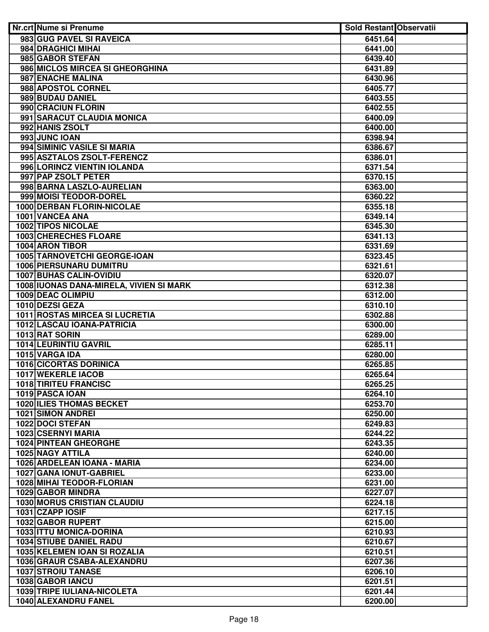| <b>Nr.crt Nume si Prenume</b>                        | <b>Sold Restant Observatii</b> |  |
|------------------------------------------------------|--------------------------------|--|
| 983 GUG PAVEL SI RAVEICA                             | 6451.64                        |  |
| 984 DRAGHICI MIHAI                                   | 6441.00                        |  |
| 985 GABOR STEFAN                                     | 6439.40                        |  |
| 986 MICLOS MIRCEA SI GHEORGHINA                      | 6431.89                        |  |
| 987 ENACHE MALINA                                    | 6430.96                        |  |
| 988 APOSTOL CORNEL                                   | 6405.77                        |  |
| 989 BUDAU DANIEL                                     | 6403.55                        |  |
| 990 CRACIUN FLORIN                                   | 6402.55                        |  |
| 991 SARACUT CLAUDIA MONICA                           | 6400.09                        |  |
| 992 HANIS ZSOLT                                      | 6400.00                        |  |
| 993 JUNC IOAN                                        | 6398.94                        |  |
| 994 SIMINIC VASILE SI MARIA                          | 6386.67                        |  |
| 995 ASZTALOS ZSOLT-FERENCZ                           | 6386.01                        |  |
| 996 LORINCZ VIENTIN IOLANDA                          | 6371.54                        |  |
| 997 PAP ZSOLT PETER                                  | 6370.15                        |  |
| 998 BARNA LASZLO-AURELIAN                            | 6363.00                        |  |
| 999 MOISI TEODOR-DOREL                               | 6360.22                        |  |
| 1000 DERBAN FLORIN-NICOLAE                           | 6355.18                        |  |
| 1001 VANCEA ANA                                      | 6349.14                        |  |
| <b>1002 TIPOS NICOLAE</b>                            | 6345.30                        |  |
| 1003 CHERECHES FLOARE                                | 6341.13                        |  |
| 1004 ARON TIBOR                                      | 6331.69                        |  |
| 1005 TARNOVETCHI GEORGE-IOAN                         | 6323.45                        |  |
| <b>1006 PIERSUNARU DUMITRU</b>                       | 6321.61                        |  |
| 1007 BUHAS CALIN-OVIDIU                              | 6320.07                        |  |
| 1008 IUONAS DANA-MIRELA, VIVIEN SI MARK              | 6312.38                        |  |
| <b>1009 DEAC OLIMPIU</b>                             | 6312.00                        |  |
| 1010 DEZSI GEZA                                      | 6310.10                        |  |
| <b>1011 ROSTAS MIRCEA SI LUCRETIA</b>                | 6302.88                        |  |
| 1012 LASCAU IOANA-PATRICIA                           | 6300.00                        |  |
| 1013 RAT SORIN                                       | 6289.00                        |  |
| 1014 LEURINTIU GAVRIL                                | 6285.11                        |  |
| 1015 VARGA IDA                                       | 6280.00                        |  |
| 1016 CICORTAS DORINICA                               | 6265.85                        |  |
| 1017 WEKERLE IACOB                                   | 6265.64                        |  |
| 1018 TIRITEU FRANCISC<br>1019 PASCA IOAN             | 6265.25                        |  |
|                                                      | 6264.10                        |  |
| <b>1020 ILIES THOMAS BECKET</b><br>1021 SIMON ANDREI | 6253.70                        |  |
| 1022 DOCI STEFAN                                     | 6250.00<br>6249.83             |  |
| 1023 CSERNYI MARIA                                   | 6244.22                        |  |
| <b>1024 PINTEAN GHEORGHE</b>                         | 6243.35                        |  |
| 1025 NAGY ATTILA                                     | 6240.00                        |  |
| 1026 ARDELEAN IOANA - MARIA                          | 6234.00                        |  |
| 1027 GANA IONUT-GABRIEL                              | 6233.00                        |  |
| 1028 MIHAI TEODOR-FLORIAN                            | 6231.00                        |  |
| 1029 GABOR MINDRA                                    | 6227.07                        |  |
| <b>1030 MORUS CRISTIAN CLAUDIU</b>                   | 6224.18                        |  |
| 1031 CZAPP IOSIF                                     | 6217.15                        |  |
| 1032 GABOR RUPERT                                    | 6215.00                        |  |
| 1033 ITTU MONICA-DORINA                              | 6210.93                        |  |
| <b>1034 STIUBE DANIEL RADU</b>                       | 6210.67                        |  |
| 1035 KELEMEN IOAN SI ROZALIA                         | 6210.51                        |  |
| 1036 GRAUR CSABA-ALEXANDRU                           | 6207.36                        |  |
| <b>1037 STROIU TANASE</b>                            | 6206.10                        |  |
| 1038 GABOR IANCU                                     | 6201.51                        |  |
| 1039 TRIPE IULIANA-NICOLETA                          | 6201.44                        |  |
| 1040 ALEXANDRU FANEL                                 | 6200.00                        |  |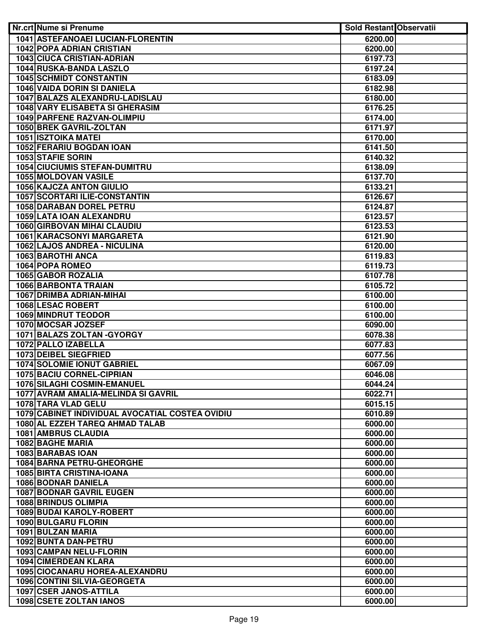| Nr.crt Nume si Prenume                          | <b>Sold Restant Observatii</b> |  |
|-------------------------------------------------|--------------------------------|--|
| 1041 ASTEFANOAEI LUCIAN-FLORENTIN               | 6200.00                        |  |
| <b>1042 POPA ADRIAN CRISTIAN</b>                | 6200.00                        |  |
| <b>1043 CIUCA CRISTIAN-ADRIAN</b>               | 6197.73                        |  |
| 1044 RUSKA-BANDA LASZLO                         | 6197.24                        |  |
| <b>1045 SCHMIDT CONSTANTIN</b>                  | 6183.09                        |  |
| <b>1046 VAIDA DORIN SI DANIELA</b>              | 6182.98                        |  |
| 1047 BALAZS ALEXANDRU-LADISLAU                  | 6180.00                        |  |
| 1048 VARY ELISABETA SI GHERASIM                 | 6176.25                        |  |
| 1049 PARFENE RAZVAN-OLIMPIU                     | 6174.00                        |  |
| 1050 BREK GAVRIL-ZOLTAN                         | 6171.97                        |  |
| <b>1051 ISZTOIKA MATEI</b>                      | 6170.00                        |  |
| 1052 FERARIU BOGDAN IOAN                        | 6141.50                        |  |
| 1053 STAFIE SORIN                               | 6140.32                        |  |
| <b>1054 CIUCIUMIS STEFAN-DUMITRU</b>            | 6138.09                        |  |
| 1055 MOLDOVAN VASILE                            | 6137.70                        |  |
| 1056 KAJCZA ANTON GIULIO                        | 6133.21                        |  |
| 1057 SCORTARI ILIE-CONSTANTIN                   | 6126.67                        |  |
| <b>1058 DARABAN DOREL PETRU</b>                 | 6124.87                        |  |
| 1059 LATA IOAN ALEXANDRU                        | 6123.57                        |  |
| 1060 GIRBOVAN MIHAI CLAUDIU                     | 6123.53                        |  |
| 1061 KARACSONYI MARGARETA                       | 6121.90                        |  |
| 1062 LAJOS ANDREA - NICULINA                    | 6120.00                        |  |
| 1063 BAROTHI ANCA                               | 6119.83                        |  |
| 1064 POPA ROMEO                                 | 6119.73                        |  |
| 1065 GABOR ROZALIA                              | 6107.78                        |  |
| 1066 BARBONTA TRAIAN                            | 6105.72                        |  |
| 1067 DRIMBA ADRIAN-MIHAI                        | 6100.00                        |  |
| 1068 LESAC ROBERT                               | 6100.00                        |  |
| <b>1069 MINDRUT TEODOR</b>                      | 6100.00                        |  |
| 1070 MOCSAR JOZSEF                              | 6090.00                        |  |
| 1071 BALAZS ZOLTAN - GYORGY                     | 6078.38                        |  |
| 1072 PALLO IZABELLA                             | 6077.83                        |  |
| 1073 DEIBEL SIEGFRIED                           | 6077.56                        |  |
| <b>1074 SOLOMIE IONUT GABRIEL</b>               | 6067.09                        |  |
| <b>1075 BACIU CORNEL-CIPRIAN</b>                | 6046.08                        |  |
| 1076 SILAGHI COSMIN-EMANUEL                     | 6044.24                        |  |
| 1077 AVRAM AMALIA-MELINDA SI GAVRIL             | 6022.71                        |  |
| 1078 TARA VLAD GELU                             | 6015.15                        |  |
| 1079 CABINET INDIVIDUAL AVOCATIAL COSTEA OVIDIU | 6010.89                        |  |
| 1080 AL EZZEH TAREQ AHMAD TALAB                 | 6000.00                        |  |
| <b>1081 AMBRUS CLAUDIA</b>                      | 6000.00                        |  |
| 1082 BAGHE MARIA                                | 6000.00                        |  |
| 1083 BARABAS IOAN                               | 6000.00                        |  |
| 1084 BARNA PETRU-GHEORGHE                       | 6000.00                        |  |
| 1085 BIRTA CRISTINA-IOANA                       | 6000.00                        |  |
| 1086 BODNAR DANIELA                             | 6000.00                        |  |
| <b>1087 BODNAR GAVRIL EUGEN</b>                 | 6000.00                        |  |
| <b>1088 BRINDUS OLIMPIA</b>                     | 6000.00                        |  |
| 1089 BUDAI KAROLY-ROBERT                        | 6000.00                        |  |
| 1090 BULGARU FLORIN                             | 6000.00                        |  |
| 1091 BULZAN MARIA                               | 6000.00                        |  |
| 1092 BUNTA DAN-PETRU                            | 6000.00                        |  |
| <b>1093 CAMPAN NELU-FLORIN</b>                  | 6000.00                        |  |
| <b>1094 CIMERDEAN KLARA</b>                     | 6000.00                        |  |
| 1095 CIOCANARU HOREA-ALEXANDRU                  | 6000.00                        |  |
| 1096 CONTINI SILVIA-GEORGETA                    | 6000.00                        |  |
| 1097 CSER JANOS-ATTILA                          | 6000.00                        |  |
| <b>1098 CSETE ZOLTAN IANOS</b>                  | 6000.00                        |  |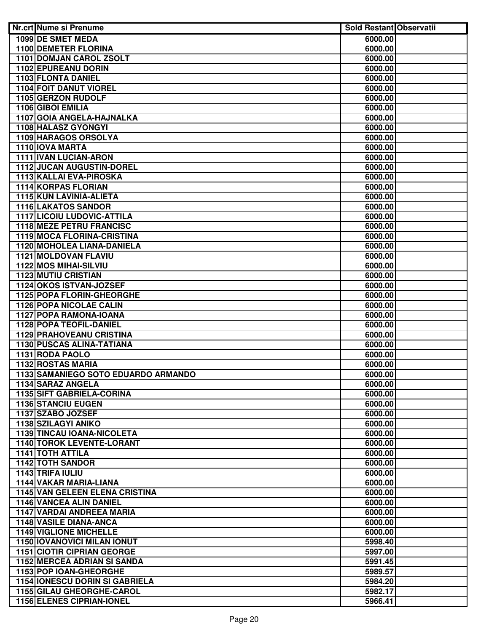| Nr.crt Nume si Prenume                | <b>Sold Restant Observatii</b> |  |
|---------------------------------------|--------------------------------|--|
| 1099 DE SMET MEDA                     | 6000.00                        |  |
| <b>1100 DEMETER FLORINA</b>           | 6000.00                        |  |
| 1101 DOMJAN CAROL ZSOLT               | 6000.00                        |  |
| 1102 EPUREANU DORIN                   | 6000.00                        |  |
| 1103 FLONTA DANIEL                    | 6000.00                        |  |
| <b>1104 FOIT DANUT VIOREL</b>         | 6000.00                        |  |
| 1105 GERZON RUDOLF                    | 6000.00                        |  |
| 1106 GIBOI EMILIA                     | 6000.00                        |  |
| 1107 GOIA ANGELA-HAJNALKA             | 6000.00                        |  |
| 1108 HALASZ GYONGYI                   | 6000.00                        |  |
| 1109 HARAGOS ORSOLYA                  | 6000.00                        |  |
| 1110 IOVA MARTA                       | 6000.00                        |  |
| 1111 IVAN LUCIAN-ARON                 | 6000.00                        |  |
| 1112 JUCAN AUGUSTIN-DOREL             | 6000.00                        |  |
| 1113 KALLAI EVA-PIROSKA               | 6000.00                        |  |
| 1114 KORPAS FLORIAN                   | 6000.00                        |  |
| 1115 KUN LAVINIA-ALIETA               | 6000.00                        |  |
| <b>1116 LAKATOS SANDOR</b>            | 6000.00                        |  |
| <b>1117 LICOIU LUDOVIC-ATTILA</b>     | 6000.00                        |  |
| <b>1118 MEZE PETRU FRANCISC</b>       | 6000.00                        |  |
| 1119 MOCA FLORINA-CRISTINA            | 6000.00                        |  |
| 1120 MOHOLEA LIANA-DANIELA            | 6000.00                        |  |
| 1121 MOLDOVAN FLAVIU                  | 6000.00                        |  |
| <b>1122 MOS MIHAI-SILVIU</b>          | 6000.00                        |  |
| <b>1123 MUTIU CRISTIAN</b>            | 6000.00                        |  |
| 1124 OKOS ISTVAN-JOZSEF               | 6000.00                        |  |
| <b>1125 POPA FLORIN-GHEORGHE</b>      | 6000.00                        |  |
| <b>1126 POPA NICOLAE CALIN</b>        | 6000.00                        |  |
| 1127 POPA RAMONA-IOANA                | 6000.00                        |  |
| 1128 POPA TEOFIL-DANIEL               | 6000.00                        |  |
| <b>1129 PRAHOVEANU CRISTINA</b>       | 6000.00                        |  |
| <b>1130 PUSCAS ALINA-TATIANA</b>      | 6000.00                        |  |
| 1131 RODA PAOLO                       | 6000.00                        |  |
| <b>1132 ROSTAS MARIA</b>              | 6000.00                        |  |
| 1133 SAMANIEGO SOTO EDUARDO ARMANDO   | 6000.00                        |  |
| 1134 SARAZ ANGELA                     | 6000.00                        |  |
| 1135 SIFT GABRIELA-CORINA             | 6000.00                        |  |
| <b>1136 STANCIU EUGEN</b>             | 6000.00                        |  |
| 1137 SZABO JOZSEF                     | 6000.00                        |  |
| 1138 SZILAGYI ANIKO                   | 6000.00                        |  |
| <b>1139 TINCAU IOANA-NICOLETA</b>     | 6000.00                        |  |
| <b>1140 TOROK LEVENTE-LORANT</b>      | 6000.00                        |  |
| <b>1141 TOTH ATTILA</b>               | 6000.00                        |  |
| <b>1142 TOTH SANDOR</b>               | 6000.00                        |  |
| 1143 TRIFA IULIU                      | 6000.00                        |  |
| 1144 VAKAR MARIA-LIANA                | 6000.00                        |  |
| 1145 VAN GELEEN ELENA CRISTINA        | 6000.00                        |  |
| 1146 VANCEA ALIN DANIEL               | 6000.00                        |  |
| 1147 VARDAI ANDREEA MARIA             | 6000.00                        |  |
| 1148 VASILE DIANA-ANCA                | 6000.00                        |  |
| <b>1149 VIGLIONE MICHELLE</b>         | 6000.00                        |  |
| <b>1150 IOVANOVICI MILAN IONUT</b>    | 5998.40                        |  |
| <b>1151 CIOTIR CIPRIAN GEORGE</b>     | 5997.00                        |  |
| <b>1152 MERCEA ADRIAN SI SANDA</b>    | 5991.45                        |  |
| 1153 POP IOAN-GHEORGHE                | 5989.57                        |  |
| <b>1154 IONESCU DORIN SI GABRIELA</b> | 5984.20                        |  |
| 1155 GILAU GHEORGHE-CAROL             | 5982.17                        |  |
| <b>1156 ELENES CIPRIAN-IONEL</b>      | 5966.41                        |  |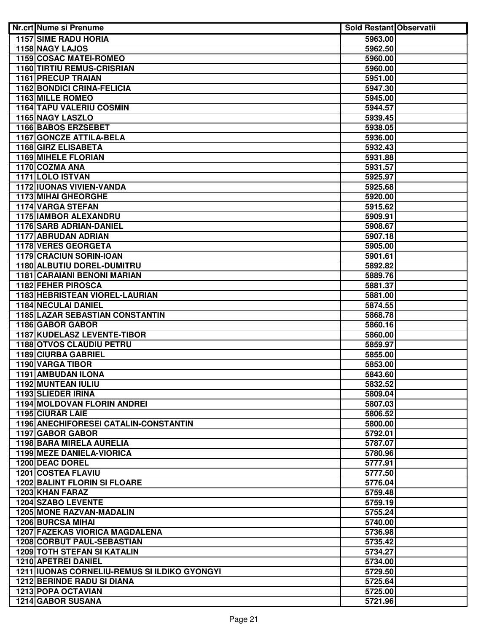| <b>Nr.crt Nume si Prenume</b>                                         | <b>Sold Restant Observatii</b> |  |
|-----------------------------------------------------------------------|--------------------------------|--|
| <b>1157 SIME RADU HORIA</b>                                           | 5963.00                        |  |
| 1158 NAGY LAJOS                                                       | 5962.50                        |  |
| <b>1159 COSAC MATEI-ROMEO</b>                                         | 5960.00                        |  |
| <b>1160 TIRTIU REMUS-CRISRIAN</b>                                     | 5960.00                        |  |
| <b>1161 PRECUP TRAIAN</b>                                             | 5951.00                        |  |
| <b>1162 BONDICI CRINA-FELICIA</b>                                     | 5947.30                        |  |
| 1163 MILLE ROMEO                                                      | 5945.00                        |  |
| <b>1164 TAPU VALERIU COSMIN</b>                                       | 5944.57                        |  |
| 1165 NAGY LASZLO                                                      | 5939.45                        |  |
| 1166 BABOS ERZSEBET                                                   | 5938.05                        |  |
| 1167 GONCZE ATTILA-BELA                                               | 5936.00                        |  |
| 1168 GIRZ ELISABETA                                                   | 5932.43                        |  |
| <b>1169 MIHELE FLORIAN</b>                                            | 5931.88                        |  |
| 1170 COZMA ANA                                                        | 5931.57                        |  |
| 1171 LOLO ISTVAN                                                      | 5925.97                        |  |
| 1172 IUONAS VIVIEN-VANDA                                              | 5925.68                        |  |
| 1173 MIHAI GHEORGHE                                                   | 5920.00                        |  |
| 1174 VARGA STEFAN                                                     | 5915.62                        |  |
| <b>1175 IAMBOR ALEXANDRU</b>                                          | 5909.91                        |  |
| 1176 SARB ADRIAN-DANIEL                                               | 5908.67                        |  |
| 1177 ABRUDAN ADRIAN                                                   | 5907.18                        |  |
| 1178 VERES GEORGETA                                                   | 5905.00                        |  |
| 1179 CRACIUN SORIN-IOAN                                               | 5901.61                        |  |
| 1180 ALBUTIU DOREL-DUMITRU                                            | 5892.82                        |  |
| <b>1181 CARAIANI BENONI MARIAN</b>                                    | 5889.76                        |  |
| 1182 FEHER PIROSCA                                                    | 5881.37                        |  |
| <b>1183 HEBRISTEAN VIOREL-LAURIAN</b>                                 | 5881.00                        |  |
| <b>1184 NECULAI DANIEL</b>                                            | 5874.55                        |  |
| <b>1185 LAZAR SEBASTIAN CONSTANTIN</b>                                | 5868.78                        |  |
| 1186 GABOR GABOR                                                      | 5860.16                        |  |
| <b>1187 KUDELASZ LEVENTE-TIBOR</b><br><b>1188 OTVOS CLAUDIU PETRU</b> | 5860.00                        |  |
| 1189 CIURBA GABRIEL                                                   | 5859.97<br>5855.00             |  |
| 1190 VARGA TIBOR                                                      | 5853.00                        |  |
| 1191 AMBUDAN ILONA                                                    | 5843.60                        |  |
| 1192 MUNTEAN IULIU                                                    | 5832.52                        |  |
| 1193 SLIEDER IRINA                                                    | 5809.04                        |  |
| <b>1194 MOLDOVAN FLORIN ANDREI</b>                                    | 5807.03                        |  |
| 1195 CIURAR LAIE                                                      | 5806.52                        |  |
| 1196 ANECHIFORESEI CATALIN-CONSTANTIN                                 | 5800.00                        |  |
| 1197 GABOR GABOR                                                      | 5792.01                        |  |
| 1198 BARA MIRELA AURELIA                                              | 5787.07                        |  |
| <b>1199 MEZE DANIELA-VIORICA</b>                                      | 5780.96                        |  |
| 1200 DEAC DOREL                                                       | 5777.91                        |  |
| <b>1201 COSTEA FLAVIU</b>                                             | 5777.50                        |  |
| <b>1202 BALINT FLORIN SI FLOARE</b>                                   | 5776.04                        |  |
| 1203 KHAN FARAZ                                                       | 5759.48                        |  |
| 1204 SZABO LEVENTE                                                    | 5759.19                        |  |
| <b>1205 MONE RAZVAN-MADALIN</b>                                       | 5755.24                        |  |
| <b>1206 BURCSA MIHAI</b>                                              | 5740.00                        |  |
| <b>1207 FAZEKAS VIORICA MAGDALENA</b>                                 | 5736.98                        |  |
| 1208 CORBUT PAUL-SEBASTIAN                                            | 5735.42                        |  |
| <b>1209 TOTH STEFAN SI KATALIN</b>                                    | 5734.27                        |  |
| 1210 APETREI DANIEL                                                   | 5734.00                        |  |
| <b>1211 IUONAS CORNELIU-REMUS SI ILDIKO GYONGYI</b>                   | 5729.50                        |  |
| <b>1212 BERINDE RADU SI DIANA</b>                                     | 5725.64                        |  |
| 1213 POPA OCTAVIAN                                                    | 5725.00                        |  |
| <b>1214 GABOR SUSANA</b>                                              | 5721.96                        |  |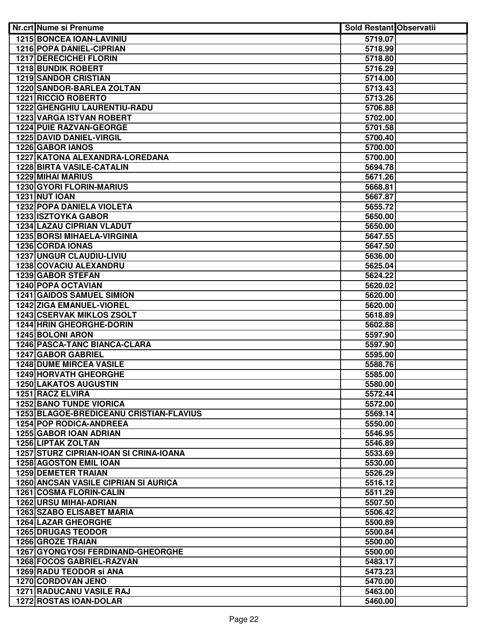| Nr.crt Nume si Prenume                        | <b>Sold Restant Observatii</b> |  |
|-----------------------------------------------|--------------------------------|--|
| 1215 BONCEA IOAN-LAVINIU                      | 5719.07                        |  |
| 1216 POPA DANIEL-CIPRIAN                      | 5718.99                        |  |
| <b>1217 DERECICHEI FLORIN</b>                 | 5718.80                        |  |
| <b>1218 BUNDIK ROBERT</b>                     | 5716.29                        |  |
| <b>1219 SANDOR CRISTIAN</b>                   | 5714.00                        |  |
| <b>1220 SANDOR-BARLEA ZOLTAN</b>              | 5713.43                        |  |
| <b>1221 RICCIO ROBERTO</b>                    | 5713.26                        |  |
| 1222 GHENGHIU LAURENTIU-RADU                  | 5706.88                        |  |
| <b>1223 VARGA ISTVAN ROBERT</b>               | 5702.00                        |  |
| 1224 PUIE RAZVAN-GEORGE                       | 5701.58                        |  |
| 1225 DAVID DANIEL-VIRGIL                      | 5700.40                        |  |
| 1226 GABOR IANOS                              | 5700.00                        |  |
| 1227 KATONA ALEXANDRA-LOREDANA                | 5700.00                        |  |
| <b>1228 BIRTA VASILE-CATALIN</b>              | 5694.78                        |  |
| <b>1229 MIHAI MARIUS</b>                      | 5671.26                        |  |
| 1230 GYORI FLORIN-MARIUS                      | 5668.81                        |  |
| <b>1231 NUT IOAN</b>                          | 5667.87                        |  |
| <b>1232 POPA DANIELA VIOLETA</b>              | 5655.72                        |  |
| 1233 ISZTOYKA GABOR                           | 5650.00                        |  |
| <b>1234 LAZAU CIPRIAN VLADUT</b>              | 5650.00                        |  |
| 1235 BORSI MIHAELA-VIRGINIA                   | 5647.55                        |  |
| 1236 CORDA IONAS                              | 5647.50                        |  |
| 1237 UNGUR CLAUDIU-LIVIU                      | 5636.00                        |  |
| <b>1238 COVACIU ALEXANDRU</b>                 | 5625.04                        |  |
| 1239 GABOR STEFAN                             | 5624.22                        |  |
| 1240 POPA OCTAVIAN                            | 5620.02                        |  |
| <b>1241 GAIDOS SAMUEL SIMION</b>              | 5620.00                        |  |
| <b>1242 ZIGA EMANUEL-VIOREL</b>               | 5620.00                        |  |
| <b>1243 CSERVAK MIKLOS ZSOLT</b>              | 5618.89                        |  |
| <b>1244 HRIN GHEORGHE-DORIN</b>               | 5602.88                        |  |
| <b>1245 BOLONI ARON</b>                       | 5597.90                        |  |
| 1246 PASCA-TANC BIANCA-CLARA                  | 5597.90                        |  |
| 1247 GABOR GABRIEL                            | 5595.00                        |  |
| <b>1248 DUME MIRCEA VASILE</b>                | 5588.76                        |  |
| <b>1249 HORVATH GHEORGHE</b>                  | 5585.00                        |  |
| <b>1250 LAKATOS AUGUSTIN</b>                  | 5580.00                        |  |
| 1251 RACZ ELVIRA                              | 5572.44                        |  |
| <b>1252 BANO TUNDE VIORICA</b>                | 5572.00                        |  |
| 1253 BLAGOE-BREDICEANU CRISTIAN-FLAVIUS       | 5569.14                        |  |
| <b>1254 POP RODICA-ANDREEA</b>                | 5550.00                        |  |
| 1255 GABOR IOAN ADRIAN                        | 5546.95                        |  |
| 1256 LIPTAK ZOLTAN                            | 5546.89                        |  |
| <b>1257 STURZ CIPRIAN-IOAN SI CRINA-IOANA</b> | 5533.69                        |  |
| <b>1258 AGOSTON EMIL IOAN</b>                 | 5530.00                        |  |
| 1259 DEMETER TRAIAN                           | 5526.29                        |  |
| <b>1260 ANCSAN VASILE CIPRIAN SI AURICA</b>   | 5516.12                        |  |
| 1261 COSMA FLORIN-CALIN                       | 5511.29                        |  |
| 1262 URSU MIHAI-ADRIAN                        | 5507.50                        |  |
| <b>1263 SZABO ELISABET MARIA</b>              | 5506.42                        |  |
| 1264 LAZAR GHEORGHE                           | 5500.89                        |  |
| <b>1265 DRUGAS TEODOR</b>                     | 5500.84                        |  |
| 1266 GROZE TRAIAN                             | 5500.00                        |  |
| 1267 GYONGYOSI FERDINAND-GHEORGHE             | 5500.00                        |  |
| 1268 FOCOS GABRIEL-RAZVAN                     | 5483.17                        |  |
| 1269 RADU TEODOR Si ANA                       | 5473.23                        |  |
| 1270 CORDOVAN JENO                            | 5470.00                        |  |
| 1271 RADUCANU VASILE RAJ                      | 5463.00                        |  |
| 1272 ROSTAS IOAN-DOLAR                        | 5460.00                        |  |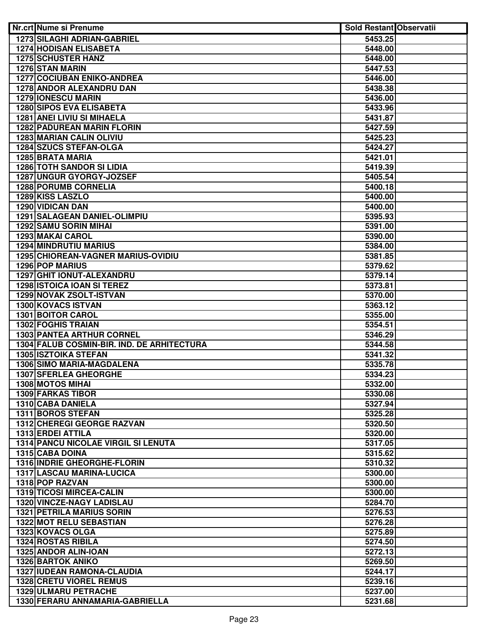| Nr.crt Nume si Prenume                      | <b>Sold Restant Observatii</b> |  |
|---------------------------------------------|--------------------------------|--|
| <b>1273 SILAGHI ADRIAN-GABRIEL</b>          | 5453.25                        |  |
| <b>1274 HODISAN ELISABETA</b>               | 5448.00                        |  |
| <b>1275 SCHUSTER HANZ</b>                   | 5448.00                        |  |
| <b>1276 STAN MARIN</b>                      | 5447.53                        |  |
| <b>1277 COCIUBAN ENIKO-ANDREA</b>           | 5446.00                        |  |
| <b>1278 ANDOR ALEXANDRU DAN</b>             | 5438.38                        |  |
| <b>1279 IONESCU MARIN</b>                   | 5436.00                        |  |
| 1280 SIPOS EVA ELISABETA                    | 5433.96                        |  |
| 1281 ANEI LIVIU SI MIHAELA                  | 5431.87                        |  |
| <b>1282 PADUREAN MARIN FLORIN</b>           | 5427.59                        |  |
| 1283 MARIAN CALIN OLIVIU                    | 5425.23                        |  |
| 1284 SZUCS STEFAN-OLGA                      | 5424.27                        |  |
| 1285 BRATA MARIA                            | 5421.01                        |  |
| <b>1286 TOTH SANDOR SI LIDIA</b>            | 5419.39                        |  |
| 1287 UNGUR GYORGY-JOZSEF                    | 5405.54                        |  |
| 1288 PORUMB CORNELIA                        | 5400.18                        |  |
| 1289 KISS LASZLO                            | 5400.00                        |  |
| 1290 VIDICAN DAN                            | 5400.00                        |  |
| <b>1291 SALAGEAN DANIEL-OLIMPIU</b>         | 5395.93                        |  |
| 1292 SAMU SORIN MIHAI                       | 5391.00                        |  |
| 1293 MAKAI CAROL                            | 5390.00                        |  |
| <b>1294 MINDRUTIU MARIUS</b>                | 5384.00                        |  |
| 1295 CHIOREAN-VAGNER MARIUS-OVIDIU          | 5381.85                        |  |
| 1296 POP MARIUS                             | 5379.62                        |  |
| 1297 GHIT IONUT-ALEXANDRU                   | 5379.14                        |  |
| <b>1298 ISTOICA IOAN SI TEREZ</b>           | 5373.81                        |  |
| 1299 NOVAK ZSOLT-ISTVAN                     | 5370.00                        |  |
| 1300 KOVACS ISTVAN                          | 5363.12                        |  |
| <b>1301 BOITOR CAROL</b>                    | 5355.00                        |  |
| <b>1302 FOGHIS TRAIAN</b>                   | 5354.51                        |  |
| <b>1303 PANTEA ARTHUR CORNEL</b>            | 5346.29                        |  |
| 1304 FALUB COSMIN-BIR. IND. DE ARHITECTURA  | 5344.58                        |  |
| 1305 ISZTOIKA STEFAN                        | 5341.32                        |  |
| <b>1306 SIMO MARIA-MAGDALENA</b>            | 5335.78                        |  |
| <b>1307 SFERLEA GHEORGHE</b>                | 5334.23                        |  |
| 1308 MOTOS MIHAI                            | 5332.00                        |  |
| <b>1309 FARKAS TIBOR</b>                    | 5330.08                        |  |
| 1310 CABA DANIELA                           | 5327.94                        |  |
| <b>1311 BOROS STEFAN</b>                    | 5325.28                        |  |
| 1312 CHEREGI GEORGE RAZVAN                  | 5320.50                        |  |
| 1313 ERDEI ATTILA                           | 5320.00                        |  |
| <b>1314 PANCU NICOLAE VIRGIL SI LENUTA</b>  | 5317.05                        |  |
| 1315 CABA DOINA                             | 5315.62                        |  |
| 1316 INDRIE GHEORGHE-FLORIN                 | 5310.32                        |  |
| 1317 LASCAU MARINA-LUCICA                   | 5300.00                        |  |
| 1318 POP RAZVAN                             | 5300.00                        |  |
| 1319 TICOSI MIRCEA-CALIN                    | 5300.00                        |  |
| 1320 VINCZE-NAGY LADISLAU                   | 5284.70                        |  |
| <b>1321 PETRILA MARIUS SORIN</b>            | 5276.53                        |  |
| 1322 MOT RELU SEBASTIAN<br>1323 KOVACS OLGA | 5276.28<br>5275.89             |  |
| <b>1324 ROSTAS RIBILA</b>                   | 5274.50                        |  |
| 1325 ANDOR ALIN-IOAN                        | 5272.13                        |  |
| <b>1326 BARTOK ANIKO</b>                    | 5269.50                        |  |
| 1327 IUDEAN RAMONA-CLAUDIA                  | 5244.17                        |  |
| <b>1328 CRETU VIOREL REMUS</b>              | 5239.16                        |  |
| 1329 ULMARU PETRACHE                        | 5237.00                        |  |
| 1330 FERARU ANNAMARIA-GABRIELLA             | 5231.68                        |  |
|                                             |                                |  |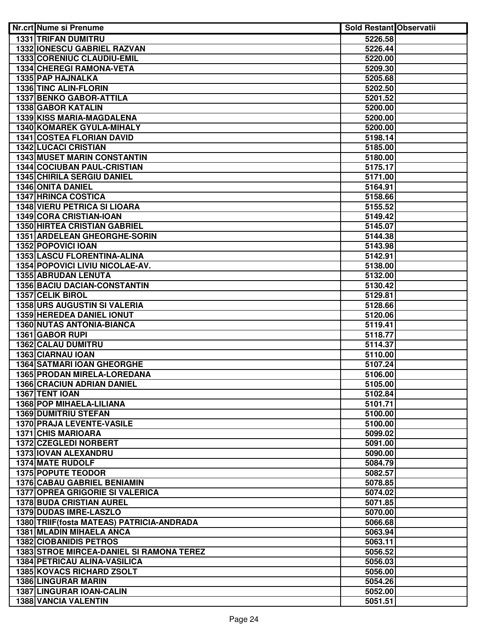| <b>Nr.crt Nume si Prenume</b>                              | <b>Sold Restant Observatii</b> |  |
|------------------------------------------------------------|--------------------------------|--|
| <b>1331 TRIFAN DUMITRU</b>                                 | 5226.58                        |  |
| <b>1332 IONESCU GABRIEL RAZVAN</b>                         | 5226.44                        |  |
| 1333 CORENIUC CLAUDIU-EMIL                                 | 5220.00                        |  |
| <b>1334 CHEREGI RAMONA-VETA</b>                            | 5209.30                        |  |
| 1335 PAP HAJNALKA                                          | 5205.68                        |  |
| 1336 TINC ALIN-FLORIN                                      | 5202.50                        |  |
| <b>1337 BENKO GABOR-ATTILA</b>                             | 5201.52                        |  |
| 1338 GABOR KATALIN                                         | 5200.00                        |  |
| 1339 KISS MARIA-MAGDALENA                                  | 5200.00                        |  |
| 1340 KOMAREK GYULA-MIHALY                                  | 5200.00                        |  |
| <b>1341 COSTEA FLORIAN DAVID</b>                           | 5198.14                        |  |
| <b>1342 LUCACI CRISTIAN</b>                                | 5185.00                        |  |
| <b>1343 MUSET MARIN CONSTANTIN</b>                         | 5180.00                        |  |
| 1344 COCIUBAN PAUL-CRISTIAN                                | 5175.17                        |  |
| <b>1345 CHIRILA SERGIU DANIEL</b>                          | 5171.00                        |  |
| 1346 ONITA DANIEL                                          | 5164.91                        |  |
| <b>1347 HRINCA COSTICA</b>                                 | 5158.66                        |  |
| <b>1348 VIERU PETRICA SI LIOARA</b>                        | 5155.52                        |  |
| 1349 CORA CRISTIAN-IOAN                                    | 5149.42                        |  |
| <b>1350 HIRTEA CRISTIAN GABRIEL</b>                        | 5145.07                        |  |
| 1351 ARDELEAN GHEORGHE-SORIN                               | 5144.38                        |  |
| 1352 POPOVICI IOAN                                         | 5143.98                        |  |
| 1353 LASCU FLORENTINA-ALINA                                | 5142.91                        |  |
| 1354 POPOVICI LIVIU NICOLAE-AV.                            | 5138.00                        |  |
| <b>1355 ABRUDAN LENUTA</b>                                 | 5132.00                        |  |
| 1356 BACIU DACIAN-CONSTANTIN                               | 5130.42                        |  |
| <b>1357 CELIK BIROL</b>                                    | 5129.81                        |  |
| <b>1358 URS AUGUSTIN SI VALERIA</b>                        | 5128.66                        |  |
| <b>1359 HEREDEA DANIEL IONUT</b>                           | 5120.06                        |  |
| <b>1360 NUTAS ANTONIA-BIANCA</b><br><b>1361 GABOR RUPI</b> | 5119.41                        |  |
|                                                            | 5118.77<br>5114.37             |  |
| 1362 CALAU DUMITRU<br>1363 CIARNAU IOAN                    | 5110.00                        |  |
| <b>1364 SATMARI IOAN GHEORGHE</b>                          | 5107.24                        |  |
| 1365 PRODAN MIRELA-LOREDANA                                | 5106.00                        |  |
| <b>1366 CRACIUN ADRIAN DANIEL</b>                          | 5105.00                        |  |
| 1367 TENT IOAN                                             | 5102.84                        |  |
| 1368 POP MIHAELA-LILIANA                                   | 5101.71                        |  |
| <b>1369 DUMITRIU STEFAN</b>                                | 5100.00                        |  |
| 1370 PRAJA LEVENTE-VASILE                                  | 5100.00                        |  |
| <b>1371 CHIS MARIOARA</b>                                  | 5099.02                        |  |
| 1372 CZEGLEDI NORBERT                                      | 5091.00                        |  |
| <b>1373 IOVAN ALEXANDRU</b>                                | 5090.00                        |  |
| <b>1374 MATE RUDOLF</b>                                    | 5084.79                        |  |
| 1375 POPUTE TEODOR                                         | 5082.57                        |  |
| <b>1376 CABAU GABRIEL BENIAMIN</b>                         | 5078.85                        |  |
| <b>1377 OPREA GRIGORIE SI VALERICA</b>                     | 5074.02                        |  |
| <b>1378 BUDA CRISTIAN AUREL</b>                            | 5071.85                        |  |
| 1379 DUDAS IMRE-LASZLO                                     | 5070.00                        |  |
| 1380 TRIIF (fosta MATEAS) PATRICIA-ANDRADA                 | 5066.68                        |  |
| 1381 MLADIN MIHAELA ANCA                                   | 5063.94                        |  |
| <b>1382 CIOBANIDIS PETROS</b>                              | 5063.11                        |  |
| 1383 STROE MIRCEA-DANIEL SI RAMONA TEREZ                   | 5056.52                        |  |
| 1384 PETRICAU ALINA-VASILICA                               | 5056.03                        |  |
| 1385 KOVACS RICHARD ZSOLT                                  | 5056.00                        |  |
| <b>1386 LINGURAR MARIN</b>                                 | 5054.26                        |  |
| 1387 LINGURAR IOAN-CALIN                                   | 5052.00                        |  |
| 1388 VANCIA VALENTIN                                       | 5051.51                        |  |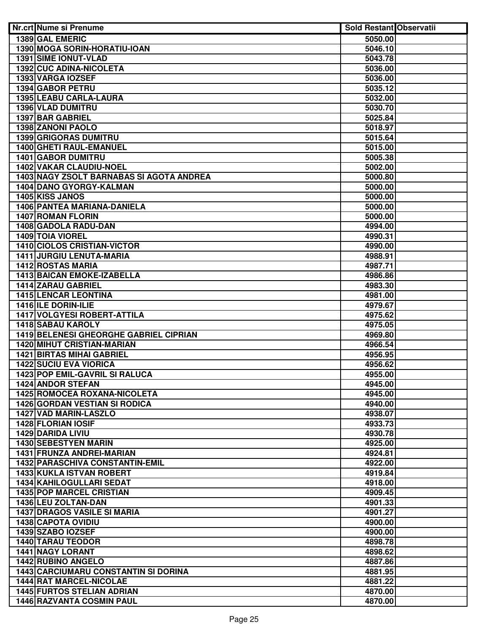| Nr.crt Nume si Prenume                                            | <b>Sold Restant Observatii</b> |  |
|-------------------------------------------------------------------|--------------------------------|--|
| 1389 GAL EMERIC                                                   | 5050.00                        |  |
| 1390 MOGA SORIN-HORATIU-IOAN                                      | 5046.10                        |  |
| <b>1391 SIME IONUT-VLAD</b>                                       | 5043.78                        |  |
| <b>1392 CUC ADINA-NICOLETA</b>                                    | 5036.00                        |  |
| 1393 VARGA IOZSEF                                                 | 5036.00                        |  |
| 1394 GABOR PETRU                                                  | 5035.12                        |  |
| 1395 LEABU CARLA-LAURA                                            | 5032.00                        |  |
| <b>1396 VLAD DUMITRU</b>                                          | 5030.70                        |  |
| 1397 BAR GABRIEL                                                  | 5025.84                        |  |
| 1398 ZANONI PAOLO                                                 | 5018.97                        |  |
| <b>1399 GRIGORAS DUMITRU</b>                                      | 5015.64                        |  |
| 1400 GHETI RAUL-EMANUEL                                           | 5015.00                        |  |
| 1401 GABOR DUMITRU                                                | 5005.38                        |  |
| 1402 VAKAR CLAUDIU-NOEL                                           | 5002.00                        |  |
| 1403 NAGY ZSOLT BARNABAS SI AGOTA ANDREA                          | 5000.80                        |  |
| 1404 DANO GYORGY-KALMAN                                           | 5000.00                        |  |
| 1405 KISS JANOS                                                   | 5000.00                        |  |
| 1406 PANTEA MARIANA-DANIELA                                       | 5000.00                        |  |
| 1407 ROMAN FLORIN                                                 | 5000.00                        |  |
| 1408 GADOLA RADU-DAN                                              | 4994.00                        |  |
| 1409 TOIA VIOREL                                                  | 4990.31                        |  |
| 1410 CIOLOS CRISTIAN-VICTOR                                       | 4990.00                        |  |
| 1411 JURGIU LENUTA-MARIA                                          | 4988.91                        |  |
| <b>1412 ROSTAS MARIA</b>                                          | 4987.71                        |  |
| <b>1413 BAICAN EMOKE-IZABELLA</b>                                 | 4986.86                        |  |
| 1414 ZARAU GABRIEL                                                | 4983.30                        |  |
| <b>1415 LENCAR LEONTINA</b>                                       | 4981.00                        |  |
| 1416 ILE DORIN-ILIE                                               | 4979.67                        |  |
| <b>1417 VOLGYESI ROBERT-ATTILA</b>                                | 4975.62                        |  |
| <b>1418 SABAU KAROLY</b>                                          | 4975.05                        |  |
| 1419 BELENESI GHEORGHE GABRIEL CIPRIAN                            | 4969.80                        |  |
| <b>1420 MIHUT CRISTIAN-MARIAN</b>                                 | 4966.54                        |  |
|                                                                   |                                |  |
| <b>1421 BIRTAS MIHAI GABRIEL</b><br><b>1422 SUCIU EVA VIORICA</b> | 4956.95                        |  |
| 1423 POP EMIL-GAVRIL SI RALUCA                                    | 4956.62                        |  |
|                                                                   | 4955.00                        |  |
| 1424 ANDOR STEFAN<br>1425 ROMOCEA ROXANA-NICOLETA                 | 4945.00                        |  |
|                                                                   | 4945.00                        |  |
| <b>1426 GORDAN VESTIAN SI RODICA</b>                              | 4940.00                        |  |
| <b>1427 VAD MARIN-LASZLO</b>                                      | 4938.07                        |  |
| 1428 FLORIAN IOSIF                                                | 4933.73                        |  |
| <b>1429 DARIDA LIVIU</b>                                          | 4930.78                        |  |
| 1430 SEBESTYEN MARIN                                              | 4925.00                        |  |
| 1431 FRUNZA ANDREI-MARIAN                                         | 4924.81                        |  |
| 1432 PARASCHIVA CONSTANTIN-EMIL                                   | 4922.00                        |  |
| 1433 KUKLA ISTVAN ROBERT                                          | 4919.84                        |  |
| 1434 KAHILOGULLARI SEDAT                                          | 4918.00                        |  |
| <b>1435 POP MARCEL CRISTIAN</b>                                   | 4909.45                        |  |
| 1436 LEU ZOLTAN-DAN                                               | 4901.33                        |  |
| <b>1437 DRAGOS VASILE SI MARIA</b>                                | 4901.27                        |  |
| <b>1438 CAPOTA OVIDIU</b>                                         | 4900.00                        |  |
| 1439 SZABO IOZSEF                                                 | 4900.00                        |  |
| <b>1440 TARAU TEODOR</b>                                          | 4898.78                        |  |
| <b>1441 NAGY LORANT</b>                                           | 4898.62                        |  |
| <b>1442 RUBINO ANGELO</b>                                         | 4887.86                        |  |
| <b>1443 CARCIUMARU CONSTANTIN SI DORINA</b>                       | 4881.95                        |  |
| <b>1444 RAT MARCEL-NICOLAE</b>                                    | 4881.22                        |  |
| 1445 FURTOS STELIAN ADRIAN                                        | 4870.00                        |  |
| <b>1446 RAZVANTA COSMIN PAUL</b>                                  | 4870.00                        |  |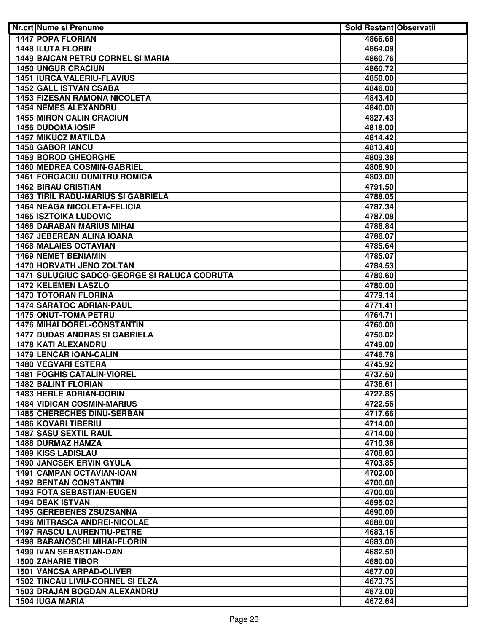| Nr.crt Nume si Prenume                        | <b>Sold Restant Observatii</b> |  |
|-----------------------------------------------|--------------------------------|--|
| <b>1447 POPA FLORIAN</b>                      | 4866.68                        |  |
| <b>1448 ILUTA FLORIN</b>                      | 4864.09                        |  |
| <b>1449 BAICAN PETRU CORNEL SI MARIA</b>      | 4860.76                        |  |
| <b>1450 UNGUR CRACIUN</b>                     | 4860.72                        |  |
| <b>1451 IURCA VALERIU-FLAVIUS</b>             | 4850.00                        |  |
| <b>1452 GALL ISTVAN CSABA</b>                 | 4846.00                        |  |
| <b>1453 FIZESAN RAMONA NICOLETA</b>           | 4843.40                        |  |
| <b>1454 NEMES ALEXANDRU</b>                   | 4840.00                        |  |
| <b>1455 MIRON CALIN CRACIUN</b>               | 4827.43                        |  |
| 1456 DUDOMA IOSIF                             | 4818.00                        |  |
| <b>1457 MIKUCZ MATILDA</b>                    | 4814.42                        |  |
| 1458 GABOR IANCU                              | 4813.48                        |  |
| 1459 BOROD GHEORGHE                           | 4809.38                        |  |
| 1460 MEDREA COSMIN-GABRIEL                    | 4806.90                        |  |
| <b>1461 FORGACIU DUMITRU ROMICA</b>           | 4803.00                        |  |
| <b>1462 BIRAU CRISTIAN</b>                    | 4791.50                        |  |
| 1463 TIRIL RADU-MARIUS SI GABRIELA            | 4788.05                        |  |
| <b>1464 NEAGA NICOLETA-FELICIA</b>            | 4787.34                        |  |
| <b>1465 ISZTOIKA LUDOVIC</b>                  | 4787.08                        |  |
| <b>1466 DARABAN MARIUS MIHAI</b>              | 4786.84                        |  |
| <b>1467 JEBEREAN ALINA IOANA</b>              | 4786.07                        |  |
| 1468 MALAIES OCTAVIAN                         | 4785.64                        |  |
| <b>1469 NEMET BENIAMIN</b>                    | 4785.07                        |  |
| <b>1470 HORVATH JENO ZOLTAN</b>               | 4784.53                        |  |
| 1471 SULUGIUC SADCO-GEORGE SI RALUCA CODRUTA  | 4780.60                        |  |
| <b>1472 KELEMEN LASZLO</b>                    | 4780.00                        |  |
| <b>1473 TOTORAN FLORINA</b>                   | 4779.14                        |  |
| <b>1474 SARATOC ADRIAN-PAUL</b>               | 4771.41                        |  |
| 1475 ONUT-TOMA PETRU                          | 4764.71                        |  |
| <b>1476 MIHAI DOREL-CONSTANTIN</b>            | 4760.00                        |  |
| <b>1477 DUDAS ANDRAS SI GABRIELA</b>          | 4750.02                        |  |
| 1478 KATI ALEXANDRU                           | 4749.00                        |  |
| 1479 LENCAR IOAN-CALIN<br>1480 VEGVARI ESTERA | 4746.78<br>4745.92             |  |
| <b>1481 FOGHIS CATALIN-VIOREL</b>             | 4737.50                        |  |
| 1482 BALINT FLORIAN                           | 4736.61                        |  |
| 1483 HERLE ADRIAN-DORIN                       | 4727.85                        |  |
| <b>1484 VIDICAN COSMIN-MARIUS</b>             | 4722.56                        |  |
| 1485 CHERECHES DINU-SERBAN                    | 4717.66                        |  |
| <b>1486 KOVARI TIBERIU</b>                    | 4714.00                        |  |
| <b>1487 SASU SEXTIL RAUL</b>                  | 4714.00                        |  |
| 1488 DURMAZ HAMZA                             | 4710.36                        |  |
| <b>1489 KISS LADISLAU</b>                     | 4708.83                        |  |
| <b>1490 JANCSEK ERVIN GYULA</b>               | 4703.85                        |  |
| 1491 CAMPAN OCTAVIAN-IOAN                     | 4702.00                        |  |
| <b>1492 BENTAN CONSTANTIN</b>                 | 4700.00                        |  |
| 1493 FOTA SEBASTIAN-EUGEN                     | 4700.00                        |  |
| 1494 DEAK ISTVAN                              | 4695.02                        |  |
| <b>1495 GEREBENES ZSUZSANNA</b>               | 4690.00                        |  |
| <b>1496 MITRASCA ANDREI-NICOLAE</b>           | 4688.00                        |  |
| <b>1497 RASCU LAURENTIU-PETRE</b>             | 4683.16                        |  |
| 1498 BARANOSCHI MIHAI-FLORIN                  | 4683.00                        |  |
| 1499 IVAN SEBASTIAN-DAN                       | 4682.50                        |  |
| <b>1500 ZAHARIE TIBOR</b>                     | 4680.00                        |  |
| <b>1501 VANCSA ARPAD-OLIVER</b>               | 4677.00                        |  |
| <b>1502 TINCAU LIVIU-CORNEL SI ELZA</b>       | 4673.75                        |  |
| 1503 DRAJAN BOGDAN ALEXANDRU                  | 4673.00                        |  |
| 1504 IUGA MARIA                               | 4672.64                        |  |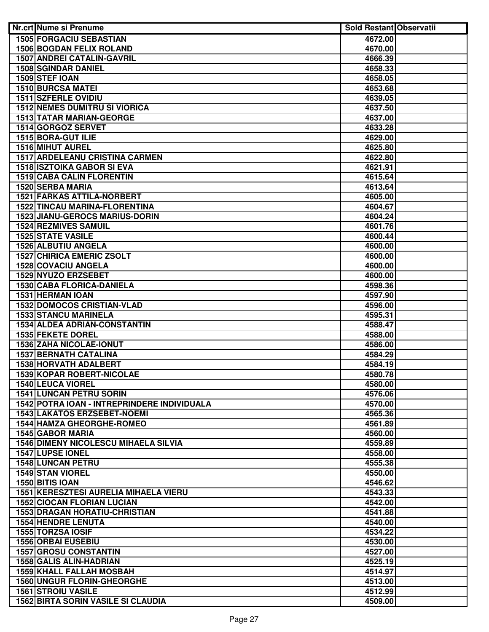| Nr.crt Nume si Prenume                                            | <b>Sold Restant Observatii</b> |  |
|-------------------------------------------------------------------|--------------------------------|--|
| <b>1505 FORGACIU SEBASTIAN</b>                                    | 4672.00                        |  |
| <b>1506 BOGDAN FELIX ROLAND</b>                                   | 4670.00                        |  |
| <b>1507 ANDREI CATALIN-GAVRIL</b>                                 | 4666.39                        |  |
| <b>1508 SGINDAR DANIEL</b>                                        | 4658.33                        |  |
| 1509 STEF IOAN                                                    | 4658.05                        |  |
| <b>1510 BURCSA MATEI</b>                                          | 4653.68                        |  |
| <b>1511 SZFERLE OVIDIU</b>                                        | 4639.05                        |  |
| <b>1512 NEMES DUMITRU SI VIORICA</b>                              | 4637.50                        |  |
| <b>1513 TATAR MARIAN-GEORGE</b>                                   | 4637.00                        |  |
| 1514 GORGOZ SERVET                                                | 4633.28                        |  |
| <b>1515 BORA-GUT ILIE</b>                                         | 4629.00                        |  |
| 1516 MIHUT AUREL                                                  | 4625.80                        |  |
| <b>1517 ARDELEANU CRISTINA CARMEN</b>                             | 4622.80                        |  |
| <b>1518 ISZTOIKA GABOR SI EVA</b>                                 | 4621.91                        |  |
| <b>1519 CABA CALIN FLORENTIN</b>                                  | 4615.64                        |  |
| 1520 SERBA MARIA                                                  | 4613.64                        |  |
| <b>1521 FARKAS ATTILA-NORBERT</b>                                 | 4605.00                        |  |
| <b>1522 TINCAU MARINA-FLORENTINA</b>                              | 4604.67                        |  |
| <b>1523 JIANU-GEROCS MARIUS-DORIN</b>                             | 4604.24                        |  |
| <b>1524 REZMIVES SAMUIL</b>                                       | 4601.76                        |  |
| <b>1525 STATE VASILE</b>                                          | 4600.44                        |  |
| 1526 ALBUTIU ANGELA                                               | 4600.00                        |  |
| <b>1527 CHIRICA EMERIC ZSOLT</b>                                  | 4600.00                        |  |
| 1528 COVACIU ANGELA                                               | 4600.00                        |  |
| 1529 NYUZO ERZSEBET                                               | 4600.00                        |  |
| 1530 CABA FLORICA-DANIELA                                         | 4598.36                        |  |
| <b>1531 HERMAN IOAN</b>                                           | 4597.90                        |  |
| <b>1532 DOMOCOS CRISTIAN-VLAD</b>                                 | 4596.00                        |  |
| <b>1533 STANCU MARINELA</b>                                       | 4595.31                        |  |
| <b>1534 ALDEA ADRIAN-CONSTANTIN</b>                               | 4588.47                        |  |
| 1535 FEKETE DOREL                                                 | 4588.00                        |  |
| <b>1536 ZAHA NICOLAE-IONUT</b>                                    | 4586.00                        |  |
| <b>1537 BERNATH CATALINA</b>                                      | 4584.29                        |  |
| 1538 HORVATH ADALBERT                                             | 4584.19                        |  |
| <b>1539 KOPAR ROBERT-NICOLAE</b>                                  | 4580.78                        |  |
| <b>1540 LEUCA VIOREL</b>                                          | 4580.00                        |  |
| 1541 LUNCAN PETRU SORIN                                           | 4576.06                        |  |
| 1542 POTRA IOAN - INTREPRINDERE INDIVIDUALA                       | 4570.00                        |  |
| 1543 LAKATOS ERZSEBET-NOEMI                                       | 4565.36                        |  |
| <b>1544 HAMZA GHEORGHE-ROMEO</b>                                  | 4561.89                        |  |
| <b>1545 GABOR MARIA</b>                                           | 4560.00                        |  |
| <b>1546 DIMENY NICOLESCU MIHAELA SILVIA</b>                       | 4559.89                        |  |
| <b>1547 LUPSE IONEL</b>                                           | 4558.00                        |  |
| <b>1548 LUNCAN PETRU</b>                                          | 4555.38                        |  |
| <b>1549 STAN VIOREL</b>                                           | 4550.00                        |  |
| 1550 BITIS IOAN                                                   | 4546.62                        |  |
| 1551 KERESZTESI AURELIA MIHAELA VIERU                             | 4543.33                        |  |
|                                                                   |                                |  |
| <b>1552 CIOCAN FLORIAN LUCIAN</b>                                 | 4542.00                        |  |
| <b>1553 DRAGAN HORATIU-CHRISTIAN</b><br><b>1554 HENDRE LENUTA</b> | 4541.88                        |  |
|                                                                   | 4540.00                        |  |
| 1555 TORZSA IOSIF<br><b>1556 ORBAI EUSEBIU</b>                    | 4534.22                        |  |
| <b>1557 GROSU CONSTANTIN</b>                                      | 4530.00<br>4527.00             |  |
|                                                                   |                                |  |
| 1558 GALIS ALIN-HADRIAN                                           | 4525.19                        |  |
| <b>1559 KHALL FALLAH MOSBAH</b>                                   | 4514.97                        |  |
| <b>1560 UNGUR FLORIN-GHEORGHE</b>                                 | 4513.00                        |  |
| <b>1561 STROIU VASILE</b>                                         | 4512.99                        |  |
| <b>1562 BIRTA SORIN VASILE SI CLAUDIA</b>                         | 4509.00                        |  |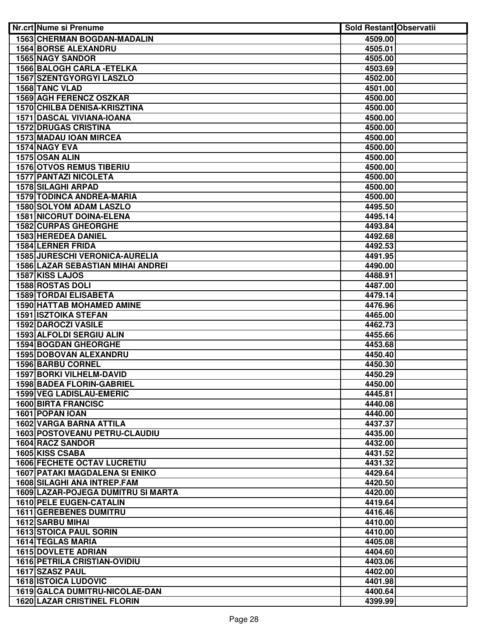| Nr.crt Nume si Prenume                | <b>Sold Restant Observatii</b> |  |
|---------------------------------------|--------------------------------|--|
| 1563 CHERMAN BOGDAN-MADALIN           | 4509.00                        |  |
| <b>1564 BORSE ALEXANDRU</b>           | 4505.01                        |  |
| <b>1565 NAGY SANDOR</b>               | 4505.00                        |  |
| <b>1566 BALOGH CARLA - ETELKA</b>     | 4503.69                        |  |
| <b>1567 SZENTGYORGYI LASZLO</b>       | 4502.00                        |  |
| 1568 TANC VLAD                        | 4501.00                        |  |
| <b>1569 AGH FERENCZ OSZKAR</b>        | 4500.00                        |  |
| 1570 CHILBA DENISA-KRISZTINA          | 4500.00                        |  |
| 1571 DASCAL VIVIANA-IOANA             | 4500.00                        |  |
| <b>1572 DRUGAS CRISTINA</b>           | 4500.00                        |  |
| 1573 MADAU IOAN MIRCEA                | 4500.00                        |  |
| 1574 NAGY EVA                         | 4500.00                        |  |
| 1575 OSAN ALIN                        | 4500.00                        |  |
| <b>1576 OTVOS REMUS TIBERIU</b>       | 4500.00                        |  |
| <b>1577 PANTAZI NICOLETA</b>          | 4500.00                        |  |
| 1578 SILAGHI ARPAD                    | 4500.00                        |  |
| <b>1579 TODINCA ANDREA-MARIA</b>      | 4500.00                        |  |
| 1580 SOLYOM ADAM LASZLO               | 4495.50                        |  |
| <b>1581 NICORUT DOINA-ELENA</b>       | 4495.14                        |  |
| <b>1582 CURPAS GHEORGHE</b>           | 4493.84                        |  |
| 1583 HEREDEA DANIEL                   | 4492.68                        |  |
| <b>1584 LERNER FRIDA</b>              | 4492.53                        |  |
| 1585 JURESCHI VERONICA-AURELIA        | 4491.95                        |  |
| 1586 LAZAR SEBASTIAN MIHAI ANDREI     | 4490.00                        |  |
| 1587 KISS LAJOS                       | 4488.91                        |  |
| 1588 ROSTAS DOLI                      | 4487.00                        |  |
| <b>1589 TORDAI ELISABETA</b>          | 4479.14                        |  |
| <b>1590 HATTAB MOHAMED AMINE</b>      | 4476.96                        |  |
| <b>1591 ISZTOIKA STEFAN</b>           | 4465.00                        |  |
| <b>1592 DAROCZI VASILE</b>            | 4462.73                        |  |
| 1593 ALFOLDI SERGIU ALIN              | 4455.66                        |  |
| <b>1594 BOGDAN GHEORGHE</b>           | 4453.68                        |  |
| 1595 DOBOVAN ALEXANDRU                | 4450.40                        |  |
| 1596 BARBU CORNEL                     | 4450.30                        |  |
| 1597 BORKI VILHELM-DAVID              | 4450.29                        |  |
| <b>1598 BADEA FLORIN-GABRIEL</b>      | 4450.00                        |  |
| 1599 VEG LADISLAU-EMERIC              | 4445.81                        |  |
| <b>1600 BIRTA FRANCISC</b>            | 4440.08                        |  |
| 1601 POPAN IOAN                       | 4440.00                        |  |
| <b>1602 VARGA BARNA ATTILA</b>        | 4437.37                        |  |
| 1603 POSTOVEANU PETRU-CLAUDIU         | 4435.00                        |  |
| 1604 RACZ SANDOR                      | 4432.00                        |  |
| 1605 KISS CSABA                       | 4431.52                        |  |
| <b>1606 FECHETE OCTAV LUCRETIU</b>    | 4431.32                        |  |
| <b>1607 PATAKI MAGDALENA SI ENIKO</b> | 4429.64                        |  |
| <b>1608 SILAGHI ANA INTREP.FAM</b>    | 4420.50                        |  |
| 1609 LAZAR-POJEGA DUMITRU SI MARTA    | 4420.00                        |  |
| <b>1610 PELE EUGEN-CATALIN</b>        | 4419.64                        |  |
| <b>1611 GEREBENES DUMITRU</b>         | 4416.46                        |  |
| 1612 SARBU MIHAI                      | 4410.00                        |  |
| <b>1613 STOICA PAUL SORIN</b>         | 4410.00                        |  |
| <b>1614 TEGLAS MARIA</b>              | 4405.08                        |  |
| <b>1615 DOVLETE ADRIAN</b>            | 4404.60                        |  |
| <b>1616 PETRILA CRISTIAN-OVIDIU</b>   | 4403.06                        |  |
| 1617 SZASZ PAUL                       | 4402.00                        |  |
| <b>1618 ISTOICA LUDOVIC</b>           | 4401.98                        |  |
| 1619 GALCA DUMITRU-NICOLAE-DAN        | 4400.64                        |  |
| <b>1620 LAZAR CRISTINEL FLORIN</b>    | 4399.99                        |  |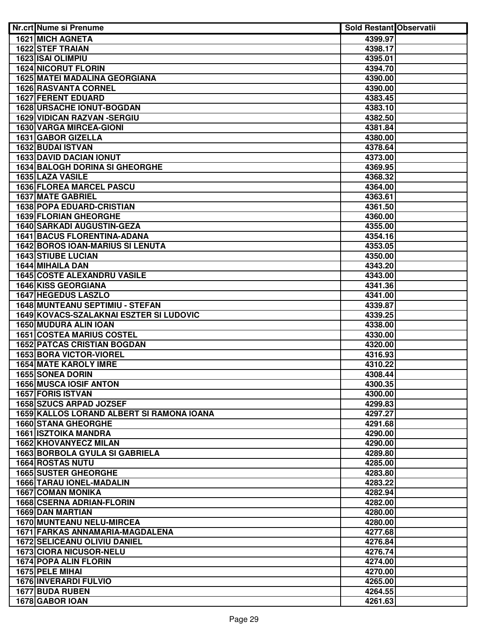| Nr.crt Nume si Prenume                                  | Sold Restant Observatii |  |
|---------------------------------------------------------|-------------------------|--|
| <b>1621 MICH AGNETA</b>                                 | 4399.97                 |  |
| <b>1622 STEF TRAIAN</b>                                 | 4398.17                 |  |
| 1623 ISAI OLIMPIU                                       | 4395.01                 |  |
| <b>1624 NICORUT FLORIN</b>                              | 4394.70                 |  |
| <b>1625 MATEI MADALINA GEORGIANA</b>                    | 4390.00                 |  |
| <b>1626 RASVANTA CORNEL</b>                             | 4390.00                 |  |
| <b>1627 FERENT EDUARD</b>                               | 4383.45                 |  |
| <b>1628 URSACHE IONUT-BOGDAN</b>                        | 4383.10                 |  |
| <b>1629 VIDICAN RAZVAN -SERGIU</b>                      | 4382.50                 |  |
| 1630 VARGA MIRCEA-GIONI                                 | 4381.84                 |  |
| 1631 GABOR GIZELLA                                      | 4380.00                 |  |
| 1632 BUDAI ISTVAN                                       | 4378.64                 |  |
| <b>1633 DAVID DACIAN IONUT</b>                          | 4373.00                 |  |
| <b>1634 BALOGH DORINA SI GHEORGHE</b>                   | 4369.95                 |  |
| 1635 LAZA VASILE                                        | 4368.32                 |  |
| <b>1636 FLOREA MARCEL PASCU</b>                         | 4364.00                 |  |
| <b>1637 MATE GABRIEL</b>                                | 4363.61                 |  |
| <b>1638 POPA EDUARD-CRISTIAN</b>                        | 4361.50                 |  |
| 1639 FLORIAN GHEORGHE                                   | 4360.00                 |  |
| <b>1640 SARKADI AUGUSTIN-GEZA</b>                       | 4355.00                 |  |
| <b>1641 BACUS FLORENTINA-ADANA</b>                      | 4354.16                 |  |
| <b>1642 BOROS IOAN-MARIUS SI LENUTA</b>                 | 4353.05                 |  |
| <b>1643 STIUBE LUCIAN</b>                               | 4350.00                 |  |
| 1644 MIHAILA DAN                                        | 4343.20                 |  |
| <b>1645 COSTE ALEXANDRU VASILE</b>                      | 4343.00                 |  |
| <b>1646 KISS GEORGIANA</b>                              | 4341.36                 |  |
| <b>1647 HEGEDUS LASZLO</b>                              | 4341.00                 |  |
| <b>1648 MUNTEANU SEPTIMIU - STEFAN</b>                  | 4339.87                 |  |
| 1649 KOVACS-SZALAKNAI ESZTER SI LUDOVIC                 | 4339.25                 |  |
| 1650 MUDURA ALIN IOAN                                   | 4338.00                 |  |
| <b>1651 COSTEA MARIUS COSTEL</b>                        | 4330.00                 |  |
| <b>1652 PATCAS CRISTIAN BOGDAN</b>                      | 4320.00                 |  |
| 1653 BORA VICTOR-VIOREL                                 | 4316.93                 |  |
| <b>1654 MATE KAROLY IMRE</b><br><b>1655 SONEA DORIN</b> | 4310.22<br>4308.44      |  |
| <b>1656 MUSCA IOSIF ANTON</b>                           | 4300.35                 |  |
| <b>1657 FORIS ISTVAN</b>                                | 4300.00                 |  |
| <b>1658 SZUCS ARPAD JOZSEF</b>                          | 4299.83                 |  |
| 1659 KALLOS LORAND ALBERT SI RAMONA IOANA               | 4297.27                 |  |
| <b>1660 STANA GHEORGHE</b>                              | 4291.68                 |  |
| <b>1661 ISZTOIKA MANDRA</b>                             | 4290.00                 |  |
| 1662 KHOVANYECZ MILAN                                   | 4290.00                 |  |
| <b>1663 BORBOLA GYULA SI GABRIELA</b>                   | 4289.80                 |  |
| <b>1664 ROSTAS NUTU</b>                                 | 4285.00                 |  |
| <b>1665 SUSTER GHEORGHE</b>                             | 4283.80                 |  |
| <b>1666 TARAU IONEL-MADALIN</b>                         | 4283.22                 |  |
| <b>1667 COMAN MONIKA</b>                                | 4282.94                 |  |
| <b>1668 CSERNA ADRIAN-FLORIN</b>                        | 4282.00                 |  |
| 1669 DAN MARTIAN                                        | 4280.00                 |  |
| 1670 MUNTEANU NELU-MIRCEA                               | 4280.00                 |  |
| 1671 FARKAS ANNAMARIA-MAGDALENA                         | 4277.68                 |  |
| <b>1672 SELICEANU OLIVIU DANIEL</b>                     | 4276.84                 |  |
| 1673 CIORA NICUSOR-NELU                                 | 4276.74                 |  |
| <b>1674 POPA ALIN FLORIN</b>                            | 4274.00                 |  |
| 1675 PELE MIHAI                                         | 4270.00                 |  |
| <b>1676 INVERARDI FULVIO</b>                            | 4265.00                 |  |
| 1677 BUDA RUBEN                                         | 4264.55                 |  |
| 1678 GABOR IOAN                                         | 4261.63                 |  |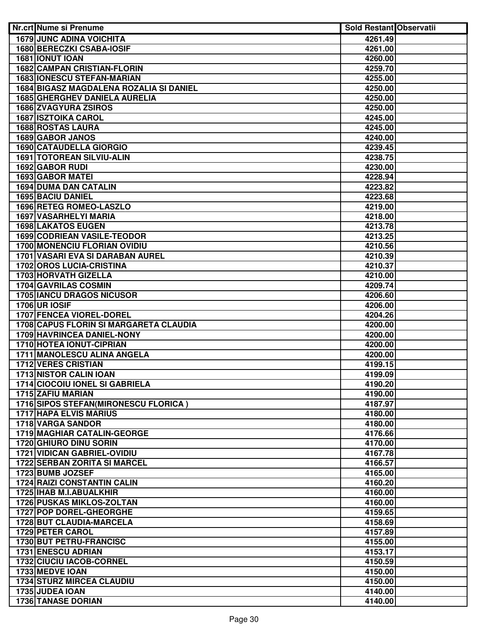| Nr.crt Nume si Prenume                                                      | <b>Sold Restant Observatii</b> |  |
|-----------------------------------------------------------------------------|--------------------------------|--|
| <b>1679 JUNC ADINA VOICHITA</b>                                             | 4261.49                        |  |
| <b>1680 BERECZKI CSABA-IOSIF</b>                                            | 4261.00                        |  |
| 1681 IONUT IOAN                                                             | 4260.00                        |  |
| <b>1682 CAMPAN CRISTIAN-FLORIN</b>                                          | 4259.70                        |  |
| <b>1683 IONESCU STEFAN-MARIAN</b>                                           | 4255.00                        |  |
| 1684 BIGASZ MAGDALENA ROZALIA SI DANIEL                                     | 4250.00                        |  |
| <b>1685 GHERGHEV DANIELA AURELIA</b>                                        | 4250.00                        |  |
| 1686 ZVAGYURA ZSIROS                                                        | 4250.00                        |  |
| <b>1687 ISZTOIKA CAROL</b>                                                  | 4245.00                        |  |
| <b>1688 ROSTAS LAURA</b>                                                    | 4245.00                        |  |
| 1689 GABOR JANOS                                                            | 4240.00                        |  |
| <b>1690 CATAUDELLA GIORGIO</b>                                              | 4239.45                        |  |
| 1691 TOTOREAN SILVIU-ALIN                                                   | 4238.75                        |  |
| 1692 GABOR RUDI                                                             | 4230.00                        |  |
| <b>1693 GABOR MATEI</b>                                                     | 4228.94                        |  |
| <b>1694 DUMA DAN CATALIN</b>                                                | 4223.82                        |  |
|                                                                             |                                |  |
| <b>1695 BACIU DANIEL</b>                                                    | 4223.68                        |  |
| 1696 RETEG ROMEO-LASZLO                                                     | 4219.00                        |  |
| 1697 VASARHELYI MARIA                                                       | 4218.00                        |  |
| <b>1698 LAKATOS EUGEN</b>                                                   | 4213.78                        |  |
| 1699 CODRIEAN VASILE-TEODOR                                                 | 4213.25                        |  |
| 1700 MONENCIU FLORIAN OVIDIU                                                | 4210.56                        |  |
| 1701 VASARI EVA SI DARABAN AUREL                                            | 4210.39                        |  |
| <b>1702 OROS LUCIA-CRISTINA</b>                                             | 4210.37                        |  |
| <b>1703 HORVATH GIZELLA</b>                                                 | 4210.00                        |  |
| <b>1704 GAVRILAS COSMIN</b>                                                 | 4209.74                        |  |
| <b>1705 IANCU DRAGOS NICUSOR</b>                                            | 4206.60                        |  |
| <b>1706 UR IOSIF</b>                                                        | 4206.00                        |  |
| <b>1707 FENCEA VIOREL-DOREL</b>                                             | 4204.26                        |  |
| 1708 CAPUS FLORIN SI MARGARETA CLAUDIA<br><b>1709 HAVRINCEA DANIEL-NONY</b> | 4200.00                        |  |
| <b>1710 HOTEA IONUT-CIPRIAN</b>                                             | 4200.00                        |  |
|                                                                             | 4200.00                        |  |
| 1711 MANOLESCU ALINA ANGELA<br><b>1712 VERES CRISTIAN</b>                   | 4200.00<br>4199.15             |  |
| <b>1713 NISTOR CALIN IOAN</b>                                               | 4199.09                        |  |
| 1714 CIOCOIU IONEL SI GABRIELA                                              | 4190.20                        |  |
| 1715 ZAFIU MARIAN                                                           | 4190.00                        |  |
| 1716 SIPOS STEFAN (MIRONESCU FLORICA)                                       | 4187.97                        |  |
| <b>1717 HAPA ELVIS MARIUS</b>                                               | 4180.00                        |  |
| 1718 VARGA SANDOR                                                           | 4180.00                        |  |
| 1719 MAGHIAR CATALIN-GEORGE                                                 | 4176.66                        |  |
| 1720 GHIURO DINU SORIN                                                      | 4170.00                        |  |
| <b>1721 VIDICAN GABRIEL-OVIDIU</b>                                          | 4167.78                        |  |
| 1722 SERBAN ZORITA SI MARCEL                                                | 4166.57                        |  |
| 1723 BUMB JOZSEF                                                            | 4165.00                        |  |
| <b>1724 RAIZI CONSTANTIN CALIN</b>                                          | 4160.20                        |  |
| 1725 IHAB M.I.ABUALKHIR                                                     | 4160.00                        |  |
| <b>1726 PUSKAS MIKLOS-ZOLTAN</b>                                            | 4160.00                        |  |
| 1727 POP DOREL-GHEORGHE                                                     | 4159.65                        |  |
| 1728 BUT CLAUDIA-MARCELA                                                    | 4158.69                        |  |
| 1729 PETER CAROL                                                            | 4157.89                        |  |
| 1730 BUT PETRU-FRANCISC                                                     | 4155.00                        |  |
| <b>1731 ENESCU ADRIAN</b>                                                   | 4153.17                        |  |
| <b>1732 CIUCIU IACOB-CORNEL</b>                                             | 4150.59                        |  |
| 1733 MEDVE IOAN                                                             | 4150.00                        |  |
| <b>1734 STURZ MIRCEA CLAUDIU</b>                                            | 4150.00                        |  |
| 1735 JUDEA IOAN                                                             | 4140.00                        |  |
| 1736 TANASE DORIAN                                                          | 4140.00                        |  |
|                                                                             |                                |  |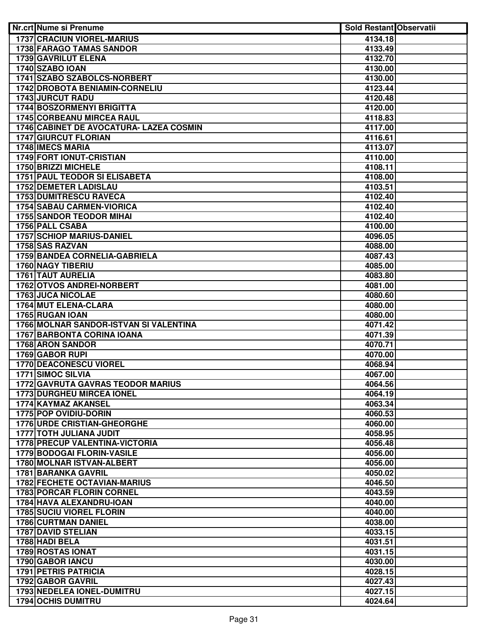| Nr.crt Nume si Prenume                                           | <b>Sold Restant Observatii</b> |  |
|------------------------------------------------------------------|--------------------------------|--|
| <b>1737 CRACIUN VIOREL-MARIUS</b>                                | 4134.18                        |  |
| <b>1738 FARAGO TAMAS SANDOR</b>                                  | 4133.49                        |  |
| <b>1739 GAVRILUT ELENA</b>                                       | 4132.70                        |  |
| <b>1740 SZABO IOAN</b>                                           | 4130.00                        |  |
| 1741 SZABO SZABOLCS-NORBERT                                      | 4130.00                        |  |
| 1742 DROBOTA BENIAMIN-CORNELIU                                   | 4123.44                        |  |
| <b>1743 JURCUT RADU</b>                                          | 4120.48                        |  |
| 1744 BOSZORMENYI BRIGITTA                                        | 4120.00                        |  |
| <b>1745 CORBEANU MIRCEA RAUL</b>                                 | 4118.83                        |  |
| 1746 CABINET DE AVOCATURA- LAZEA COSMIN                          | 4117.00                        |  |
| <b>1747 GIURCUT FLORIAN</b>                                      | 4116.61                        |  |
| 1748 IMECS MARIA                                                 | 4113.07                        |  |
| 1749 FORT IONUT-CRISTIAN                                         | 4110.00                        |  |
| 1750 BRIZZI MICHELE                                              | 4108.11                        |  |
| <b>1751 PAUL TEODOR SI ELISABETA</b>                             | 4108.00                        |  |
| <b>1752 DEMETER LADISLAU</b>                                     | 4103.51                        |  |
| <b>1753 DUMITRESCU RAVECA</b>                                    | 4102.40                        |  |
| <b>1754 SABAU CARMEN-VIORICA</b>                                 | 4102.40                        |  |
| <b>1755 SANDOR TEODOR MIHAI</b>                                  | 4102.40                        |  |
| 1756 PALL CSABA                                                  | 4100.00                        |  |
| 1757 SCHIOP MARIUS-DANIEL                                        | 4096.05                        |  |
| 1758 SAS RAZVAN                                                  | 4088.00                        |  |
| 1759 BANDEA CORNELIA-GABRIELA                                    | 4087.43                        |  |
| <b>1760 NAGY TIBERIU</b>                                         | 4085.00                        |  |
| <b>1761 TAUT AURELIA</b>                                         | 4083.80                        |  |
| 1762 OTVOS ANDREI-NORBERT                                        | 4081.00                        |  |
| <b>1763 JUCA NICOLAE</b>                                         | 4080.60                        |  |
| 1764 MUT ELENA-CLARA                                             | 4080.00                        |  |
| 1765 RUGAN IOAN                                                  | 4080.00                        |  |
| 1766 MOLNAR SANDOR-ISTVAN SI VALENTINA                           | 4071.42                        |  |
| <b>1767 BARBONTA CORINA IOANA</b>                                | 4071.39                        |  |
| 1768 ARON SANDOR                                                 | 4070.71                        |  |
| 1769 GABOR RUPI                                                  | 4070.00                        |  |
| 1770 DEACONESCU VIOREL                                           | 4068.94                        |  |
| 1771 SIMOC SILVIA                                                | 4067.00                        |  |
| 1772 GAVRUTA GAVRAS TEODOR MARIUS                                | 4064.56                        |  |
| <b>1773 DURGHEU MIRCEA IONEL</b>                                 | 4064.19                        |  |
| 1774 KAYMAZ AKANSEL                                              | 4063.34                        |  |
| 1775 POP OVIDIU-DORIN                                            | 4060.53                        |  |
| <b>1776 URDE CRISTIAN-GHEORGHE</b>                               | 4060.00                        |  |
| 1777 TOTH JULIANA JUDIT<br><b>1778 PRECUP VALENTINA-VICTORIA</b> | 4058.95                        |  |
| 1779 BODOGAI FLORIN-VASILE                                       | 4056.48                        |  |
| <b>1780 MOLNAR ISTVAN-ALBERT</b>                                 | 4056.00                        |  |
| 1781 BARANKA GAVRIL                                              | 4056.00<br>4050.02             |  |
| <b>1782 FECHETE OCTAVIAN-MARIUS</b>                              |                                |  |
| <b>1783 PORCAR FLORIN CORNEL</b>                                 | 4046.50<br>4043.59             |  |
| 1784 HAVA ALEXANDRU-IOAN                                         | 4040.00                        |  |
| <b>1785 SUCIU VIOREL FLORIN</b>                                  | 4040.00                        |  |
| <b>1786 CURTMAN DANIEL</b>                                       | 4038.00                        |  |
| <b>1787 DAVID STELIAN</b>                                        | 4033.15                        |  |
| 1788 HADI BELA                                                   | 4031.51                        |  |
| <b>1789 ROSTAS IONAT</b>                                         | 4031.15                        |  |
| <b>1790 GABOR IANCU</b>                                          | 4030.00                        |  |
| <b>1791 PETRIS PATRICIA</b>                                      | 4028.15                        |  |
| 1792 GABOR GAVRIL                                                | 4027.43                        |  |
| 1793 NEDELEA IONEL-DUMITRU                                       | 4027.15                        |  |
| <b>1794 OCHIS DUMITRU</b>                                        | 4024.64                        |  |
|                                                                  |                                |  |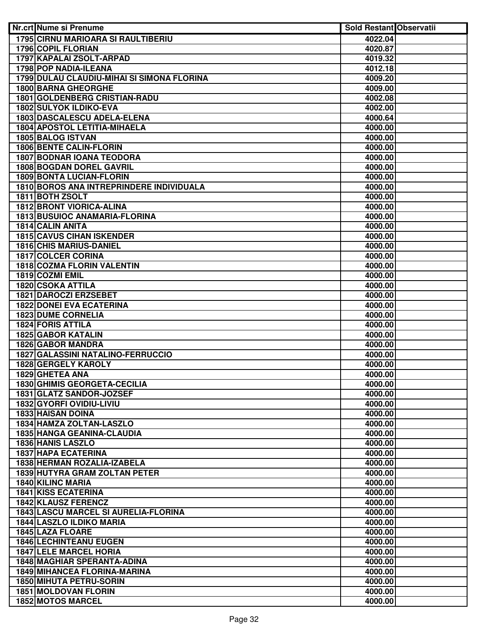| <b>Nr.crt Nume si Prenume</b>              | <b>Sold Restant Observatii</b> |  |
|--------------------------------------------|--------------------------------|--|
| <b>1795 CIRNU MARIOARA SI RAULTIBERIU</b>  | 4022.04                        |  |
| <b>1796 COPIL FLORIAN</b>                  | 4020.87                        |  |
| 1797 KAPALAI ZSOLT-ARPAD                   | 4019.32                        |  |
| 1798 POP NADIA-ILEANA                      | 4012.18                        |  |
| 1799 DULAU CLAUDIU-MIHAI SI SIMONA FLORINA | 4009.20                        |  |
| <b>1800 BARNA GHEORGHE</b>                 | 4009.00                        |  |
| <b>1801 GOLDENBERG CRISTIAN-RADU</b>       | 4002.08                        |  |
| 1802 SULYOK ILDIKO-EVA                     | 4002.00                        |  |
| 1803 DASCALESCU ADELA-ELENA                | 4000.64                        |  |
| <b>1804 APOSTOL LETITIA-MIHAELA</b>        | 4000.00                        |  |
| 1805 BALOG ISTVAN                          | 4000.00                        |  |
| <b>1806 BENTE CALIN-FLORIN</b>             | 4000.00                        |  |
| <b>1807 BODNAR IOANA TEODORA</b>           | 4000.00                        |  |
| <b>1808 BOGDAN DOREL GAVRIL</b>            | 4000.00                        |  |
| 1809 BONTA LUCIAN-FLORIN                   | 4000.00                        |  |
| 1810 BOROS ANA INTREPRINDERE INDIVIDUALA   | 4000.00                        |  |
| 1811 BOTH ZSOLT                            | 4000.00                        |  |
| <b>1812 BRONT VIORICA-ALINA</b>            | 4000.00                        |  |
| <b>1813 BUSUIOC ANAMARIA-FLORINA</b>       | 4000.00                        |  |
| 1814 CALIN ANITA                           | 4000.00                        |  |
| <b>1815 CAVUS CIHAN ISKENDER</b>           | 4000.00                        |  |
| <b>1816 CHIS MARIUS-DANIEL</b>             | 4000.00                        |  |
| 1817 COLCER CORINA                         | 4000.00                        |  |
| 1818 COZMA FLORIN VALENTIN                 | 4000.00                        |  |
| 1819 COZMI EMIL                            | 4000.00                        |  |
| 1820 CSOKA ATTILA                          | 4000.00                        |  |
| 1821 DAROCZI ERZSEBET                      | 4000.00                        |  |
| <b>1822 DONEI EVA ECATERINA</b>            | 4000.00                        |  |
| <b>1823 DUME CORNELIA</b>                  | 4000.00                        |  |
| <b>1824 FORIS ATTILA</b>                   | 4000.00                        |  |
| <b>1825 GABOR KATALIN</b>                  | 4000.00                        |  |
| <b>1826 GABOR MANDRA</b>                   | 4000.00                        |  |
| <b>1827 GALASSINI NATALINO-FERRUCCIO</b>   | 4000.00                        |  |
| 1828 GERGELY KAROLY<br>1829 GHETEA ANA     | 4000.00                        |  |
| 1830 GHIMIS GEORGETA-CECILIA               | 4000.00<br>4000.00             |  |
| 1831 GLATZ SANDOR-JOZSEF                   | 4000.00                        |  |
| 1832 GYORFI OVIDIU-LIVIU                   | 4000.00                        |  |
| <b>1833 HAISAN DOINA</b>                   | 4000.00                        |  |
| 1834 HAMZA ZOLTAN-LASZLO                   | 4000.00                        |  |
| <b>1835 HANGA GEANINA-CLAUDIA</b>          | 4000.00                        |  |
| <b>1836 HANIS LASZLO</b>                   | 4000.00                        |  |
| 1837 HAPA ECATERINA                        | 4000.00                        |  |
| 1838 HERMAN ROZALIA-IZABELA                | 4000.00                        |  |
| 1839 HUTYRA GRAM ZOLTAN PETER              | 4000.00                        |  |
| 1840 KILINC MARIA                          | 4000.00                        |  |
| <b>1841 KISS ECATERINA</b>                 | 4000.00                        |  |
| 1842 KLAUSZ FERENCZ                        | 4000.00                        |  |
| 1843 LASCU MARCEL SI AURELIA-FLORINA       | 4000.00                        |  |
| <b>1844 LASZLO ILDIKO MARIA</b>            | 4000.00                        |  |
| 1845 LAZA FLOARE                           | 4000.00                        |  |
| <b>1846 LECHINTEANU EUGEN</b>              | 4000.00                        |  |
| <b>1847 LELE MARCEL HORIA</b>              | 4000.00                        |  |
| <b>1848 MAGHIAR SPERANTA-ADINA</b>         | 4000.00                        |  |
| 1849 MIHANCEA FLORINA-MARINA               | 4000.00                        |  |
| 1850 MIHUTA PETRU-SORIN                    | 4000.00                        |  |
| 1851 MOLDOVAN FLORIN                       | 4000.00                        |  |
| <b>1852 MOTOS MARCEL</b>                   | 4000.00                        |  |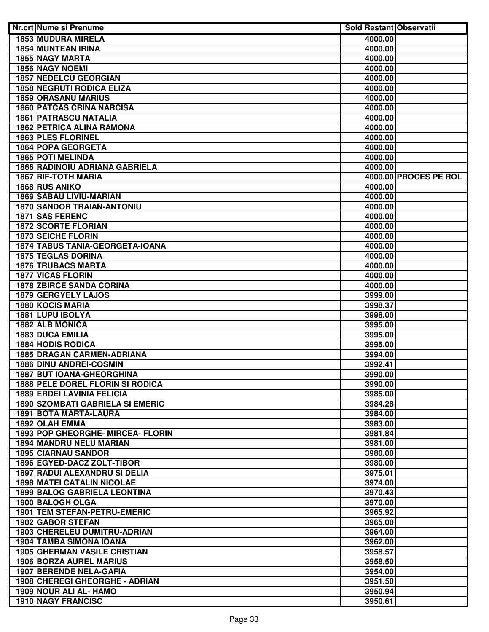| Nr.crt Nume si Prenume                     | <b>Sold Restant Observatii</b> |                       |
|--------------------------------------------|--------------------------------|-----------------------|
| <b>1853 MUDURA MIRELA</b>                  | 4000.00                        |                       |
| <b>1854 MUNTEAN IRINA</b>                  | 4000.00                        |                       |
| <b>1855 NAGY MARTA</b>                     | 4000.00                        |                       |
| <b>1856 NAGY NOEMI</b>                     | 4000.00                        |                       |
| <b>1857 NEDELCU GEORGIAN</b>               | 4000.00                        |                       |
| <b>1858 NEGRUTI RODICA ELIZA</b>           | 4000.00                        |                       |
| <b>1859 ORASANU MARIUS</b>                 | 4000.00                        |                       |
| <b>1860 PATCAS CRINA NARCISA</b>           | 4000.00                        |                       |
| <b>1861 PATRASCU NATALIA</b>               | 4000.00                        |                       |
| <b>1862 PETRICA ALINA RAMONA</b>           | 4000.00                        |                       |
| 1863 PLES FLORINEL                         | 4000.00                        |                       |
| 1864 POPA GEORGETA                         | 4000.00                        |                       |
| 1865 POTI MELINDA                          | 4000.00                        |                       |
| <b>1866 RADINOIU ADRIANA GABRIELA</b>      | 4000.00                        |                       |
| <b>1867 RIF-TOTH MARIA</b>                 |                                | 4000.00 PROCES PE ROL |
| 1868 RUS ANIKO                             | 4000.00                        |                       |
| <b>1869 SABAU LIVIU-MARIAN</b>             | 4000.00                        |                       |
| <b>1870 SANDOR TRAIAN-ANTONIU</b>          | 4000.00                        |                       |
| 1871 SAS FERENC                            | 4000.00                        |                       |
| <b>1872 SCORTE FLORIAN</b>                 | 4000.00                        |                       |
| <b>1873 SEICHE FLORIN</b>                  | 4000.00                        |                       |
| 1874 TABUS TANIA-GEORGETA-IOANA            | 4000.00                        |                       |
| <b>1875 TEGLAS DORINA</b>                  | 4000.00                        |                       |
| <b>1876 TRUBACS MARTA</b>                  | 4000.00                        |                       |
| <b>1877 VICAS FLORIN</b>                   | 4000.00                        |                       |
| <b>1878 ZBIRCE SANDA CORINA</b>            | 4000.00                        |                       |
| <b>1879 GERGYELY LAJOS</b>                 | 3999.00                        |                       |
| <b>1880 KOCIS MARIA</b>                    | 3998.37                        |                       |
| 1881 LUPU IBOLYA                           | 3998.00                        |                       |
| 1882 ALB MONICA<br><b>1883 DUCA EMILIA</b> | 3995.00<br>3995.00             |                       |
| <b>1884 HODIS RODICA</b>                   | 3995.00                        |                       |
| <b>1885 DRAGAN CARMEN-ADRIANA</b>          | 3994.00                        |                       |
| 1886 DINU ANDREI-COSMIN                    | 3992.41                        |                       |
| <b>1887 BUT IOANA-GHEORGHINA</b>           | 3990.00                        |                       |
| 1888 PELE DOREL FLORIN SI RODICA           | 3990.00                        |                       |
| <b>1889 ERDEI LAVINIA FELICIA</b>          | 3985.00                        |                       |
| <b>1890 SZOMBATI GABRIELA SI EMERIC</b>    | 3984.28                        |                       |
| <b>1891 BOTA MARTA-LAURA</b>               | 3984.00                        |                       |
| 1892 OLAH EMMA                             | 3983.00                        |                       |
| 1893 POP GHEORGHE- MIRCEA- FLORIN          | 3981.84                        |                       |
| <b>1894 MANDRU NELU MARIAN</b>             | 3981.00                        |                       |
| <b>1895 CIARNAU SANDOR</b>                 | 3980.00                        |                       |
| 1896 EGYED-DACZ ZOLT-TIBOR                 | 3980.00                        |                       |
| 1897 RADUI ALEXANDRU SI DELIA              | 3975.01                        |                       |
| <b>1898 MATEI CATALIN NICOLAE</b>          | 3974.00                        |                       |
| <b>1899 BALOG GABRIELA LEONTINA</b>        | 3970.43                        |                       |
| 1900 BALOGH OLGA                           | 3970.00                        |                       |
| 1901 TEM STEFAN-PETRU-EMERIC               | 3965.92                        |                       |
| 1902 GABOR STEFAN                          | 3965.00                        |                       |
| 1903 CHERELEU DUMITRU-ADRIAN               | 3964.00                        |                       |
| 1904 TAMBA SIMONA IOANA                    | 3962.00                        |                       |
| <b>1905 GHERMAN VASILE CRISTIAN</b>        | 3958.57                        |                       |
| <b>1906 BORZA AUREL MARIUS</b>             | 3958.50                        |                       |
| <b>1907 BERENDE NELA-GAFIA</b>             | 3954.00                        |                       |
| 1908 CHEREGI GHEORGHE - ADRIAN             | 3951.50                        |                       |
| 1909 NOUR ALI AL- HAMO                     | 3950.94                        |                       |
| 1910 NAGY FRANCISC                         | 3950.61                        |                       |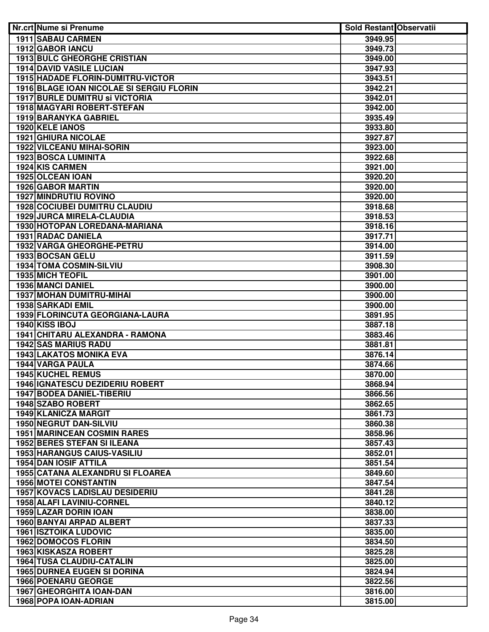| Nr.crt Nume si Prenume                   | <b>Sold Restant Observatii</b> |  |
|------------------------------------------|--------------------------------|--|
| 1911 SABAU CARMEN                        | 3949.95                        |  |
| <b>1912 GABOR IANCU</b>                  | 3949.73                        |  |
| <b>1913 BULC GHEORGHE CRISTIAN</b>       | 3949.00                        |  |
| <b>1914 DAVID VASILE LUCIAN</b>          | 3947.93                        |  |
| <b>1915 HADADE FLORIN-DUMITRU-VICTOR</b> | 3943.51                        |  |
| 1916 BLAGE IOAN NICOLAE SI SERGIU FLORIN | 3942.21                        |  |
| <b>1917 BURLE DUMITRU SI VICTORIA</b>    | 3942.01                        |  |
| 1918 MAGYARI ROBERT-STEFAN               | 3942.00                        |  |
| 1919 BARANYKA GABRIEL                    | 3935.49                        |  |
| 1920 KELE IANOS                          | 3933.80                        |  |
| <b>1921 GHIURA NICOLAE</b>               | 3927.87                        |  |
| 1922 VILCEANU MIHAI-SORIN                | 3923.00                        |  |
| 1923 BOSCA LUMINITA                      | 3922.68                        |  |
| 1924 KIS CARMEN                          | 3921.00                        |  |
| 1925 OLCEAN IOAN                         | 3920.20                        |  |
| 1926 GABOR MARTIN                        | 3920.00                        |  |
| <b>1927 MINDRUTIU ROVINO</b>             | 3920.00                        |  |
| <b>1928 COCIUBEI DUMITRU CLAUDIU</b>     | 3918.68                        |  |
| 1929 JURCA MIRELA-CLAUDIA                | 3918.53                        |  |
| 1930 HOTOPAN LOREDANA-MARIANA            | 3918.16                        |  |
| <b>1931 RADAC DANIELA</b>                | 3917.71                        |  |
| 1932 VARGA GHEORGHE-PETRU                | 3914.00                        |  |
| 1933 BOCSAN GELU                         | 3911.59                        |  |
| 1934 TOMA COSMIN-SILVIU                  | 3908.30                        |  |
| <b>1935 MICH TEOFIL</b>                  | 3901.00                        |  |
| 1936 MANCI DANIEL                        | 3900.00                        |  |
| <b>1937 MOHAN DUMITRU-MIHAI</b>          | 3900.00                        |  |
| <b>1938 SARKADI EMIL</b>                 | 3900.00                        |  |
| 1939 FLORINCUTA GEORGIANA-LAURA          | 3891.95                        |  |
| 1940 KISS IBOJ                           | 3887.18                        |  |
| 1941 CHITARU ALEXANDRA - RAMONA          | 3883.46                        |  |
| <b>1942 SAS MARIUS RADU</b>              | 3881.81                        |  |
| <b>1943 LAKATOS MONIKA EVA</b>           | 3876.14                        |  |
| 1944 VARGA PAULA                         | 3874.66                        |  |
| 1945 KUCHEL REMUS                        | 3870.00                        |  |
| <b>1946 IGNATESCU DEZIDERIU ROBERT</b>   | 3868.94                        |  |
| 1947 BODEA DANIEL-TIBERIU                | 3866.56                        |  |
| 1948 SZABO ROBERT                        | 3862.65                        |  |
| 1949 KLANICZA MARGIT                     | 3861.73                        |  |
| <b>1950 NEGRUT DAN-SILVIU</b>            | 3860.38                        |  |
| <b>1951 MARINCEAN COSMIN RARES</b>       | 3858.96                        |  |
| <b>1952 BERES STEFAN SI ILEANA</b>       | 3857.43                        |  |
| 1953 HARANGUS CAIUS-VASILIU              | 3852.01                        |  |
| <b>1954 DAN IOSIF ATTILA</b>             | 3851.54                        |  |
| 1955 CATANA ALEXANDRU SI FLOAREA         | 3849.60                        |  |
| <b>1956 MOTEI CONSTANTIN</b>             | 3847.54                        |  |
| <b>1957 KOVACS LADISLAU DESIDERIU</b>    | 3841.28                        |  |
| 1958 ALAFI LAVINIU-CORNEL                | 3840.12                        |  |
| 1959 LAZAR DORIN IOAN                    | 3838.00                        |  |
| 1960 BANYAI ARPAD ALBERT                 | 3837.33                        |  |
| <b>1961 ISZTOIKA LUDOVIC</b>             | 3835.00                        |  |
| <b>1962 DOMOCOS FLORIN</b>               | 3834.50                        |  |
| 1963 KISKASZA ROBERT                     | 3825.28                        |  |
| <b>1964 TUSA CLAUDIU-CATALIN</b>         | 3825.00                        |  |
| <b>1965 DURNEA EUGEN SI DORINA</b>       | 3824.94                        |  |
| <b>1966 POENARU GEORGE</b>               | 3822.56                        |  |
| 1967 GHEORGHITA IOAN-DAN                 | 3816.00                        |  |
| 1968 POPA IOAN-ADRIAN                    | 3815.00                        |  |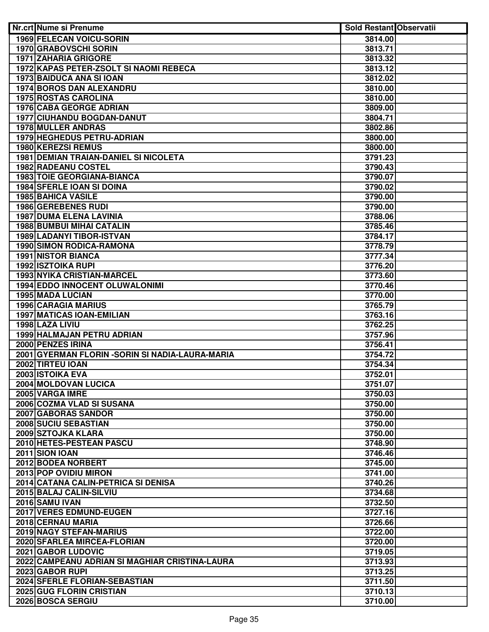| Nr.crt Nume si Prenume                                 | <b>Sold Restant Observatii</b> |  |
|--------------------------------------------------------|--------------------------------|--|
| <b>1969 FELECAN VOICU-SORIN</b>                        | 3814.00                        |  |
| <b>1970 GRABOVSCHI SORIN</b>                           | 3813.71                        |  |
| <b>1971 ZAHARIA GRIGORE</b>                            | 3813.32                        |  |
| <b>1972 KAPAS PETER-ZSOLT SI NAOMI REBECA</b>          | 3813.12                        |  |
| 1973 BAIDUCA ANA SI IOAN                               | 3812.02                        |  |
| <b>1974 BOROS DAN ALEXANDRU</b>                        | 3810.00                        |  |
| <b>1975 ROSTAS CAROLINA</b>                            | 3810.00                        |  |
| 1976 CABA GEORGE ADRIAN                                | 3809.00                        |  |
| 1977 CIUHANDU BOGDAN-DANUT                             | 3804.71                        |  |
| 1978 MULLER ANDRAS                                     | 3802.86                        |  |
| 1979 HEGHEDUS PETRU-ADRIAN                             | 3800.00                        |  |
| 1980 KEREZSI REMUS                                     | 3800.00                        |  |
| <b>1981 DEMIAN TRAIAN-DANIEL SI NICOLETA</b>           | 3791.23                        |  |
| 1982 RADEANU COSTEL                                    | 3790.43                        |  |
| <b>1983 TOIE GEORGIANA-BIANCA</b>                      | 3790.07                        |  |
| <b>1984 SFERLE IOAN SI DOINA</b>                       | 3790.02                        |  |
| <b>1985 BAHICA VASILE</b>                              | 3790.00                        |  |
| 1986 GEREBENES RUDI                                    | 3790.00                        |  |
| <b>1987 DUMA ELENA LAVINIA</b>                         | 3788.06                        |  |
| <b>1988 BUMBUI MIHAI CATALIN</b>                       | 3785.46                        |  |
| <b>1989 LADANYI TIBOR-ISTVAN</b>                       | 3784.17                        |  |
| <b>1990 SIMON RODICA-RAMONA</b>                        | 3778.79                        |  |
| <b>1991 NISTOR BIANCA</b>                              | 3777.34                        |  |
| <b>1992 ISZTOIKA RUPI</b>                              | 3776.20                        |  |
| 1993 NYIKA CRISTIAN-MARCEL                             | 3773.60                        |  |
| 1994 EDDO INNOCENT OLUWALONIMI                         | 3770.46                        |  |
| <b>1995 MADA LUCIAN</b>                                | 3770.00                        |  |
| <b>1996 CARAGIA MARIUS</b>                             | 3765.79                        |  |
| <b>1997 MATICAS IOAN-EMILIAN</b>                       | 3763.16                        |  |
| 1998 LAZA LIVIU                                        | 3762.25                        |  |
| <b>1999 HALMAJAN PETRU ADRIAN</b>                      | 3757.96                        |  |
| 2000 PENZES IRINA                                      | 3756.41                        |  |
| 2001 GYERMAN FLORIN - SORIN SI NADIA-LAURA-MARIA       | 3754.72                        |  |
| 2002 TIRTEU IOAN                                       | 3754.34                        |  |
| 2003 ISTOIKA EVA                                       | 3752.01                        |  |
| 2004 MOLDOVAN LUCICA                                   | 3751.07                        |  |
| 2005 VARGA IMRE                                        | 3750.03                        |  |
| 2006 COZMA VLAD SI SUSANA                              | 3750.00                        |  |
| 2007 GABORAS SANDOR                                    | 3750.00                        |  |
| 2008 SUCIU SEBASTIAN                                   | 3750.00                        |  |
| 2009 SZTOJKA KLARA                                     | 3750.00                        |  |
| 2010 HETES-PESTEAN PASCU                               | 3748.90                        |  |
| 2011 SION IOAN                                         | 3746.46                        |  |
| 2012 BODEA NORBERT                                     | 3745.00                        |  |
| 2013 POP OVIDIU MIRON                                  | 3741.00                        |  |
| 2014 CATANA CALIN-PETRICA SI DENISA                    | 3740.26                        |  |
| 2015 BALAJ CALIN-SILVIU                                | 3734.68                        |  |
| 2016 SAMU IVAN                                         | 3732.50                        |  |
| 2017 VERES EDMUND-EUGEN                                | 3727.16                        |  |
| 2018 CERNAU MARIA                                      | 3726.66                        |  |
| 2019 NAGY STEFAN-MARIUS<br>2020 SFARLEA MIRCEA-FLORIAN | 3722.00                        |  |
| 2021 GABOR LUDOVIC                                     | 3720.00<br>3719.05             |  |
| 2022 CAMPEANU ADRIAN SI MAGHIAR CRISTINA-LAURA         | 3713.93                        |  |
| 2023 GABOR RUPI                                        | 3713.25                        |  |
| 2024 SFERLE FLORIAN-SEBASTIAN                          |                                |  |
| 2025 GUG FLORIN CRISTIAN                               | 3711.50                        |  |
| 2026 BOSCA SERGIU                                      | 3710.13<br>3710.00             |  |
|                                                        |                                |  |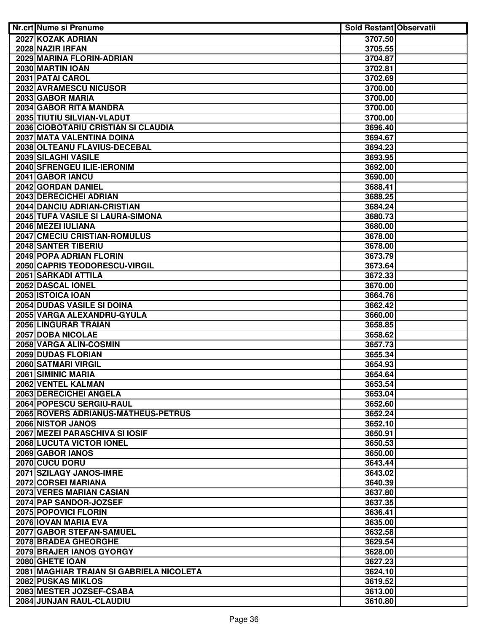| Nr.crt Nume si Prenume                                   | <b>Sold Restant Observatii</b> |  |
|----------------------------------------------------------|--------------------------------|--|
| 2027 KOZAK ADRIAN                                        | 3707.50                        |  |
| 2028 NAZIR IRFAN                                         | 3705.55                        |  |
| 2029 MARINA FLORIN-ADRIAN                                | 3704.87                        |  |
| 2030 MARTIN IOAN                                         | 3702.81                        |  |
| 2031 PATAI CAROL                                         | 3702.69                        |  |
| 2032 AVRAMESCU NICUSOR                                   | 3700.00                        |  |
| 2033 GABOR MARIA                                         | 3700.00                        |  |
| 2034 GABOR RITA MANDRA                                   | 3700.00                        |  |
| 2035 TIUTIU SILVIAN-VLADUT                               | 3700.00                        |  |
| 2036 CIOBOTARIU CRISTIAN SI CLAUDIA                      | 3696.40                        |  |
| 2037 MATA VALENTINA DOINA                                | 3694.67                        |  |
| 2038 OLTEANU FLAVIUS-DECEBAL                             | 3694.23                        |  |
| 2039 SILAGHI VASILE                                      | 3693.95                        |  |
| 2040 SFRENGEU ILIE-IERONIM                               | 3692.00                        |  |
| 2041 GABOR IANCU                                         | 3690.00                        |  |
| 2042 GORDAN DANIEL                                       | 3688.41                        |  |
| 2043 DERECICHEI ADRIAN                                   | 3688.25                        |  |
| 2044 DANCIU ADRIAN-CRISTIAN                              | 3684.24                        |  |
| 2045 TUFA VASILE SI LAURA-SIMONA                         | 3680.73                        |  |
| 2046 MEZEI IULIANA                                       | 3680.00                        |  |
| 2047 CMECIU CRISTIAN-ROMULUS                             | 3678.00                        |  |
| <b>2048 SANTER TIBERIU</b>                               | 3678.00                        |  |
| 2049 POPA ADRIAN FLORIN                                  | 3673.79                        |  |
| 2050 CAPRIS TEODORESCU-VIRGIL                            | 3673.64                        |  |
| 2051 SARKADI ATTILA                                      | 3672.33                        |  |
| 2052 DASCAL IONEL                                        | 3670.00                        |  |
| 2053 ISTOICA IOAN                                        | 3664.76                        |  |
| <b>2054 DUDAS VASILE SI DOINA</b>                        | 3662.42                        |  |
| 2055 VARGA ALEXANDRU-GYULA                               | 3660.00                        |  |
| 2056 LINGURAR TRAIAN                                     | 3658.85                        |  |
| 2057 DOBA NICOLAE                                        | 3658.62                        |  |
| 2058 VARGA ALIN-COSMIN                                   | 3657.73                        |  |
| 2059 DUDAS FLORIAN                                       | 3655.34                        |  |
| 2060 SATMARI VIRGIL                                      | 3654.93                        |  |
| 2061 SIMINIC MARIA                                       | 3654.64                        |  |
| 2062 VENTEL KALMAN                                       | 3653.54                        |  |
| 2063 DERECICHEI ANGELA<br>2064 POPESCU SERGIU-RAUL       | 3653.04                        |  |
|                                                          | 3652.60                        |  |
| 2065 ROVERS ADRIANUS-MATHEUS-PETRUS<br>2066 NISTOR JANOS | 3652.24                        |  |
| 2067 MEZEI PARASCHIVA SI IOSIF                           | 3652.10<br>3650.91             |  |
| 2068 LUCUTA VICTOR IONEL                                 | 3650.53                        |  |
| 2069 GABOR IANOS                                         | 3650.00                        |  |
| 2070 CUCU DORU                                           | 3643.44                        |  |
| 2071 SZILAGY JANOS-IMRE                                  | 3643.02                        |  |
| 2072 CORSEI MARIANA                                      | 3640.39                        |  |
| 2073 VERES MARIAN CASIAN                                 | 3637.80                        |  |
| 2074 PAP SANDOR-JOZSEF                                   | 3637.35                        |  |
| 2075 POPOVICI FLORIN                                     | 3636.41                        |  |
| 2076 IOVAN MARIA EVA                                     | 3635.00                        |  |
| 2077 GABOR STEFAN-SAMUEL                                 | 3632.58                        |  |
| 2078 BRADEA GHEORGHE                                     | 3629.54                        |  |
| <b>2079 BRAJER IANOS GYORGY</b>                          | 3628.00                        |  |
| 2080 GHETE IOAN                                          | 3627.23                        |  |
| 2081 MAGHIAR TRAIAN SI GABRIELA NICOLETA                 | 3624.10                        |  |
| 2082 PUSKAS MIKLOS                                       | 3619.52                        |  |
| 2083 MESTER JOZSEF-CSABA                                 | 3613.00                        |  |
| 2084 JUNJAN RAUL-CLAUDIU                                 | 3610.80                        |  |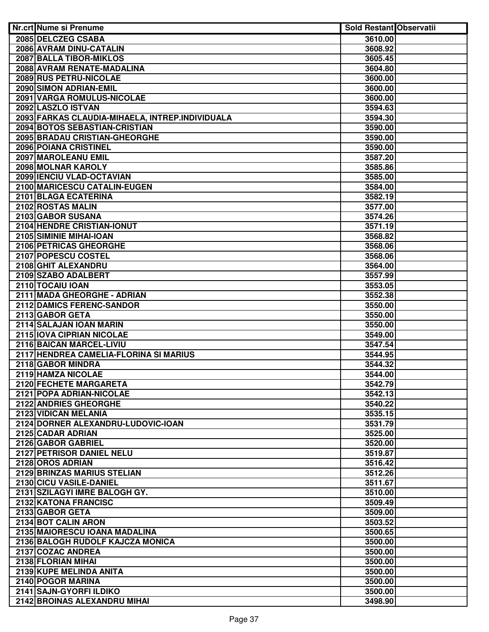| Nr.crt Nume si Prenume                                | <b>Sold Restant Observatii</b> |  |
|-------------------------------------------------------|--------------------------------|--|
| 2085 DELCZEG CSABA                                    | 3610.00                        |  |
| 2086 AVRAM DINU-CATALIN                               | 3608.92                        |  |
| 2087 BALLA TIBOR-MIKLOS                               | 3605.45                        |  |
| 2088 AVRAM RENATE-MADALINA                            | 3604.80                        |  |
| 2089 RUS PETRU-NICOLAE                                | 3600.00                        |  |
| 2090 SIMON ADRIAN-EMIL                                | 3600.00                        |  |
| 2091 VARGA ROMULUS-NICOLAE                            | 3600.00                        |  |
| 2092 LASZLO ISTVAN                                    | 3594.63                        |  |
| 2093 FARKAS CLAUDIA-MIHAELA, INTREP.INDIVIDUALA       | 3594.30                        |  |
| 2094 BOTOS SEBASTIAN-CRISTIAN                         | 3590.00                        |  |
| 2095 BRADAU CRISTIAN-GHEORGHE                         | 3590.00                        |  |
| 2096 POIANA CRISTINEL                                 | 3590.00                        |  |
| 2097 MAROLEANU EMIL                                   | 3587.20                        |  |
| 2098 MOLNAR KAROLY                                    | 3585.86                        |  |
| 2099 IENCIU VLAD-OCTAVIAN                             | 3585.00                        |  |
| 2100 MARICESCU CATALIN-EUGEN                          | 3584.00                        |  |
|                                                       |                                |  |
| 2101 BLAGA ECATERINA                                  | 3582.19                        |  |
| 2102 ROSTAS MALIN<br>2103 GABOR SUSANA                | 3577.00                        |  |
|                                                       | 3574.26                        |  |
| 2104 HENDRE CRISTIAN-IONUT<br>2105 SIMINIE MIHAI-IOAN | 3571.19                        |  |
|                                                       | 3568.82                        |  |
| 2106 PETRICAS GHEORGHE                                | 3568.06                        |  |
| 2107 POPESCU COSTEL                                   | 3568.06                        |  |
| 2108 GHIT ALEXANDRU                                   | 3564.00                        |  |
| 2109 SZABO ADALBERT                                   | 3557.99                        |  |
| 2110 TOCAIU IOAN                                      | 3553.05                        |  |
| 2111 MADA GHEORGHE - ADRIAN                           | 3552.38                        |  |
| 2112 DAMICS FERENC-SANDOR                             | 3550.00                        |  |
| 2113 GABOR GETA<br>2114 SALAJAN IOAN MARIN            | 3550.00                        |  |
| 2115 IOVA CIPRIAN NICOLAE                             | 3550.00<br>3549.00             |  |
| 2116 BAICAN MARCEL-LIVIU                              | 3547.54                        |  |
| 2117 HENDREA CAMELIA-FLORINA SI MARIUS                | 3544.95                        |  |
| 2118 GABOR MINDRA                                     | 3544.32                        |  |
| 2119 HAMZA NICOLAE                                    | 3544.00                        |  |
| 2120 FECHETE MARGARETA                                | 3542.79                        |  |
| 2121 POPA ADRIAN-NICOLAE                              | 3542.13                        |  |
| 2122 ANDRIES GHEORGHE                                 | 3540.22                        |  |
| 2123 VIDICAN MELANIA                                  | 3535.15                        |  |
| 2124 DORNER ALEXANDRU-LUDOVIC-IOAN                    | 3531.79                        |  |
| 2125 CADAR ADRIAN                                     | 3525.00                        |  |
| 2126 GABOR GABRIEL                                    | 3520.00                        |  |
| 2127 PETRISOR DANIEL NELU                             | 3519.87                        |  |
| 2128 OROS ADRIAN                                      | 3516.42                        |  |
| <b>2129 BRINZAS MARIUS STELIAN</b>                    | 3512.26                        |  |
| 2130 CICU VASILE-DANIEL                               | 3511.67                        |  |
| 2131 SZILAGYI IMRE BALOGH GY.                         | 3510.00                        |  |
| 2132 KATONA FRANCISC                                  | 3509.49                        |  |
| 2133 GABOR GETA                                       | 3509.00                        |  |
| 2134 BOT CALIN ARON                                   | 3503.52                        |  |
| 2135 MAIORESCU IOANA MADALINA                         | 3500.65                        |  |
| 2136 BALOGH RUDOLF KAJCZA MONICA                      | 3500.00                        |  |
| 2137 COZAC ANDREA                                     | 3500.00                        |  |
| 2138 FLORIAN MIHAI                                    | 3500.00                        |  |
| 2139 KUPE MELINDA ANITA                               | 3500.00                        |  |
| 2140 POGOR MARINA                                     | 3500.00                        |  |
| 2141 SAJN-GYORFI ILDIKO                               | 3500.00                        |  |
| 2142 BROINAS ALEXANDRU MIHAI                          | 3498.90                        |  |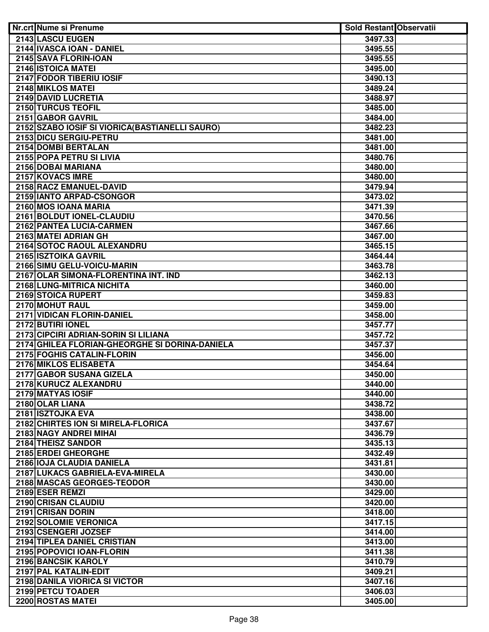| Nr.crt Nume si Prenume                          | <b>Sold Restant Observatii</b> |  |
|-------------------------------------------------|--------------------------------|--|
| 2143 LASCU EUGEN                                | 3497.33                        |  |
| 2144 IVASCA IOAN - DANIEL                       | 3495.55                        |  |
| 2145 SAVA FLORIN-IOAN                           | 3495.55                        |  |
| 2146 ISTOICA MATEI                              | 3495.00                        |  |
| 2147 FODOR TIBERIU IOSIF                        | 3490.13                        |  |
| <b>2148 MIKLOS MATEI</b>                        | 3489.24                        |  |
| 2149 DAVID LUCRETIA                             | 3488.97                        |  |
| 2150 TURCUS TEOFIL                              | 3485.00                        |  |
| 2151 GABOR GAVRIL                               | 3484.00                        |  |
| 2152 SZABO IOSIF SI VIORICA (BASTIANELLI SAURO) | 3482.23                        |  |
| 2153 DICU SERGIU-PETRU                          | 3481.00                        |  |
| 2154 DOMBI BERTALAN                             | 3481.00                        |  |
| 2155 POPA PETRU SI LIVIA                        | 3480.76                        |  |
| 2156 DOBAI MARIANA                              | 3480.00                        |  |
| 2157 KOVACS IMRE                                | 3480.00                        |  |
| 2158 RACZ EMANUEL-DAVID                         | 3479.94                        |  |
| 2159 IANTO ARPAD-CSONGOR                        | 3473.02                        |  |
| 2160 MOS IOANA MARIA                            | 3471.39                        |  |
| 2161 BOLDUT IONEL-CLAUDIU                       | 3470.56                        |  |
| 2162 PANTEA LUCIA-CARMEN                        | 3467.66                        |  |
| 2163 MATEI ADRIAN GH                            | 3467.00                        |  |
| 2164 SOTOC RAOUL ALEXANDRU                      | 3465.15                        |  |
| 2165 ISZTOIKA GAVRIL                            | 3464.44                        |  |
| 2166 SIMU GELU-VOICU-MARIN                      | 3463.78                        |  |
| 2167 OLAR SIMONA-FLORENTINA INT. IND            | 3462.13                        |  |
| 2168 LUNG-MITRICA NICHITA                       | 3460.00                        |  |
| 2169 STOICA RUPERT                              | 3459.83                        |  |
| 2170 MOHUT RAUL                                 | 3459.00                        |  |
| 2171 VIDICAN FLORIN-DANIEL                      | 3458.00                        |  |
| 2172 BUTIRI IONEL                               | 3457.77                        |  |
| 2173 CIPCIRI ADRIAN-SORIN SI LILIANA            | 3457.72                        |  |
| 2174 GHILEA FLORIAN-GHEORGHE SI DORINA-DANIELA  | 3457.37                        |  |
| 2175 FOGHIS CATALIN-FLORIN                      | 3456.00                        |  |
| 2176 MIKLOS ELISABETA                           | 3454.64                        |  |
| 2177 GABOR SUSANA GIZELA                        | 3450.00                        |  |
| 2178 KURUCZ ALEXANDRU                           | 3440.00                        |  |
| 2179 MATYAS IOSIF                               | 3440.00                        |  |
| 2180 OLAR LIANA                                 | 3438.72                        |  |
| 2181 ISZTOJKA EVA                               | 3438.00                        |  |
| 2182 CHIRTES ION SI MIRELA-FLORICA              | 3437.67                        |  |
| 2183 NAGY ANDREI MIHAI                          | 3436.79                        |  |
| 2184 THEISZ SANDOR                              | 3435.13                        |  |
| 2185 ERDEI GHEORGHE                             | 3432.49                        |  |
| 2186 IOJA CLAUDIA DANIELA                       | 3431.81                        |  |
| 2187 LUKACS GABRIELA-EVA-MIRELA                 | 3430.00                        |  |
| 2188 MASCAS GEORGES-TEODOR                      | 3430.00                        |  |
| 2189 ESER REMZI                                 | 3429.00                        |  |
| 2190 CRISAN CLAUDIU                             | 3420.00                        |  |
| 2191 CRISAN DORIN                               | 3418.00                        |  |
| 2192 SOLOMIE VERONICA                           | 3417.15                        |  |
| 2193 CSENGERI JOZSEF                            | 3414.00                        |  |
| 2194 TIPLEA DANIEL CRISTIAN                     | 3413.00                        |  |
| 2195 POPOVICI IOAN-FLORIN                       | 3411.38                        |  |
| <b>2196 BANCSIK KAROLY</b>                      | 3410.79                        |  |
| 2197 PAL KATALIN-EDIT                           | 3409.21                        |  |
| 2198 DANILA VIORICA SI VICTOR                   | 3407.16                        |  |
| 2199 PETCU TOADER                               | 3406.03                        |  |
| 2200 ROSTAS MATEI                               | 3405.00                        |  |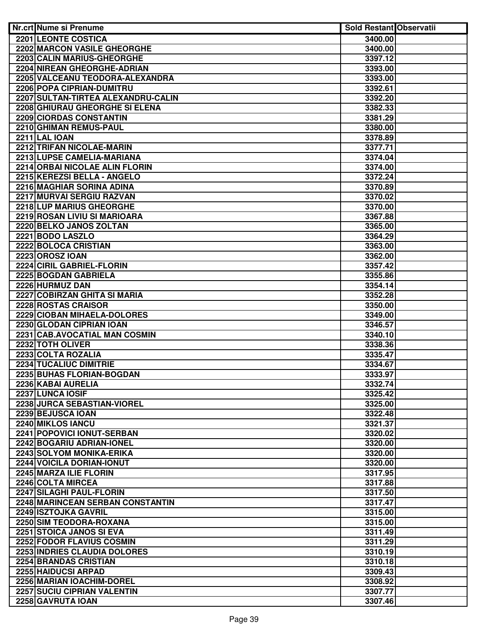| <b>Nr.crt Nume si Prenume</b>       | <b>Sold Restant Observatii</b> |  |
|-------------------------------------|--------------------------------|--|
| <b>2201 LEONTE COSTICA</b>          | 3400.00                        |  |
| <b>2202 MARCON VASILE GHEORGHE</b>  | 3400.00                        |  |
| 2203 CALIN MARIUS-GHEORGHE          | 3397.12                        |  |
| 2204 NIREAN GHEORGHE-ADRIAN         | 3393.00                        |  |
| 2205 VALCEANU TEODORA-ALEXANDRA     | 3393.00                        |  |
| <b>2206 POPA CIPRIAN-DUMITRU</b>    | 3392.61                        |  |
| 2207 SULTAN-TIRTEA ALEXANDRU-CALIN  | 3392.20                        |  |
| 2208 GHIURAU GHEORGHE SI ELENA      | 3382.33                        |  |
| 2209 CIORDAS CONSTANTIN             | 3381.29                        |  |
| 2210 GHIMAN REMUS-PAUL              | 3380.00                        |  |
| <b>2211 LAL IOAN</b>                | 3378.89                        |  |
| 2212 TRIFAN NICOLAE-MARIN           | 3377.71                        |  |
| 2213 LUPSE CAMELIA-MARIANA          | 3374.04                        |  |
| 2214 ORBAI NICOLAE ALIN FLORIN      | 3374.00                        |  |
| 2215 KEREZSI BELLA - ANGELO         | 3372.24                        |  |
| 2216 MAGHIAR SORINA ADINA           | 3370.89                        |  |
| 2217 MURVAI SERGIU RAZVAN           | 3370.02                        |  |
| 2218 LUP MARIUS GHEORGHE            | 3370.00                        |  |
| 2219 ROSAN LIVIU SI MARIOARA        | 3367.88                        |  |
| 2220 BELKO JANOS ZOLTAN             | 3365.00                        |  |
| 2221 BODO LASZLO                    | 3364.29                        |  |
| 2222 BOLOCA CRISTIAN                | 3363.00                        |  |
| 2223 OROSZ IOAN                     | 3362.00                        |  |
| 2224 CIRIL GABRIEL-FLORIN           | 3357.42                        |  |
| 2225 BOGDAN GABRIELA                | 3355.86                        |  |
| 2226 HURMUZ DAN                     | 3354.14                        |  |
| <b>2227 COBIRZAN GHITA SI MARIA</b> | 3352.28                        |  |
| 2228 ROSTAS CRAISOR                 | 3350.00                        |  |
| 2229 CIOBAN MIHAELA-DOLORES         | 3349.00                        |  |
| 2230 GLODAN CIPRIAN IOAN            | 3346.57                        |  |
| 2231 CAB.AVOCATIAL MAN COSMIN       | 3340.10                        |  |
| 2232 TOTH OLIVER                    | 3338.36                        |  |
| 2233 COLTA ROZALIA                  | 3335.47                        |  |
| 2234 TUCALIUC DIMITRIE              | 3334.67                        |  |
| 2235 BUHAS FLORIAN-BOGDAN           | 3333.97                        |  |
| 2236 KABAI AURELIA                  | 3332.74                        |  |
| 2237 LUNCA IOSIF                    | 3325.42                        |  |
| 2238 JURCA SEBASTIAN-VIOREL         | 3325.00                        |  |
|                                     |                                |  |
| 2239 BEJUSCA IOAN                   | 3322.48                        |  |
| 2240 MIKLOS IANCU                   | 3321.37                        |  |
| 2241 POPOVICI IONUT-SERBAN          | 3320.02                        |  |
| 2242 BOGARIU ADRIAN-IONEL           | 3320.00                        |  |
| 2243 SOLYOM MONIKA-ERIKA            | 3320.00                        |  |
| 2244 VOICILA DORIAN-IONUT           | 3320.00                        |  |
| 2245 MARZA ILIE FLORIN              | 3317.95                        |  |
| 2246 COLTA MIRCEA                   | 3317.88                        |  |
| 2247 SILAGHI PAUL-FLORIN            | 3317.50                        |  |
| 2248 MARINCEAN SERBAN CONSTANTIN    | 3317.47                        |  |
| 2249 ISZTOJKA GAVRIL                | 3315.00                        |  |
| 2250 SIM TEODORA-ROXANA             | 3315.00                        |  |
| 2251 STOICA JANOS SI EVA            | 3311.49                        |  |
| 2252 FODOR FLAVIUS COSMIN           | 3311.29                        |  |
| 2253 INDRIES CLAUDIA DOLORES        | 3310.19                        |  |
| <b>2254 BRANDAS CRISTIAN</b>        | 3310.18                        |  |
| 2255 HAIDUCSI ARPAD                 | 3309.43                        |  |
| 2256 MARIAN IOACHIM-DOREL           | 3308.92                        |  |
| 2257 SUCIU CIPRIAN VALENTIN         | 3307.77                        |  |
| 2258 GAVRUTA IOAN                   | 3307.46                        |  |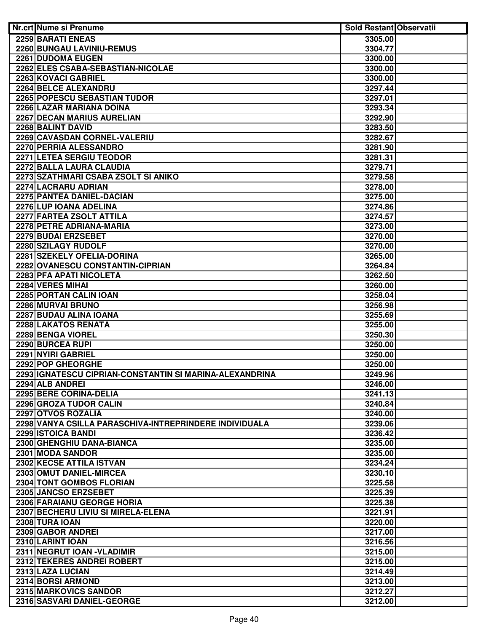| <b>Nr.crt Nume si Prenume</b>                           | <b>Sold Restant Observatii</b> |  |
|---------------------------------------------------------|--------------------------------|--|
| 2259 BARATI ENEAS                                       | 3305.00                        |  |
| <b>2260 BUNGAU LAVINIU-REMUS</b>                        | 3304.77                        |  |
| 2261 DUDOMA EUGEN                                       | 3300.00                        |  |
| 2262 ELES CSABA-SEBASTIAN-NICOLAE                       | 3300.00                        |  |
| 2263 KOVACI GABRIEL                                     | 3300.00                        |  |
| 2264 BELCE ALEXANDRU                                    | 3297.44                        |  |
| <b>2265 POPESCU SEBASTIAN TUDOR</b>                     | 3297.01                        |  |
| 2266 LAZAR MARIANA DOINA                                | 3293.34                        |  |
| 2267 DECAN MARIUS AURELIAN                              | 3292.90                        |  |
| 2268 BALINT DAVID                                       | 3283.50                        |  |
| 2269 CAVASDAN CORNEL-VALERIU                            | 3282.67                        |  |
| 2270 PERRIA ALESSANDRO                                  | 3281.90                        |  |
| 2271 LETEA SERGIU TEODOR                                | 3281.31                        |  |
| 2272 BALLA LAURA CLAUDIA                                | 3279.71                        |  |
| 2273 SZATHMARI CSABA ZSOLT SI ANIKO                     | 3279.58                        |  |
| 2274 LACRARU ADRIAN                                     | 3278.00                        |  |
| 2275 PANTEA DANIEL-DACIAN                               | 3275.00                        |  |
| 2276 LUP IOANA ADELINA                                  | 3274.86                        |  |
| 2277 FARTEA ZSOLT ATTILA                                | 3274.57                        |  |
| 2278 PETRE ADRIANA-MARIA                                | 3273.00                        |  |
| 2279 BUDAI ERZSEBET                                     | 3270.00                        |  |
| 2280 SZILAGY RUDOLF                                     | 3270.00                        |  |
| 2281 SZEKELY OFELIA-DORINA                              | 3265.00                        |  |
| 2282 OVANESCU CONSTANTIN-CIPRIAN                        | 3264.84                        |  |
| 2283 PFA APATI NICOLETA                                 | 3262.50                        |  |
| 2284 VERES MIHAI                                        | 3260.00                        |  |
| 2285 PORTAN CALIN IOAN                                  | 3258.04                        |  |
| 2286 MURVAI BRUNO                                       | 3256.98                        |  |
| 2287 BUDAU ALINA IOANA                                  | 3255.69                        |  |
| 2288 LAKATOS RENATA                                     | 3255.00                        |  |
| <b>2289 BENGA VIOREL</b>                                | 3250.30                        |  |
| 2290 BURCEA RUPI                                        | 3250.00                        |  |
| 2291 NYIRI GABRIEL                                      | 3250.00                        |  |
| 2292 POP GHEORGHE                                       | 3250.00                        |  |
| 2293 IGNATESCU CIPRIAN-CONSTANTIN SI MARINA-ALEXANDRINA | 3249.96                        |  |
| 2294 ALB ANDREI                                         | 3246.00                        |  |
| 2295 BERE CORINA-DELIA                                  | 3241.13                        |  |
| 2296 GROZA TUDOR CALIN                                  | 3240.84                        |  |
| 2297 OTVOS ROZALIA                                      | 3240.00                        |  |
| 2298 VANYA CSILLA PARASCHIVA-INTREPRINDERE INDIVIDUALA  | 3239.06                        |  |
| 2299 ISTOICA BANDI                                      | 3236.42                        |  |
| 2300 GHENGHIU DANA-BIANCA                               | 3235.00                        |  |
| 2301 MODA SANDOR                                        | 3235.00                        |  |
| 2302 KECSE ATTILA ISTVAN                                | 3234.24                        |  |
| 2303 OMUT DANIEL-MIRCEA                                 | 3230.10                        |  |
| 2304 TONT GOMBOS FLORIAN                                | 3225.58                        |  |
| 2305 JANCSO ERZSEBET                                    | 3225.39                        |  |
| 2306 FARAIANU GEORGE HORIA                              | 3225.38                        |  |
| 2307 BECHERU LIVIU SI MIRELA-ELENA                      | 3221.91                        |  |
| 2308 TURA IOAN                                          | 3220.00                        |  |
| 2309 GABOR ANDREI                                       | 3217.00                        |  |
| 2310 LARINT IOAN                                        | 3216.56                        |  |
| 2311 NEGRUT IOAN - VLADIMIR                             | 3215.00                        |  |
| 2312 TEKERES ANDREI ROBERT                              | 3215.00                        |  |
| 2313 LAZA LUCIAN                                        | 3214.49                        |  |
| 2314 BORSI ARMOND                                       | 3213.00                        |  |
| 2315 MARKOVICS SANDOR                                   | 3212.27                        |  |
| 2316 SASVARI DANIEL-GEORGE                              | 3212.00                        |  |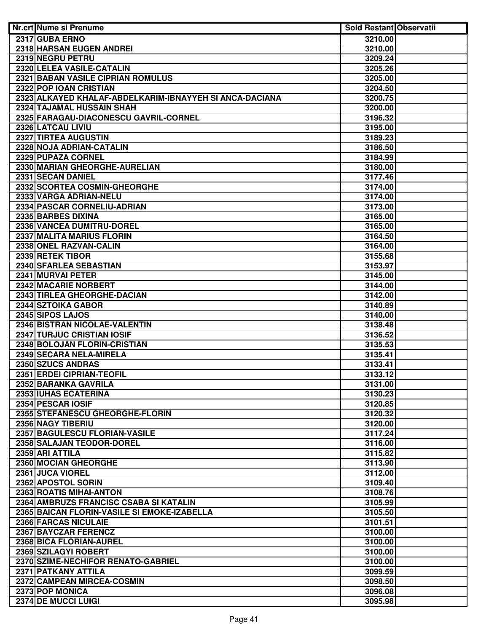| Nr.crt Nume si Prenume                                  | <b>Sold Restant Observatii</b> |  |
|---------------------------------------------------------|--------------------------------|--|
| 2317 GUBA ERNO                                          | 3210.00                        |  |
| 2318 HARSAN EUGEN ANDREI                                | 3210.00                        |  |
| 2319 NEGRU PETRU                                        | 3209.24                        |  |
| 2320 LELEA VASILE-CATALIN                               | 3205.26                        |  |
| <b>2321 BABAN VASILE CIPRIAN ROMULUS</b>                | 3205.00                        |  |
| 2322 POP IOAN CRISTIAN                                  | 3204.50                        |  |
| 2323 ALKAYED KHALAF-ABDELKARIM-IBNAYYEH SI ANCA-DACIANA | 3200.75                        |  |
| 2324 TAJAMAL HUSSAIN SHAH                               | 3200.00                        |  |
| 2325 FARAGAU-DIACONESCU GAVRIL-CORNEL                   | 3196.32                        |  |
| 2326 LATCAU LIVIU                                       | 3195.00                        |  |
| 2327 TIRTEA AUGUSTIN                                    | 3189.23                        |  |
| 2328 NOJA ADRIAN-CATALIN                                | 3186.50                        |  |
| 2329 PUPAZA CORNEL                                      | 3184.99                        |  |
| 2330 MARIAN GHEORGHE-AURELIAN                           | 3180.00                        |  |
| 2331 SECAN DANIEL                                       | 3177.46                        |  |
| 2332 SCORTEA COSMIN-GHEORGHE                            | 3174.00                        |  |
| 2333 VARGA ADRIAN-NELU                                  | 3174.00                        |  |
| 2334 PASCAR CORNELIU-ADRIAN                             | 3173.00                        |  |
| 2335 BARBES DIXINA                                      | 3165.00                        |  |
| 2336 VANCEA DUMITRU-DOREL                               | 3165.00                        |  |
| 2337 MALITA MARIUS FLORIN                               | 3164.50                        |  |
| 2338 ONEL RAZVAN-CALIN                                  | 3164.00                        |  |
| 2339 RETEK TIBOR                                        | 3155.68                        |  |
| 2340 SFARLEA SEBASTIAN                                  | 3153.97                        |  |
| 2341 MURVAI PETER                                       | 3145.00                        |  |
| 2342 MACARIE NORBERT                                    | 3144.00                        |  |
| 2343 TIRLEA GHEORGHE-DACIAN                             | 3142.00                        |  |
| 2344 SZTOIKA GABOR                                      | 3140.89                        |  |
| 2345 SIPOS LAJOS                                        | 3140.00                        |  |
| 2346 BISTRAN NICOLAE-VALENTIN                           | 3138.48                        |  |
| 2347 TURJUC CRISTIAN IOSIF                              | 3136.52                        |  |
| 2348 BOLOJAN FLORIN-CRISTIAN                            | 3135.53                        |  |
| 2349 SECARA NELA-MIRELA                                 | 3135.41                        |  |
| 2350 SZUCS ANDRAS                                       | 3133.41                        |  |
| 2351 ERDEI CIPRIAN-TEOFIL                               | 3133.12                        |  |
| 2352 BARANKA GAVRILA                                    | 3131.00                        |  |
| 2353 IUHAS ECATERINA                                    | 3130.23                        |  |
| 2354 PESCAR IOSIF                                       | 3120.85                        |  |
| 2355 STEFANESCU GHEORGHE-FLORIN                         | 3120.32                        |  |
| 2356 NAGY TIBERIU                                       | 3120.00                        |  |
| 2357 BAGULESCU FLORIAN-VASILE                           | 3117.24                        |  |
| 2358 SALAJAN TEODOR-DOREL                               | 3116.00                        |  |
| 2359 ARI ATTILA                                         | 3115.82                        |  |
| 2360 MOCIAN GHEORGHE                                    | 3113.90                        |  |
| 2361 JUCA VIOREL                                        | 3112.00                        |  |
| 2362 APOSTOL SORIN                                      | 3109.40                        |  |
| 2363 ROATIS MIHAI-ANTON                                 | 3108.76                        |  |
| 2364 AMBRUZS FRANCISC CSABA SI KATALIN                  | 3105.99                        |  |
| 2365 BAICAN FLORIN-VASILE SI EMOKE-IZABELLA             | 3105.50                        |  |
| 2366 FARCAS NICULAIE                                    | 3101.51                        |  |
| 2367 BAYCZAR FERENCZ                                    | 3100.00                        |  |
| 2368 BICA FLORIAN-AUREL                                 | 3100.00                        |  |
| 2369 SZILAGYI ROBERT                                    | 3100.00                        |  |
| 2370 SZIME-NECHIFOR RENATO-GABRIEL                      | 3100.00                        |  |
| 2371 PATKANY ATTILA                                     | 3099.59                        |  |
| 2372 CAMPEAN MIRCEA-COSMIN                              | 3098.50                        |  |
| 2373 POP MONICA                                         | 3096.08                        |  |
| 2374 DE MUCCI LUIGI                                     | 3095.98                        |  |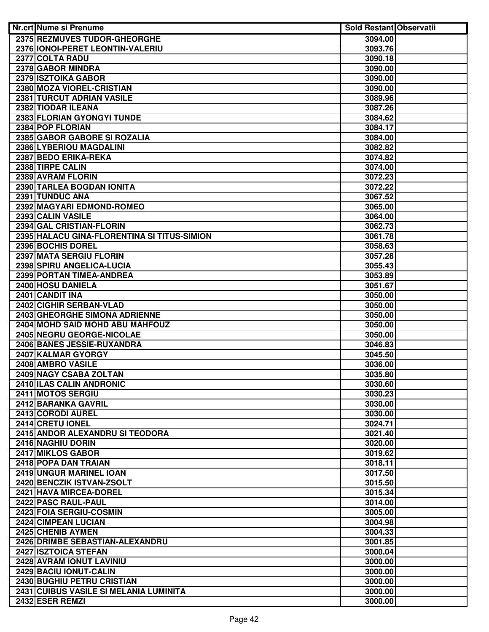| Nr.crt Nume si Prenume                      | <b>Sold Restant Observatii</b> |  |
|---------------------------------------------|--------------------------------|--|
| 2375 REZMUVES TUDOR-GHEORGHE                | 3094.00                        |  |
| 2376 IONOI-PERET LEONTIN-VALERIU            | 3093.76                        |  |
| 2377 COLTA RADU                             | 3090.18                        |  |
| 2378 GABOR MINDRA                           | 3090.00                        |  |
| 2379 ISZTOIKA GABOR                         | 3090.00                        |  |
| 2380 MOZA VIOREL-CRISTIAN                   | 3090.00                        |  |
| <b>2381 TURCUT ADRIAN VASILE</b>            | 3089.96                        |  |
| 2382 TIODAR ILEANA                          | 3087.26                        |  |
| 2383 FLORIAN GYONGYI TUNDE                  | 3084.62                        |  |
| 2384 POP FLORIAN                            | 3084.17                        |  |
| 2385 GABOR GABORE SI ROZALIA                | 3084.00                        |  |
| 2386 LYBERIOU MAGDALINI                     | 3082.82                        |  |
| 2387 BEDO ERIKA-REKA                        | 3074.82                        |  |
| 2388 TIRPE CALIN                            | 3074.00                        |  |
| 2389 AVRAM FLORIN                           | 3072.23                        |  |
| 2390 TARLEA BOGDAN IONITA                   | 3072.22                        |  |
| 2391 TUNDUC ANA                             | 3067.52                        |  |
| 2392 MAGYARI EDMOND-ROMEO                   | 3065.00                        |  |
| 2393 CALIN VASILE                           | 3064.00                        |  |
| 2394 GAL CRISTIAN-FLORIN                    | 3062.73                        |  |
| 2395 HALACU GINA-FLORENTINA SI TITUS-SIMION | 3061.78                        |  |
| 2396 BOCHIS DOREL                           | 3058.63                        |  |
| 2397 MATA SERGIU FLORIN                     | 3057.28                        |  |
| 2398 SPIRU ANGELICA-LUCIA                   | 3055.43                        |  |
| 2399 PORTAN TIMEA-ANDREA                    | 3053.89                        |  |
| 2400 HOSU DANIELA                           | 3051.67                        |  |
| 2401 CANDIT INA                             | 3050.00                        |  |
| 2402 CIGHIR SERBAN-VLAD                     | 3050.00                        |  |
| 2403 GHEORGHE SIMONA ADRIENNE               | 3050.00                        |  |
| 2404 MOHD SAID MOHD ABU MAHFOUZ             | 3050.00                        |  |
| 2405 NEGRU GEORGE-NICOLAE                   | 3050.00                        |  |
| 2406 BANES JESSIE-RUXANDRA                  | 3046.83                        |  |
| 2407 KALMAR GYORGY                          | 3045.50                        |  |
| 2408 AMBRO VASILE                           | 3036.00                        |  |
| 2409 NAGY CSABA ZOLTAN                      | 3035.80                        |  |
| 2410 ILAS CALIN ANDRONIC                    | 3030.60                        |  |
| 2411 MOTOS SERGIU                           | 3030.23                        |  |
| 2412 BARANKA GAVRIL                         | 3030.00                        |  |
| 2413 CORODI AUREL                           | 3030.00                        |  |
| 2414 CRETU IONEL                            | 3024.71                        |  |
| 2415 ANDOR ALEXANDRU SI TEODORA             | 3021.40                        |  |
| 2416 NAGHIU DORIN                           | 3020.00                        |  |
| 2417 MIKLOS GABOR                           | 3019.62                        |  |
| 2418 POPA DAN TRAIAN                        | 3018.11                        |  |
| 2419 UNGUR MARINEL IOAN                     | 3017.50                        |  |
| 2420 BENCZIK ISTVAN-ZSOLT                   | 3015.50                        |  |
| 2421 HAVA MIRCEA-DOREL                      | 3015.34                        |  |
| 2422 PASC RAUL-PAUL                         | 3014.00                        |  |
| 2423 FOIA SERGIU-COSMIN                     | 3005.00                        |  |
| 2424 CIMPEAN LUCIAN                         | 3004.98                        |  |
| 2425 CHENIB AYMEN                           | 3004.33                        |  |
| 2426 DRIMBE SEBASTIAN-ALEXANDRU             | 3001.85                        |  |
| 2427 ISZTOICA STEFAN                        | 3000.04                        |  |
| 2428 AVRAM IONUT LAVINIU                    | 3000.00                        |  |
| 2429 BACIU IONUT-CALIN                      | 3000.00                        |  |
| 2430 BUGHIU PETRU CRISTIAN                  | 3000.00                        |  |
| 2431 CUIBUS VASILE SI MELANIA LUMINITA      | 3000.00                        |  |
| 2432 ESER REMZI                             | 3000.00                        |  |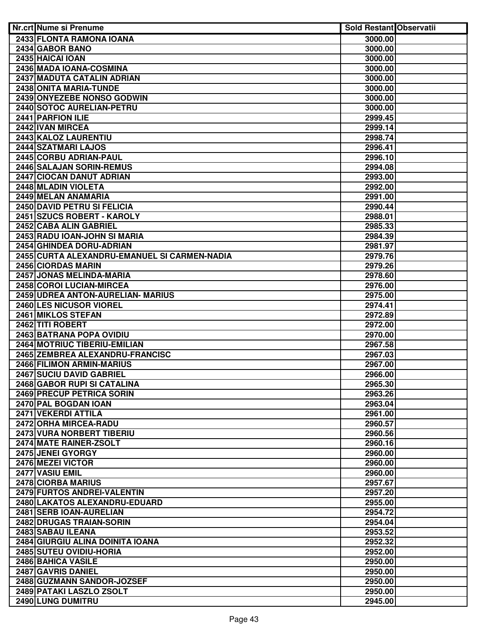| Nr.crt Nume si Prenume                                   | <b>Sold Restant Observatii</b> |  |
|----------------------------------------------------------|--------------------------------|--|
| 2433 FLONTA RAMONA IOANA                                 | 3000.00                        |  |
| 2434 GABOR BANO                                          | 3000.00                        |  |
| 2435 HAICAI IOAN                                         | 3000.00                        |  |
| 2436 MADA IOANA-COSMINA                                  | 3000.00                        |  |
| 2437 MADUTA CATALIN ADRIAN                               | 3000.00                        |  |
| 2438 ONITA MARIA-TUNDE                                   | 3000.00                        |  |
| 2439 ONYEZEBE NONSO GODWIN                               | 3000.00                        |  |
| 2440 SOTOC AURELIAN-PETRU                                | 3000.00                        |  |
| 2441 PARFION ILIE                                        | 2999.45                        |  |
| 2442 IVAN MIRCEA                                         | 2999.14                        |  |
| 2443 KALOZ LAURENTIU                                     | 2998.74                        |  |
| 2444 SZATMARI LAJOS                                      | 2996.41                        |  |
| 2445 CORBU ADRIAN-PAUL                                   | 2996.10                        |  |
| 2446 SALAJAN SORIN-REMUS                                 | 2994.08                        |  |
| 2447 CIOCAN DANUT ADRIAN                                 | 2993.00                        |  |
| 2448 MLADIN VIOLETA                                      | 2992.00                        |  |
| 2449 MELAN ANAMARIA                                      | 2991.00                        |  |
| 2450 DAVID PETRU SI FELICIA                              | 2990.44                        |  |
| 2451 SZUCS ROBERT - KAROLY                               | 2988.01                        |  |
| 2452 CABA ALIN GABRIEL                                   | 2985.33                        |  |
| 2453 RADU IOAN-JOHN SI MARIA                             | 2984.39                        |  |
| 2454 GHINDEA DORU-ADRIAN                                 | 2981.97                        |  |
| 2455 CURTA ALEXANDRU-EMANUEL SI CARMEN-NADIA             | 2979.76                        |  |
| 2456 CIORDAS MARIN                                       | 2979.26                        |  |
| 2457 JONAS MELINDA-MARIA                                 | 2978.60                        |  |
| 2458 COROI LUCIAN-MIRCEA                                 | 2976.00                        |  |
| 2459 UDREA ANTON-AURELIAN- MARIUS                        | 2975.00                        |  |
| 2460 LES NICUSOR VIOREL                                  | 2974.41                        |  |
| 2461 MIKLOS STEFAN                                       | 2972.89                        |  |
| 2462 TITI ROBERT                                         | 2972.00                        |  |
| 2463 BATRANA POPA OVIDIU                                 | 2970.00                        |  |
| <b>2464 MOTRIUC TIBERIU-EMILIAN</b>                      | 2967.58                        |  |
| 2465 ZEMBREA ALEXANDRU-FRANCISC                          | 2967.03                        |  |
| 2466 FILIMON ARMIN-MARIUS                                | 2967.00                        |  |
| 2467 SUCIU DAVID GABRIEL                                 | 2966.00                        |  |
| 2468 GABOR RUPI SI CATALINA<br>2469 PRECUP PETRICA SORIN | 2965.30<br>2963.26             |  |
| 2470 PAL BOGDAN IOAN                                     | 2963.04                        |  |
| 2471 VEKERDI ATTILA                                      | 2961.00                        |  |
| 2472 ORHA MIRCEA-RADU                                    | 2960.57                        |  |
| 2473 VURA NORBERT TIBERIU                                | 2960.56                        |  |
| <b>2474 MATE RAINER-ZSOLT</b>                            | 2960.16                        |  |
| 2475 JENEI GYORGY                                        | 2960.00                        |  |
| 2476 MEZEI VICTOR                                        | 2960.00                        |  |
| 2477 VASIU EMIL                                          | 2960.00                        |  |
| 2478 CIORBA MARIUS                                       | 2957.67                        |  |
| 2479 FURTOS ANDREI-VALENTIN                              | 2957.20                        |  |
| 2480 LAKATOS ALEXANDRU-EDUARD                            | 2955.00                        |  |
| 2481 SERB IOAN-AURELIAN                                  | 2954.72                        |  |
| 2482 DRUGAS TRAIAN-SORIN                                 | 2954.04                        |  |
| 2483 SABAU ILEANA                                        | 2953.52                        |  |
| 2484 GIURGIU ALINA DOINITA IOANA                         | 2952.32                        |  |
| 2485 SUTEU OVIDIU-HORIA                                  | 2952.00                        |  |
| 2486 BAHICA VASILE                                       | 2950.00                        |  |
| 2487 GAVRIS DANIEL                                       | 2950.00                        |  |
| 2488 GUZMANN SANDOR-JOZSEF                               | 2950.00                        |  |
| 2489 PATAKI LASZLO ZSOLT                                 | 2950.00                        |  |
| 2490 LUNG DUMITRU                                        | 2945.00                        |  |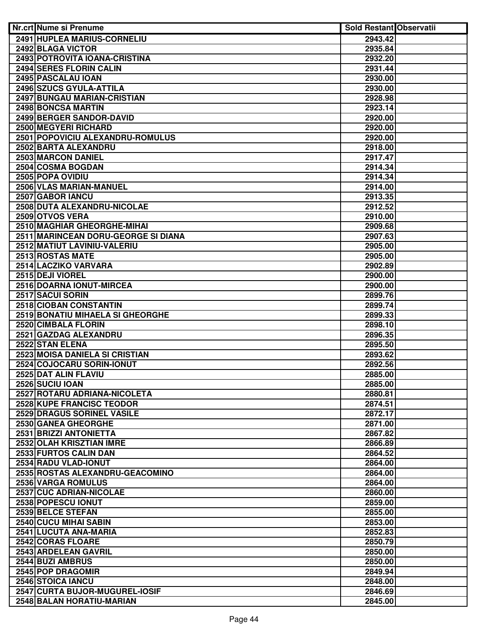| Nr.crt Nume si Prenume              | <b>Sold Restant Observatii</b> |  |
|-------------------------------------|--------------------------------|--|
| 2491 HUPLEA MARIUS-CORNELIU         | 2943.42                        |  |
| 2492 BLAGA VICTOR                   | 2935.84                        |  |
| 2493 POTROVITA IOANA-CRISTINA       | 2932.20                        |  |
| <b>2494 SERES FLORIN CALIN</b>      | 2931.44                        |  |
| 2495 PASCALAU IOAN                  | 2930.00                        |  |
| 2496 SZUCS GYULA-ATTILA             | 2930.00                        |  |
| 2497 BUNGAU MARIAN-CRISTIAN         | 2928.98                        |  |
| 2498 BONCSA MARTIN                  | 2923.14                        |  |
| 2499 BERGER SANDOR-DAVID            | 2920.00                        |  |
| 2500 MEGYERI RICHARD                | 2920.00                        |  |
| 2501 POPOVICIU ALEXANDRU-ROMULUS    | 2920.00                        |  |
| 2502 BARTA ALEXANDRU                | 2918.00                        |  |
| 2503 MARCON DANIEL                  | 2917.47                        |  |
| 2504 COSMA BOGDAN                   | 2914.34                        |  |
| 2505 POPA OVIDIU                    | 2914.34                        |  |
| 2506 VLAS MARIAN-MANUEL             | 2914.00                        |  |
| 2507 GABOR IANCU                    | 2913.35                        |  |
| 2508 DUTA ALEXANDRU-NICOLAE         | 2912.52                        |  |
| 2509 OTVOS VERA                     | 2910.00                        |  |
| 2510 MAGHIAR GHEORGHE-MIHAI         | 2909.68                        |  |
| 2511 MARINCEAN DORU-GEORGE SI DIANA | 2907.63                        |  |
| 2512 MATIUT LAVINIU-VALERIU         | 2905.00                        |  |
| 2513 ROSTAS MATE                    | 2905.00                        |  |
| 2514 LACZIKO VARVARA                | 2902.89                        |  |
| 2515 DEJI VIOREL                    | 2900.00                        |  |
| 2516 DOARNA IONUT-MIRCEA            | 2900.00                        |  |
| 2517 SACUI SORIN                    | 2899.76                        |  |
| 2518 CIOBAN CONSTANTIN              | 2899.74                        |  |
| 2519 BONATIU MIHAELA SI GHEORGHE    | 2899.33                        |  |
| 2520 CIMBALA FLORIN                 | 2898.10                        |  |
| 2521 GAZDAG ALEXANDRU               | 2896.35                        |  |
| 2522 STAN ELENA                     | 2895.50                        |  |
| 2523 MOISA DANIELA SI CRISTIAN      | 2893.62                        |  |
| 2524 COJOCARU SORIN-IONUT           | 2892.56                        |  |
| 2525 DAT ALIN FLAVIU                | 2885.00                        |  |
| 2526 SUCIU IOAN                     | 2885.00                        |  |
| 2527 ROTARU ADRIANA-NICOLETA        | 2880.81                        |  |
| 2528 KUPE FRANCISC TEODOR           | 2874.51                        |  |
| 2529 DRAGUS SORINEL VASILE          |                                |  |
|                                     | 2872.17                        |  |
| 2530 GANEA GHEORGHE                 | 2871.00                        |  |
| 2531 BRIZZI ANTONIETTA              | 2867.82                        |  |
| 2532 OLAH KRISZTIAN IMRE            | 2866.89                        |  |
| 2533 FURTOS CALIN DAN               | 2864.52                        |  |
| 2534 RADU VLAD-IONUT                | 2864.00                        |  |
| 2535 ROSTAS ALEXANDRU-GEACOMINO     | 2864.00                        |  |
| 2536 VARGA ROMULUS                  | 2864.00                        |  |
| 2537 CUC ADRIAN-NICOLAE             | 2860.00                        |  |
| 2538 POPESCU IONUT                  | 2859.00                        |  |
| 2539 BELCE STEFAN                   | 2855.00                        |  |
| 2540 CUCU MIHAI SABIN               | 2853.00                        |  |
| 2541 LUCUTA ANA-MARIA               | 2852.83                        |  |
| 2542 CORAS FLOARE                   | 2850.79                        |  |
| 2543 ARDELEAN GAVRIL                | 2850.00                        |  |
| 2544 BUZI AMBRUS                    | 2850.00                        |  |
| 2545 POP DRAGOMIR                   | 2849.94                        |  |
| 2546 STOICA IANCU                   | 2848.00                        |  |
| 2547 CURTA BUJOR-MUGUREL-IOSIF      | 2846.69                        |  |
| 2548 BALAN HORATIU-MARIAN           | 2845.00                        |  |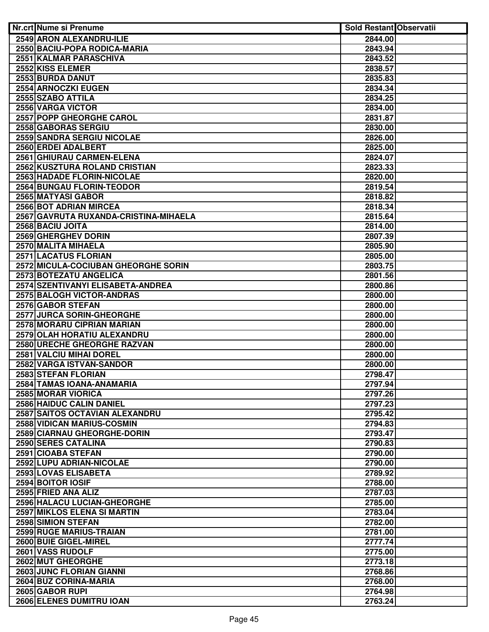| Nr.crt Nume si Prenume                                    | <b>Sold Restant Observatii</b> |  |
|-----------------------------------------------------------|--------------------------------|--|
| <b>2549 ARON ALEXANDRU-ILIE</b>                           | 2844.00                        |  |
| 2550 BACIU-POPA RODICA-MARIA                              | 2843.94                        |  |
| 2551 KALMAR PARASCHIVA                                    | 2843.52                        |  |
| 2552 KISS ELEMER                                          | 2838.57                        |  |
| 2553 BURDA DANUT                                          | 2835.83                        |  |
| 2554 ARNOCZKI EUGEN                                       | 2834.34                        |  |
| 2555 SZABO ATTILA                                         | 2834.25                        |  |
| 2556 VARGA VICTOR                                         | 2834.00                        |  |
| 2557 POPP GHEORGHE CAROL                                  | 2831.87                        |  |
| 2558 GABORAS SERGIU                                       | 2830.00                        |  |
| 2559 SANDRA SERGIU NICOLAE                                | 2826.00                        |  |
| 2560 ERDEI ADALBERT                                       | 2825.00                        |  |
| 2561 GHIURAU CARMEN-ELENA                                 | 2824.07                        |  |
| 2562 KUSZTURA ROLAND CRISTIAN                             | 2823.33                        |  |
| 2563 HADADE FLORIN-NICOLAE                                | 2820.00                        |  |
| 2564 BUNGAU FLORIN-TEODOR                                 | 2819.54                        |  |
| 2565 MATYASI GABOR                                        | 2818.82                        |  |
| 2566 BOT ADRIAN MIRCEA                                    | 2818.34                        |  |
| 2567 GAVRUTA RUXANDA-CRISTINA-MIHAELA                     | 2815.64                        |  |
| 2568 BACIU JOITA                                          | 2814.00                        |  |
| 2569 GHERGHEV DORIN                                       | 2807.39                        |  |
| 2570 MALITA MIHAELA                                       | 2805.90                        |  |
| 2571 LACATUS FLORIAN                                      | 2805.00                        |  |
| 2572 MICULA-COCIUBAN GHEORGHE SORIN                       | 2803.75                        |  |
| 2573 BOTEZATU ANGELICA                                    | 2801.56                        |  |
| 2574 SZENTIVANYI ELISABETA-ANDREA                         | 2800.86                        |  |
| 2575 BALOGH VICTOR-ANDRAS                                 | 2800.00                        |  |
| 2576 GABOR STEFAN                                         | 2800.00                        |  |
| 2577 JURCA SORIN-GHEORGHE                                 | 2800.00                        |  |
| 2578 MORARU CIPRIAN MARIAN                                | 2800.00                        |  |
| 2579 OLAH HORATIU ALEXANDRU                               | 2800.00                        |  |
| 2580 URECHE GHEORGHE RAZVAN                               | 2800.00                        |  |
| 2581 VALCIU MIHAI DOREL                                   | 2800.00                        |  |
| 2582 VARGA ISTVAN-SANDOR                                  | 2800.00                        |  |
| 2583 STEFAN FLORIAN                                       | 2798.47                        |  |
| 2584 TAMAS IOANA-ANAMARIA                                 | 2797.94                        |  |
| 2585 MORAR VIORICA                                        | 2797.26                        |  |
| 2586 HAIDUC CALIN DANIEL                                  | 2797.23                        |  |
| 2587 SAITOS OCTAVIAN ALEXANDRU                            | 2795.42                        |  |
| 2588 VIDICAN MARIUS-COSMIN<br>2589 CIARNAU GHEORGHE-DORIN | 2794.83<br>2793.47             |  |
| <b>2590 SERES CATALINA</b>                                | 2790.83                        |  |
| 2591 CIOABA STEFAN                                        | 2790.00                        |  |
| 2592 LUPU ADRIAN-NICOLAE                                  | 2790.00                        |  |
| 2593 LOVAS ELISABETA                                      | 2789.92                        |  |
| 2594 BOITOR IOSIF                                         | 2788.00                        |  |
| 2595 FRIED ANA ALIZ                                       | 2787.03                        |  |
| 2596 HALACU LUCIAN-GHEORGHE                               | 2785.00                        |  |
| 2597 MIKLOS ELENA SI MARTIN                               | 2783.04                        |  |
| 2598 SIMION STEFAN                                        | 2782.00                        |  |
| 2599 RUGE MARIUS-TRAIAN                                   | 2781.00                        |  |
| 2600 BUIE GIGEL-MIREL                                     | 2777.74                        |  |
| 2601 VASS RUDOLF                                          | 2775.00                        |  |
| 2602 MUT GHEORGHE                                         | 2773.18                        |  |
| 2603 JUNC FLORIAN GIANNI                                  | 2768.86                        |  |
| 2604 BUZ CORINA-MARIA                                     | 2768.00                        |  |
| 2605 GABOR RUPI                                           | 2764.98                        |  |
| 2606 ELENES DUMITRU IOAN                                  | 2763.24                        |  |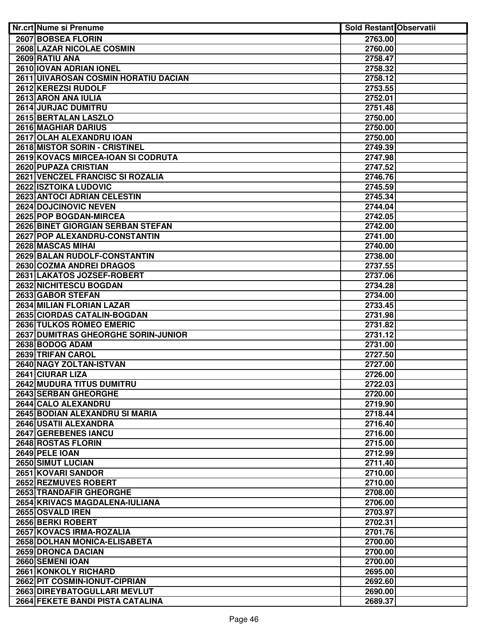| Nr.crt Nume si Prenume                                 | <b>Sold Restant Observatii</b> |  |
|--------------------------------------------------------|--------------------------------|--|
| 2607 BOBSEA FLORIN                                     | 2763.00                        |  |
| <b>2608 LAZAR NICOLAE COSMIN</b>                       | 2760.00                        |  |
| 2609 RATIU ANA                                         | 2758.47                        |  |
| 2610 IOVAN ADRIAN IONEL                                | 2758.32                        |  |
| 2611 UIVAROSAN COSMIN HORATIU DACIAN                   | 2758.12                        |  |
| 2612 KEREZSI RUDOLF                                    | 2753.55                        |  |
| 2613 ARON ANA IULIA                                    | 2752.01                        |  |
| 2614 JURJAC DUMITRU                                    | 2751.48                        |  |
| 2615 BERTALAN LASZLO                                   | 2750.00                        |  |
| <b>2616 MAGHIAR DARIUS</b>                             | 2750.00                        |  |
| 2617 OLAH ALEXANDRU IOAN                               | 2750.00                        |  |
| 2618 MISTOR SORIN - CRISTINEL                          | 2749.39                        |  |
| 2619 KOVACS MIRCEA-IOAN SI CODRUTA                     | 2747.98                        |  |
| 2620 PUPAZA CRISTIAN                                   | 2747.52                        |  |
| 2621 VENCZEL FRANCISC SI ROZALIA                       | 2746.76                        |  |
| 2622 ISZTOIKA LUDOVIC                                  | 2745.59                        |  |
| 2623 ANTOCI ADRIAN CELESTIN                            | 2745.34                        |  |
| 2624 DOJCINOVIC NEVEN                                  | 2744.04                        |  |
| 2625 POP BOGDAN-MIRCEA                                 | 2742.05                        |  |
| 2626 BINET GIORGIAN SERBAN STEFAN                      | 2742.00                        |  |
| 2627 POP ALEXANDRU-CONSTANTIN                          | 2741.00                        |  |
| 2628 MASCAS MIHAI                                      | 2740.00                        |  |
| 2629 BALAN RUDOLF-CONSTANTIN                           | 2738.00                        |  |
| 2630 COZMA ANDREI DRAGOS                               | 2737.55                        |  |
| 2631 LAKATOS JOZSEF-ROBERT                             | 2737.06                        |  |
| 2632 NICHITESCU BOGDAN                                 | 2734.28                        |  |
| 2633 GABOR STEFAN                                      | 2734.00                        |  |
| 2634 MILIAN FLORIAN LAZAR                              | 2733.45                        |  |
| 2635 CIORDAS CATALIN-BOGDAN                            | 2731.98                        |  |
| <b>2636 TULKOS ROMEO EMERIC</b>                        | 2731.82                        |  |
| 2637 DUMITRAS GHEORGHE SORIN-JUNIOR<br>2638 BODOG ADAM | 2731.12                        |  |
| 2639 TRIFAN CAROL                                      | 2731.00<br>2727.50             |  |
| 2640 NAGY ZOLTAN-ISTVAN                                | 2727.00                        |  |
| 2641 CIURAR LIZA                                       | 2726.00                        |  |
| 2642 MUDURA TITUS DUMITRU                              | 2722.03                        |  |
| 2643 SERBAN GHEORGHE                                   | 2720.00                        |  |
| 2644 CALO ALEXANDRU                                    | 2719.90                        |  |
| 2645 BODIAN ALEXANDRU SI MARIA                         | 2718.44                        |  |
| 2646 USATII ALEXANDRA                                  | 2716.40                        |  |
| 2647 GEREBENES IANCU                                   | 2716.00                        |  |
| 2648 ROSTAS FLORIN                                     | 2715.00                        |  |
| 2649 PELE IOAN                                         | 2712.99                        |  |
| 2650 SIMUT LUCIAN                                      | 2711.40                        |  |
| 2651 KOVARI SANDOR                                     | 2710.00                        |  |
| 2652 REZMUVES ROBERT                                   | 2710.00                        |  |
| 2653 TRANDAFIR GHEORGHE                                | 2708.00                        |  |
| 2654 KRIVACS MAGDALENA-IULIANA                         | 2706.00                        |  |
| 2655 OSVALD IREN                                       | 2703.97                        |  |
| 2656 BERKI ROBERT                                      | 2702.31                        |  |
| 2657 KOVACS IRMA-ROZALIA                               | 2701.76                        |  |
| 2658 DOLHAN MONICA-ELISABETA                           | 2700.00                        |  |
| <b>2659 DRONCA DACIAN</b>                              | 2700.00                        |  |
| 2660 SEMENI IOAN                                       | 2700.00                        |  |
| <b>2661 KONKOLY RICHARD</b>                            | 2695.00                        |  |
| 2662 PIT COSMIN-IONUT-CIPRIAN                          | 2692.60                        |  |
| 2663 DIREYBATOGULLARI MEVLUT                           | 2690.00                        |  |
| 2664 FEKETE BANDI PISTA CATALINA                       | 2689.37                        |  |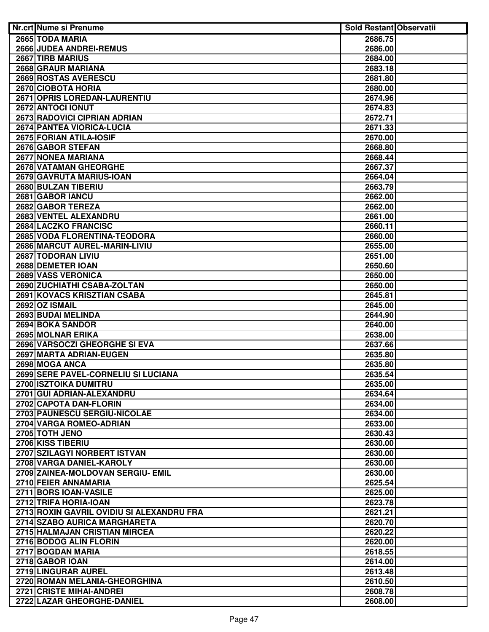| Nr.crt Nume si Prenume                    | <b>Sold Restant Observatii</b> |  |
|-------------------------------------------|--------------------------------|--|
| 2665 TODA MARIA                           | 2686.75                        |  |
| <b>2666 JUDEA ANDREI-REMUS</b>            | 2686.00                        |  |
| 2667 TIRB MARIUS                          | 2684.00                        |  |
| 2668 GRAUR MARIANA                        | 2683.18                        |  |
| 2669 ROSTAS AVERESCU                      | 2681.80                        |  |
| 2670 CIOBOTA HORIA                        | 2680.00                        |  |
| 2671 OPRIS LOREDAN-LAURENTIU              | 2674.96                        |  |
| 2672 ANTOCI IONUT                         | 2674.83                        |  |
| 2673 RADOVICI CIPRIAN ADRIAN              | 2672.71                        |  |
| 2674 PANTEA VIORICA-LUCIA                 | 2671.33                        |  |
| 2675 FORIAN ATILA-IOSIF                   | 2670.00                        |  |
| 2676 GABOR STEFAN                         | 2668.80                        |  |
| 2677 NONEA MARIANA                        | 2668.44                        |  |
| 2678 VATAMAN GHEORGHE                     | 2667.37                        |  |
| 2679 GAVRUTA MARIUS-IOAN                  | 2664.04                        |  |
| 2680 BULZAN TIBERIU                       | 2663.79                        |  |
| 2681 GABOR IANCU                          | 2662.00                        |  |
| 2682 GABOR TEREZA                         | 2662.00                        |  |
| 2683 VENTEL ALEXANDRU                     | 2661.00                        |  |
| 2684 LACZKO FRANCISC                      | 2660.11                        |  |
| 2685 VODA FLORENTINA-TEODORA              | 2660.00                        |  |
| 2686 MARCUT AUREL-MARIN-LIVIU             | 2655.00                        |  |
| 2687 TODORAN LIVIU                        | 2651.00                        |  |
| 2688 DEMETER IOAN                         | 2650.60                        |  |
| 2689 VASS VERONICA                        | 2650.00                        |  |
| 2690 ZUCHIATHI CSABA-ZOLTAN               | 2650.00                        |  |
| <b>2691 KOVACS KRISZTIAN CSABA</b>        | 2645.81                        |  |
| <b>2692 OZ ISMAIL</b>                     | 2645.00                        |  |
| 2693 BUDAI MELINDA                        | 2644.90                        |  |
| 2694 BOKA SANDOR                          | 2640.00                        |  |
| 2695 MOLNAR ERIKA                         | 2638.00                        |  |
| 2696 VARSOCZI GHEORGHE SI EVA             | 2637.66                        |  |
| 2697 MARTA ADRIAN-EUGEN                   | 2635.80                        |  |
| 2698 MOGA ANCA                            | 2635.80                        |  |
| 2699 SERE PAVEL-CORNELIU SI LUCIANA       | 2635.54                        |  |
| 2700 ISZTOIKA DUMITRU                     | 2635.00                        |  |
| 2701 GUI ADRIAN-ALEXANDRU                 | 2634.64                        |  |
| 2702 CAPOTA DAN-FLORIN                    | 2634.00                        |  |
| 2703 PAUNESCU SERGIU-NICOLAE              | 2634.00                        |  |
| 2704 VARGA ROMEO-ADRIAN                   | 2633.00                        |  |
| 2705 TOTH JENO                            | 2630.43                        |  |
| 2706 KISS TIBERIU                         | 2630.00                        |  |
| 2707 SZILAGYI NORBERT ISTVAN              | 2630.00                        |  |
| 2708 VARGA DANIEL-KAROLY                  | 2630.00                        |  |
| 2709 ZAINEA-MOLDOVAN SERGIU- EMIL         | 2630.00                        |  |
| 2710 FEIER ANNAMARIA                      | 2625.54                        |  |
| 2711 BORS IOAN-VASILE                     | 2625.00                        |  |
| 2712 TRIFA HORIA-IOAN                     | 2623.78                        |  |
| 2713 ROXIN GAVRIL OVIDIU SI ALEXANDRU FRA | 2621.21                        |  |
| 2714 SZABO AURICA MARGHARETA              | 2620.70                        |  |
| 2715 HALMAJAN CRISTIAN MIRCEA             | 2620.22                        |  |
| 2716 BODOG ALIN FLORIN                    | 2620.00                        |  |
| 2717 BOGDAN MARIA                         | 2618.55                        |  |
| 2718 GABOR IOAN                           | 2614.00                        |  |
| 2719 LINGURAR AUREL                       | 2613.48                        |  |
| 2720 ROMAN MELANIA-GHEORGHINA             | 2610.50                        |  |
| 2721 CRISTE MIHAI-ANDREI                  | 2608.78                        |  |
| 2722 LAZAR GHEORGHE-DANIEL                | 2608.00                        |  |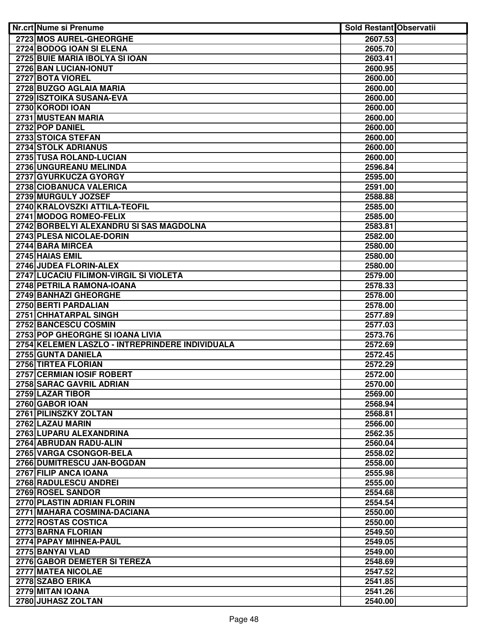| <b>Nr.crt Nume si Prenume</b>                                                       | <b>Sold Restant Observatii</b> |  |
|-------------------------------------------------------------------------------------|--------------------------------|--|
| 2723 MOS AUREL-GHEORGHE                                                             | 2607.53                        |  |
| 2724 BODOG IOAN SI ELENA                                                            | 2605.70                        |  |
| 2725 BUIE MARIA IBOLYA SI IOAN                                                      | 2603.41                        |  |
| 2726 BAN LUCIAN-IONUT                                                               | 2600.95                        |  |
| 2727 BOTA VIOREL                                                                    | 2600.00                        |  |
| 2728 BUZGO AGLAIA MARIA                                                             | 2600.00                        |  |
| 2729 ISZTOIKA SUSANA-EVA                                                            | 2600.00                        |  |
| 2730 KORODI IOAN                                                                    | 2600.00                        |  |
| 2731 MUSTEAN MARIA                                                                  | 2600.00                        |  |
| 2732 POP DANIEL                                                                     | 2600.00                        |  |
| 2733 STOICA STEFAN                                                                  | 2600.00                        |  |
| 2734 STOLK ADRIANUS                                                                 | 2600.00                        |  |
| 2735 TUSA ROLAND-LUCIAN                                                             | 2600.00                        |  |
| 2736 UNGUREANU MELINDA                                                              | 2596.84                        |  |
| 2737 GYURKUCZA GYORGY                                                               | 2595.00                        |  |
| 2738 CIOBANUCA VALERICA                                                             | 2591.00                        |  |
| 2739 MURGULY JOZSEF                                                                 | 2588.88                        |  |
| 2740 KRALOVSZKI ATTILA-TEOFIL                                                       | 2585.00                        |  |
| 2741 MODOG ROMEO-FELIX                                                              | 2585.00                        |  |
| 2742 BORBELYI ALEXANDRU SI SAS MAGDOLNA                                             | 2583.81                        |  |
| 2743 PLESA NICOLAE-DORIN                                                            | 2582.00                        |  |
| 2744 BARA MIRCEA                                                                    | 2580.00                        |  |
| 2745 HAIAS EMIL                                                                     | 2580.00                        |  |
| 2746 JUDEA FLORIN-ALEX                                                              | 2580.00                        |  |
| 2747 LUCACIU FILIMON-VIRGIL SI VIOLETA                                              | 2579.00                        |  |
| 2748 PETRILA RAMONA-IOANA                                                           | 2578.33                        |  |
| 2749 BANHAZI GHEORGHE                                                               | 2578.00                        |  |
| 2750 BERTI PARDALIAN                                                                | 2578.00                        |  |
| 2751 CHHATARPAL SINGH                                                               | 2577.89                        |  |
| 2752 BANCESCU COSMIN                                                                | 2577.03                        |  |
| 2753 POP GHEORGHE SI IOANA LIVIA<br>2754 KELEMEN LASZLO - INTREPRINDERE INDIVIDUALA | 2573.76<br>2572.69             |  |
| 2755 GUNTA DANIELA                                                                  | 2572.45                        |  |
| 2756 TIRTEA FLORIAN                                                                 | 2572.29                        |  |
| 2757 CERMIAN IOSIF ROBERT                                                           | 2572.00                        |  |
| 2758 SARAC GAVRIL ADRIAN                                                            | 2570.00                        |  |
| 2759 LAZAR TIBOR                                                                    | 2569.00                        |  |
| 2760 GABOR IOAN                                                                     | 2568.94                        |  |
| 2761 PILINSZKY ZOLTAN                                                               | 2568.81                        |  |
| 2762 LAZAU MARIN                                                                    | 2566.00                        |  |
| 2763 LUPARU ALEXANDRINA                                                             | 2562.35                        |  |
| 2764 ABRUDAN RADU-ALIN                                                              | 2560.04                        |  |
| 2765 VARGA CSONGOR-BELA                                                             | 2558.02                        |  |
| 2766 DUMITRESCU JAN-BOGDAN                                                          | 2558.00                        |  |
| 2767 FILIP ANCA IOANA                                                               | 2555.98                        |  |
| 2768 RADULESCU ANDREI                                                               | 2555.00                        |  |
| 2769 ROSEL SANDOR                                                                   | 2554.68                        |  |
| 2770 PLASTIN ADRIAN FLORIN                                                          | 2554.54                        |  |
| 2771 MAHARA COSMINA-DACIANA                                                         | 2550.00                        |  |
| <b>2772 ROSTAS COSTICA</b>                                                          | 2550.00                        |  |
| 2773 BARNA FLORIAN                                                                  | 2549.50                        |  |
| 2774 PAPAY MIHNEA-PAUL                                                              | 2549.05                        |  |
| 2775 BANYAI VLAD                                                                    | 2549.00                        |  |
| 2776 GABOR DEMETER SI TEREZA                                                        | 2548.69                        |  |
| 2777 MATEA NICOLAE                                                                  | 2547.52                        |  |
| 2778 SZABO ERIKA                                                                    | 2541.85                        |  |
| 2779 MITAN IOANA                                                                    | 2541.26                        |  |
| 2780 JUHASZ ZOLTAN                                                                  | 2540.00                        |  |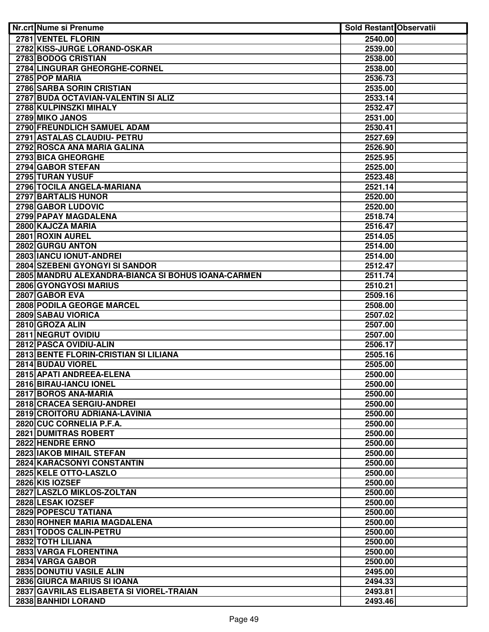| Nr.crt Nume si Prenume                             | <b>Sold Restant Observatii</b> |  |
|----------------------------------------------------|--------------------------------|--|
| 2781 VENTEL FLORIN                                 | 2540.00                        |  |
| 2782 KISS-JURGE LORAND-OSKAR                       | 2539.00                        |  |
| 2783 BODOG CRISTIAN                                | 2538.00                        |  |
| 2784 LINGURAR GHEORGHE-CORNEL                      | 2538.00                        |  |
| 2785 POP MARIA                                     | 2536.73                        |  |
| 2786 SARBA SORIN CRISTIAN                          | 2535.00                        |  |
| 2787 BUDA OCTAVIAN-VALENTIN SI ALIZ                | 2533.14                        |  |
| 2788 KULPINSZKI MIHALY                             | 2532.47                        |  |
| 2789 MIKO JANOS                                    | 2531.00                        |  |
| 2790 FREUNDLICH SAMUEL ADAM                        | 2530.41                        |  |
| 2791 ASTALAS CLAUDIU- PETRU                        | 2527.69                        |  |
| 2792 ROSCA ANA MARIA GALINA                        | 2526.90                        |  |
| 2793 BICA GHEORGHE                                 | 2525.95                        |  |
| 2794 GABOR STEFAN                                  | 2525.00                        |  |
| 2795 TURAN YUSUF                                   | 2523.48                        |  |
| 2796 TOCILA ANGELA-MARIANA                         | 2521.14                        |  |
| 2797 BARTALIS HUNOR                                | 2520.00                        |  |
| 2798 GABOR LUDOVIC                                 | 2520.00                        |  |
| 2799 PAPAY MAGDALENA                               | 2518.74                        |  |
| 2800 KAJCZA MARIA                                  | 2516.47                        |  |
| 2801 ROXIN AUREL                                   | 2514.05                        |  |
| 2802 GURGU ANTON                                   | 2514.00                        |  |
| 2803 IANCU IONUT-ANDREI                            | 2514.00                        |  |
| 2804 SZEBENI GYONGYI SI SANDOR                     | 2512.47                        |  |
| 2805 MANDRU ALEXANDRA-BIANCA SI BOHUS IOANA-CARMEN | 2511.74                        |  |
| 2806 GYONGYOSI MARIUS                              | 2510.21                        |  |
| 2807 GABOR EVA                                     | 2509.16                        |  |
| <b>2808 PODILA GEORGE MARCEL</b>                   | 2508.00                        |  |
| 2809 SABAU VIORICA                                 | 2507.02                        |  |
| 2810 GROZA ALIN                                    | 2507.00                        |  |
| 2811 NEGRUT OVIDIU                                 | 2507.00                        |  |
| 2812 PASCA OVIDIU-ALIN                             | 2506.17                        |  |
| 2813 BENTE FLORIN-CRISTIAN SI LILIANA              | 2505.16                        |  |
| 2814 BUDAU VIOREL                                  | 2505.00                        |  |
| 2815 APATI ANDREEA-ELENA                           | 2500.00                        |  |
| 2816 BIRAU-IANCU IONEL                             | 2500.00                        |  |
| 2817 BOROS ANA-MARIA<br>2818 CRACEA SERGIU-ANDREI  | 2500.00                        |  |
| 2819 CROITORU ADRIANA-LAVINIA                      | 2500.00                        |  |
|                                                    | 2500.00                        |  |
| 2820 CUC CORNELIA P.F.A.<br>2821 DUMITRAS ROBERT   | 2500.00<br>2500.00             |  |
| 2822 HENDRE ERNO                                   | 2500.00                        |  |
| 2823 IAKOB MIHAIL STEFAN                           | 2500.00                        |  |
| 2824 KARACSONYI CONSTANTIN                         | 2500.00                        |  |
| 2825 KELE OTTO-LASZLO                              | 2500.00                        |  |
| 2826 KIS IOZSEF                                    | 2500.00                        |  |
| 2827 LASZLO MIKLOS-ZOLTAN                          | 2500.00                        |  |
| 2828 LESAK IOZSEF                                  | 2500.00                        |  |
| 2829 POPESCU TATIANA                               | 2500.00                        |  |
| 2830 ROHNER MARIA MAGDALENA                        | 2500.00                        |  |
| 2831 TODOS CALIN-PETRU                             | 2500.00                        |  |
| 2832 TOTH LILIANA                                  | 2500.00                        |  |
| 2833 VARGA FLORENTINA                              | 2500.00                        |  |
| 2834 VARGA GABOR                                   | 2500.00                        |  |
| <b>2835 DONUTIU VASILE ALIN</b>                    | 2495.00                        |  |
| 2836 GIURCA MARIUS SI IOANA                        | 2494.33                        |  |
| 2837 GAVRILAS ELISABETA SI VIOREL-TRAIAN           | 2493.81                        |  |
| 2838 BANHIDI LORAND                                | 2493.46                        |  |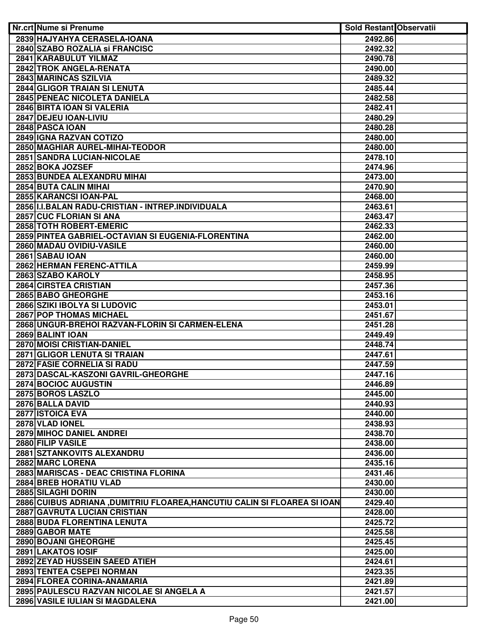| Nr.crt Nume si Prenume                                                       | <b>Sold Restant Observatii</b> |  |
|------------------------------------------------------------------------------|--------------------------------|--|
| 2839 HAJYAHYA CERASELA-IOANA                                                 | 2492.86                        |  |
| 2840 SZABO ROZALIA si FRANCISC                                               | 2492.32                        |  |
| 2841 KARABULUT YILMAZ                                                        | 2490.78                        |  |
| 2842 TROK ANGELA-RENATA                                                      | 2490.00                        |  |
| 2843 MARINCAS SZILVIA                                                        | 2489.32                        |  |
| 2844 GLIGOR TRAIAN SI LENUTA                                                 | 2485.44                        |  |
| 2845 PENEAC NICOLETA DANIELA                                                 | 2482.58                        |  |
| 2846 BIRTA IOAN SI VALERIA                                                   | 2482.41                        |  |
| 2847 DEJEU IOAN-LIVIU                                                        | 2480.29                        |  |
| 2848 PASCA IOAN                                                              | 2480.28                        |  |
| 2849 IGNA RAZVAN COTIZO                                                      | 2480.00                        |  |
| 2850 MAGHIAR AUREL-MIHAI-TEODOR                                              | 2480.00                        |  |
| 2851 SANDRA LUCIAN-NICOLAE                                                   | 2478.10                        |  |
| 2852 BOKA JOZSEF                                                             | 2474.96                        |  |
| 2853 BUNDEA ALEXANDRU MIHAI                                                  | 2473.00                        |  |
| 2854 BUTA CALIN MIHAI                                                        | 2470.90                        |  |
|                                                                              |                                |  |
| 2855 KARANCSI IOAN-PAL                                                       | 2468.00                        |  |
| 2856 I.I.BALAN RADU-CRISTIAN - INTREP.INDIVIDUALA<br>2857 CUC FLORIAN SI ANA | 2463.61                        |  |
| 2858 TOTH ROBERT-EMERIC                                                      | 2463.47                        |  |
|                                                                              | 2462.33                        |  |
| 2859 PINTEA GABRIEL-OCTAVIAN SI EUGENIA-FLORENTINA                           | 2462.00                        |  |
| 2860 MADAU OVIDIU-VASILE                                                     | 2460.00                        |  |
| 2861 SABAU IOAN                                                              | 2460.00                        |  |
| 2862 HERMAN FERENC-ATTILA                                                    | 2459.99                        |  |
| 2863 SZABO KAROLY                                                            | 2458.95                        |  |
| 2864 CIRSTEA CRISTIAN                                                        | 2457.36                        |  |
| 2865 BABO GHEORGHE                                                           | 2453.16                        |  |
| 2866 SZIKI IBOLYA SI LUDOVIC                                                 | 2453.01                        |  |
| <b>2867 POP THOMAS MICHAEL</b>                                               | 2451.67                        |  |
| 2868 UNGUR-BREHOI RAZVAN-FLORIN SI CARMEN-ELENA                              | 2451.28                        |  |
| 2869 BALINT IOAN<br>2870 MOISI CRISTIAN-DANIEL                               | 2449.49                        |  |
| 2871 GLIGOR LENUTA SI TRAIAN                                                 | 2448.74                        |  |
| <b>2872 FASIE CORNELIA SI RADU</b>                                           | 2447.61<br>2447.59             |  |
| 2873 DASCAL-KASZONI GAVRIL-GHEORGHE                                          | 2447.16                        |  |
| 2874 BOCIOC AUGUSTIN                                                         | 2446.89                        |  |
| 2875 BOROS LASZLO                                                            | 2445.00                        |  |
| 2876 BALLA DAVID                                                             | 2440.93                        |  |
| 2877 ISTOICA EVA                                                             | 2440.00                        |  |
| 2878 VLAD IONEL                                                              | 2438.93                        |  |
| 2879 MIHOC DANIEL ANDREI                                                     | 2438.70                        |  |
| 2880 FILIP VASILE                                                            | 2438.00                        |  |
| 2881 SZTANKOVITS ALEXANDRU                                                   | 2436.00                        |  |
| 2882 MARC LORENA                                                             | 2435.16                        |  |
| 2883 MARISCAS - DEAC CRISTINA FLORINA                                        | 2431.46                        |  |
| 2884 BREB HORATIU VLAD                                                       | 2430.00                        |  |
| 2885 SILAGHI DORIN                                                           | 2430.00                        |  |
| 2886 CUIBUS ADRIANA ,DUMITRIU FLOAREA,HANCUTIU CALIN SI FLOAREA SI IOAN      | 2429.40                        |  |
| 2887 GAVRUTA LUCIAN CRISTIAN                                                 | 2428.00                        |  |
| 2888 BUDA FLORENTINA LENUTA                                                  | 2425.72                        |  |
| 2889 GABOR MATE                                                              | 2425.58                        |  |
| 2890 BOJANI GHEORGHE                                                         | 2425.45                        |  |
| 2891 LAKATOS IOSIF                                                           | 2425.00                        |  |
| 2892 ZEYAD HUSSEIN SAEED ATIEH                                               | 2424.61                        |  |
| 2893 TENTEA CSEPEI NORMAN                                                    | 2423.35                        |  |
| 2894 FLOREA CORINA-ANAMARIA                                                  | 2421.89                        |  |
| 2895 PAULESCU RAZVAN NICOLAE SI ANGELA A                                     | 2421.57                        |  |
| 2896 VASILE IULIAN SI MAGDALENA                                              | 2421.00                        |  |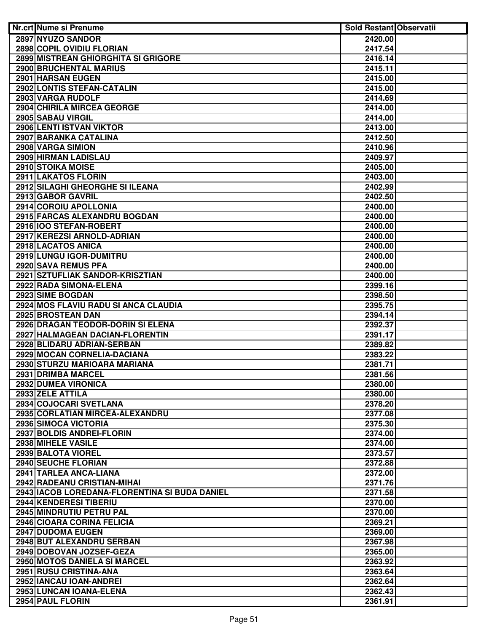| <b>Nr.crt Nume si Prenume</b>                                 | <b>Sold Restant Observatii</b> |  |
|---------------------------------------------------------------|--------------------------------|--|
| 2897 NYUZO SANDOR                                             | 2420.00                        |  |
| 2898 COPIL OVIDIU FLORIAN                                     | 2417.54                        |  |
| 2899 MISTREAN GHIORGHITA SI GRIGORE                           | 2416.14                        |  |
| 2900 BRUCHENTAL MARIUS                                        | 2415.11                        |  |
| 2901 HARSAN EUGEN                                             | 2415.00                        |  |
| 2902 LONTIS STEFAN-CATALIN                                    | 2415.00                        |  |
| 2903 VARGA RUDOLF                                             | 2414.69                        |  |
| 2904 CHIRILA MIRCEA GEORGE                                    | 2414.00                        |  |
| 2905 SABAU VIRGIL                                             | 2414.00                        |  |
| 2906 LENTI ISTVAN VIKTOR                                      | 2413.00                        |  |
| 2907 BARANKA CATALINA                                         | 2412.50                        |  |
| 2908 VARGA SIMION                                             | 2410.96                        |  |
| 2909 HIRMAN LADISLAU                                          | 2409.97                        |  |
| 2910 STOIKA MOISE                                             | 2405.00                        |  |
| 2911 LAKATOS FLORIN                                           | 2403.00                        |  |
| 2912 SILAGHI GHEORGHE SI ILEANA                               | 2402.99                        |  |
| 2913 GABOR GAVRIL                                             | 2402.50                        |  |
| 2914 COROIU APOLLONIA                                         | 2400.00                        |  |
| 2915 FARCAS ALEXANDRU BOGDAN                                  | 2400.00                        |  |
| 2916 100 STEFAN-ROBERT                                        | 2400.00                        |  |
| 2917 KEREZSI ARNOLD-ADRIAN                                    | 2400.00                        |  |
| 2918 LACATOS ANICA                                            | 2400.00                        |  |
| 2919 LUNGU IGOR-DUMITRU                                       | 2400.00                        |  |
| 2920 SAVA REMUS PFA                                           | 2400.00                        |  |
| 2921 SZTUFLIAK SANDOR-KRISZTIAN                               | 2400.00                        |  |
| 2922 RADA SIMONA-ELENA                                        | 2399.16                        |  |
| 2923 SIME BOGDAN                                              | 2398.50                        |  |
| 2924 MOS FLAVIU RADU SI ANCA CLAUDIA                          | 2395.75                        |  |
| 2925 BROSTEAN DAN                                             | 2394.14                        |  |
| 2926 DRAGAN TEODOR-DORIN SI ELENA                             | 2392.37                        |  |
| 2927 HALMAGEAN DACIAN-FLORENTIN<br>2928 BLIDARU ADRIAN-SERBAN | 2391.17                        |  |
|                                                               | 2389.82                        |  |
| 2929 MOCAN CORNELIA-DACIANA<br>2930 STURZU MARIOARA MARIANA   | 2383.22<br>2381.71             |  |
| 2931 DRIMBA MARCEL                                            | 2381.56                        |  |
| 2932 DUMEA VIRONICA                                           | 2380.00                        |  |
| 2933 ZELE ATTILA                                              | 2380.00                        |  |
| 2934 COJOCARI SVETLANA                                        | 2378.20                        |  |
| 2935 CORLATIAN MIRCEA-ALEXANDRU                               | 2377.08                        |  |
| 2936 SIMOCA VICTORIA                                          | 2375.30                        |  |
| 2937 BOLDIS ANDREI-FLORIN                                     | 2374.00                        |  |
| 2938 MIHELE VASILE                                            | 2374.00                        |  |
| 2939 BALOTA VIOREL                                            | 2373.57                        |  |
| 2940 SEUCHE FLORIAN                                           | 2372.88                        |  |
| 2941 TARLEA ANCA-LIANA                                        | 2372.00                        |  |
| 2942 RADEANU CRISTIAN-MIHAI                                   | 2371.76                        |  |
| 2943   IACOB LOREDANA-FLORENTINA SI BUDA DANIEL               | 2371.58                        |  |
| 2944 KENDERESI TIBERIU                                        | 2370.00                        |  |
| 2945 MINDRUTIU PETRU PAL                                      | 2370.00                        |  |
| 2946 CIOARA CORINA FELICIA                                    | 2369.21                        |  |
| 2947 DUDOMA EUGEN                                             | 2369.00                        |  |
| 2948 BUT ALEXANDRU SERBAN                                     | 2367.98                        |  |
| 2949 DOBOVAN JOZSEF-GEZA                                      | 2365.00                        |  |
| 2950 MOTOS DANIELA SI MARCEL                                  | 2363.92                        |  |
| 2951 RUSU CRISTINA-ANA                                        | 2363.64                        |  |
| 2952 IANCAU IOAN-ANDREI                                       | 2362.64                        |  |
| 2953 LUNCAN IOANA-ELENA                                       | 2362.43                        |  |
| 2954 PAUL FLORIN                                              | 2361.91                        |  |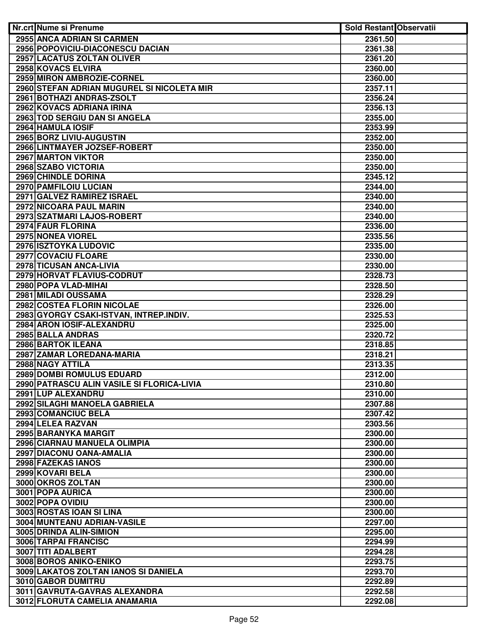| <b>Nr.crt Nume si Prenume</b>              | <b>Sold Restant Observatii</b> |  |
|--------------------------------------------|--------------------------------|--|
| 2955 ANCA ADRIAN SI CARMEN                 | 2361.50                        |  |
| 2956 POPOVICIU-DIACONESCU DACIAN           | 2361.38                        |  |
| 2957 LACATUS ZOLTAN OLIVER                 | 2361.20                        |  |
| 2958 KOVACS ELVIRA                         | 2360.00                        |  |
| 2959 MIRON AMBROZIE-CORNEL                 | 2360.00                        |  |
| 2960 STEFAN ADRIAN MUGUREL SI NICOLETA MIR | 2357.11                        |  |
| 2961 BOTHAZI ANDRAS-ZSOLT                  | 2356.24                        |  |
| 2962 KOVACS ADRIANA IRINA                  | 2356.13                        |  |
| 2963 TOD SERGIU DAN SI ANGELA              | 2355.00                        |  |
| 2964 HAMULA IOSIF                          | 2353.99                        |  |
| 2965 BORZ LIVIU-AUGUSTIN                   | 2352.00                        |  |
| 2966 LINTMAYER JOZSEF-ROBERT               | 2350.00                        |  |
| 2967 MARTON VIKTOR                         | 2350.00                        |  |
| 2968 SZABO VICTORIA                        | 2350.00                        |  |
| 2969 CHINDLE DORINA                        | 2345.12                        |  |
| 2970 PAMFILOIU LUCIAN                      | 2344.00                        |  |
| 2971 GALVEZ RAMIREZ ISRAEL                 | 2340.00                        |  |
| 2972 NICOARA PAUL MARIN                    | 2340.00                        |  |
| 2973 SZATMARI LAJOS-ROBERT                 | 2340.00                        |  |
| 2974 FAUR FLORINA                          | 2336.00                        |  |
| 2975 NONEA VIOREL                          | 2335.56                        |  |
| 2976 ISZTOYKA LUDOVIC                      | 2335.00                        |  |
| 2977 COVACIU FLOARE                        | 2330.00                        |  |
| 2978 TICUSAN ANCA-LIVIA                    | 2330.00                        |  |
| 2979 HORVAT FLAVIUS-CODRUT                 | 2328.73                        |  |
| 2980 POPA VLAD-MIHAI                       | 2328.50                        |  |
| 2981 MILADI OUSSAMA                        | 2328.29                        |  |
| 2982 COSTEA FLORIN NICOLAE                 | 2326.00                        |  |
| 2983 GYORGY CSAKI-ISTVAN, INTREP.INDIV.    | 2325.53                        |  |
| 2984 ARON IOSIF-ALEXANDRU                  | 2325.00                        |  |
| 2985 BALLA ANDRAS                          | 2320.72                        |  |
| 2986 BARTOK ILEANA                         | 2318.85                        |  |
| 2987 ZAMAR LOREDANA-MARIA                  | 2318.21                        |  |
| 2988 NAGY ATTILA                           | 2313.35                        |  |
| 2989 DOMBI ROMULUS EDUARD                  | 2312.00                        |  |
| 2990 PATRASCU ALIN VASILE SI FLORICA-LIVIA | 2310.80                        |  |
| 2991 LUP ALEXANDRU                         | 2310.00                        |  |
| 2992 SILAGHI MANOELA GABRIELA              | 2307.88                        |  |
| 2993 COMANCIUC BELA                        | 2307.42                        |  |
| 2994 LELEA RAZVAN                          | 2303.56                        |  |
| 2995 BARANYKA MARGIT                       | 2300.00                        |  |
| 2996 CIARNAU MANUELA OLIMPIA               | 2300.00                        |  |
| 2997 DIACONU OANA-AMALIA                   | 2300.00                        |  |
| 2998 FAZEKAS IANOS                         | 2300.00                        |  |
| 2999 KOVARI BELA                           | 2300.00                        |  |
| 3000 OKROS ZOLTAN                          | 2300.00                        |  |
| 3001 POPA AURICA                           | 2300.00                        |  |
| 3002 POPA OVIDIU                           | 2300.00                        |  |
| 3003 ROSTAS IOAN SI LINA                   | 2300.00                        |  |
| 3004 MUNTEANU ADRIAN-VASILE                | 2297.00                        |  |
| 3005 DRINDA ALIN-SIMION                    | 2295.00                        |  |
| 3006 TARPAI FRANCISC                       | 2294.99                        |  |
| 3007 TITI ADALBERT                         | 2294.28                        |  |
| 3008 BOROS ANIKO-ENIKO                     | 2293.75                        |  |
| 3009 LAKATOS ZOLTAN IANOS SI DANIELA       | 2293.70                        |  |
| 3010 GABOR DUMITRU                         | 2292.89                        |  |
| 3011 GAVRUTA-GAVRAS ALEXANDRA              | 2292.58                        |  |
| 3012 FLORUTA CAMELIA ANAMARIA              |                                |  |
|                                            | 2292.08                        |  |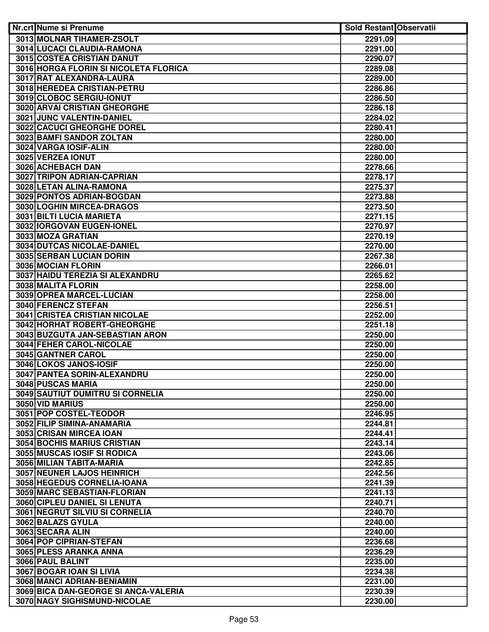| Nr.crt Nume si Prenume                | <b>Sold Restant Observatii</b> |  |
|---------------------------------------|--------------------------------|--|
| 3013 MOLNAR TIHAMER-ZSOLT             | 2291.09                        |  |
| 3014 LUCACI CLAUDIA-RAMONA            | 2291.00                        |  |
| 3015 COSTEA CRISTIAN DANUT            | 2290.07                        |  |
| 3016 HORGA FLORIN SI NICOLETA FLORICA | 2289.08                        |  |
| 3017 RAT ALEXANDRA-LAURA              | 2289.00                        |  |
| 3018 HEREDEA CRISTIAN-PETRU           | 2286.86                        |  |
| 3019 CLOBOC SERGIU-IONUT              | 2286.50                        |  |
| 3020 ARVAI CRISTIAN GHEORGHE          | 2286.18                        |  |
| 3021 JUNC VALENTIN-DANIEL             | 2284.02                        |  |
| 3022 CACUCI GHEORGHE DOREL            | 2280.41                        |  |
| 3023 BAMFI SANDOR ZOLTAN              | 2280.00                        |  |
| 3024 VARGA IOSIF-ALIN                 | 2280.00                        |  |
| 3025 VERZEA IONUT                     | 2280.00                        |  |
| 3026 ACHEBACH DAN                     | 2278.66                        |  |
| 3027 TRIPON ADRIAN-CAPRIAN            | 2278.17                        |  |
| 3028 LETAN ALINA-RAMONA               | 2275.37                        |  |
| 3029 PONTOS ADRIAN-BOGDAN             | 2273.88                        |  |
| 3030 LOGHIN MIRCEA-DRAGOS             | 2273.50                        |  |
| 3031 BILTI LUCIA MARIETA              | 2271.15                        |  |
| 3032 IORGOVAN EUGEN-IONEL             | 2270.97                        |  |
| 3033 MOZA GRATIAN                     | 2270.19                        |  |
| 3034 DUTCAS NICOLAE-DANIEL            | 2270.00                        |  |
| 3035 SERBAN LUCIAN DORIN              | 2267.38                        |  |
| 3036 MOCIAN FLORIN                    | 2266.01                        |  |
| 3037 HAIDU TEREZIA SI ALEXANDRU       | 2265.62                        |  |
| 3038 MALITA FLORIN                    | 2258.00                        |  |
| 3039 OPREA MARCEL-LUCIAN              | 2258.00                        |  |
| 3040 FERENCZ STEFAN                   | 2256.51                        |  |
| <b>3041 CRISTEA CRISTIAN NICOLAE</b>  | 2252.00                        |  |
| 3042 HORHAT ROBERT-GHEORGHE           | 2251.18                        |  |
| 3043 BUZGUTA JAN-SEBASTIAN ARON       | 2250.00                        |  |
| 3044 FEHER CAROL-NICOLAE              | 2250.00                        |  |
| 3045 GANTNER CAROL                    | 2250.00                        |  |
| 3046 LOKOS JANOS-IOSIF                | 2250.00                        |  |
| 3047 PANTEA SORIN-ALEXANDRU           | 2250.00                        |  |
| 3048 PUSCAS MARIA                     | 2250.00                        |  |
| 3049 SAUTIUT DUMITRU SI CORNELIA      | 2250.00                        |  |
| 3050 VID MARIUS                       | 2250.00                        |  |
| 3051 POP COSTEL-TEODOR                | 2246.95                        |  |
| 3052 FILIP SIMINA-ANAMARIA            | 2244.81                        |  |
| 3053 CRISAN MIRCEA IOAN               | 2244.41                        |  |
| <b>3054 BOCHIS MARIUS CRISTIAN</b>    | 2243.14                        |  |
| 3055 MUSCAS IOSIF SI RODICA           | 2243.06                        |  |
| 3056 MILIAN TABITA-MARIA              | 2242.85                        |  |
| 3057 NEUNER LAJOS HEINRICH            | 2242.56                        |  |
| 3058 HEGEDUS CORNELIA-IOANA           | 2241.39                        |  |
| 3059 MARC SEBASTIAN-FLORIAN           | 2241.13                        |  |
| 3060 CIPLEU DANIEL SI LENUTA          | 2240.71                        |  |
| 3061 NEGRUT SILVIU SI CORNELIA        | 2240.70                        |  |
| 3062 BALAZS GYULA                     | 2240.00                        |  |
| 3063 SECARA ALIN                      | 2240.00                        |  |
| 3064 POP CIPRIAN-STEFAN               | 2236.68                        |  |
| 3065 PLESS ARANKA ANNA                | 2236.29                        |  |
| 3066 PAUL BALINT                      | 2235.00                        |  |
| 3067 BOGAR IOAN SI LIVIA              | 2234.38                        |  |
| 3068 MANCI ADRIAN-BENIAMIN            | 2231.00                        |  |
| 3069 BICA DAN-GEORGE SI ANCA-VALERIA  | 2230.39                        |  |
| 3070 NAGY SIGHISMUND-NICOLAE          | 2230.00                        |  |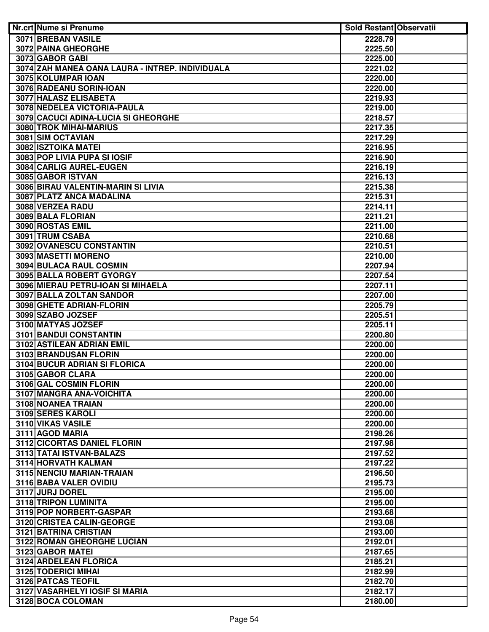| Nr.crt Nume si Prenume                              | <b>Sold Restant Observatii</b> |  |
|-----------------------------------------------------|--------------------------------|--|
| 3071 BREBAN VASILE                                  | 2228.79                        |  |
| <b>3072 PAINA GHEORGHE</b>                          | 2225.50                        |  |
| 3073 GABOR GABI                                     | 2225.00                        |  |
| 3074 ZAH MANEA OANA LAURA - INTREP. INDIVIDUALA     | 2221.02                        |  |
| 3075 KOLUMPAR IOAN                                  | 2220.00                        |  |
| 3076 RADEANU SORIN-IOAN                             | 2220.00                        |  |
| 3077 HALASZ ELISABETA                               | 2219.93                        |  |
| 3078 NEDELEA VICTORIA-PAULA                         | 2219.00                        |  |
| 3079 CACUCI ADINA-LUCIA SI GHEORGHE                 | 2218.57                        |  |
| 3080 TROK MIHAI-MARIUS                              | 2217.35                        |  |
| 3081 SIM OCTAVIAN                                   | 2217.29                        |  |
| 3082 ISZTOIKA MATEI                                 | 2216.95                        |  |
| 3083 POP LIVIA PUPA SI IOSIF                        | 2216.90                        |  |
| 3084 CARLIG AUREL-EUGEN                             | 2216.19                        |  |
| 3085 GABOR ISTVAN                                   | 2216.13                        |  |
| 3086 BIRAU VALENTIN-MARIN SI LIVIA                  | 2215.38                        |  |
| 3087 PLATZ ANCA MADALINA                            | 2215.31                        |  |
| 3088 VERZEA RADU                                    | 2214.11                        |  |
| 3089 BALA FLORIAN                                   | 2211.21                        |  |
| 3090 ROSTAS EMIL                                    | 2211.00                        |  |
| 3091 TRUM CSABA                                     | 2210.68                        |  |
| 3092 OVANESCU CONSTANTIN                            | 2210.51                        |  |
| 3093 MASETTI MORENO                                 | 2210.00                        |  |
| 3094 BULACA RAUL COSMIN                             | 2207.94                        |  |
| 3095 BALLA ROBERT GYORGY                            | 2207.54                        |  |
| 3096 MIERAU PETRU-IOAN SI MIHAELA                   | 2207.11                        |  |
| 3097 BALLA ZOLTAN SANDOR                            | 2207.00                        |  |
| 3098 GHETE ADRIAN-FLORIN                            | 2205.79                        |  |
| 3099 SZABO JOZSEF                                   | 2205.51                        |  |
| 3100 MATYAS JOZSEF                                  | 2205.11                        |  |
| 3101 BANDUI CONSTANTIN<br>3102 ASTILEAN ADRIAN EMIL | 2200.80                        |  |
| 3103 BRANDUSAN FLORIN                               | 2200.00<br>2200.00             |  |
| 3104 BUCUR ADRIAN SI FLORICA                        | 2200.00                        |  |
| 3105 GABOR CLARA                                    | 2200.00                        |  |
| 3106 GAL COSMIN FLORIN                              | 2200.00                        |  |
| 3107 MANGRA ANA-VOICHITA                            | 2200.00                        |  |
| 3108 NOANEA TRAIAN                                  | 2200.00                        |  |
| 3109 SERES KAROLI                                   | 2200.00                        |  |
| 3110 VIKAS VASILE                                   | 2200.00                        |  |
| 3111 AGOD MARIA                                     | 2198.26                        |  |
| 3112 CICORTAS DANIEL FLORIN                         | 2197.98                        |  |
| 3113 TATAI ISTVAN-BALAZS                            | 2197.52                        |  |
| 3114 HORVATH KALMAN                                 | 2197.22                        |  |
| 3115 NENCIU MARIAN-TRAIAN                           | 2196.50                        |  |
| 3116 BABA VALER OVIDIU                              | 2195.73                        |  |
| 3117 JURJ DOREL                                     | 2195.00                        |  |
| 3118 TRIPON LUMINITA                                | 2195.00                        |  |
| 3119 POP NORBERT-GASPAR                             | 2193.68                        |  |
| 3120 CRISTEA CALIN-GEORGE                           | 2193.08                        |  |
| 3121 BATRINA CRISTIAN                               | 2193.00                        |  |
| 3122 ROMAN GHEORGHE LUCIAN                          | 2192.01                        |  |
| 3123 GABOR MATEI                                    | 2187.65                        |  |
| 3124 ARDELEAN FLORICA                               | 2185.21                        |  |
| 3125 TODERICI MIHAI                                 | 2182.99                        |  |
| <b>3126 PATCAS TEOFIL</b>                           | 2182.70                        |  |
| 3127 VASARHELYI IOSIF SI MARIA                      | 2182.17                        |  |
| 3128 BOCA COLOMAN                                   | 2180.00                        |  |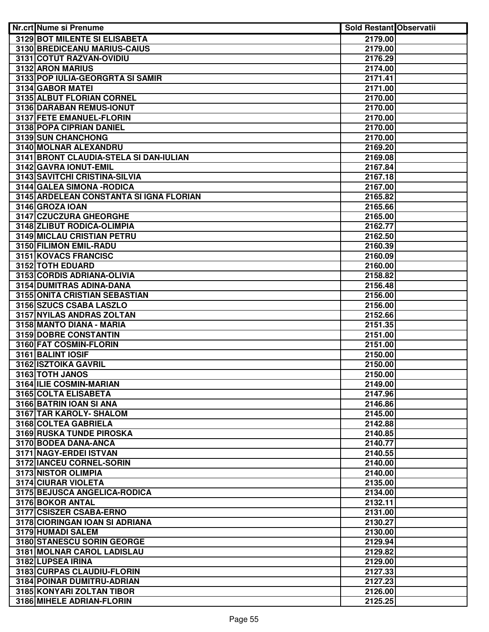| Nr.crt Nume si Prenume                  | <b>Sold Restant Observatii</b> |  |
|-----------------------------------------|--------------------------------|--|
| 3129 BOT MILENTE SI ELISABETA           | 2179.00                        |  |
| 3130 BREDICEANU MARIUS-CAIUS            | 2179.00                        |  |
| 3131 COTUT RAZVAN-OVIDIU                | 2176.29                        |  |
| 3132 ARON MARIUS                        | 2174.00                        |  |
| 3133 POP IULIA-GEORGRTA SI SAMIR        | 2171.41                        |  |
| 3134 GABOR MATEI                        | 2171.00                        |  |
| 3135 ALBUT FLORIAN CORNEL               | 2170.00                        |  |
| 3136 DARABAN REMUS-IONUT                | 2170.00                        |  |
| 3137 FETE EMANUEL-FLORIN                | 2170.00                        |  |
| 3138 POPA CIPRIAN DANIEL                | 2170.00                        |  |
| 3139 SUN CHANCHONG                      | 2170.00                        |  |
| 3140 MOLNAR ALEXANDRU                   | 2169.20                        |  |
| 3141 BRONT CLAUDIA-STELA SI DAN-IULIAN  | 2169.08                        |  |
| 3142 GAVRA IONUT-EMIL                   | 2167.84                        |  |
| 3143 SAVITCHI CRISTINA-SILVIA           | 2167.18                        |  |
| 3144 GALEA SIMONA - RODICA              | 2167.00                        |  |
| 3145 ARDELEAN CONSTANTA SI IGNA FLORIAN | 2165.82                        |  |
| 3146 GROZA IOAN                         | 2165.66                        |  |
| 3147 CZUCZURA GHEORGHE                  | 2165.00                        |  |
| 3148 ZLIBUT RODICA-OLIMPIA              | 2162.77                        |  |
| 3149 MICLAU CRISTIAN PETRU              | 2162.50                        |  |
| 3150 FILIMON EMIL-RADU                  | 2160.39                        |  |
| 3151 KOVACS FRANCISC                    | 2160.09                        |  |
| 3152 TOTH EDUARD                        | 2160.00                        |  |
| 3153 CORDIS ADRIANA-OLIVIA              | 2158.82                        |  |
| 3154 DUMITRAS ADINA-DANA                | 2156.48                        |  |
| 3155 ONITA CRISTIAN SEBASTIAN           | 2156.00                        |  |
| 3156 SZUCS CSABA LASZLO                 | 2156.00                        |  |
| 3157 NYILAS ANDRAS ZOLTAN               | 2152.66                        |  |
| 3158 MANTO DIANA - MARIA                | 2151.35                        |  |
| <b>3159 DOBRE CONSTANTIN</b>            | 2151.00                        |  |
| 3160 FAT COSMIN-FLORIN                  | 2151.00                        |  |
| 3161 BALINT IOSIF                       | 2150.00                        |  |
| 3162 ISZTOIKA GAVRIL                    | 2150.00                        |  |
| 3163 TOTH JANOS                         | 2150.00                        |  |
| 3164 ILIE COSMIN-MARIAN                 | 2149.00                        |  |
| 3165 COLTA ELISABETA                    | 2147.96                        |  |
| 3166 BATRIN IOAN SI ANA                 | 2146.86                        |  |
| 3167 TAR KAROLY- SHALOM                 | 2145.00                        |  |
| 3168 COLTEA GABRIELA                    | 2142.88                        |  |
| 3169 RUSKA TUNDE PIROSKA                | 2140.85                        |  |
| 3170 BODEA DANA-ANCA                    | 2140.77                        |  |
| 3171 NAGY-ERDEI ISTVAN                  | 2140.55                        |  |
| 3172 IANCEU CORNEL-SORIN                | 2140.00                        |  |
| 3173 NISTOR OLIMPIA                     | 2140.00                        |  |
| 3174 CIURAR VIOLETA                     | 2135.00                        |  |
| 3175 BEJUSCA ANGELICA-RODICA            | 2134.00                        |  |
| 3176 BOKOR ANTAL                        | 2132.11                        |  |
| 3177 CSISZER CSABA-ERNO                 | 2131.00                        |  |
| 3178 CIORINGAN IOAN SI ADRIANA          | 2130.27                        |  |
| 3179 HUMADI SALEM                       | 2130.00                        |  |
| 3180 STANESCU SORIN GEORGE              | 2129.94                        |  |
| 3181 MOLNAR CAROL LADISLAU              | 2129.82                        |  |
| 3182 LUPSEA IRINA                       | 2129.00                        |  |
| 3183 CURPAS CLAUDIU-FLORIN              | 2127.33                        |  |
| 3184 POINAR DUMITRU-ADRIAN              | 2127.23                        |  |
| 3185 KONYARI ZOLTAN TIBOR               | 2126.00                        |  |
| 3186 MIHELE ADRIAN-FLORIN               | 2125.25                        |  |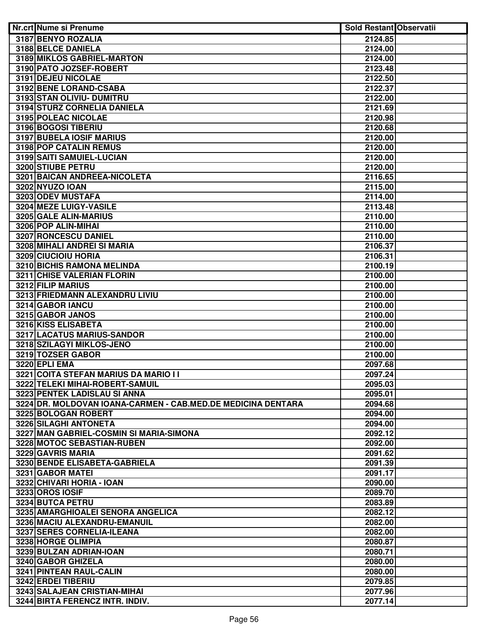| Nr.crt Nume si Prenume                                       | <b>Sold Restant Observatii</b> |  |
|--------------------------------------------------------------|--------------------------------|--|
| 3187 BENYO ROZALIA                                           | 2124.85                        |  |
| 3188 BELCE DANIELA                                           | 2124.00                        |  |
| 3189 MIKLOS GABRIEL-MARTON                                   | 2124.00                        |  |
| 3190 PATO JOZSEF-ROBERT                                      | 2123.48                        |  |
| 3191 DEJEU NICOLAE                                           | 2122.50                        |  |
| 3192 BENE LORAND-CSABA                                       | 2122.37                        |  |
| 3193 STAN OLIVIU- DUMITRU                                    | 2122.00                        |  |
| 3194 STURZ CORNELIA DANIELA                                  | 2121.69                        |  |
| 3195 POLEAC NICOLAE                                          | 2120.98                        |  |
| 3196 BOGOSI TIBERIU                                          | 2120.68                        |  |
| 3197 BUBELA IOSIF MARIUS                                     | 2120.00                        |  |
| 3198 POP CATALIN REMUS                                       | 2120.00                        |  |
| 3199 SAITI SAMUIEL-LUCIAN                                    | 2120.00                        |  |
| 3200 STIUBE PETRU                                            | 2120.00                        |  |
| 3201 BAICAN ANDREEA-NICOLETA                                 | 2116.65                        |  |
| 3202 NYUZO IOAN                                              | 2115.00                        |  |
| 3203 ODEV MUSTAFA                                            | 2114.00                        |  |
| 3204 MEZE LUIGY-VASILE                                       | 2113.48                        |  |
| 3205 GALE ALIN-MARIUS                                        | 2110.00                        |  |
| 3206 POP ALIN-MIHAI                                          | 2110.00                        |  |
| <b>3207 RONCESCU DANIEL</b>                                  | 2110.00                        |  |
| 3208 MIHALI ANDREI SI MARIA                                  | 2106.37                        |  |
| 3209 CIUCIOIU HORIA                                          | 2106.31                        |  |
| 3210 BICHIS RAMONA MELINDA                                   | 2100.19                        |  |
| 3211 CHISE VALERIAN FLORIN                                   | 2100.00                        |  |
| 3212 FILIP MARIUS                                            | 2100.00                        |  |
| 3213 FRIEDMANN ALEXANDRU LIVIU                               | 2100.00                        |  |
| 3214 GABOR IANCU                                             | 2100.00                        |  |
| 3215 GABOR JANOS                                             | 2100.00                        |  |
| 3216 KISS ELISABETA                                          | 2100.00                        |  |
| 3217 LACATUS MARIUS-SANDOR                                   | 2100.00                        |  |
| 3218 SZILAGYI MIKLOS-JENO                                    | 2100.00                        |  |
| 3219 TOZSER GABOR                                            | 2100.00                        |  |
| <b>3220 EPLI EMA</b>                                         | 2097.68                        |  |
| 3221 COITA STEFAN MARIUS DA MARIO I I                        | 2097.24                        |  |
| 3222 TELEKI MIHAI-ROBERT-SAMUIL                              | 2095.03                        |  |
| 3223 PENTEK LADISLAU SI ANNA                                 | 2095.01                        |  |
| 3224 DR. MOLDOVAN IOANA-CARMEN - CAB.MED.DE MEDICINA DENTARA | 2094.68                        |  |
| 3225 BOLOGAN ROBERT                                          | 2094.00                        |  |
| 3226 SILAGHI ANTONETA                                        | 2094.00                        |  |
| 3227 MAN GABRIEL-COSMIN SI MARIA-SIMONA                      | 2092.12                        |  |
| 3228 MOTOC SEBASTIAN-RUBEN                                   | 2092.00                        |  |
| 3229 GAVRIS MARIA                                            | 2091.62                        |  |
| 3230 BENDE ELISABETA-GABRIELA                                | 2091.39                        |  |
| 3231 GABOR MATEI                                             | 2091.17                        |  |
| 3232 CHIVARI HORIA - IOAN                                    | 2090.00                        |  |
| <b>3233 OROS IOSIF</b>                                       | 2089.70                        |  |
| 3234 BUTCA PETRU                                             | 2083.89                        |  |
| 3235 AMARGHIOALEI SENORA ANGELICA                            | 2082.12                        |  |
| 3236 MACIU ALEXANDRU-EMANUIL                                 | 2082.00                        |  |
| 3237 SERES CORNELIA-ILEANA                                   | 2082.00                        |  |
| 3238 HORGE OLIMPIA                                           | 2080.87                        |  |
| 3239 BULZAN ADRIAN-IOAN                                      | 2080.71                        |  |
| 3240 GABOR GHIZELA                                           | 2080.00                        |  |
| 3241 PINTEAN RAUL-CALIN                                      | 2080.00                        |  |
| 3242 ERDEI TIBERIU                                           | 2079.85                        |  |
| 3243 SALAJEAN CRISTIAN-MIHAI                                 | 2077.96                        |  |
| 3244 BIRTA FERENCZ INTR. INDIV.                              | 2077.14                        |  |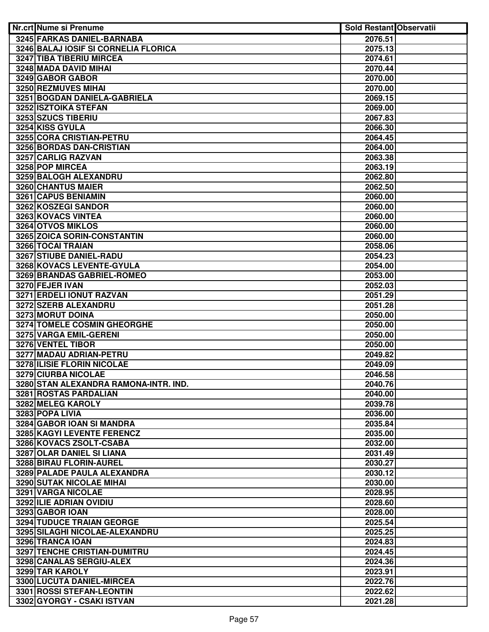| Nr.crt Nume si Prenume                       | <b>Sold Restant Observatii</b> |  |
|----------------------------------------------|--------------------------------|--|
| 3245 FARKAS DANIEL-BARNABA                   | 2076.51                        |  |
| <b>3246 BALAJ IOSIF SI CORNELIA FLORICA</b>  | 2075.13                        |  |
| <b>3247 TIBA TIBERIU MIRCEA</b>              | 2074.61                        |  |
| 3248 MADA DAVID MIHAI                        | 2070.44                        |  |
| 3249 GABOR GABOR                             | 2070.00                        |  |
| 3250 REZMUVES MIHAI                          | 2070.00                        |  |
| 3251 BOGDAN DANIELA-GABRIELA                 | 2069.15                        |  |
| 3252 ISZTOIKA STEFAN                         | 2069.00                        |  |
| 3253 SZUCS TIBERIU                           | 2067.83                        |  |
| 3254 KISS GYULA                              | 2066.30                        |  |
| 3255 CORA CRISTIAN-PETRU                     | 2064.45                        |  |
| 3256 BORDAS DAN-CRISTIAN                     | 2064.00                        |  |
| 3257 CARLIG RAZVAN                           | 2063.38                        |  |
| 3258 POP MIRCEA                              | 2063.19                        |  |
| 3259 BALOGH ALEXANDRU                        | 2062.80                        |  |
| 3260 CHANTUS MAIER                           | 2062.50                        |  |
| 3261 CAPUS BENIAMIN                          | 2060.00                        |  |
| 3262 KOSZEGI SANDOR                          | 2060.00                        |  |
| 3263 KOVACS VINTEA                           | 2060.00                        |  |
| 3264 OTVOS MIKLOS                            | 2060.00                        |  |
| 3265 ZOICA SORIN-CONSTANTIN                  | 2060.00                        |  |
| 3266 TOCAI TRAIAN                            | 2058.06                        |  |
| 3267 STIUBE DANIEL-RADU                      | 2054.23                        |  |
| 3268 KOVACS LEVENTE-GYULA                    | 2054.00                        |  |
| 3269 BRANDAS GABRIEL-ROMEO                   | 2053.00                        |  |
| 3270 FEJER IVAN                              | 2052.03                        |  |
| 3271 ERDELI IONUT RAZVAN                     | 2051.29                        |  |
| 3272 SZERB ALEXANDRU                         | 2051.28                        |  |
| 3273 MORUT DOINA                             | 2050.00                        |  |
| 3274 TOMELE COSMIN GHEORGHE                  | 2050.00                        |  |
| 3275 VARGA EMIL-GERENI                       | 2050.00                        |  |
| 3276 VENTEL TIBOR                            | 2050.00                        |  |
| 3277 MADAU ADRIAN-PETRU                      | 2049.82                        |  |
| 3278 ILISIE FLORIN NICOLAE                   | 2049.09                        |  |
| <b>3279 CIURBA NICOLAE</b>                   | 2046.58                        |  |
| 3280 STAN ALEXANDRA RAMONA-INTR. IND.        | 2040.76                        |  |
| 3281 ROSTAS PARDALIAN                        | 2040.00                        |  |
| 3282 MELEG KAROLY                            | 2039.78                        |  |
| 3283 POPA LIVIA<br>3284 GABOR IOAN SI MANDRA | 2036.00                        |  |
| 3285 KAGYI LEVENTE FERENCZ                   | 2035.84<br>2035.00             |  |
| 3286 KOVACS ZSOLT-CSABA                      | 2032.00                        |  |
| 3287 OLAR DANIEL SI LIANA                    | 2031.49                        |  |
| 3288 BIRAU FLORIN-AUREL                      | 2030.27                        |  |
| 3289 PALADE PAULA ALEXANDRA                  | 2030.12                        |  |
| 3290 SUTAK NICOLAE MIHAI                     | 2030.00                        |  |
| 3291 VARGA NICOLAE                           | 2028.95                        |  |
| 3292 ILIE ADRIAN OVIDIU                      | 2028.60                        |  |
| 3293 GABOR IOAN                              | 2028.00                        |  |
| <b>3294 TUDUCE TRAIAN GEORGE</b>             | 2025.54                        |  |
| 3295 SILAGHI NICOLAE-ALEXANDRU               | 2025.25                        |  |
| 3296 TRANCA IOAN                             | 2024.83                        |  |
| 3297 TENCHE CRISTIAN-DUMITRU                 | 2024.45                        |  |
| 3298 CANALAS SERGIU-ALEX                     | 2024.36                        |  |
| 3299 TAR KAROLY                              | 2023.91                        |  |
| 3300 LUCUTA DANIEL-MIRCEA                    | 2022.76                        |  |
| 3301 ROSSI STEFAN-LEONTIN                    | 2022.62                        |  |
| 3302 GYORGY - CSAKI ISTVAN                   | 2021.28                        |  |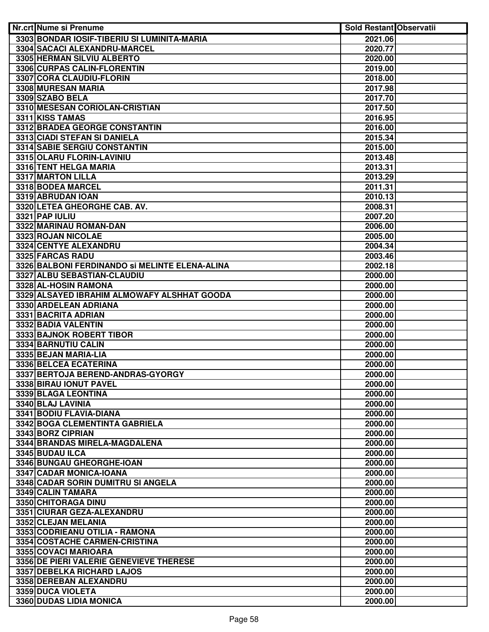| Nr.crt Nume si Prenume                                        | <b>Sold Restant Observatii</b> |  |
|---------------------------------------------------------------|--------------------------------|--|
| 3303 BONDAR IOSIF-TIBERIU SI LUMINITA-MARIA                   | 2021.06                        |  |
| 3304 SACACI ALEXANDRU-MARCEL                                  | 2020.77                        |  |
| 3305 HERMAN SILVIU ALBERTO                                    | 2020.00                        |  |
| 3306 CURPAS CALIN-FLORENTIN                                   | 2019.00                        |  |
| 3307 CORA CLAUDIU-FLORIN                                      | 2018.00                        |  |
| 3308 MURESAN MARIA                                            | 2017.98                        |  |
| 3309 SZABO BELA                                               | 2017.70                        |  |
| 3310 MESESAN CORIOLAN-CRISTIAN                                | 2017.50                        |  |
| 3311 KISS TAMAS                                               | 2016.95                        |  |
| 3312 BRADEA GEORGE CONSTANTIN                                 | 2016.00                        |  |
| 3313 CIADI STEFAN SI DANIELA                                  | 2015.34                        |  |
| 3314 SABIE SERGIU CONSTANTIN                                  | 2015.00                        |  |
| 3315 OLARU FLORIN-LAVINIU                                     | 2013.48                        |  |
| 3316 TENT HELGA MARIA                                         | 2013.31                        |  |
| 3317 MARTON LILLA                                             | 2013.29                        |  |
| 3318 BODEA MARCEL                                             | 2011.31                        |  |
| 3319 ABRUDAN IOAN                                             | 2010.13                        |  |
| 3320 LETEA GHEORGHE CAB. AV.                                  | 2008.31                        |  |
| 3321 PAP IULIU                                                | 2007.20                        |  |
| 3322 MARINAU ROMAN-DAN                                        | 2006.00                        |  |
| 3323 ROJAN NICOLAE                                            | 2005.00                        |  |
| 3324 CENTYE ALEXANDRU                                         | 2004.34                        |  |
| 3325 FARCAS RADU                                              | 2003.46                        |  |
| 3326 BALBONI FERDINANDO SI MELINTE ELENA-ALINA                | 2002.18                        |  |
| 3327 ALBU SEBASTIAN-CLAUDIU                                   | 2000.00                        |  |
| 3328 AL-HOSIN RAMONA                                          | 2000.00                        |  |
| 3329 ALSAYED IBRAHIM ALMOWAFY ALSHHAT GOODA                   | 2000.00                        |  |
| 3330 ARDELEAN ADRIANA                                         | 2000.00                        |  |
| 3331 BACRITA ADRIAN                                           | 2000.00                        |  |
| 3332 BADIA VALENTIN                                           | 2000.00                        |  |
| 3333 BAJNOK ROBERT TIBOR                                      | 2000.00                        |  |
| 3334 BARNUTIU CALIN                                           | 2000.00                        |  |
| 3335 BEJAN MARIA-LIA                                          | 2000.00                        |  |
| 3336 BELCEA ECATERINA                                         | 2000.00                        |  |
| 3337 BERTOJA BEREND-ANDRAS-GYORGY                             | 2000.00                        |  |
| 3338 BIRAU IONUT PAVEL                                        | 2000.00                        |  |
| 3339 BLAGA LEONTINA                                           | 2000.00                        |  |
| 3340 BLAJ LAVINIA                                             | 2000.00                        |  |
| 3341 BODIU FLAVIA-DIANA                                       | 2000.00                        |  |
| 3342 BOGA CLEMENTINTA GABRIELA                                | 2000.00                        |  |
| 3343 BORZ CIPRIAN                                             | 2000.00<br>2000.00             |  |
| 3344 BRANDAS MIRELA-MAGDALENA                                 |                                |  |
| 3345 BUDAU ILCA                                               | 2000.00                        |  |
| 3346 BUNGAU GHEORGHE-IOAN                                     | 2000.00<br>2000.00             |  |
| 3347 CADAR MONICA-IOANA<br>3348 CADAR SORIN DUMITRU SI ANGELA | 2000.00                        |  |
| 3349 CALIN TAMARA                                             | 2000.00                        |  |
| 3350 CHITORAGA DINU                                           | 2000.00                        |  |
| 3351 CIURAR GEZA-ALEXANDRU                                    | 2000.00                        |  |
| 3352 CLEJAN MELANIA                                           | 2000.00                        |  |
| 3353 CODRIEANU OTILIA - RAMONA                                | 2000.00                        |  |
| 3354 COSTACHE CARMEN-CRISTINA                                 | 2000.00                        |  |
| 3355 COVACI MARIOARA                                          | 2000.00                        |  |
| 3356 DE PIERI VALERIE GENEVIEVE THERESE                       | 2000.00                        |  |
| 3357 DEBELKA RICHARD LAJOS                                    | 2000.00                        |  |
| 3358 DEREBAN ALEXANDRU                                        | 2000.00                        |  |
| 3359 DUCA VIOLETA                                             | 2000.00                        |  |
| 3360 DUDAS LIDIA MONICA                                       | 2000.00                        |  |
|                                                               |                                |  |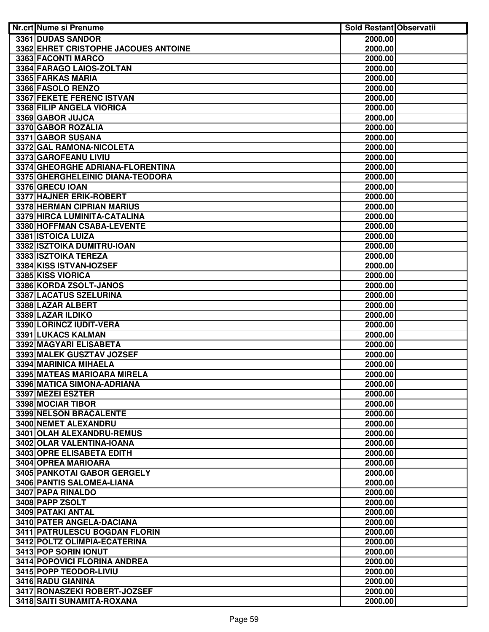| Nr.crt Nume si Prenume               | <b>Sold Restant Observatii</b> |  |
|--------------------------------------|--------------------------------|--|
| 3361 DUDAS SANDOR                    | 2000.00                        |  |
| 3362 EHRET CRISTOPHE JACOUES ANTOINE | 2000.00                        |  |
| 3363 FACONTI MARCO                   | 2000.00                        |  |
| 3364 FARAGO LAIOS-ZOLTAN             | 2000.00                        |  |
| 3365 FARKAS MARIA                    | 2000.00                        |  |
| 3366 FASOLO RENZO                    | 2000.00                        |  |
| <b>3367 FEKETE FERENC ISTVAN</b>     | 2000.00                        |  |
| 3368 FILIP ANGELA VIORICA            | 2000.00                        |  |
| 3369 GABOR JUJCA                     | 2000.00                        |  |
| 3370 GABOR ROZALIA                   | 2000.00                        |  |
| 3371 GABOR SUSANA                    | 2000.00                        |  |
| 3372 GAL RAMONA-NICOLETA             | 2000.00                        |  |
| 3373 GAROFEANU LIVIU                 | 2000.00                        |  |
| 3374 GHEORGHE ADRIANA-FLORENTINA     | 2000.00                        |  |
| 3375 GHERGHELEINIC DIANA-TEODORA     | 2000.00                        |  |
| 3376 GRECU IOAN                      | 2000.00                        |  |
| 3377 HAJNER ERIK-ROBERT              | 2000.00                        |  |
| 3378 HERMAN CIPRIAN MARIUS           | 2000.00                        |  |
| 3379 HIRCA LUMINITA-CATALINA         | 2000.00                        |  |
| 3380 HOFFMAN CSABA-LEVENTE           | 2000.00                        |  |
| 3381 ISTOICA LUIZA                   | 2000.00                        |  |
| 3382 ISZTOIKA DUMITRU-IOAN           | 2000.00                        |  |
| 3383 ISZTOIKA TEREZA                 | 2000.00                        |  |
| 3384 KISS ISTVAN-IOZSEF              | 2000.00                        |  |
| 3385 KISS VIORICA                    | 2000.00                        |  |
| 3386 KORDA ZSOLT-JANOS               | 2000.00                        |  |
| 3387 LACATUS SZELURINA               | 2000.00                        |  |
| 3388 LAZAR ALBERT                    | 2000.00                        |  |
| 3389 LAZAR ILDIKO                    | 2000.00                        |  |
| 3390 LORINCZ IUDIT-VERA              | 2000.00                        |  |
| 3391 LUKACS KALMAN                   | 2000.00                        |  |
| 3392 MAGYARI ELISABETA               | 2000.00                        |  |
| 3393 MALEK GUSZTAV JOZSEF            | 2000.00                        |  |
| 3394 MARINICA MIHAELA                | 2000.00                        |  |
| 3395 MATEAS MARIOARA MIRELA          | 2000.00                        |  |
| 3396 MATICA SIMONA-ADRIANA           | 2000.00                        |  |
| 3397 MEZEI ESZTER                    | 2000.00                        |  |
| 3398 MOCIAR TIBOR                    | 2000.00                        |  |
| <b>3399 NELSON BRACALENTE</b>        | 2000.00                        |  |
| 3400 NEMET ALEXANDRU                 | 2000.00                        |  |
| 3401 OLAH ALEXANDRU-REMUS            | 2000.00                        |  |
| 3402 OLAR VALENTINA-IOANA            | 2000.00                        |  |
| <b>3403 OPRE ELISABETA EDITH</b>     | 2000.00                        |  |
| 3404 OPREA MARIOARA                  | 2000.00                        |  |
| 3405 PANKOTAI GABOR GERGELY          | 2000.00                        |  |
| 3406 PANTIS SALOMEA-LIANA            | 2000.00                        |  |
| 3407 PAPA RINALDO                    | 2000.00                        |  |
| 3408 PAPP ZSOLT                      | 2000.00                        |  |
| 3409 PATAKI ANTAL                    | 2000.00                        |  |
| 3410 PATER ANGELA-DACIANA            | 2000.00                        |  |
| 3411 PATRULESCU BOGDAN FLORIN        | 2000.00                        |  |
| 3412 POLTZ OLIMPIA-ECATERINA         | 2000.00                        |  |
| 3413 POP SORIN IONUT                 | 2000.00                        |  |
| 3414 POPOVICI FLORINA ANDREA         | 2000.00                        |  |
| 3415 POPP TEODOR-LIVIU               | 2000.00                        |  |
| 3416 RADU GIANINA                    | 2000.00                        |  |
| 3417 RONASZEKI ROBERT-JOZSEF         | 2000.00                        |  |
| 3418 SAITI SUNAMITA-ROXANA           | 2000.00                        |  |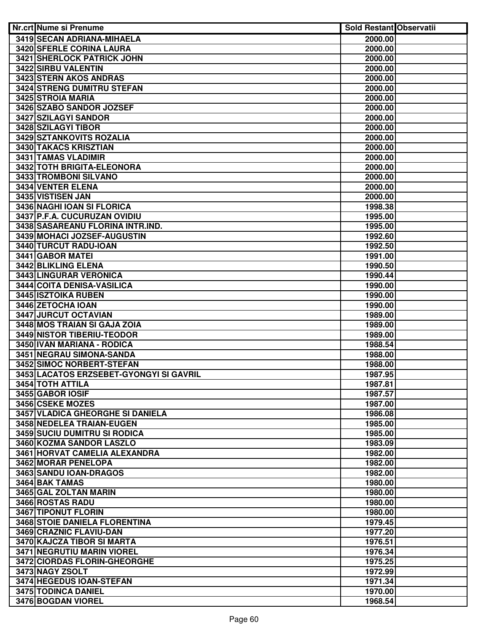| <b>Nr.crt Nume si Prenume</b>                         | <b>Sold Restant Observatii</b> |  |
|-------------------------------------------------------|--------------------------------|--|
| 3419 SECAN ADRIANA-MIHAELA                            | 2000.00                        |  |
| <b>3420 SFERLE CORINA LAURA</b>                       | 2000.00                        |  |
| <b>3421 SHERLOCK PATRICK JOHN</b>                     | 2000.00                        |  |
| <b>3422 SIRBU VALENTIN</b>                            | 2000.00                        |  |
| 3423 STERN AKOS ANDRAS                                | 2000.00                        |  |
| <b>3424 STRENG DUMITRU STEFAN</b>                     | 2000.00                        |  |
| 3425 STROIA MARIA                                     | 2000.00                        |  |
| 3426 SZABO SANDOR JOZSEF                              | 2000.00                        |  |
| 3427 SZILAGYI SANDOR                                  | 2000.00                        |  |
| 3428 SZILAGYI TIBOR                                   | 2000.00                        |  |
| 3429 SZTANKOVITS ROZALIA                              | 2000.00                        |  |
| 3430 TAKACS KRISZTIAN                                 | 2000.00                        |  |
| 3431 TAMAS VLADIMIR                                   | 2000.00                        |  |
| 3432 TOTH BRIGITA-ELEONORA                            | 2000.00                        |  |
| 3433 TROMBONI SILVANO                                 | 2000.00                        |  |
| 3434 VENTER ELENA                                     | 2000.00                        |  |
| 3435 VISTISEN JAN                                     | 2000.00                        |  |
| 3436 NAGHI IOAN SI FLORICA                            | 1998.38                        |  |
| 3437 P.F.A. CUCURUZAN OVIDIU                          | 1995.00                        |  |
| 3438 SASAREANU FLORINA INTR.IND.                      | 1995.00                        |  |
| 3439 MOHACI JOZSEF-AUGUSTIN                           | 1992.60                        |  |
| 3440 TURCUT RADU-IOAN                                 | 1992.50                        |  |
| 3441 GABOR MATEI                                      | 1991.00                        |  |
| 3442 BLIKLING ELENA                                   | 1990.50                        |  |
| 3443 LINGURAR VERONICA                                | 1990.44                        |  |
| 3444 COITA DENISA-VASILICA                            | 1990.00                        |  |
| <b>3445 ISZTOIKA RUBEN</b>                            | 1990.00                        |  |
| 3446 ZETOCHA IOAN                                     | 1990.00                        |  |
| 3447 JURCUT OCTAVIAN                                  | 1989.00                        |  |
| 3448 MOS TRAIAN SI GAJA ZOIA                          | 1989.00                        |  |
| <b>3449 NISTOR TIBERIU-TEODOR</b>                     | 1989.00                        |  |
| 3450 IVAN MARIANA - RODICA                            | 1988.54                        |  |
| 3451 NEGRAU SIMONA-SANDA<br>3452 SIMOC NORBERT-STEFAN | 1988.00                        |  |
| 3453 LACATOS ERZSEBET-GYONGYI SI GAVRIL               | 1988.00<br>1987.95             |  |
| 3454 TOTH ATTILA                                      | 1987.81                        |  |
| 3455 GABOR IOSIF                                      | 1987.57                        |  |
| 3456 CSEKE MOZES                                      | 1987.00                        |  |
| <b>3457 VLADICA GHEORGHE SI DANIELA</b>               | 1986.08                        |  |
| 3458 NEDELEA TRAIAN-EUGEN                             | 1985.00                        |  |
| 3459 SUCIU DUMITRU SI RODICA                          | 1985.00                        |  |
| 3460 KOZMA SANDOR LASZLO                              | 1983.09                        |  |
| 3461 HORVAT CAMELIA ALEXANDRA                         | 1982.00                        |  |
| <b>3462 MORAR PENELOPA</b>                            | 1982.00                        |  |
| 3463 SANDU IOAN-DRAGOS                                | 1982.00                        |  |
| 3464 BAK TAMAS                                        | 1980.00                        |  |
| 3465 GAL ZOLTAN MARIN                                 | 1980.00                        |  |
| 3466 ROSTAS RADU                                      | 1980.00                        |  |
| 3467 TIPONUT FLORIN                                   | 1980.00                        |  |
| 3468 STOIE DANIELA FLORENTINA                         | 1979.45                        |  |
| 3469 CRAZNIC FLAVIU-DAN                               | 1977.20                        |  |
| 3470 KAJCZA TIBOR SI MARTA                            | 1976.51                        |  |
| 3471 NEGRUTIU MARIN VIOREL                            | 1976.34                        |  |
| 3472 CIORDAS FLORIN-GHEORGHE                          | 1975.25                        |  |
| 3473 NAGY ZSOLT                                       | 1972.99                        |  |
| 3474 HEGEDUS IOAN-STEFAN                              | 1971.34                        |  |
| 3475 TODINCA DANIEL                                   | 1970.00                        |  |
| 3476 BOGDAN VIOREL                                    | 1968.54                        |  |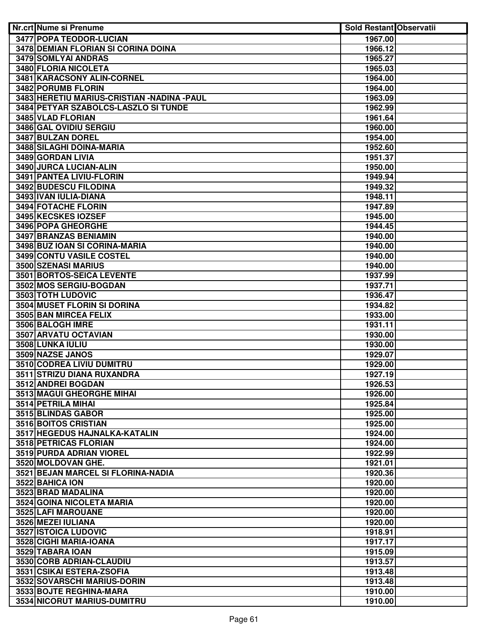| Nr.crt Nume si Prenume                       | <b>Sold Restant Observatii</b> |  |
|----------------------------------------------|--------------------------------|--|
| 3477 POPA TEODOR-LUCIAN                      | 1967.00                        |  |
| <b>3478 DEMIAN FLORIAN SI CORINA DOINA</b>   | 1966.12                        |  |
| <b>3479 SOMLYAI ANDRAS</b>                   | 1965.27                        |  |
| 3480 FLORIA NICOLETA                         | 1965.03                        |  |
| 3481 KARACSONY ALIN-CORNEL                   | 1964.00                        |  |
| 3482 PORUMB FLORIN                           | 1964.00                        |  |
| 3483 HERETIU MARIUS-CRISTIAN - NADINA - PAUL | 1963.09                        |  |
| 3484 PETYAR SZABOLCS-LASZLO SI TUNDE         | 1962.99                        |  |
| 3485 VLAD FLORIAN                            | 1961.64                        |  |
| 3486 GAL OVIDIU SERGIU                       | 1960.00                        |  |
| 3487 BULZAN DOREL                            | 1954.00                        |  |
| 3488 SILAGHI DOINA-MARIA                     | 1952.60                        |  |
| 3489 GORDAN LIVIA                            | 1951.37                        |  |
| 3490 JURCA LUCIAN-ALIN                       | 1950.00                        |  |
| 3491 PANTEA LIVIU-FLORIN                     | 1949.94                        |  |
| 3492 BUDESCU FILODINA                        | 1949.32                        |  |
| 3493 IVAN IULIA-DIANA                        | 1948.11                        |  |
| 3494 FOTACHE FLORIN                          | 1947.89                        |  |
| 3495 KECSKES IOZSEF                          | 1945.00                        |  |
| 3496 POPA GHEORGHE                           | 1944.45                        |  |
| 3497 BRANZAS BENIAMIN                        | 1940.00                        |  |
| 3498 BUZ IOAN SI CORINA-MARIA                | 1940.00                        |  |
| 3499 CONTU VASILE COSTEL                     | 1940.00                        |  |
| 3500 SZENASI MARIUS                          | 1940.00                        |  |
| 3501 BORTOS-SEICA LEVENTE                    | 1937.99                        |  |
| 3502 MOS SERGIU-BOGDAN                       | 1937.71                        |  |
| 3503 TOTH LUDOVIC                            | 1936.47                        |  |
| <b>3504 MUSET FLORIN SI DORINA</b>           | 1934.82                        |  |
| 3505 BAN MIRCEA FELIX                        | 1933.00                        |  |
| 3506 BALOGH IMRE                             | 1931.11                        |  |
| 3507 ARVATU OCTAVIAN                         | 1930.00                        |  |
| 3508 LUNKA IULIU                             | 1930.00                        |  |
| 3509 NAZSE JANOS                             | 1929.07                        |  |
| 3510 CODREA LIVIU DUMITRU                    | 1929.00                        |  |
| 3511 STRIZU DIANA RUXANDRA                   | 1927.19                        |  |
| 3512 ANDREI BOGDAN                           | 1926.53                        |  |
| 3513 MAGUI GHEORGHE MIHAI                    | 1926.00                        |  |
| 3514 PETRILA MIHAI                           | 1925.84                        |  |
| 3515 BLINDAS GABOR                           | 1925.00                        |  |
| 3516 BOITOS CRISTIAN                         | 1925.00                        |  |
| 3517 HEGEDUS HAJNALKA-KATALIN                | 1924.00                        |  |
| 3518 PETRICAS FLORIAN                        | 1924.00                        |  |
| 3519 PURDA ADRIAN VIOREL                     | 1922.99                        |  |
| 3520 MOLDOVAN GHE.                           | 1921.01                        |  |
| 3521 BEJAN MARCEL SI FLORINA-NADIA           | 1920.36                        |  |
| 3522 BAHICA ION                              | 1920.00                        |  |
| 3523 BRAD MADALINA                           | 1920.00                        |  |
| 3524 GOINA NICOLETA MARIA                    | 1920.00                        |  |
| 3525 LAFI MAROUANE                           | 1920.00                        |  |
| 3526 MEZEI IULIANA                           | 1920.00                        |  |
| 3527 ISTOICA LUDOVIC                         | 1918.91                        |  |
| 3528 CIGHI MARIA-IOANA                       | 1917.17                        |  |
| 3529 TABARA IOAN                             | 1915.09                        |  |
| 3530 CORB ADRIAN-CLAUDIU                     | 1913.57                        |  |
| 3531 CSIKAI ESTERA-ZSOFIA                    | 1913.48                        |  |
| 3532 SOVARSCHI MARIUS-DORIN                  | 1913.48                        |  |
| 3533 BOJTE REGHINA-MARA                      | 1910.00                        |  |
| 3534 NICORUT MARIUS-DUMITRU                  |                                |  |
|                                              | 1910.00                        |  |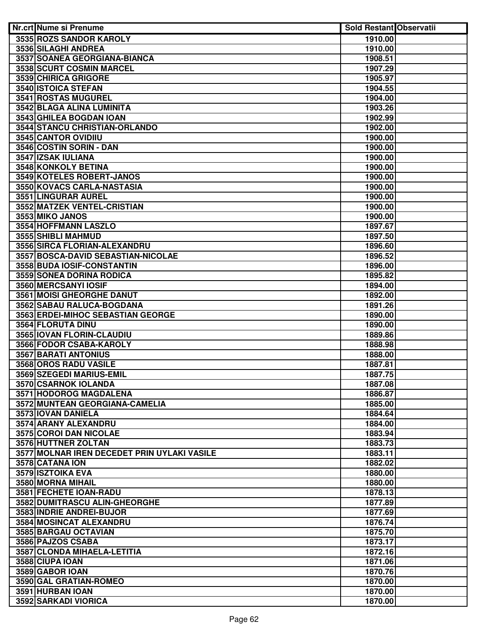| 3535 ROZS SANDOR KAROLY<br>1910.00<br>3536 SILAGHI ANDREA<br>1910.00<br>3537 SOANEA GEORGIANA-BIANCA<br>1908.51<br>3538 SCURT COSMIN MARCEL<br>1907.29<br>3539 CHIRICA GRIGORE<br>1905.97<br>3540 ISTOICA STEFAN<br>1904.55<br><b>3541 ROSTAS MUGUREL</b><br>1904.00<br>3542 BLAGA ALINA LUMINITA<br>1903.26<br>3543 GHILEA BOGDAN IOAN<br>1902.99<br>3544 STANCU CHRISTIAN-ORLANDO<br>1902.00<br>3545 CANTOR OVIDIIU<br>1900.00<br>3546 COSTIN SORIN - DAN<br>1900.00<br>3547 IZSAK IULIANA<br>1900.00<br>3548 KONKOLY BETINA<br>1900.00<br>3549 KOTELES ROBERT-JANOS<br>1900.00<br>3550 KOVACS CARLA-NASTASIA<br>1900.00<br>3551 LINGURAR AUREL<br>1900.00<br>3552 MATZEK VENTEL-CRISTIAN<br>1900.00<br>3553 MIKO JANOS<br>1900.00<br>3554 HOFFMANN LASZLO<br>1897.67<br>3555 SHIBLI MAHMUD<br>1897.50<br>3556 SIRCA FLORIAN-ALEXANDRU<br>1896.60<br>3557 BOSCA-DAVID SEBASTIAN-NICOLAE<br>1896.52<br>3558 BUDA IOSIF-CONSTANTIN<br>1896.00<br><b>3559 SONEA DORINA RODICA</b><br>1895.82<br>3560 MERCSANYI IOSIF<br>1894.00<br><b>3561 MOISI GHEORGHE DANUT</b><br>1892.00<br>3562 SABAU RALUCA-BOGDANA<br>1891.26<br>3563 ERDEI-MIHOC SEBASTIAN GEORGE<br>1890.00<br>3564 FLORUTA DINU<br>1890.00<br>3565   IOVAN FLORIN-CLAUDIU<br>1889.86<br>3566 FODOR CSABA-KAROLY<br>1888.98<br>3567 BARATI ANTONIUS<br>1888.00<br>3568 OROS RADU VASILE<br>1887.81<br>3569 SZEGEDI MARIUS-EMIL<br>1887.75<br>3570 CSARNOK IOLANDA<br>1887.08<br>3571 HODOROG MAGDALENA<br>1886.87<br>3572 MUNTEAN GEORGIANA-CAMELIA<br>1885.00<br>3573 IOVAN DANIELA<br>1884.64<br>3574 ARANY ALEXANDRU<br>1884.00<br><b>3575 COROI DAN NICOLAE</b><br>1883.94<br>3576 HUTTNER ZOLTAN<br>1883.73<br>3577 MOLNAR IREN DECEDET PRIN UYLAKI VASILE<br>1883.11<br>3578 CATANA ION<br>1882.02 |  |
|--------------------------------------------------------------------------------------------------------------------------------------------------------------------------------------------------------------------------------------------------------------------------------------------------------------------------------------------------------------------------------------------------------------------------------------------------------------------------------------------------------------------------------------------------------------------------------------------------------------------------------------------------------------------------------------------------------------------------------------------------------------------------------------------------------------------------------------------------------------------------------------------------------------------------------------------------------------------------------------------------------------------------------------------------------------------------------------------------------------------------------------------------------------------------------------------------------------------------------------------------------------------------------------------------------------------------------------------------------------------------------------------------------------------------------------------------------------------------------------------------------------------------------------------------------------------------------------------------------------------------------------------------------------------------------------------------------------------------------------------------------------------|--|
|                                                                                                                                                                                                                                                                                                                                                                                                                                                                                                                                                                                                                                                                                                                                                                                                                                                                                                                                                                                                                                                                                                                                                                                                                                                                                                                                                                                                                                                                                                                                                                                                                                                                                                                                                                    |  |
|                                                                                                                                                                                                                                                                                                                                                                                                                                                                                                                                                                                                                                                                                                                                                                                                                                                                                                                                                                                                                                                                                                                                                                                                                                                                                                                                                                                                                                                                                                                                                                                                                                                                                                                                                                    |  |
|                                                                                                                                                                                                                                                                                                                                                                                                                                                                                                                                                                                                                                                                                                                                                                                                                                                                                                                                                                                                                                                                                                                                                                                                                                                                                                                                                                                                                                                                                                                                                                                                                                                                                                                                                                    |  |
|                                                                                                                                                                                                                                                                                                                                                                                                                                                                                                                                                                                                                                                                                                                                                                                                                                                                                                                                                                                                                                                                                                                                                                                                                                                                                                                                                                                                                                                                                                                                                                                                                                                                                                                                                                    |  |
|                                                                                                                                                                                                                                                                                                                                                                                                                                                                                                                                                                                                                                                                                                                                                                                                                                                                                                                                                                                                                                                                                                                                                                                                                                                                                                                                                                                                                                                                                                                                                                                                                                                                                                                                                                    |  |
|                                                                                                                                                                                                                                                                                                                                                                                                                                                                                                                                                                                                                                                                                                                                                                                                                                                                                                                                                                                                                                                                                                                                                                                                                                                                                                                                                                                                                                                                                                                                                                                                                                                                                                                                                                    |  |
|                                                                                                                                                                                                                                                                                                                                                                                                                                                                                                                                                                                                                                                                                                                                                                                                                                                                                                                                                                                                                                                                                                                                                                                                                                                                                                                                                                                                                                                                                                                                                                                                                                                                                                                                                                    |  |
|                                                                                                                                                                                                                                                                                                                                                                                                                                                                                                                                                                                                                                                                                                                                                                                                                                                                                                                                                                                                                                                                                                                                                                                                                                                                                                                                                                                                                                                                                                                                                                                                                                                                                                                                                                    |  |
|                                                                                                                                                                                                                                                                                                                                                                                                                                                                                                                                                                                                                                                                                                                                                                                                                                                                                                                                                                                                                                                                                                                                                                                                                                                                                                                                                                                                                                                                                                                                                                                                                                                                                                                                                                    |  |
|                                                                                                                                                                                                                                                                                                                                                                                                                                                                                                                                                                                                                                                                                                                                                                                                                                                                                                                                                                                                                                                                                                                                                                                                                                                                                                                                                                                                                                                                                                                                                                                                                                                                                                                                                                    |  |
|                                                                                                                                                                                                                                                                                                                                                                                                                                                                                                                                                                                                                                                                                                                                                                                                                                                                                                                                                                                                                                                                                                                                                                                                                                                                                                                                                                                                                                                                                                                                                                                                                                                                                                                                                                    |  |
|                                                                                                                                                                                                                                                                                                                                                                                                                                                                                                                                                                                                                                                                                                                                                                                                                                                                                                                                                                                                                                                                                                                                                                                                                                                                                                                                                                                                                                                                                                                                                                                                                                                                                                                                                                    |  |
|                                                                                                                                                                                                                                                                                                                                                                                                                                                                                                                                                                                                                                                                                                                                                                                                                                                                                                                                                                                                                                                                                                                                                                                                                                                                                                                                                                                                                                                                                                                                                                                                                                                                                                                                                                    |  |
|                                                                                                                                                                                                                                                                                                                                                                                                                                                                                                                                                                                                                                                                                                                                                                                                                                                                                                                                                                                                                                                                                                                                                                                                                                                                                                                                                                                                                                                                                                                                                                                                                                                                                                                                                                    |  |
|                                                                                                                                                                                                                                                                                                                                                                                                                                                                                                                                                                                                                                                                                                                                                                                                                                                                                                                                                                                                                                                                                                                                                                                                                                                                                                                                                                                                                                                                                                                                                                                                                                                                                                                                                                    |  |
|                                                                                                                                                                                                                                                                                                                                                                                                                                                                                                                                                                                                                                                                                                                                                                                                                                                                                                                                                                                                                                                                                                                                                                                                                                                                                                                                                                                                                                                                                                                                                                                                                                                                                                                                                                    |  |
|                                                                                                                                                                                                                                                                                                                                                                                                                                                                                                                                                                                                                                                                                                                                                                                                                                                                                                                                                                                                                                                                                                                                                                                                                                                                                                                                                                                                                                                                                                                                                                                                                                                                                                                                                                    |  |
|                                                                                                                                                                                                                                                                                                                                                                                                                                                                                                                                                                                                                                                                                                                                                                                                                                                                                                                                                                                                                                                                                                                                                                                                                                                                                                                                                                                                                                                                                                                                                                                                                                                                                                                                                                    |  |
|                                                                                                                                                                                                                                                                                                                                                                                                                                                                                                                                                                                                                                                                                                                                                                                                                                                                                                                                                                                                                                                                                                                                                                                                                                                                                                                                                                                                                                                                                                                                                                                                                                                                                                                                                                    |  |
|                                                                                                                                                                                                                                                                                                                                                                                                                                                                                                                                                                                                                                                                                                                                                                                                                                                                                                                                                                                                                                                                                                                                                                                                                                                                                                                                                                                                                                                                                                                                                                                                                                                                                                                                                                    |  |
|                                                                                                                                                                                                                                                                                                                                                                                                                                                                                                                                                                                                                                                                                                                                                                                                                                                                                                                                                                                                                                                                                                                                                                                                                                                                                                                                                                                                                                                                                                                                                                                                                                                                                                                                                                    |  |
|                                                                                                                                                                                                                                                                                                                                                                                                                                                                                                                                                                                                                                                                                                                                                                                                                                                                                                                                                                                                                                                                                                                                                                                                                                                                                                                                                                                                                                                                                                                                                                                                                                                                                                                                                                    |  |
|                                                                                                                                                                                                                                                                                                                                                                                                                                                                                                                                                                                                                                                                                                                                                                                                                                                                                                                                                                                                                                                                                                                                                                                                                                                                                                                                                                                                                                                                                                                                                                                                                                                                                                                                                                    |  |
|                                                                                                                                                                                                                                                                                                                                                                                                                                                                                                                                                                                                                                                                                                                                                                                                                                                                                                                                                                                                                                                                                                                                                                                                                                                                                                                                                                                                                                                                                                                                                                                                                                                                                                                                                                    |  |
|                                                                                                                                                                                                                                                                                                                                                                                                                                                                                                                                                                                                                                                                                                                                                                                                                                                                                                                                                                                                                                                                                                                                                                                                                                                                                                                                                                                                                                                                                                                                                                                                                                                                                                                                                                    |  |
|                                                                                                                                                                                                                                                                                                                                                                                                                                                                                                                                                                                                                                                                                                                                                                                                                                                                                                                                                                                                                                                                                                                                                                                                                                                                                                                                                                                                                                                                                                                                                                                                                                                                                                                                                                    |  |
|                                                                                                                                                                                                                                                                                                                                                                                                                                                                                                                                                                                                                                                                                                                                                                                                                                                                                                                                                                                                                                                                                                                                                                                                                                                                                                                                                                                                                                                                                                                                                                                                                                                                                                                                                                    |  |
|                                                                                                                                                                                                                                                                                                                                                                                                                                                                                                                                                                                                                                                                                                                                                                                                                                                                                                                                                                                                                                                                                                                                                                                                                                                                                                                                                                                                                                                                                                                                                                                                                                                                                                                                                                    |  |
|                                                                                                                                                                                                                                                                                                                                                                                                                                                                                                                                                                                                                                                                                                                                                                                                                                                                                                                                                                                                                                                                                                                                                                                                                                                                                                                                                                                                                                                                                                                                                                                                                                                                                                                                                                    |  |
|                                                                                                                                                                                                                                                                                                                                                                                                                                                                                                                                                                                                                                                                                                                                                                                                                                                                                                                                                                                                                                                                                                                                                                                                                                                                                                                                                                                                                                                                                                                                                                                                                                                                                                                                                                    |  |
|                                                                                                                                                                                                                                                                                                                                                                                                                                                                                                                                                                                                                                                                                                                                                                                                                                                                                                                                                                                                                                                                                                                                                                                                                                                                                                                                                                                                                                                                                                                                                                                                                                                                                                                                                                    |  |
|                                                                                                                                                                                                                                                                                                                                                                                                                                                                                                                                                                                                                                                                                                                                                                                                                                                                                                                                                                                                                                                                                                                                                                                                                                                                                                                                                                                                                                                                                                                                                                                                                                                                                                                                                                    |  |
|                                                                                                                                                                                                                                                                                                                                                                                                                                                                                                                                                                                                                                                                                                                                                                                                                                                                                                                                                                                                                                                                                                                                                                                                                                                                                                                                                                                                                                                                                                                                                                                                                                                                                                                                                                    |  |
|                                                                                                                                                                                                                                                                                                                                                                                                                                                                                                                                                                                                                                                                                                                                                                                                                                                                                                                                                                                                                                                                                                                                                                                                                                                                                                                                                                                                                                                                                                                                                                                                                                                                                                                                                                    |  |
|                                                                                                                                                                                                                                                                                                                                                                                                                                                                                                                                                                                                                                                                                                                                                                                                                                                                                                                                                                                                                                                                                                                                                                                                                                                                                                                                                                                                                                                                                                                                                                                                                                                                                                                                                                    |  |
|                                                                                                                                                                                                                                                                                                                                                                                                                                                                                                                                                                                                                                                                                                                                                                                                                                                                                                                                                                                                                                                                                                                                                                                                                                                                                                                                                                                                                                                                                                                                                                                                                                                                                                                                                                    |  |
|                                                                                                                                                                                                                                                                                                                                                                                                                                                                                                                                                                                                                                                                                                                                                                                                                                                                                                                                                                                                                                                                                                                                                                                                                                                                                                                                                                                                                                                                                                                                                                                                                                                                                                                                                                    |  |
|                                                                                                                                                                                                                                                                                                                                                                                                                                                                                                                                                                                                                                                                                                                                                                                                                                                                                                                                                                                                                                                                                                                                                                                                                                                                                                                                                                                                                                                                                                                                                                                                                                                                                                                                                                    |  |
|                                                                                                                                                                                                                                                                                                                                                                                                                                                                                                                                                                                                                                                                                                                                                                                                                                                                                                                                                                                                                                                                                                                                                                                                                                                                                                                                                                                                                                                                                                                                                                                                                                                                                                                                                                    |  |
|                                                                                                                                                                                                                                                                                                                                                                                                                                                                                                                                                                                                                                                                                                                                                                                                                                                                                                                                                                                                                                                                                                                                                                                                                                                                                                                                                                                                                                                                                                                                                                                                                                                                                                                                                                    |  |
|                                                                                                                                                                                                                                                                                                                                                                                                                                                                                                                                                                                                                                                                                                                                                                                                                                                                                                                                                                                                                                                                                                                                                                                                                                                                                                                                                                                                                                                                                                                                                                                                                                                                                                                                                                    |  |
|                                                                                                                                                                                                                                                                                                                                                                                                                                                                                                                                                                                                                                                                                                                                                                                                                                                                                                                                                                                                                                                                                                                                                                                                                                                                                                                                                                                                                                                                                                                                                                                                                                                                                                                                                                    |  |
|                                                                                                                                                                                                                                                                                                                                                                                                                                                                                                                                                                                                                                                                                                                                                                                                                                                                                                                                                                                                                                                                                                                                                                                                                                                                                                                                                                                                                                                                                                                                                                                                                                                                                                                                                                    |  |
| 1880.00                                                                                                                                                                                                                                                                                                                                                                                                                                                                                                                                                                                                                                                                                                                                                                                                                                                                                                                                                                                                                                                                                                                                                                                                                                                                                                                                                                                                                                                                                                                                                                                                                                                                                                                                                            |  |
| 3579 ISZTOIKA EVA<br>3580 MORNA MIHAIL<br>1880.00                                                                                                                                                                                                                                                                                                                                                                                                                                                                                                                                                                                                                                                                                                                                                                                                                                                                                                                                                                                                                                                                                                                                                                                                                                                                                                                                                                                                                                                                                                                                                                                                                                                                                                                  |  |
|                                                                                                                                                                                                                                                                                                                                                                                                                                                                                                                                                                                                                                                                                                                                                                                                                                                                                                                                                                                                                                                                                                                                                                                                                                                                                                                                                                                                                                                                                                                                                                                                                                                                                                                                                                    |  |
| 3581 FECHETE IOAN-RADU<br>1878.13<br>3582 DUMITRASCU ALIN-GHEORGHE<br>1877.89                                                                                                                                                                                                                                                                                                                                                                                                                                                                                                                                                                                                                                                                                                                                                                                                                                                                                                                                                                                                                                                                                                                                                                                                                                                                                                                                                                                                                                                                                                                                                                                                                                                                                      |  |
| 3583 INDRIE ANDREI-BUJOR<br>1877.69                                                                                                                                                                                                                                                                                                                                                                                                                                                                                                                                                                                                                                                                                                                                                                                                                                                                                                                                                                                                                                                                                                                                                                                                                                                                                                                                                                                                                                                                                                                                                                                                                                                                                                                                |  |
| 3584 MOSINCAT ALEXANDRU<br>1876.74                                                                                                                                                                                                                                                                                                                                                                                                                                                                                                                                                                                                                                                                                                                                                                                                                                                                                                                                                                                                                                                                                                                                                                                                                                                                                                                                                                                                                                                                                                                                                                                                                                                                                                                                 |  |
| 3585 BARGAU OCTAVIAN<br>1875.70                                                                                                                                                                                                                                                                                                                                                                                                                                                                                                                                                                                                                                                                                                                                                                                                                                                                                                                                                                                                                                                                                                                                                                                                                                                                                                                                                                                                                                                                                                                                                                                                                                                                                                                                    |  |
| 3586 PAJZOS CSABA<br>1873.17                                                                                                                                                                                                                                                                                                                                                                                                                                                                                                                                                                                                                                                                                                                                                                                                                                                                                                                                                                                                                                                                                                                                                                                                                                                                                                                                                                                                                                                                                                                                                                                                                                                                                                                                       |  |
| 3587 CLONDA MIHAELA-LETITIA<br>1872.16                                                                                                                                                                                                                                                                                                                                                                                                                                                                                                                                                                                                                                                                                                                                                                                                                                                                                                                                                                                                                                                                                                                                                                                                                                                                                                                                                                                                                                                                                                                                                                                                                                                                                                                             |  |
| 3588 CIUPA IOAN<br>1871.06                                                                                                                                                                                                                                                                                                                                                                                                                                                                                                                                                                                                                                                                                                                                                                                                                                                                                                                                                                                                                                                                                                                                                                                                                                                                                                                                                                                                                                                                                                                                                                                                                                                                                                                                         |  |
| 3589 GABOR IOAN<br>1870.76                                                                                                                                                                                                                                                                                                                                                                                                                                                                                                                                                                                                                                                                                                                                                                                                                                                                                                                                                                                                                                                                                                                                                                                                                                                                                                                                                                                                                                                                                                                                                                                                                                                                                                                                         |  |
| 3590 GAL GRATIAN-ROMEO<br>1870.00                                                                                                                                                                                                                                                                                                                                                                                                                                                                                                                                                                                                                                                                                                                                                                                                                                                                                                                                                                                                                                                                                                                                                                                                                                                                                                                                                                                                                                                                                                                                                                                                                                                                                                                                  |  |
| 3591 HURBAN IOAN<br>1870.00                                                                                                                                                                                                                                                                                                                                                                                                                                                                                                                                                                                                                                                                                                                                                                                                                                                                                                                                                                                                                                                                                                                                                                                                                                                                                                                                                                                                                                                                                                                                                                                                                                                                                                                                        |  |
| 3592 SARKADI VIORICA<br>1870.00                                                                                                                                                                                                                                                                                                                                                                                                                                                                                                                                                                                                                                                                                                                                                                                                                                                                                                                                                                                                                                                                                                                                                                                                                                                                                                                                                                                                                                                                                                                                                                                                                                                                                                                                    |  |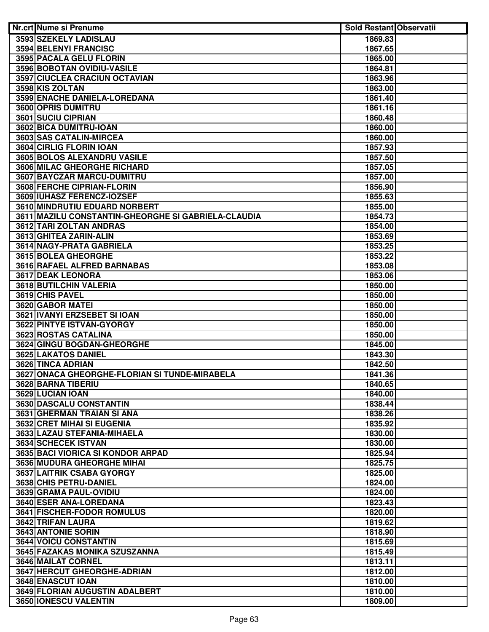| Nr.crt Nume si Prenume                                | <b>Sold Restant Observatii</b> |  |
|-------------------------------------------------------|--------------------------------|--|
| 3593 SZEKELY LADISLAU                                 | 1869.83                        |  |
| 3594 BELENYI FRANCISC                                 | 1867.65                        |  |
| 3595 PACALA GELU FLORIN                               | 1865.00                        |  |
| 3596 BOBOTAN OVIDIU-VASILE                            | 1864.81                        |  |
| 3597 CIUCLEA CRACIUN OCTAVIAN                         | 1863.96                        |  |
| 3598 KIS ZOLTAN                                       | 1863.00                        |  |
| 3599 ENACHE DANIELA-LOREDANA                          | 1861.40                        |  |
| 3600 OPRIS DUMITRU                                    | 1861.16                        |  |
| 3601 SUCIU CIPRIAN                                    | 1860.48                        |  |
| 3602 BICA DUMITRU-IOAN                                | 1860.00                        |  |
| 3603 SAS CATALIN-MIRCEA                               | 1860.00                        |  |
| 3604 CIRLIG FLORIN IOAN                               | 1857.93                        |  |
| 3605 BOLOS ALEXANDRU VASILE                           | 1857.50                        |  |
| 3606 MILAC GHEORGHE RICHARD                           | 1857.05                        |  |
| 3607 BAYCZAR MARCU-DUMITRU                            | 1857.00                        |  |
| 3608 FERCHE CIPRIAN-FLORIN                            | 1856.90                        |  |
| 3609 IUHASZ FERENCZ-IOZSEF                            | 1855.63                        |  |
| 3610 MINDRUTIU EDUARD NORBERT                         | 1855.00                        |  |
| 3611   MAZILU CONSTANTIN-GHEORGHE SI GABRIELA-CLAUDIA | 1854.73                        |  |
| 3612 TARI ZOLTAN ANDRAS                               | 1854.00                        |  |
| 3613 GHITEA ZARIN-ALIN                                | 1853.69                        |  |
| 3614 NAGY-PRATA GABRIELA                              | 1853.25                        |  |
| 3615 BOLEA GHEORGHE                                   | 1853.22                        |  |
| 3616 RAFAEL ALFRED BARNABAS                           | 1853.08                        |  |
| 3617 DEAK LEONORA                                     | 1853.06                        |  |
| 3618 BUTILCHIN VALERIA                                | 1850.00                        |  |
| 3619 CHIS PAVEL                                       | 1850.00                        |  |
| 3620 GABOR MATEI                                      | 1850.00                        |  |
| 3621 IVANYI ERZSEBET SI IOAN                          | 1850.00                        |  |
| 3622 PINTYE ISTVAN-GYORGY                             | 1850.00                        |  |
| 3623 ROSTAS CATALINA                                  | 1850.00                        |  |
| 3624 GINGU BOGDAN-GHEORGHE                            | 1845.00                        |  |
| 3625 LAKATOS DANIEL                                   | 1843.30                        |  |
| 3626 TINCA ADRIAN                                     | 1842.50                        |  |
| 3627 ONACA GHEORGHE-FLORIAN SI TUNDE-MIRABELA         | 1841.36                        |  |
| 3628 BARNA TIBERIU                                    | 1840.65                        |  |
| 3629 LUCIAN IOAN                                      | 1840.00                        |  |
| 3630 DASCALU CONSTANTIN                               | 1838.44                        |  |
| 3631 GHERMAN TRAIAN SI ANA                            | 1838.26                        |  |
| 3632 CRET MIHAI SI EUGENIA                            | 1835.92                        |  |
| 3633 LAZAU STEFANIA-MIHAELA                           | 1830.00                        |  |
| 3634 SCHECEK ISTVAN                                   | 1830.00                        |  |
| 3635 BACI VIORICA SI KONDOR ARPAD                     | 1825.94                        |  |
| 3636 MUDURA GHEORGHE MIHAI                            | 1825.75                        |  |
| 3637 LAITRIK CSABA GYORGY                             | 1825.00                        |  |
| 3638 CHIS PETRU-DANIEL                                | 1824.00                        |  |
| 3639 GRAMA PAUL-OVIDIU                                | 1824.00                        |  |
| 3640 ESER ANA-LOREDANA                                | 1823.43                        |  |
| <b>3641 FISCHER-FODOR ROMULUS</b>                     | 1820.00                        |  |
| 3642 TRIFAN LAURA                                     | 1819.62                        |  |
| 3643 ANTONIE SORIN                                    | 1818.90                        |  |
| 3644 VOICU CONSTANTIN                                 | 1815.69                        |  |
| 3645 FAZAKAS MONIKA SZUSZANNA                         | 1815.49                        |  |
| 3646 MAILAT CORNEL                                    | 1813.11                        |  |
| 3647 HERCUT GHEORGHE-ADRIAN                           | 1812.00                        |  |
| 3648 ENASCUT IOAN                                     | 1810.00                        |  |
| 3649 FLORIAN AUGUSTIN ADALBERT                        | 1810.00                        |  |
| 3650 IONESCU VALENTIN                                 | 1809.00                        |  |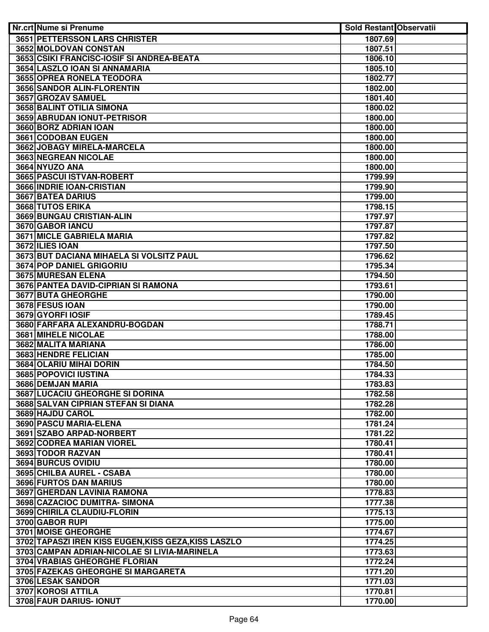| Nr.crt Nume si Prenume                               | <b>Sold Restant Observatii</b> |  |
|------------------------------------------------------|--------------------------------|--|
| <b>3651 PETTERSSON LARS CHRISTER</b>                 | 1807.69                        |  |
| 3652 MOLDOVAN CONSTAN                                | 1807.51                        |  |
| 3653 CSIKI FRANCISC-IOSIF SI ANDREA-BEATA            | 1806.10                        |  |
| 3654 LASZLO IOAN SI ANNAMARIA                        | 1805.10                        |  |
| 3655 OPREA RONELA TEODORA                            | 1802.77                        |  |
| 3656 SANDOR ALIN-FLORENTIN                           | 1802.00                        |  |
| 3657 GROZAV SAMUEL                                   | 1801.40                        |  |
| 3658 BALINT OTILIA SIMONA                            | 1800.02                        |  |
| 3659 ABRUDAN IONUT-PETRISOR                          | 1800.00                        |  |
| 3660 BORZ ADRIAN IOAN                                | 1800.00                        |  |
| 3661 CODOBAN EUGEN                                   | 1800.00                        |  |
| 3662 JOBAGY MIRELA-MARCELA                           | 1800.00                        |  |
| 3663 NEGREAN NICOLAE                                 | 1800.00                        |  |
| 3664 NYUZO ANA                                       | 1800.00                        |  |
| 3665 PASCUI ISTVAN-ROBERT                            | 1799.99                        |  |
| 3666 INDRIE IOAN-CRISTIAN                            | 1799.90                        |  |
| 3667 BATEA DARIUS                                    | 1799.00                        |  |
| 3668 TUTOS ERIKA                                     | 1798.15                        |  |
| 3669 BUNGAU CRISTIAN-ALIN                            | 1797.97                        |  |
| 3670 GABOR IANCU                                     | 1797.87                        |  |
| 3671 MICLE GABRIELA MARIA                            | 1797.82                        |  |
| 3672 ILIES IOAN                                      | 1797.50                        |  |
| 3673 BUT DACIANA MIHAELA SI VOLSITZ PAUL             | 1796.62                        |  |
| 3674 POP DANIEL GRIGORIU                             | 1795.34                        |  |
| 3675 MURESAN ELENA                                   | 1794.50                        |  |
| 3676 PANTEA DAVID-CIPRIAN SI RAMONA                  | 1793.61                        |  |
| 3677 BUTA GHEORGHE                                   | 1790.00                        |  |
| 3678 FESUS IOAN                                      | 1790.00                        |  |
| 3679 GYORFI IOSIF                                    | 1789.45                        |  |
| 3680 FARFARA ALEXANDRU-BOGDAN                        | 1788.71                        |  |
| <b>3681 MIHELE NICOLAE</b>                           | 1788.00                        |  |
| 3682 MALITA MARIANA                                  | 1786.00                        |  |
| 3683 HENDRE FELICIAN<br>3684 OLARIU MIHAI DORIN      | 1785.00<br>1784.50             |  |
| 3685 POPOVICI IUSTINA                                | 1784.33                        |  |
| 3686 DEMJAN MARIA                                    | 1783.83                        |  |
| 3687 LUCACIU GHEORGHE SI DORINA                      | 1782.58                        |  |
| 3688 SALVAN CIPRIAN STEFAN SI DIANA                  | 1782.28                        |  |
| 3689 HAJDU CAROL                                     | 1782.00                        |  |
| 3690 PASCU MARIA-ELENA                               | 1781.24                        |  |
| 3691 SZABO ARPAD-NORBERT                             | 1781.22                        |  |
| 3692 CODREA MARIAN VIOREL                            | 1780.41                        |  |
| 3693 TODOR RAZVAN                                    | 1780.41                        |  |
| 3694 BURCUS OVIDIU                                   | 1780.00                        |  |
| 3695 CHILBA AUREL - CSABA                            | 1780.00                        |  |
| 3696 FURTOS DAN MARIUS                               | 1780.00                        |  |
| 3697 GHERDAN LAVINIA RAMONA                          | 1778.83                        |  |
| 3698 CAZACIOC DUMITRA- SIMONA                        | 1777.38                        |  |
| 3699 CHIRILA CLAUDIU-FLORIN                          | 1775.13                        |  |
| 3700 GABOR RUPI                                      | 1775.00                        |  |
| 3701 MOISE GHEORGHE                                  | 1774.67                        |  |
| 3702 TAPASZI IREN KISS EUGEN, KISS GEZA, KISS LASZLO | 1774.25                        |  |
| 3703 CAMPAN ADRIAN-NICOLAE SI LIVIA-MARINELA         | 1773.63                        |  |
| <b>3704 VRABIAS GHEORGHE FLORIAN</b>                 | 1772.24                        |  |
| 3705 FAZEKAS GHEORGHE SI MARGARETA                   | 1771.20                        |  |
| 3706 LESAK SANDOR                                    | 1771.03                        |  |
| 3707 KOROSI ATTILA                                   | 1770.81                        |  |
| 3708 FAUR DARIUS- IONUT                              | 1770.00                        |  |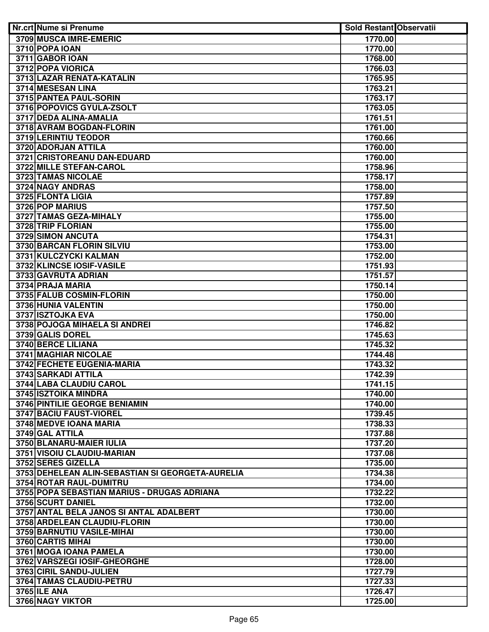| Nr.crt Nume si Prenume                           | <b>Sold Restant Observatii</b> |  |
|--------------------------------------------------|--------------------------------|--|
| 3709 MUSCA IMRE-EMERIC                           | 1770.00                        |  |
| 3710 POPA IOAN                                   | 1770.00                        |  |
| 3711 GABOR IOAN                                  | 1768.00                        |  |
| 3712 POPA VIORICA                                | 1766.03                        |  |
| 3713 LAZAR RENATA-KATALIN                        | 1765.95                        |  |
| 3714 MESESAN LINA                                | 1763.21                        |  |
| 3715 PANTEA PAUL-SORIN                           | 1763.17                        |  |
| 3716 POPOVICS GYULA-ZSOLT                        | 1763.05                        |  |
| 3717 DEDA ALINA-AMALIA                           | 1761.51                        |  |
| 3718 AVRAM BOGDAN-FLORIN                         | 1761.00                        |  |
| 3719 LERINTIU TEODOR                             | 1760.66                        |  |
| 3720 ADORJAN ATTILA                              | 1760.00                        |  |
| 3721 CRISTOREANU DAN-EDUARD                      | 1760.00                        |  |
| 3722 MILLE STEFAN-CAROL                          | 1758.96                        |  |
| 3723 TAMAS NICOLAE                               | 1758.17                        |  |
| 3724 NAGY ANDRAS                                 | 1758.00                        |  |
| 3725 FLONTA LIGIA                                | 1757.89                        |  |
| 3726 POP MARIUS                                  | 1757.50                        |  |
| 3727 TAMAS GEZA-MIHALY                           | 1755.00                        |  |
| 3728 TRIP FLORIAN                                | 1755.00                        |  |
| 3729 SIMON ANCUTA                                | 1754.31                        |  |
| 3730 BARCAN FLORIN SILVIU                        | 1753.00                        |  |
| 3731 KULCZYCKI KALMAN                            | 1752.00                        |  |
| 3732 KLINCSE IOSIF-VASILE                        | 1751.93                        |  |
| 3733 GAVRUTA ADRIAN                              | 1751.57                        |  |
| 3734 PRAJA MARIA                                 | 1750.14                        |  |
| 3735 FALUB COSMIN-FLORIN                         | 1750.00                        |  |
| 3736 HUNIA VALENTIN                              | 1750.00                        |  |
| 3737 ISZTOJKA EVA                                | 1750.00                        |  |
| 3738 POJOGA MIHAELA SI ANDREI                    | 1746.82                        |  |
| 3739 GALIS DOREL                                 | 1745.63                        |  |
| <b>3740 BERCE LILIANA</b>                        | 1745.32                        |  |
| 3741 MAGHIAR NICOLAE                             | 1744.48                        |  |
| <b>3742 FECHETE EUGENIA-MARIA</b>                | 1743.32                        |  |
| 3743 SARKADI ATTILA                              | 1742.39                        |  |
| 3744 LABA CLAUDIU CAROL                          | 1741.15                        |  |
| 3745 ISZTOIKA MINDRA                             | 1740.00                        |  |
| 3746 PINTILIE GEORGE BENIAMIN                    | 1740.00                        |  |
| 3747 BACIU FAUST-VIOREL                          | 1739.45                        |  |
| 3748 MEDVE IOANA MARIA                           | 1738.33                        |  |
| 3749 GAL ATTILA                                  | 1737.88                        |  |
| 3750 BLANARU-MAIER IULIA                         | 1737.20                        |  |
| 3751 VISOIU CLAUDIU-MARIAN                       | 1737.08                        |  |
| 3752 SERES GIZELLA                               | 1735.00                        |  |
| 3753 DEHELEAN ALIN-SEBASTIAN SI GEORGETA-AURELIA | 1734.38                        |  |
| 3754 ROTAR RAUL-DUMITRU                          | 1734.00                        |  |
| 3755 POPA SEBASTIAN MARIUS - DRUGAS ADRIANA      | 1732.22                        |  |
| 3756 SCURT DANIEL                                | 1732.00                        |  |
| 3757 ANTAL BELA JANOS SI ANTAL ADALBERT          | 1730.00                        |  |
| 3758 ARDELEAN CLAUDIU-FLORIN                     | 1730.00                        |  |
| 3759 BARNUTIU VASILE-MIHAI                       | 1730.00                        |  |
| 3760 CARTIS MIHAI                                | 1730.00                        |  |
| 3761 MOGA IOANA PAMELA                           | 1730.00                        |  |
| 3762 VARSZEGI IOSIF-GHEORGHE                     | 1728.00                        |  |
| 3763 CIRIL SANDU-JULIEN                          | 1727.79                        |  |
| 3764 TAMAS CLAUDIU-PETRU                         | 1727.33                        |  |
| <b>3765 ILE ANA</b>                              | 1726.47                        |  |
| 3766 NAGY VIKTOR                                 | 1725.00                        |  |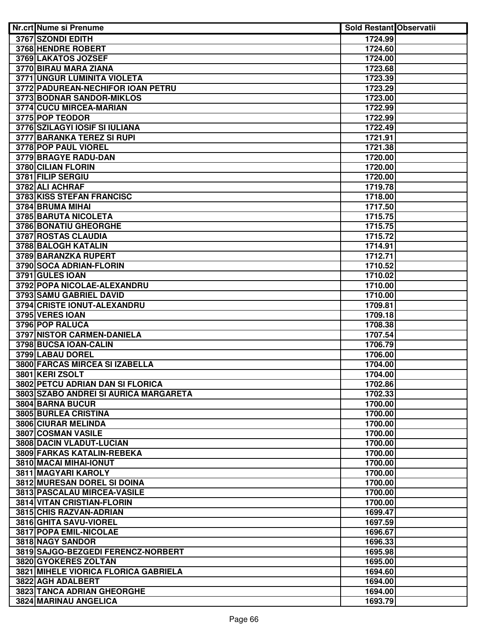| Nr.crt Nume si Prenume                   | <b>Sold Restant Observatii</b> |  |
|------------------------------------------|--------------------------------|--|
| 3767 SZONDI EDITH                        | 1724.99                        |  |
| 3768 HENDRE ROBERT                       | 1724.60                        |  |
| 3769 LAKATOS JOZSEF                      | 1724.00                        |  |
| 3770 BIRAU MARA ZIANA                    | 1723.68                        |  |
| <b>3771 UNGUR LUMINITA VIOLETA</b>       | 1723.39                        |  |
| 3772 PADUREAN-NECHIFOR IOAN PETRU        | 1723.29                        |  |
| 3773 BODNAR SANDOR-MIKLOS                | 1723.00                        |  |
| 3774 CUCU MIRCEA-MARIAN                  | 1722.99                        |  |
| 3775 POP TEODOR                          | 1722.99                        |  |
| <b>3776 SZILAGYI IOSIF SI IULIANA</b>    | 1722.49                        |  |
| 3777 BARANKA TEREZ SI RUPI               | 1721.91                        |  |
| 3778 POP PAUL VIOREL                     | 1721.38                        |  |
| 3779 BRAGYE RADU-DAN                     | 1720.00                        |  |
| 3780 CILIAN FLORIN                       | 1720.00                        |  |
| 3781 FILIP SERGIU                        | 1720.00                        |  |
| 3782 ALI ACHRAF                          | 1719.78                        |  |
| <b>3783 KISS STEFAN FRANCISC</b>         | 1718.00                        |  |
| 3784 BRUMA MIHAI                         | 1717.50                        |  |
| 3785 BARUTA NICOLETA                     | 1715.75                        |  |
| 3786 BONATIU GHEORGHE                    | 1715.75                        |  |
| 3787 ROSTAS CLAUDIA                      | 1715.72                        |  |
| 3788 BALOGH KATALIN                      | 1714.91                        |  |
| 3789 BARANZKA RUPERT                     | 1712.71                        |  |
| 3790 SOCA ADRIAN-FLORIN                  | 1710.52                        |  |
| 3791 GULES IOAN                          | 1710.02                        |  |
| 3792 POPA NICOLAE-ALEXANDRU              | 1710.00                        |  |
| 3793 SAMU GABRIEL DAVID                  | 1710.00                        |  |
| <b>3794 CRISTE IONUT-ALEXANDRU</b>       | 1709.81                        |  |
| 3795 VERES IOAN                          | 1709.18                        |  |
| 3796 POP RALUCA                          | 1708.38                        |  |
| <b>3797 NISTOR CARMEN-DANIELA</b>        | 1707.54                        |  |
| 3798 BUCSA IOAN-CALIN                    | 1706.79                        |  |
| 3799 LABAU DOREL                         | 1706.00                        |  |
| 3800 FARCAS MIRCEA SI IZABELLA           | 1704.00                        |  |
| 3801 KERI ZSOLT                          | 1704.00                        |  |
| 3802 PETCU ADRIAN DAN SI FLORICA         | 1702.86                        |  |
| 3803 SZABO ANDREI SI AURICA MARGARETA    | 1702.33                        |  |
| 3804 BARNA BUCUR<br>3805 BURLEA CRISTINA | 1700.00                        |  |
| 3806 CIURAR MELINDA                      | 1700.00                        |  |
| 3807 COSMAN VASILE                       | 1700.00<br>1700.00             |  |
| 3808 DACIN VLADUT-LUCIAN                 | 1700.00                        |  |
| 3809 FARKAS KATALIN-REBEKA               | 1700.00                        |  |
| 3810 MACAI MIHAI-IONUT                   | 1700.00                        |  |
| 3811 MAGYARI KAROLY                      | 1700.00                        |  |
| 3812 MURESAN DOREL SI DOINA              | 1700.00                        |  |
| 3813 PASCALAU MIRCEA-VASILE              | 1700.00                        |  |
| 3814 VITAN CRISTIAN-FLORIN               | 1700.00                        |  |
| 3815 CHIS RAZVAN-ADRIAN                  | 1699.47                        |  |
| 3816 GHITA SAVU-VIOREL                   | 1697.59                        |  |
| 3817 POPA EMIL-NICOLAE                   | 1696.67                        |  |
| 3818 NAGY SANDOR                         | 1696.33                        |  |
| 3819 SAJGO-BEZGEDI FERENCZ-NORBERT       | 1695.98                        |  |
| 3820 GYOKERES ZOLTAN                     | 1695.00                        |  |
| 3821 MIHELE VIORICA FLORICA GABRIELA     | 1694.60                        |  |
| 3822 AGH ADALBERT                        | 1694.00                        |  |
| 3823 TANCA ADRIAN GHEORGHE               | 1694.00                        |  |
| 3824 MARINAU ANGELICA                    | 1693.79                        |  |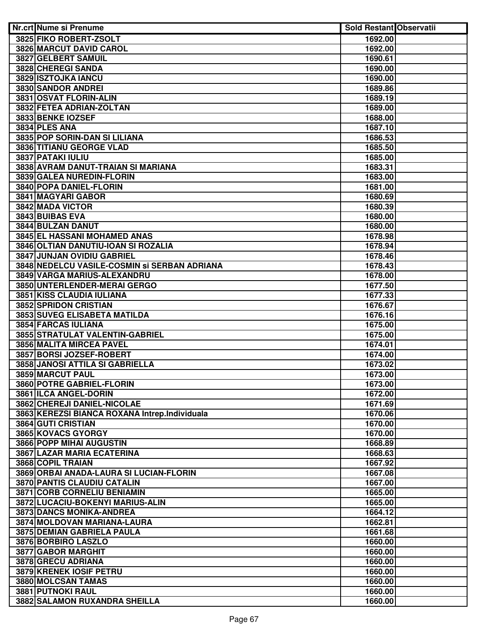| Nr.crt Nume si Prenume                        | <b>Sold Restant Observatii</b> |  |
|-----------------------------------------------|--------------------------------|--|
| 3825 FIKO ROBERT-ZSOLT                        | 1692.00                        |  |
| 3826 MARCUT DAVID CAROL                       | 1692.00                        |  |
| 3827 GELBERT SAMUIL                           | 1690.61                        |  |
| 3828 CHEREGI SANDA                            | 1690.00                        |  |
| 3829 ISZTOJKA IANCU                           | 1690.00                        |  |
| 3830 SANDOR ANDREI                            | 1689.86                        |  |
| 3831 OSVAT FLORIN-ALIN                        | 1689.19                        |  |
| 3832 FETEA ADRIAN-ZOLTAN                      | 1689.00                        |  |
| 3833 BENKE IOZSEF                             | 1688.00                        |  |
| <b>3834 PLES ANA</b>                          | 1687.10                        |  |
| 3835 POP SORIN-DAN SI LILIANA                 | 1686.53                        |  |
| 3836 TITIANU GEORGE VLAD                      | 1685.50                        |  |
| 3837 PATAKI IULIU                             | 1685.00                        |  |
| 3838 AVRAM DANUT-TRAIAN SI MARIANA            | 1683.31                        |  |
| 3839 GALEA NUREDIN-FLORIN                     | 1683.00                        |  |
| 3840 POPA DANIEL-FLORIN                       | 1681.00                        |  |
| 3841 MAGYARI GABOR                            | 1680.69                        |  |
| 3842 MADA VICTOR                              | 1680.39                        |  |
| 3843 BUIBAS EVA                               | 1680.00                        |  |
| 3844 BULZAN DANUT                             | 1680.00                        |  |
| 3845 EL HASSANI MOHAMED ANAS                  | 1678.98                        |  |
| 3846 OLTIAN DANUTIU-IOAN SI ROZALIA           | 1678.94                        |  |
| 3847 JUNJAN OVIDIU GABRIEL                    | 1678.46                        |  |
| 3848 NEDELCU VASILE-COSMIN Si SERBAN ADRIANA  | 1678.43                        |  |
| 3849 VARGA MARIUS-ALEXANDRU                   | 1678.00                        |  |
| 3850 UNTERLENDER-MERAI GERGO                  | 1677.50                        |  |
| 3851 KISS CLAUDIA IULIANA                     | 1677.33                        |  |
| <b>3852 SPRIDON CRISTIAN</b>                  | 1676.67                        |  |
| 3853 SUVEG ELISABETA MATILDA                  | 1676.16                        |  |
| 3854 FARCAS IULIANA                           | 1675.00                        |  |
| 3855 STRATULAT VALENTIN-GABRIEL               | 1675.00                        |  |
| 3856 MALITA MIRCEA PAVEL                      | 1674.01                        |  |
| 3857 BORSI JOZSEF-ROBERT                      | 1674.00                        |  |
| 3858 JANOSI ATTILA SI GABRIELLA               | 1673.02                        |  |
| 3859 MARCUT PAUL                              | 1673.00                        |  |
| 3860 POTRE GABRIEL-FLORIN                     | 1673.00                        |  |
| 3861 ILCA ANGEL-DORIN                         | 1672.00                        |  |
| 3862 CHEREJI DANIEL-NICOLAE                   | 1671.69                        |  |
| 3863 KEREZSI BIANCA ROXANA Intrep.Individuala | 1670.06                        |  |
| <b>3864 GUTI CRISTIAN</b>                     | 1670.00                        |  |
| 3865 KOVACS GYORGY                            | 1670.00                        |  |
| 3866 POPP MIHAI AUGUSTIN                      | 1668.89                        |  |
| 3867 LAZAR MARIA ECATERINA                    | 1668.63                        |  |
| 3868 COPIL TRAIAN                             | 1667.92                        |  |
| 3869 ORBAI ANADA-LAURA SI LUCIAN-FLORIN       | 1667.08                        |  |
| <b>3870 PANTIS CLAUDIU CATALIN</b>            | 1667.00                        |  |
| 3871 CORB CORNELIU BENIAMIN                   | 1665.00                        |  |
| 3872 LUCACIU-BOKENYI MARIUS-ALIN              | 1665.00                        |  |
| 3873 DANCS MONIKA-ANDREA                      | 1664.12                        |  |
| 3874 MOLDOVAN MARIANA-LAURA                   | 1662.81                        |  |
| 3875 DEMIAN GABRIELA PAULA                    | 1661.68                        |  |
| 3876 BORBIRO LASZLO                           | 1660.00                        |  |
| 3877 GABOR MARGHIT                            | 1660.00                        |  |
| 3878 GRECU ADRIANA                            | 1660.00                        |  |
| 3879 KRENEK IOSIF PETRU                       | 1660.00                        |  |
| 3880 MOLCSAN TAMAS                            | 1660.00                        |  |
| 3881 PUTNOKI RAUL                             | 1660.00                        |  |
| 3882 SALAMON RUXANDRA SHEILLA                 | 1660.00                        |  |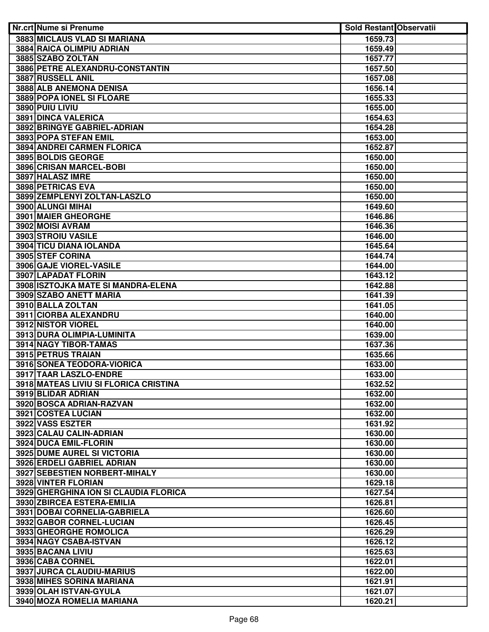| Nr.crt Nume si Prenume                                          | <b>Sold Restant Observatii</b> |  |
|-----------------------------------------------------------------|--------------------------------|--|
| 3883 MICLAUS VLAD SI MARIANA                                    | 1659.73                        |  |
| 3884 RAICA OLIMPIU ADRIAN                                       | 1659.49                        |  |
| 3885 SZABO ZOLTAN                                               | 1657.77                        |  |
| 3886 PETRE ALEXANDRU-CONSTANTIN                                 | 1657.50                        |  |
| 3887 RUSSELL ANIL                                               | 1657.08                        |  |
| <b>3888 ALB ANEMONA DENISA</b>                                  | 1656.14                        |  |
| <b>3889 POPA IONEL SI FLOARE</b>                                | 1655.33                        |  |
| 3890 PUIU LIVIU                                                 | 1655.00                        |  |
| 3891 DINCA VALERICA                                             | 1654.63                        |  |
| 3892 BRINGYE GABRIEL-ADRIAN                                     | 1654.28                        |  |
| 3893 POPA STEFAN EMIL                                           | 1653.00                        |  |
| 3894 ANDREI CARMEN FLORICA                                      | 1652.87                        |  |
| 3895 BOLDIS GEORGE                                              | 1650.00                        |  |
| 3896 CRISAN MARCEL-BOBI                                         | 1650.00                        |  |
| 3897 HALASZ IMRE                                                | 1650.00                        |  |
| 3898 PETRICAS EVA                                               | 1650.00                        |  |
| 3899 ZEMPLENYI ZOLTAN-LASZLO                                    | 1650.00                        |  |
| 3900 ALUNGI MIHAI                                               | 1649.60                        |  |
| 3901 MAIER GHEORGHE                                             | 1646.86                        |  |
| 3902 MOISI AVRAM                                                | 1646.36                        |  |
| 3903 STROIU VASILE                                              | 1646.00                        |  |
| 3904 TICU DIANA IOLANDA                                         | 1645.64                        |  |
| 3905 STEF CORINA                                                | 1644.74                        |  |
| 3906 GAJE VIOREL-VASILE                                         | 1644.00                        |  |
| 3907 LAPADAT FLORIN                                             | 1643.12                        |  |
| 3908 ISZTOJKA MATE SI MANDRA-ELENA                              | 1642.88                        |  |
| 3909 SZABO ANETT MARIA                                          | 1641.39                        |  |
| 3910 BALLA ZOLTAN                                               | 1641.05                        |  |
| 3911 CIORBA ALEXANDRU                                           | 1640.00                        |  |
| 3912 NISTOR VIOREL                                              | 1640.00                        |  |
| 3913 DURA OLIMPIA-LUMINITA                                      | 1639.00                        |  |
| 3914 NAGY TIBOR-TAMAS                                           |                                |  |
|                                                                 | 1637.36                        |  |
| 3915 PETRUS TRAIAN<br>3916 SONEA TEODORA-VIORICA                | 1635.66                        |  |
|                                                                 | 1633.00                        |  |
| 3917 TAAR LASZLO-ENDRE<br>3918 MATEAS LIVIU SI FLORICA CRISTINA | 1633.00                        |  |
|                                                                 | 1632.52                        |  |
| 3919 BLIDAR ADRIAN                                              | 1632.00                        |  |
| 3920 BOSCA ADRIAN-RAZVAN                                        | 1632.00                        |  |
| 3921 COSTEA LUCIAN                                              | 1632.00                        |  |
| 3922 VASS ESZTER                                                | 1631.92                        |  |
| 3923 CALAU CALIN-ADRIAN                                         | 1630.00                        |  |
| 3924 DUCA EMIL-FLORIN                                           | 1630.00                        |  |
| <b>3925 DUME AUREL SI VICTORIA</b>                              | 1630.00                        |  |
| 3926 ERDELI GABRIEL ADRIAN                                      | 1630.00                        |  |
| 3927 SEBESTIEN NORBERT-MIHALY                                   | 1630.00                        |  |
| 3928 VINTER FLORIAN                                             | 1629.18                        |  |
| 3929 GHERGHINA ION SI CLAUDIA FLORICA                           | 1627.54                        |  |
| 3930 ZBIRCEA ESTERA-EMILIA                                      | 1626.81                        |  |
| 3931 DOBAI CORNELIA-GABRIELA                                    | 1626.60                        |  |
| 3932 GABOR CORNEL-LUCIAN                                        | 1626.45                        |  |
| 3933 GHEORGHE ROMOLICA                                          | 1626.29                        |  |
| 3934 NAGY CSABA-ISTVAN                                          | 1626.12                        |  |
| 3935 BACANA LIVIU                                               | 1625.63                        |  |
| 3936 CABA CORNEL                                                | 1622.01                        |  |
| 3937 JURCA CLAUDIU-MARIUS                                       | 1622.00                        |  |
| 3938 MIHES SORINA MARIANA                                       | 1621.91                        |  |
| 3939 OLAH ISTVAN-GYULA                                          | 1621.07                        |  |
| 3940 MOZA ROMELIA MARIANA                                       | 1620.21                        |  |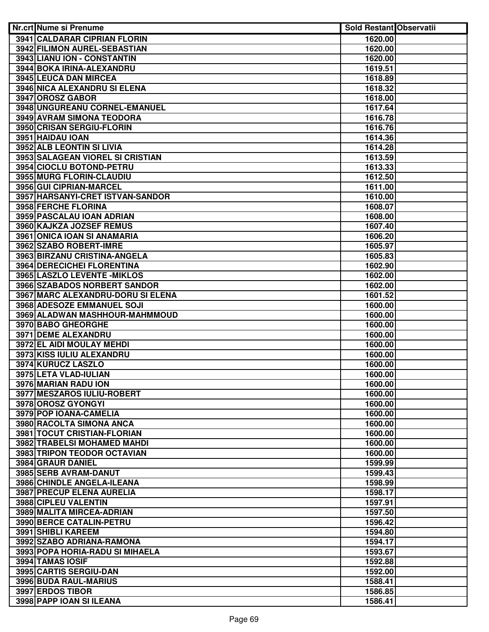| <b>Nr.crt Nume si Prenume</b>                    | <b>Sold Restant Observatii</b> |  |
|--------------------------------------------------|--------------------------------|--|
| 3941 CALDARAR CIPRIAN FLORIN                     | 1620.00                        |  |
| <b>3942 FILIMON AUREL-SEBASTIAN</b>              | 1620.00                        |  |
| 3943 LIANU ION - CONSTANTIN                      | 1620.00                        |  |
| 3944 BOKA IRINA-ALEXANDRU                        | 1619.51                        |  |
| 3945 LEUCA DAN MIRCEA                            | 1618.89                        |  |
| <b>3946 NICA ALEXANDRU SI ELENA</b>              | 1618.32                        |  |
| 3947 OROSZ GABOR                                 | 1618.00                        |  |
| 3948 UNGUREANU CORNEL-EMANUEL                    | 1617.64                        |  |
| <b>3949 AVRAM SIMONA TEODORA</b>                 | 1616.78                        |  |
| 3950 CRISAN SERGIU-FLORIN                        | 1616.76                        |  |
| 3951 HAIDAU IOAN                                 | 1614.36                        |  |
| 3952 ALB LEONTIN SI LIVIA                        | 1614.28                        |  |
| 3953 SALAGEAN VIOREL SI CRISTIAN                 | 1613.59                        |  |
| 3954 CIOCLU BOTOND-PETRU                         | 1613.33                        |  |
| 3955 MURG FLORIN-CLAUDIU                         | 1612.50                        |  |
| 3956 GUI CIPRIAN-MARCEL                          | 1611.00                        |  |
| 3957 HARSANYI-CRET ISTVAN-SANDOR                 | 1610.00                        |  |
| 3958 FERCHE FLORINA                              | 1608.07                        |  |
| 3959 PASCALAU IOAN ADRIAN                        | 1608.00                        |  |
| 3960 KAJKZA JOZSEF REMUS                         | 1607.40                        |  |
| 3961 ONICA IOAN SI ANAMARIA                      | 1606.20                        |  |
| 3962 SZABO ROBERT-IMRE                           | 1605.97                        |  |
| 3963 BIRZANU CRISTINA-ANGELA                     | 1605.83                        |  |
| 3964 DERECICHEI FLORENTINA                       | 1602.90                        |  |
| 3965 LASZLO LEVENTE - MIKLOS                     | 1602.00                        |  |
| 3966 SZABADOS NORBERT SANDOR                     | 1602.00                        |  |
| 3967 MARC ALEXANDRU-DORU SI ELENA                | 1601.52                        |  |
| <b>3968 ADESOZE EMMANUEL SOJI</b>                | 1600.00                        |  |
| 3969 ALADWAN MASHHOUR-MAHMMOUD                   | 1600.00                        |  |
| 3970 BABO GHEORGHE<br><b>3971 DEME ALEXANDRU</b> | 1600.00<br>1600.00             |  |
| 3972 EL AIDI MOULAY MEHDI                        | 1600.00                        |  |
| 3973 KISS IULIU ALEXANDRU                        | 1600.00                        |  |
| 3974 KURUCZ LASZLO                               | 1600.00                        |  |
| 3975 LETA VLAD-IULIAN                            | 1600.00                        |  |
| 3976 MARIAN RADU ION                             | 1600.00                        |  |
| 3977 MESZAROS IULIU-ROBERT                       | 1600.00                        |  |
| 3978 OROSZ GYONGYI                               | 1600.00                        |  |
| 3979 POP IOANA-CAMELIA                           | 1600.00                        |  |
| 3980 RACOLTA SIMONA ANCA                         | 1600.00                        |  |
| 3981 TOCUT CRISTIAN-FLORIAN                      | 1600.00                        |  |
| 3982 TRABELSI MOHAMED MAHDI                      | 1600.00                        |  |
| 3983 TRIPON TEODOR OCTAVIAN                      | 1600.00                        |  |
| 3984 GRAUR DANIEL                                | 1599.99                        |  |
| 3985 SERB AVRAM-DANUT                            | 1599.43                        |  |
| 3986 CHINDLE ANGELA-ILEANA                       | 1598.99                        |  |
| 3987 PRECUP ELENA AURELIA                        | 1598.17                        |  |
| 3988 CIPLEU VALENTIN                             | 1597.91                        |  |
| 3989 MALITA MIRCEA-ADRIAN                        | 1597.50                        |  |
| 3990 BERCE CATALIN-PETRU                         | 1596.42                        |  |
| 3991 SHIBLI KAREEM                               | 1594.80                        |  |
| 3992 SZABO ADRIANA-RAMONA                        | 1594.17                        |  |
| 3993 POPA HORIA-RADU SI MIHAELA                  | 1593.67                        |  |
| 3994 TAMAS IOSIF                                 | 1592.88                        |  |
| 3995 CARTIS SERGIU-DAN                           | 1592.00                        |  |
| 3996 BUDA RAUL-MARIUS                            | 1588.41                        |  |
| 3997 ERDOS TIBOR                                 | 1586.85                        |  |
| 3998 PAPP IOAN SI ILEANA                         | 1586.41                        |  |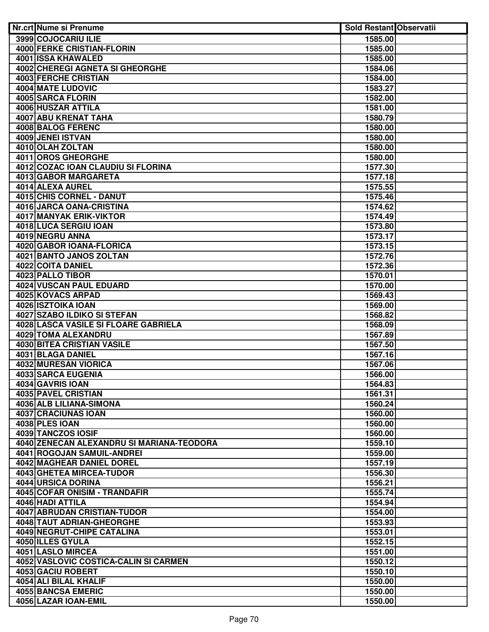| <b>Nr.crt Nume si Prenume</b>             | <b>Sold Restant Observatii</b> |  |
|-------------------------------------------|--------------------------------|--|
| 3999 COJOCARIU ILIE                       | 1585.00                        |  |
| <b>4000 FERKE CRISTIAN-FLORIN</b>         | 1585.00                        |  |
| <b>4001 ISSA KHAWALED</b>                 | 1585.00                        |  |
| 4002 CHEREGI AGNETA SI GHEORGHE           | 1584.06                        |  |
| <b>4003 FERCHE CRISTIAN</b>               | 1584.00                        |  |
| <b>4004 MATE LUDOVIC</b>                  | 1583.27                        |  |
| <b>4005 SARCA FLORIN</b>                  | 1582.00                        |  |
| 4006 HUSZAR ATTILA                        | 1581.00                        |  |
| 4007 ABU KRENAT TAHA                      | 1580.79                        |  |
| 4008 BALOG FERENC                         | 1580.00                        |  |
| 4009 JENEI ISTVAN                         | 1580.00                        |  |
| 4010 OLAH ZOLTAN                          | 1580.00                        |  |
| 4011 OROS GHEORGHE                        | 1580.00                        |  |
| 4012 COZAC IOAN CLAUDIU SI FLORINA        | 1577.30                        |  |
| 4013 GABOR MARGARETA                      | 1577.18                        |  |
| 4014 ALEXA AUREL                          | 1575.55                        |  |
| 4015 CHIS CORNEL - DANUT                  | 1575.46                        |  |
| 4016 JARCA OANA-CRISTINA                  | 1574.62                        |  |
| 4017 MANYAK ERIK-VIKTOR                   | 1574.49                        |  |
| 4018 LUCA SERGIU IOAN                     | 1573.80                        |  |
| 4019 NEGRU ANNA                           | 1573.17                        |  |
| 4020 GABOR IOANA-FLORICA                  | 1573.15                        |  |
| 4021 BANTO JANOS ZOLTAN                   | 1572.76                        |  |
| 4022 COITA DANIEL                         | 1572.36                        |  |
| 4023 PALLO TIBOR                          | 1570.01                        |  |
| 4024 VUSCAN PAUL EDUARD                   | 1570.00                        |  |
| 4025 KOVACS ARPAD                         | 1569.43                        |  |
| 4026 ISZTOIKA IOAN                        | 1569.00                        |  |
| <b>4027 SZABO ILDIKO SI STEFAN</b>        | 1568.82                        |  |
| 4028 LASCA VASILE SI FLOARE GABRIELA      | 1568.09                        |  |
| 4029 TOMA ALEXANDRU                       | 1567.89                        |  |
| <b>4030 BITEA CRISTIAN VASILE</b>         | 1567.50                        |  |
| 4031 BLAGA DANIEL                         | 1567.16                        |  |
| 4032 MURESAN VIORICA                      | 1567.06                        |  |
| <b>4033 SARCA EUGENIA</b>                 | 1566.00                        |  |
| 4034 GAVRIS IOAN                          | 1564.83                        |  |
| 4035 PAVEL CRISTIAN                       | 1561.31                        |  |
| 4036 ALB LILIANA-SIMONA                   | 1560.24                        |  |
|                                           |                                |  |
| 4037 CRACIUNAS IOAN                       | 1560.00                        |  |
| 4038 PLES IOAN                            | 1560.00                        |  |
| 4039 TANCZOS IOSIF                        | 1560.00                        |  |
| 4040 ZENECAN ALEXANDRU SI MARIANA-TEODORA | 1559.10                        |  |
| 4041 ROGOJAN SAMUIL-ANDREI                | 1559.00                        |  |
| <b>4042 MAGHEAR DANIEL DOREL</b>          | 1557.19                        |  |
| 4043 GHETEA MIRCEA-TUDOR                  | 1556.30                        |  |
| 4044 URSICA DORINA                        | 1556.21                        |  |
| 4045 COFAR ONISIM - TRANDAFIR             | 1555.74                        |  |
| 4046 HADI ATTILA                          | 1554.94                        |  |
| 4047 ABRUDAN CRISTIAN-TUDOR               | 1554.00                        |  |
| 4048 TAUT ADRIAN-GHEORGHE                 | 1553.93                        |  |
| 4049 NEGRUT-CHIPE CATALINA                | 1553.01                        |  |
| 4050 ILLES GYULA                          | 1552.15                        |  |
| 4051 LASLO MIRCEA                         | 1551.00                        |  |
| 4052 VASLOVIC COSTICA-CALIN SI CARMEN     | 1550.12                        |  |
| 4053 GACIU ROBERT                         | 1550.10                        |  |
| 4054 ALI BILAL KHALIF                     | 1550.00                        |  |
| 4055 BANCSA EMERIC                        | 1550.00                        |  |
| 4056 LAZAR IOAN-EMIL                      | 1550.00                        |  |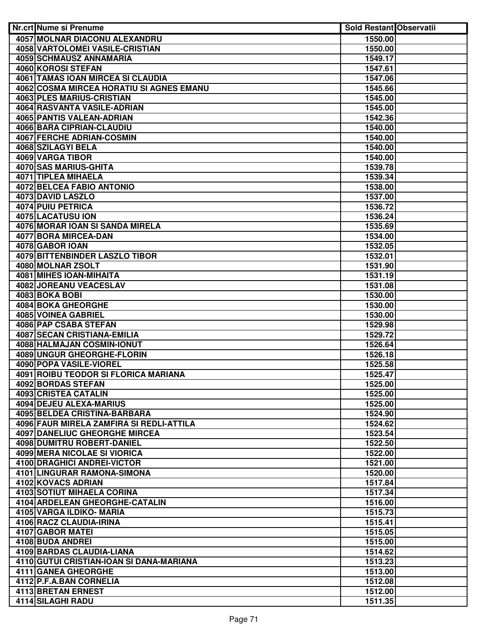| Nr.crt Nume si Prenume                   | <b>Sold Restant Observatii</b> |  |
|------------------------------------------|--------------------------------|--|
| 4057 MOLNAR DIACONU ALEXANDRU            | 1550.00                        |  |
| <b>4058 VARTOLOMEI VASILE-CRISTIAN</b>   | 1550.00                        |  |
| 4059 SCHMAUSZ ANNAMARIA                  | 1549.17                        |  |
| 4060 KOROSI STEFAN                       | 1547.61                        |  |
| <b>4061 TAMAS IOAN MIRCEA SI CLAUDIA</b> | 1547.06                        |  |
| 4062 COSMA MIRCEA HORATIU SI AGNES EMANU | 1545.66                        |  |
| 4063 PLES MARIUS-CRISTIAN                | 1545.00                        |  |
| 4064 RASVANTA VASILE-ADRIAN              | 1545.00                        |  |
| 4065 PANTIS VALEAN-ADRIAN                | 1542.36                        |  |
| <b>4066 BARA CIPRIAN-CLAUDIU</b>         | 1540.00                        |  |
| 4067 FERCHE ADRIAN-COSMIN                | 1540.00                        |  |
| 4068 SZILAGYI BELA                       | 1540.00                        |  |
| 4069 VARGA TIBOR                         | 1540.00                        |  |
| 4070 SAS MARIUS-GHITA                    | 1539.78                        |  |
| 4071 TIPLEA MIHAELA                      | 1539.34                        |  |
| 4072 BELCEA FABIO ANTONIO                | 1538.00                        |  |
| <b>4073 DAVID LASZLO</b>                 | 1537.00                        |  |
| 4074 PUIU PETRICA                        | 1536.72                        |  |
| 4075 LACATUSU ION                        | 1536.24                        |  |
| 4076 MORAR IOAN SI SANDA MIRELA          | 1535.69                        |  |
| 4077 BORA MIRCEA-DAN                     | 1534.00                        |  |
| 4078 GABOR IOAN                          | 1532.05                        |  |
| <b>4079 BITTENBINDER LASZLO TIBOR</b>    | 1532.01                        |  |
| 4080 MOLNAR ZSOLT                        | 1531.90                        |  |
| 4081 MIHES IOAN-MIHAITA                  | 1531.19                        |  |
| 4082 JOREANU VEACESLAV                   | 1531.08                        |  |
| 4083 BOKA BOBI                           | 1530.00                        |  |
| 4084 BOKA GHEORGHE                       | 1530.00                        |  |
| <b>4085 VOINEA GABRIEL</b>               | 1530.00                        |  |
| 4086 PAP CSABA STEFAN                    | 1529.98                        |  |
| <b>4087 SECAN CRISTIANA-EMILIA</b>       | 1529.72                        |  |
| 4088 HALMAJAN COSMIN-IONUT               | 1526.64                        |  |
| 4089 UNGUR GHEORGHE-FLORIN               | 1526.18                        |  |
| 4090 POPA VASILE-VIOREL                  | 1525.58                        |  |
| 4091 ROIBU TEODOR SI FLORICA MARIANA     | 1525.47                        |  |
| 4092 BORDAS STEFAN                       | 1525.00                        |  |
| 4093 CRISTEA CATALIN                     | 1525.00                        |  |
| 4094 DEJEU ALEXA-MARIUS                  | 1525.00                        |  |
| 4095 BELDEA CRISTINA-BARBARA             | 1524.90                        |  |
| 4096 FAUR MIRELA ZAMFIRA SI REDLI-ATTILA | 1524.62                        |  |
| <b>4097 DANELIUC GHEORGHE MIRCEA</b>     | 1523.54                        |  |
| 4098 DUMITRU ROBERT-DANIEL               | 1522.50                        |  |
| 4099 MERA NICOLAE SI VIORICA             | 1522.00                        |  |
| 4100 DRAGHICI ANDREI-VICTOR              | 1521.00                        |  |
| 4101 LINGURAR RAMONA-SIMONA              | 1520.00                        |  |
| 4102 KOVACS ADRIAN                       | 1517.84                        |  |
| <b>4103 SOTIUT MIHAELA CORINA</b>        | 1517.34                        |  |
| 4104 ARDELEAN GHEORGHE-CATALIN           |                                |  |
| 4105 VARGA ILDIKO- MARIA                 | 1516.00                        |  |
| 4106 RACZ CLAUDIA-IRINA                  | 1515.73<br>1515.41             |  |
| 4107 GABOR MATEI                         |                                |  |
| 4108 BUDA ANDREI                         | 1515.05                        |  |
| <b>4109 BARDAS CLAUDIA-LIANA</b>         | 1515.00<br>1514.62             |  |
|                                          |                                |  |
| 4110 GUTUI CRISTIAN-IOAN SI DANA-MARIANA | 1513.23                        |  |
| <b>4111 GANEA GHEORGHE</b>               | 1513.00                        |  |
| 4112 P.F.A.BAN CORNELIA                  | 1512.08                        |  |
| 4113 BRETAN ERNEST                       | 1512.00                        |  |
| 4114 SILAGHI RADU                        | 1511.35                        |  |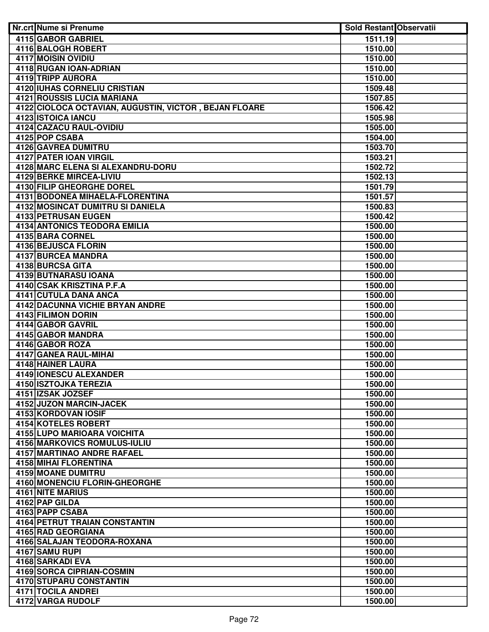| Nr.crt Nume si Prenume                                | <b>Sold Restant Observatii</b> |  |
|-------------------------------------------------------|--------------------------------|--|
| 4115 GABOR GABRIEL                                    | 1511.19                        |  |
| <b>4116 BALOGH ROBERT</b>                             | 1510.00                        |  |
| 4117 MOISIN OVIDIU                                    | 1510.00                        |  |
| 4118 RUGAN IOAN-ADRIAN                                | 1510.00                        |  |
| 4119 TRIPP AURORA                                     | 1510.00                        |  |
| <b>4120 IUHAS CORNELIU CRISTIAN</b>                   | 1509.48                        |  |
| <b>4121 ROUSSIS LUCIA MARIANA</b>                     | 1507.85                        |  |
| 4122 CIOLOCA OCTAVIAN, AUGUSTIN, VICTOR, BEJAN FLOARE | 1506.42                        |  |
| 4123 ISTOICA IANCU                                    | 1505.98                        |  |
| 4124 CAZACU RAUL-OVIDIU                               | 1505.00                        |  |
| 4125 POP CSABA                                        | 1504.00                        |  |
| 4126 GAVREA DUMITRU                                   | 1503.70                        |  |
| 4127 PATER IOAN VIRGIL                                | 1503.21                        |  |
| 4128 MARC ELENA SI ALEXANDRU-DORU                     | 1502.72                        |  |
| 4129 BERKE MIRCEA-LIVIU                               | 1502.13                        |  |
| 4130 FILIP GHEORGHE DOREL                             | 1501.79                        |  |
| 4131 BODONEA MIHAELA-FLORENTINA                       | 1501.57                        |  |
| 4132 MOSINCAT DUMITRU SI DANIELA                      | 1500.83                        |  |
| 4133 PETRUSAN EUGEN                                   | 1500.42                        |  |
| <b>4134 ANTONICS TEODORA EMILIA</b>                   | 1500.00                        |  |
| 4135 BARA CORNEL                                      | 1500.00                        |  |
| 4136 BEJUSCA FLORIN                                   | 1500.00                        |  |
| 4137 BURCEA MANDRA                                    | 1500.00                        |  |
| 4138 BURCSA GITA                                      | 1500.00                        |  |
| 4139 BUTNARASU IOANA                                  | 1500.00                        |  |
| 4140 CSAK KRISZTINA P.F.A                             | 1500.00                        |  |
| 4141 CUTULA DANA ANCA                                 | 1500.00                        |  |
| <b>4142 DACUNNA VICHIE BRYAN ANDRE</b>                | 1500.00                        |  |
| <b>4143 FILIMON DORIN</b>                             | 1500.00                        |  |
| 4144 GABOR GAVRIL<br>4145 GABOR MANDRA                | 1500.00<br>1500.00             |  |
| 4146 GABOR ROZA                                       | 1500.00                        |  |
| 4147 GANEA RAUL-MIHAI                                 | 1500.00                        |  |
| 4148 HAINER LAURA                                     | 1500.00                        |  |
| 4149 IONESCU ALEXANDER                                | 1500.00                        |  |
| 4150 ISZTOJKA TEREZIA                                 | 1500.00                        |  |
| 4151 IZSAK JOZSEF                                     | 1500.00                        |  |
| 4152 JUZON MARCIN-JACEK                               | 1500.00                        |  |
| 4153 KORDOVAN IOSIF                                   | 1500.00                        |  |
| <b>4154 KOTELES ROBERT</b>                            | 1500.00                        |  |
| 4155 LUPO MARIOARA VOICHITA                           | 1500.00                        |  |
| 4156 MARKOVICS ROMULUS-IULIU                          | 1500.00                        |  |
| 4157 MARTINAO ANDRE RAFAEL                            | 1500.00                        |  |
| 4158 MIHAI FLORENTINA                                 | 1500.00                        |  |
| <b>4159 MOANE DUMITRU</b>                             | 1500.00                        |  |
| 4160 MONENCIU FLORIN-GHEORGHE                         | 1500.00                        |  |
| 4161 NITE MARIUS                                      | 1500.00                        |  |
| 4162 PAP GILDA                                        | 1500.00                        |  |
| 4163 PAPP CSABA                                       | 1500.00                        |  |
| <b>4164 PETRUT TRAIAN CONSTANTIN</b>                  | 1500.00                        |  |
| 4165 RAD GEORGIANA                                    | 1500.00                        |  |
| 4166 SALAJAN TEODORA-ROXANA                           | 1500.00                        |  |
| 4167 SAMU RUPI                                        | 1500.00                        |  |
| <b>4168 SARKADI EVA</b>                               | 1500.00                        |  |
| 4169 SORCA CIPRIAN-COSMIN                             | 1500.00                        |  |
| 4170 STUPARU CONSTANTIN                               | 1500.00                        |  |
| 4171 TOCILA ANDREI                                    | 1500.00                        |  |
| 4172 VARGA RUDOLF                                     | 1500.00                        |  |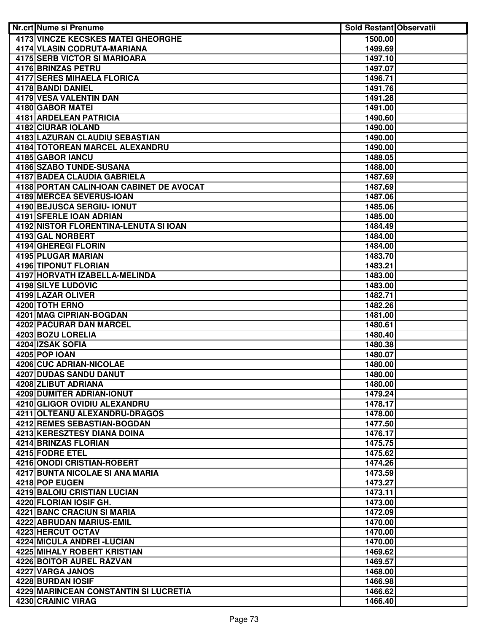| Nr.crt Nume si Prenume                    | <b>Sold Restant Observatii</b> |  |
|-------------------------------------------|--------------------------------|--|
| <b>4173 VINCZE KECSKES MATEI GHEORGHE</b> | 1500.00                        |  |
| 4174 VLASIN CODRUTA-MARIANA               | 1499.69                        |  |
| <b>4175 SERB VICTOR SI MARIOARA</b>       | 1497.10                        |  |
| <b>4176 BRINZAS PETRU</b>                 | 1497.07                        |  |
| <b>4177 SERES MIHAELA FLORICA</b>         | 1496.71                        |  |
| 4178 BANDI DANIEL                         | 1491.76                        |  |
| <b>4179 VESA VALENTIN DAN</b>             | 1491.28                        |  |
| 4180 GABOR MATEL                          | 1491.00                        |  |
| 4181 ARDELEAN PATRICIA                    | 1490.60                        |  |
| 4182 CIURAR IOLAND                        | 1490.00                        |  |
| 4183 LAZURAN CLAUDIU SEBASTIAN            | 1490.00                        |  |
| 4184 TOTOREAN MARCEL ALEXANDRU            | 1490.00                        |  |
| 4185 GABOR IANCU                          | 1488.05                        |  |
| 4186 SZABO TUNDE-SUSANA                   | 1488.00                        |  |
| 4187 BADEA CLAUDIA GABRIELA               | 1487.69                        |  |
| 4188 PORTAN CALIN-IOAN CABINET DE AVOCAT  | 1487.69                        |  |
| 4189 MERCEA SEVERUS-IOAN                  | 1487.06                        |  |
| 4190 BEJUSCA SERGIU- IONUT                | 1485.06                        |  |
| 4191 SFERLE IOAN ADRIAN                   | 1485.00                        |  |
| 4192 NISTOR FLORENTINA-LENUTA SI IOAN     | 1484.49                        |  |
| 4193 GAL NORBERT                          | 1484.00                        |  |
| 4194 GHEREGI FLORIN                       | 1484.00                        |  |
| 4195 PLUGAR MARIAN                        | 1483.70                        |  |
| 4196 TIPONUT FLORIAN                      | 1483.21                        |  |
| 4197 HORVATH IZABELLA-MELINDA             | 1483.00                        |  |
| <b>4198 SILYE LUDOVIC</b>                 | 1483.00                        |  |
| <b>4199 LAZAR OLIVER</b>                  | 1482.71                        |  |
| 4200 TOTH ERNO                            | 1482.26                        |  |
| 4201 MAG CIPRIAN-BOGDAN                   | 1481.00                        |  |
| 4202 PACURAR DAN MARCEL                   | 1480.61                        |  |
| 4203 BOZU LORELIA                         | 1480.40                        |  |
| 4204 IZSAK SOFIA                          | 1480.38                        |  |
| 4205 POP IOAN                             | 1480.07                        |  |
| 4206 CUC ADRIAN-NICOLAE                   | 1480.00                        |  |
| 4207 DUDAS SANDU DANUT                    | 1480.00                        |  |
| 4208 ZLIBUT ADRIANA                       | 1480.00                        |  |
| <b>4209 DUMITER ADRIAN-IONUT</b>          | 1479.24                        |  |
| 4210 GLIGOR OVIDIU ALEXANDRU              | 1478.17                        |  |
| 4211 OLTEANU ALEXANDRU-DRAGOS             | 1478.00                        |  |
| 4212 REMES SEBASTIAN-BOGDAN               | 1477.50                        |  |
| 4213 KERESZTESY DIANA DOINA               | 1476.17                        |  |
| 4214 BRINZAS FLORIAN                      | 1475.75                        |  |
| 4215 FODRE ETEL                           | 1475.62                        |  |
| 4216 ONODI CRISTIAN-ROBERT                | 1474.26                        |  |
| 4217 BUNTA NICOLAE SI ANA MARIA           | 1473.59                        |  |
| 4218 POP EUGEN                            | 1473.27                        |  |
| 4219 BALOIU CRISTIAN LUCIAN               | 1473.11                        |  |
| 4220 FLORIAN IOSIF GH.                    | 1473.00                        |  |
| 4221 BANC CRACIUN SI MARIA                | 1472.09                        |  |
| 4222 ABRUDAN MARIUS-EMIL                  | 1470.00                        |  |
| 4223 HERCUT OCTAV                         | 1470.00                        |  |
| 4224 MICULA ANDREI - LUCIAN               | 1470.00                        |  |
| <b>4225 MIHALY ROBERT KRISTIAN</b>        | 1469.62                        |  |
| 4226 BOITOR AUREL RAZVAN                  | 1469.57                        |  |
| 4227 VARGA JANOS                          | 1468.00                        |  |
| 4228 BURDAN IOSIF                         | 1466.98                        |  |
| 4229 MARINCEAN CONSTANTIN SI LUCRETIA     | 1466.62                        |  |
| 4230 CRAINIC VIRAG                        | 1466.40                        |  |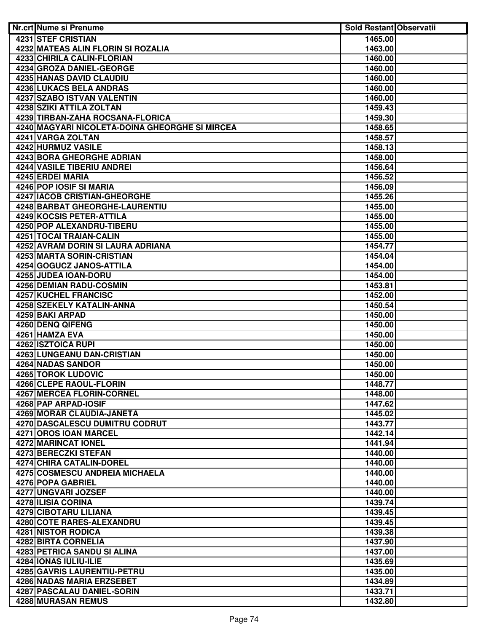| <b>Nr.crt Nume si Prenume</b>                  | <b>Sold Restant Observatii</b> |  |
|------------------------------------------------|--------------------------------|--|
| 4231 STEF CRISTIAN                             | 1465.00                        |  |
| 4232 MATEAS ALIN FLORIN SI ROZALIA             | 1463.00                        |  |
| 4233 CHIRILA CALIN-FLORIAN                     | 1460.00                        |  |
| <b>4234 GROZA DANIEL-GEORGE</b>                | 1460.00                        |  |
| <b>4235 HANAS DAVID CLAUDIU</b>                | 1460.00                        |  |
| <b>4236 LUKACS BELA ANDRAS</b>                 | 1460.00                        |  |
| <b>4237 SZABO ISTVAN VALENTIN</b>              | 1460.00                        |  |
| 4238 SZIKI ATTILA ZOLTAN                       | 1459.43                        |  |
| 4239 TIRBAN-ZAHA ROCSANA-FLORICA               | 1459.30                        |  |
| 4240 MAGYARI NICOLETA-DOINA GHEORGHE SI MIRCEA | 1458.65                        |  |
| 4241 VARGA ZOLTAN                              | 1458.57                        |  |
| 4242 HURMUZ VASILE                             | 1458.13                        |  |
| 4243 BORA GHEORGHE ADRIAN                      | 1458.00                        |  |
| 4244 VASILE TIBERIU ANDREI                     | 1456.64                        |  |
| 4245 ERDEI MARIA                               | 1456.52                        |  |
| 4246 POP IOSIF SI MARIA                        | 1456.09                        |  |
| 4247 IACOB CRISTIAN-GHEORGHE                   | 1455.26                        |  |
| 4248 BARBAT GHEORGHE-LAURENTIU                 | 1455.00                        |  |
| 4249 KOCSIS PETER-ATTILA                       | 1455.00                        |  |
| <b>4250 POP ALEXANDRU-TIBERU</b>               | 1455.00                        |  |
| 4251 TOCAI TRAIAN-CALIN                        | 1455.00                        |  |
| 4252 AVRAM DORIN SI LAURA ADRIANA              | 1454.77                        |  |
| 4253 MARTA SORIN-CRISTIAN                      | 1454.04                        |  |
| 4254 GOGUCZ JANOS-ATTILA                       | 1454.00                        |  |
| 4255 JUDEA IOAN-DORU                           | 1454.00                        |  |
| 4256 DEMIAN RADU-COSMIN                        | 1453.81                        |  |
| <b>4257 KUCHEL FRANCISC</b>                    | 1452.00                        |  |
| 4258 SZEKELY KATALIN-ANNA                      | 1450.54                        |  |
| 4259 BAKI ARPAD                                | 1450.00                        |  |
| 4260 DENQ QIFENG                               | 1450.00                        |  |
| 4261 HAMZA EVA<br><b>4262 ISZTOICA RUPI</b>    | 1450.00<br>1450.00             |  |
| 4263 LUNGEANU DAN-CRISTIAN                     | 1450.00                        |  |
| 4264 NADAS SANDOR                              | 1450.00                        |  |
| 4265 TOROK LUDOVIC                             | 1450.00                        |  |
| 4266 CLEPE RAOUL-FLORIN                        | 1448.77                        |  |
| 4267 MERCEA FLORIN-CORNEL                      | 1448.00                        |  |
| 4268 PAP ARPAD-IOSIF                           | 1447.62                        |  |
| 4269 MORAR CLAUDIA-JANETA                      | 1445.02                        |  |
| <b>4270 DASCALESCU DUMITRU CODRUT</b>          | 1443.77                        |  |
| 4271 OROS IOAN MARCEL                          | 1442.14                        |  |
| <b>4272 MARINCAT IONEL</b>                     | 1441.94                        |  |
| 4273 BERECZKI STEFAN                           | 1440.00                        |  |
| 4274 CHIRA CATALIN-DOREL                       | 1440.00                        |  |
| 4275 COSMESCU ANDREIA MICHAELA                 | 1440.00                        |  |
| 4276 POPA GABRIEL                              | 1440.00                        |  |
| 4277 UNGVARI JOZSEF                            | 1440.00                        |  |
| 4278 ILISIA CORINA                             | 1439.74                        |  |
| 4279 CIBOTARU LILIANA                          | 1439.45                        |  |
| 4280 COTE RARES-ALEXANDRU                      | 1439.45                        |  |
| <b>4281 NISTOR RODICA</b>                      | 1439.38                        |  |
| 4282 BIRTA CORNELIA                            | 1437.90                        |  |
| 4283 PETRICA SANDU SI ALINA                    | 1437.00                        |  |
| 4284 IONAS IULIU-ILIE                          | 1435.69                        |  |
| 4285 GAVRIS LAURENTIU-PETRU                    | 1435.00                        |  |
| 4286 NADAS MARIA ERZSEBET                      | 1434.89                        |  |
| 4287 PASCALAU DANIEL-SORIN                     | 1433.71                        |  |
| 4288 MURASAN REMUS                             | 1432.80                        |  |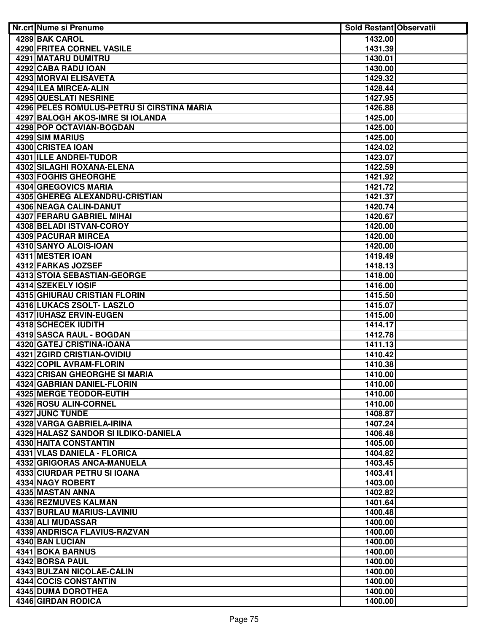| Nr.crt Nume si Prenume                                | Sold Restant Observatii |  |
|-------------------------------------------------------|-------------------------|--|
| 4289 BAK CAROL                                        | 1432.00                 |  |
| <b>4290 FRITEA CORNEL VASILE</b>                      | 1431.39                 |  |
| <b>4291 MATARU DUMITRU</b>                            | 1430.01                 |  |
| 4292 CABA RADU IOAN                                   | 1430.00                 |  |
| <b>4293 MORVAI ELISAVETA</b>                          | 1429.32                 |  |
| 4294 ILEA MIRCEA-ALIN                                 | 1428.44                 |  |
| 4295 QUESLATI NESRINE                                 | 1427.95                 |  |
| 4296 PELES ROMULUS-PETRU SI CIRSTINA MARIA            | 1426.88                 |  |
| 4297 BALOGH AKOS-IMRE SI IOLANDA                      | 1425.00                 |  |
| 4298 POP OCTAVIAN-BOGDAN                              | 1425.00                 |  |
| 4299 SIM MARIUS                                       | 1425.00                 |  |
| 4300 CRISTEA IOAN                                     | 1424.02                 |  |
| 4301 ILLE ANDREI-TUDOR                                | 1423.07                 |  |
| 4302 SILAGHI ROXANA-ELENA                             | 1422.59                 |  |
| 4303 FOGHIS GHEORGHE                                  | 1421.92                 |  |
| 4304 GREGOVICS MARIA                                  | 1421.72                 |  |
| 4305 GHEREG ALEXANDRU-CRISTIAN                        | 1421.37                 |  |
| 4306 NEAGA CALIN-DANUT                                | 1420.74                 |  |
| 4307 FERARU GABRIEL MIHAI                             | 1420.67                 |  |
| 4308 BELADI ISTVAN-COROY                              | 1420.00                 |  |
| 4309 PACURAR MIRCEA                                   | 1420.00                 |  |
| 4310 SANYO ALOIS-IOAN                                 | 1420.00                 |  |
| 4311 MESTER IOAN                                      | 1419.49                 |  |
| 4312 FARKAS JOZSEF                                    | 1418.13                 |  |
| 4313 STOIA SEBASTIAN-GEORGE                           | 1418.00                 |  |
| 4314 SZEKELY IOSIF                                    | 1416.00                 |  |
| <b>4315 GHIURAU CRISTIAN FLORIN</b>                   | 1415.50                 |  |
| 4316 LUKACS ZSOLT- LASZLO                             | 1415.07                 |  |
| 4317 IUHASZ ERVIN-EUGEN                               | 1415.00                 |  |
| <b>4318 SCHECEK IUDITH</b>                            | 1414.17                 |  |
| 4319 SASCA RAUL - BOGDAN<br>4320 GATEJ CRISTINA-IOANA | 1412.78                 |  |
| 4321 ZGIRD CRISTIAN-OVIDIU                            | 1411.13                 |  |
| 4322 COPIL AVRAM-FLORIN                               | 1410.42<br>1410.38      |  |
| 4323 CRISAN GHEORGHE SI MARIA                         | 1410.00                 |  |
| <b>4324 GABRIAN DANIEL-FLORIN</b>                     | 1410.00                 |  |
| 4325 MERGE TEODOR-EUTIH                               | 1410.00                 |  |
| 4326 ROSU ALIN-CORNEL                                 | 1410.00                 |  |
| 4327 JUNC TUNDE                                       | 1408.87                 |  |
| 4328 VARGA GABRIELA-IRINA                             | 1407.24                 |  |
| 4329 HALASZ SANDOR SI ILDIKO-DANIELA                  | 1406.48                 |  |
| 4330 HAITA CONSTANTIN                                 | 1405.00                 |  |
| 4331 VLAS DANIELA - FLORICA                           | 1404.82                 |  |
| 4332 GRIGORAS ANCA-MANUELA                            | 1403.45                 |  |
| 4333 CIURDAR PETRU SI IOANA                           | 1403.41                 |  |
| 4334 NAGY ROBERT                                      | 1403.00                 |  |
| 4335 MASTAN ANNA                                      | 1402.82                 |  |
| 4336 REZMUVES KALMAN                                  | 1401.64                 |  |
| 4337 BURLAU MARIUS-LAVINIU                            | 1400.48                 |  |
| 4338 ALI MUDASSAR                                     | 1400.00                 |  |
| 4339 ANDRISCA FLAVIUS-RAZVAN                          | 1400.00                 |  |
| 4340 BAN LUCIAN                                       | 1400.00                 |  |
| 4341 BOKA BARNUS                                      | 1400.00                 |  |
| 4342 BORSA PAUL                                       | 1400.00                 |  |
| 4343 BULZAN NICOLAE-CALIN                             | 1400.00                 |  |
| 4344 COCIS CONSTANTIN                                 | 1400.00                 |  |
| 4345 DUMA DOROTHEA                                    | 1400.00                 |  |
| 4346 GIRDAN RODICA                                    | 1400.00                 |  |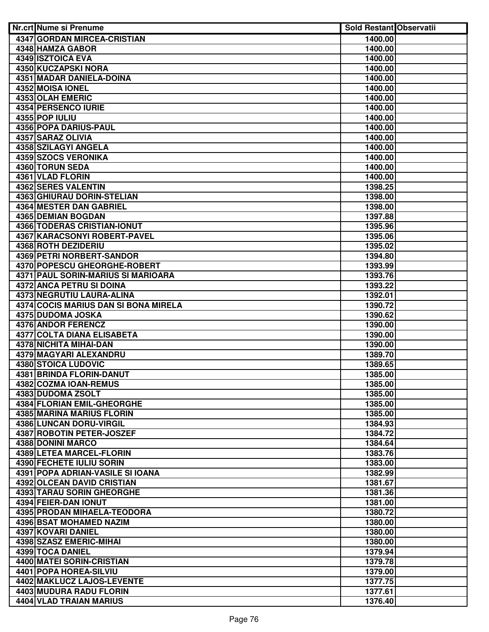| Nr.crt Nume si Prenume                          | Sold Restant Observatii |  |
|-------------------------------------------------|-------------------------|--|
| 4347 GORDAN MIRCEA-CRISTIAN                     | 1400.00                 |  |
| 4348 HAMZA GABOR                                | 1400.00                 |  |
| 4349 ISZTOICA EVA                               | 1400.00                 |  |
| <b>4350 KUCZAPSKI NORA</b>                      | 1400.00                 |  |
| 4351 MADAR DANIELA-DOINA                        | 1400.00                 |  |
| 4352 MOISA IONEL                                | 1400.00                 |  |
| <b>4353 OLAH EMERIC</b>                         | 1400.00                 |  |
| 4354 PERSENCO IURIE                             | 1400.00                 |  |
| 4355 POP IULIU                                  | 1400.00                 |  |
| 4356 POPA DARIUS-PAUL                           | 1400.00                 |  |
| 4357 SARAZ OLIVIA                               | 1400.00                 |  |
| 4358 SZILAGYI ANGELA                            | 1400.00                 |  |
| 4359 SZOCS VERONIKA                             | 1400.00                 |  |
| 4360 TORUN SEDA                                 | 1400.00                 |  |
| 4361 VLAD FLORIN                                | 1400.00                 |  |
| 4362 SERES VALENTIN                             | 1398.25                 |  |
| <b>4363 GHIURAU DORIN-STELIAN</b>               | 1398.00                 |  |
| <b>4364 MESTER DAN GABRIEL</b>                  | 1398.00                 |  |
| 4365 DEMIAN BOGDAN                              | 1397.88                 |  |
| 4366 TODERAS CRISTIAN-IONUT                     | 1395.96                 |  |
| 4367 KARACSONYI ROBERT-PAVEL                    | 1395.06                 |  |
| <b>4368 ROTH DEZIDERIU</b>                      | 1395.02                 |  |
| 4369 PETRI NORBERT-SANDOR                       | 1394.80                 |  |
| 4370 POPESCU GHEORGHE-ROBERT                    | 1393.99                 |  |
| 4371 PAUL SORIN-MARIUS SI MARIOARA              | 1393.76                 |  |
| 4372 ANCA PETRU SI DOINA                        | 1393.22                 |  |
| 4373 NEGRUTIU LAURA-ALINA                       | 1392.01                 |  |
| 4374 COCIS MARIUS DAN SI BONA MIRELA            | 1390.72                 |  |
| 4375 DUDOMA JOSKA                               | 1390.62                 |  |
| <b>4376 ANDOR FERENCZ</b>                       | 1390.00                 |  |
| 4377 COLTA DIANA ELISABETA                      | 1390.00                 |  |
| <b>4378 NICHITA MIHAI-DAN</b>                   | 1390.00                 |  |
| 4379 MAGYARI ALEXANDRU                          | 1389.70                 |  |
| 4380 STOICA LUDOVIC<br>4381 BRINDA FLORIN-DANUT | 1389.65                 |  |
| 4382 COZMA IOAN-REMUS                           | 1385.00<br>1385.00      |  |
| 4383 DUDOMA ZSOLT                               | 1385.00                 |  |
| 4384 FLORIAN EMIL-GHEORGHE                      | 1385.00                 |  |
| 4385 MARINA MARIUS FLORIN                       | 1385.00                 |  |
| 4386 LUNCAN DORU-VIRGIL                         | 1384.93                 |  |
| 4387 ROBOTIN PETER-JOSZEF                       | 1384.72                 |  |
| 4388 DONINI MARCO                               | 1384.64                 |  |
| 4389 LETEA MARCEL-FLORIN                        | 1383.76                 |  |
| 4390 FECHETE IULIU SORIN                        | 1383.00                 |  |
| 4391 POPA ADRIAN-VASILE SI IOANA                | 1382.99                 |  |
| 4392 OLCEAN DAVID CRISTIAN                      | 1381.67                 |  |
| <b>4393 TARAU SORIN GHEORGHE</b>                | 1381.36                 |  |
| 4394 FEIER-DAN IONUT                            | 1381.00                 |  |
| 4395 PRODAN MIHAELA-TEODORA                     | 1380.72                 |  |
| 4396 BSAT MOHAMED NAZIM                         | 1380.00                 |  |
| 4397 KOVARI DANIEL                              | 1380.00                 |  |
| 4398 SZASZ EMERIC-MIHAI                         | 1380.00                 |  |
| 4399 TOCA DANIEL                                | 1379.94                 |  |
| 4400 MATEI SORIN-CRISTIAN                       | 1379.78                 |  |
| 4401 POPA HOREA-SILVIU                          | 1379.00                 |  |
| 4402 MAKLUCZ LAJOS-LEVENTE                      | 1377.75                 |  |
| 4403 MUDURA RADU FLORIN                         | 1377.61                 |  |
| 4404 VLAD TRAIAN MARIUS                         | 1376.40                 |  |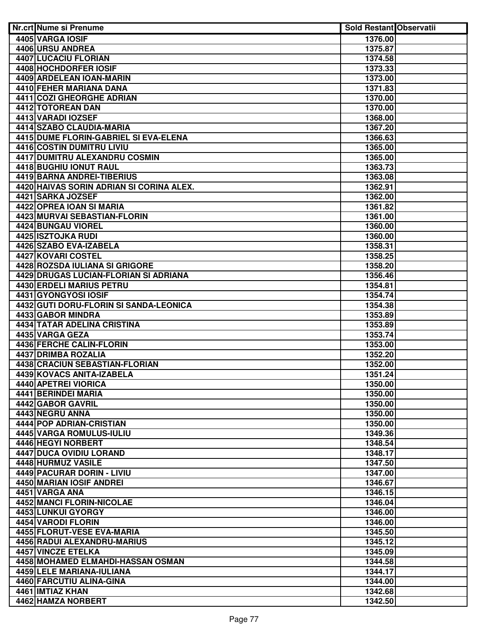| Nr.crt Nume si Prenume                   | <b>Sold Restant Observatii</b> |  |
|------------------------------------------|--------------------------------|--|
| 4405 VARGA IOSIF                         | 1376.00                        |  |
| 4406 URSU ANDREA                         | 1375.87                        |  |
| <b>4407 LUCACIU FLORIAN</b>              | 1374.58                        |  |
| 4408 HOCHDORFER IOSIF                    | 1373.33                        |  |
| 4409 ARDELEAN IOAN-MARIN                 | 1373.00                        |  |
| 4410 FEHER MARIANA DANA                  | 1371.83                        |  |
| <b>4411 COZI GHEORGHE ADRIAN</b>         | 1370.00                        |  |
| 4412 TOTOREAN DAN                        | 1370.00                        |  |
| 4413 VARADI IOZSEF                       | 1368.00                        |  |
| 4414 SZABO CLAUDIA-MARIA                 | 1367.20                        |  |
| 4415 DUME FLORIN-GABRIEL SI EVA-ELENA    | 1366.63                        |  |
| 4416 COSTIN DUMITRU LIVIU                | 1365.00                        |  |
| 4417 DUMITRU ALEXANDRU COSMIN            | 1365.00                        |  |
| 4418 BUGHIU IONUT RAUL                   | 1363.73                        |  |
| 4419 BARNA ANDREI-TIBERIUS               | 1363.08                        |  |
| 4420 HAIVAS SORIN ADRIAN SI CORINA ALEX. | 1362.91                        |  |
| 4421 SARKA JOZSEF                        | 1362.00                        |  |
| 4422 OPREA IOAN SI MARIA                 | 1361.82                        |  |
| 4423 MURVAI SEBASTIAN-FLORIN             | 1361.00                        |  |
| 4424 BUNGAU VIOREL                       | 1360.00                        |  |
| 4425 ISZTOJKA RUDI                       | 1360.00                        |  |
| 4426 SZABO EVA-IZABELA                   | 1358.31                        |  |
| 4427 KOVARI COSTEL                       | 1358.25                        |  |
| 4428 ROZSDA IULIANA SI GRIGORE           | 1358.20                        |  |
| 4429 DRUGAS LUCIAN-FLORIAN SI ADRIANA    | 1356.46                        |  |
| <b>4430 ERDELI MARIUS PETRU</b>          | 1354.81                        |  |
| 4431 GYONGYOSI IOSIF                     | 1354.74                        |  |
| 4432 GUTI DORU-FLORIN SI SANDA-LEONICA   | 1354.38                        |  |
| 4433 GABOR MINDRA                        | 1353.89                        |  |
| 4434 TATAR ADELINA CRISTINA              | 1353.89                        |  |
| 4435 VARGA GEZA                          | 1353.74                        |  |
| <b>4436 FERCHE CALIN-FLORIN</b>          | 1353.00                        |  |
| 4437 DRIMBA ROZALIA                      | 1352.20                        |  |
| 4438 CRACIUN SEBASTIAN-FLORIAN           | 1352.00                        |  |
| 4439 KOVACS ANITA-IZABELA                | 1351.24                        |  |
| 4440 APETREI VIORICA                     | 1350.00                        |  |
|                                          |                                |  |
| 4441 BERINDEI MARIA                      | 1350.00                        |  |
| 4442 GABOR GAVRIL                        | 1350.00                        |  |
| 4443 NEGRU ANNA                          | 1350.00                        |  |
| 4444 POP ADRIAN-CRISTIAN                 | 1350.00                        |  |
| <b>4445 VARGA ROMULUS-IULIU</b>          | 1349.36                        |  |
| 4446 HEGYI NORBERT                       | 1348.54                        |  |
| 4447 DUCA OVIDIU LORAND                  | 1348.17                        |  |
| 4448 HURMUZ VASILE                       | 1347.50                        |  |
| 4449 PACURAR DORIN - LIVIU               | 1347.00                        |  |
| 4450 MARIAN IOSIF ANDREI                 | 1346.67                        |  |
| 4451 VARGA ANA                           | 1346.15                        |  |
| 4452 MANCI FLORIN-NICOLAE                | 1346.04                        |  |
| 4453 LUNKUI GYORGY                       | 1346.00                        |  |
| 4454 VARODI FLORIN                       | 1346.00                        |  |
| 4455 FLORUT-VESE EVA-MARIA               | 1345.50                        |  |
| 4456 RADUI ALEXANDRU-MARIUS              | 1345.12                        |  |
| <b>4457 VINCZE ETELKA</b>                | 1345.09                        |  |
| 4458 MOHAMED ELMAHDI-HASSAN OSMAN        | 1344.58                        |  |
| 4459 LELE MARIANA-IULIANA                | 1344.17                        |  |
| 4460 FARCUTIU ALINA-GINA                 | 1344.00                        |  |
| 4461 IMTIAZ KHAN                         | 1342.68                        |  |
| 4462 HAMZA NORBERT                       | 1342.50                        |  |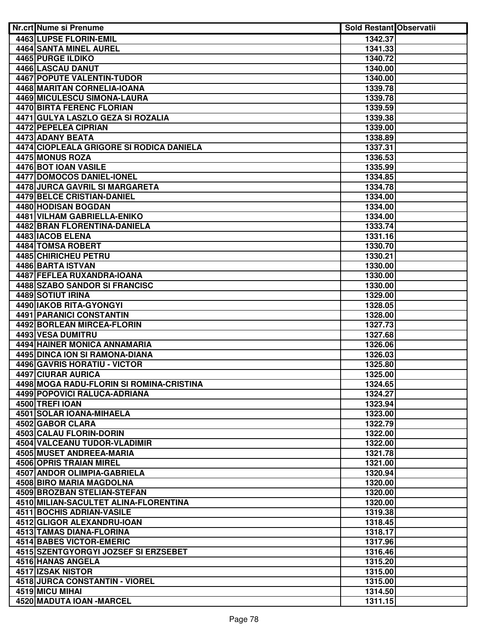| Nr.crt Nume si Prenume                          | <b>Sold Restant Observatii</b> |  |
|-------------------------------------------------|--------------------------------|--|
| 4463 LUPSE FLORIN-EMIL                          | 1342.37                        |  |
| <b>4464 SANTA MINEL AUREL</b>                   | 1341.33                        |  |
| <b>4465 PURGE ILDIKO</b>                        | 1340.72                        |  |
| 4466 LASCAU DANUT                               | 1340.00                        |  |
| <b>4467 POPUTE VALENTIN-TUDOR</b>               | 1340.00                        |  |
| 4468 MARITAN CORNELIA-IOANA                     | 1339.78                        |  |
| 4469 MICULESCU SIMONA-LAURA                     | 1339.78                        |  |
| 4470 BIRTA FERENC FLORIAN                       | 1339.59                        |  |
| 4471 GULYA LASZLO GEZA SI ROZALIA               | 1339.38                        |  |
| 4472 PEPELEA CIPRIAN                            | 1339.00                        |  |
| 4473 ADANY BEATA                                | 1338.89                        |  |
| 4474 CIOPLEALA GRIGORE SI RODICA DANIELA        | 1337.31                        |  |
| 4475 MONUS ROZA                                 | 1336.53                        |  |
| 4476 BOT IOAN VASILE                            | 1335.99                        |  |
| 4477 DOMOCOS DANIEL-IONEL                       | 1334.85                        |  |
| 4478 JURCA GAVRIL SI MARGARETA                  | 1334.78                        |  |
| 4479 BELCE CRISTIAN-DANIEL                      | 1334.00                        |  |
| 4480 HODISAN BOGDAN                             | 1334.00                        |  |
| <b>4481 VILHAM GABRIELLA-ENIKO</b>              | 1334.00                        |  |
| 4482 BRAN FLORENTINA-DANIELA                    | 1333.74                        |  |
| 4483   IACOB ELENA                              | 1331.16                        |  |
| 4484 TOMSA ROBERT                               | 1330.70                        |  |
| 4485 CHIRICHEU PETRU                            | 1330.21                        |  |
| 4486 BARTA ISTVAN                               | 1330.00                        |  |
| 4487 FEFLEA RUXANDRA-IOANA                      | 1330.00                        |  |
| 4488 SZABO SANDOR SI FRANCISC                   | 1330.00                        |  |
| <b>4489 SOTIUT IRINA</b>                        | 1329.00                        |  |
| 4490 IAKOB RITA-GYONGYI                         | 1328.05                        |  |
| <b>4491 PARANICI CONSTANTIN</b>                 | 1328.00                        |  |
| 4492 BORLEAN MIRCEA-FLORIN<br>4493 VESA DUMITRU | 1327.73                        |  |
| 4494 HAINER MONICA ANNAMARIA                    | 1327.68<br>1326.06             |  |
| 4495 DINCA ION SI RAMONA-DIANA                  | 1326.03                        |  |
| 4496 GAVRIS HORATIU - VICTOR                    | 1325.80                        |  |
| 4497 CIURAR AURICA                              | 1325.00                        |  |
| 4498 MOGA RADU-FLORIN SI ROMINA-CRISTINA        | 1324.65                        |  |
| 4499 POPOVICI RALUCA-ADRIANA                    | 1324.27                        |  |
| 4500 TREFI IOAN                                 | 1323.94                        |  |
| 4501 SOLAR IOANA-MIHAELA                        | 1323.00                        |  |
| 4502 GABOR CLARA                                | 1322.79                        |  |
| 4503 CALAU FLORIN-DORIN                         | 1322.00                        |  |
| 4504 VALCEANU TUDOR-VLADIMIR                    | 1322.00                        |  |
| 4505 MUSET ANDREEA-MARIA                        | 1321.78                        |  |
| 4506 OPRIS TRAIAN MIREL                         | 1321.00                        |  |
| 4507 ANDOR OLIMPIA-GABRIELA                     | 1320.94                        |  |
| 4508 BIRO MARIA MAGDOLNA                        | 1320.00                        |  |
| 4509 BROZBAN STELIAN-STEFAN                     | 1320.00                        |  |
| 4510 MILIAN-SACULTET ALINA-FLORENTINA           | 1320.00                        |  |
| 4511 BOCHIS ADRIAN-VASILE                       | 1319.38                        |  |
| 4512 GLIGOR ALEXANDRU-IOAN                      | 1318.45                        |  |
| 4513 TAMAS DIANA-FLORINA                        | 1318.17                        |  |
| 4514 BABES VICTOR-EMERIC                        | 1317.96                        |  |
| 4515 SZENTGYORGYI JOZSEF SI ERZSEBET            | 1316.46                        |  |
| 4516 HANAS ANGELA                               | 1315.20                        |  |
| 4517 IZSAK NISTOR                               | 1315.00                        |  |
| 4518 JURCA CONSTANTIN - VIOREL                  | 1315.00                        |  |
| 4519 MICU MIHAI                                 | 1314.50                        |  |
| 4520 MADUTA IOAN - MARCEL                       | 1311.15                        |  |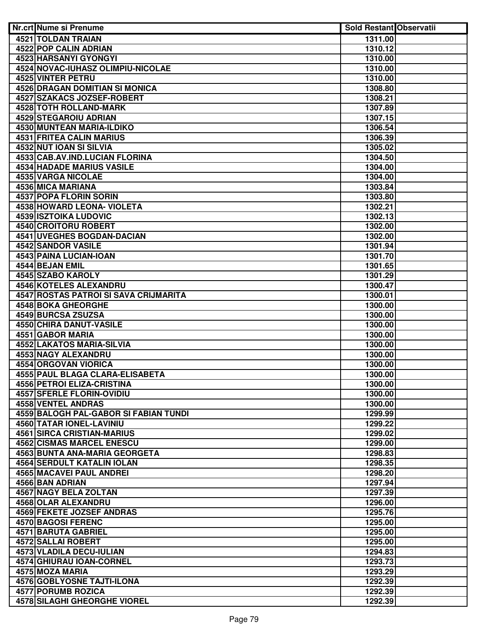| Nr.crt Nume si Prenume                | <b>Sold Restant Observatii</b> |  |
|---------------------------------------|--------------------------------|--|
| 4521 TOLDAN TRAIAN                    | 1311.00                        |  |
| <b>4522 POP CALIN ADRIAN</b>          | 1310.12                        |  |
| 4523 HARSANYI GYONGYI                 | 1310.00                        |  |
| 4524 NOVAC-IUHASZ OLIMPIU-NICOLAE     | 1310.00                        |  |
| <b>4525 VINTER PETRU</b>              | 1310.00                        |  |
| <b>4526 DRAGAN DOMITIAN SI MONICA</b> | 1308.80                        |  |
| 4527 SZAKACS JOZSEF-ROBERT            | 1308.21                        |  |
| 4528 TOTH ROLLAND-MARK                | 1307.89                        |  |
| 4529 STEGAROIU ADRIAN                 | 1307.15                        |  |
| <b>4530 MUNTEAN MARIA-ILDIKO</b>      | 1306.54                        |  |
| 4531 FRITEA CALIN MARIUS              | 1306.39                        |  |
| 4532 NUT IOAN SI SILVIA               | 1305.02                        |  |
| 4533 CAB.AV.IND.LUCIAN FLORINA        | 1304.50                        |  |
| 4534 HADADE MARIUS VASILE             | 1304.00                        |  |
| 4535 VARGA NICOLAE                    | 1304.00                        |  |
| 4536 MICA MARIANA                     | 1303.84                        |  |
| 4537 POPA FLORIN SORIN                | 1303.80                        |  |
| <b>4538 HOWARD LEONA- VIOLETA</b>     | 1302.21                        |  |
| 4539 ISZTOIKA LUDOVIC                 | 1302.13                        |  |
| 4540 CROITORU ROBERT                  | 1302.00                        |  |
| 4541 UVEGHES BOGDAN-DACIAN            | 1302.00                        |  |
| 4542 SANDOR VASILE                    | 1301.94                        |  |
| 4543 PAINA LUCIAN-IOAN                | 1301.70                        |  |
| 4544 BEJAN EMIL                       | 1301.65                        |  |
| 4545 SZABO KAROLY                     | 1301.29                        |  |
| <b>4546 KOTELES ALEXANDRU</b>         | 1300.47                        |  |
| 4547 ROSTAS PATROI SI SAVA CRIJMARITA | 1300.01                        |  |
| <b>4548 BOKA GHEORGHE</b>             | 1300.00                        |  |
| 4549 BURCSA ZSUZSA                    | 1300.00                        |  |
| <b>4550 CHIRA DANUT-VASILE</b>        | 1300.00                        |  |
| 4551 GABOR MARIA                      | 1300.00                        |  |
| <b>4552 LAKATOS MARIA-SILVIA</b>      | 1300.00                        |  |
| 4553 NAGY ALEXANDRU                   | 1300.00                        |  |
| 4554 ORGOVAN VIORICA                  | 1300.00                        |  |
| 4555 PAUL BLAGA CLARA-ELISABETA       | 1300.00                        |  |
| <b>4556 PETROI ELIZA-CRISTINA</b>     | 1300.00                        |  |
| 4557 SFERLE FLORIN-OVIDIU             | 1300.00                        |  |
| <b>4558 VENTEL ANDRAS</b>             | 1300.00                        |  |
| 4559 BALOGH PAL-GABOR SI FABIAN TUNDI | 1299.99                        |  |
| 4560 TATAR IONEL-LAVINIU              | 1299.22                        |  |
| <b>4561 SIRCA CRISTIAN-MARIUS</b>     | 1299.02                        |  |
| <b>4562 CISMAS MARCEL ENESCU</b>      | 1299.00                        |  |
| 4563 BUNTA ANA-MARIA GEORGETA         | 1298.83                        |  |
| 4564 SERDULT KATALIN IOLAN            | 1298.35                        |  |
| 4565 MACAVEI PAUL ANDREI              | 1298.20                        |  |
| 4566 BAN ADRIAN                       | 1297.94                        |  |
| 4567 NAGY BELA ZOLTAN                 | 1297.39                        |  |
| 4568 OLAR ALEXANDRU                   | 1296.00                        |  |
| 4569 FEKETE JOZSEF ANDRAS             | 1295.76                        |  |
| 4570 BAGOSI FERENC                    | 1295.00                        |  |
| 4571 BARUTA GABRIEL                   | 1295.00                        |  |
| 4572 SALLAI ROBERT                    | 1295.00                        |  |
| 4573 VLADILA DECU-IULIAN              | 1294.83                        |  |
| 4574 GHIURAU IOAN-CORNEL              | 1293.73                        |  |
| 4575 MOZA MARIA                       | 1293.29                        |  |
|                                       |                                |  |
| 4576 GOBLYOSNE TAJTI-ILONA            | 1292.39                        |  |
| 4577 PORUMB ROZICA                    | 1292.39                        |  |
| <b>4578 SILAGHI GHEORGHE VIOREL</b>   | 1292.39                        |  |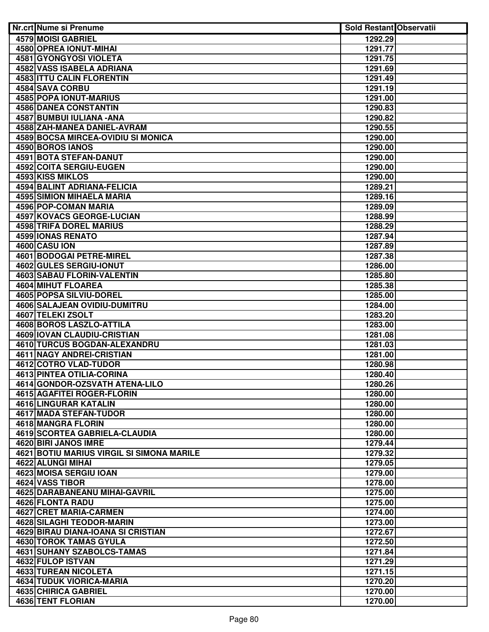| <b>Nr.crt Nume si Prenume</b>                             | <b>Sold Restant Observatii</b> |  |
|-----------------------------------------------------------|--------------------------------|--|
| <b>4579 MOISI GABRIEL</b>                                 | 1292.29                        |  |
| 4580 OPREA IONUT-MIHAI                                    | 1291.77                        |  |
| <b>4581 GYONGYOSI VIOLETA</b>                             | 1291.75                        |  |
| <b>4582 VASS ISABELA ADRIANA</b>                          | 1291.69                        |  |
| <b>4583 ITTU CALIN FLORENTIN</b>                          | 1291.49                        |  |
| 4584 SAVA CORBU                                           | 1291.19                        |  |
| <b>4585 POPA IONUT-MARIUS</b>                             | 1291.00                        |  |
| <b>4586 DANEA CONSTANTIN</b>                              | 1290.83                        |  |
| 4587 BUMBUI IULIANA - ANA                                 | 1290.82                        |  |
| 4588 ZAH-MANEA DANIEL-AVRAM                               | 1290.55                        |  |
| 4589 BOCSA MIRCEA-OVIDIU SI MONICA                        | 1290.00                        |  |
| 4590 BOROS IANOS                                          | 1290.00                        |  |
| 4591 BOTA STEFAN-DANUT                                    | 1290.00                        |  |
| 4592 COITA SERGIU-EUGEN                                   | 1290.00                        |  |
| 4593 KISS MIKLOS                                          | 1290.00                        |  |
| 4594 BALINT ADRIANA-FELICIA                               | 1289.21                        |  |
| 4595 SIMION MIHAELA MARIA                                 | 1289.16                        |  |
| 4596 POP-COMAN MARIA                                      | 1289.09                        |  |
| 4597 KOVACS GEORGE-LUCIAN                                 | 1288.99                        |  |
| 4598 TRIFA DOREL MARIUS                                   | 1288.29                        |  |
| 4599 IONAS RENATO                                         | 1287.94                        |  |
| 4600 CASU ION                                             | 1287.89                        |  |
| <b>4601 BODOGAI PETRE-MIREL</b>                           | 1287.38                        |  |
| 4602 GULES SERGIU-IONUT                                   | 1286.00                        |  |
| <b>4603 SABAU FLORIN-VALENTIN</b>                         | 1285.80                        |  |
| <b>4604 MIHUT FLOAREA</b>                                 | 1285.38                        |  |
| 4605 POPSA SILVIU-DOREL                                   | 1285.00                        |  |
| 4606 SALAJEAN OVIDIU-DUMITRU                              | 1284.00                        |  |
| 4607 TELEKI ZSOLT                                         | 1283.20                        |  |
| 4608 BOROS LASZLO-ATTILA                                  | 1283.00                        |  |
| 4609 IOVAN CLAUDIU-CRISTIAN                               | 1281.08                        |  |
| 4610 TURCUS BOGDAN-ALEXANDRU<br>4611 NAGY ANDREI-CRISTIAN | 1281.03                        |  |
| 4612 COTRO VLAD-TUDOR                                     | 1281.00<br>1280.98             |  |
| 4613 PINTEA OTILIA-CORINA                                 | 1280.40                        |  |
| 4614 GONDOR-OZSVATH ATENA-LILO                            | 1280.26                        |  |
| 4615 AGAFITEI ROGER-FLORIN                                | 1280.00                        |  |
| 4616 LINGURAR KATALIN                                     | 1280.00                        |  |
| 4617 MADA STEFAN-TUDOR                                    | 1280.00                        |  |
| 4618 MANGRA FLORIN                                        | 1280.00                        |  |
| <b>4619 SCORTEA GABRIELA-CLAUDIA</b>                      | 1280.00                        |  |
| 4620 BIRI JANOS IMRE                                      | 1279.44                        |  |
| 4621 BOTIU MARIUS VIRGIL SI SIMONA MARILE                 | 1279.32                        |  |
| 4622 ALUNGI MIHAI                                         | 1279.05                        |  |
| 4623 MOISA SERGIU IOAN                                    | 1279.00                        |  |
| 4624 VASS TIBOR                                           | 1278.00                        |  |
| 4625 DARABANEANU MIHAI-GAVRIL                             | 1275.00                        |  |
| 4626 FLONTA RADU                                          | 1275.00                        |  |
| 4627 CRET MARIA-CARMEN                                    | 1274.00                        |  |
| 4628 SILAGHI TEODOR-MARIN                                 | 1273.00                        |  |
| 4629 BIRAU DIANA-IOANA SI CRISTIAN                        | 1272.67                        |  |
| 4630 TOROK TAMAS GYULA                                    | 1272.50                        |  |
| <b>4631 SUHANY SZABOLCS-TAMAS</b>                         | 1271.84                        |  |
| 4632 FULOP ISTVAN                                         | 1271.29                        |  |
| <b>4633 TUREAN NICOLETA</b>                               | 1271.15                        |  |
| <b>4634 TUDUK VIORICA-MARIA</b>                           | 1270.20                        |  |
| 4635 CHIRICA GABRIEL                                      | 1270.00                        |  |
| <b>4636 TENT FLORIAN</b>                                  | 1270.00                        |  |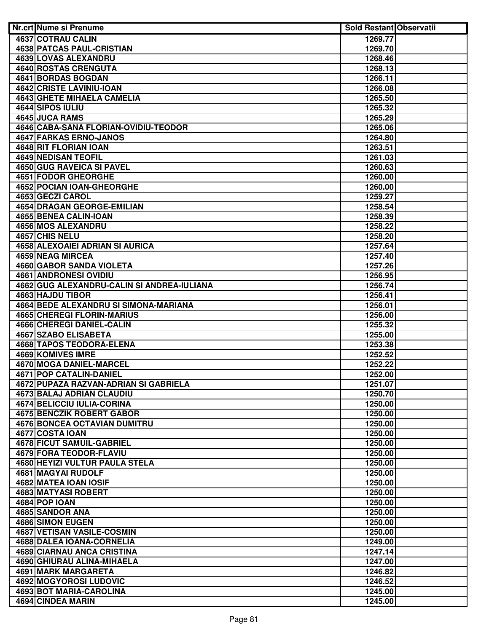| <b>Nr.crt Nume si Prenume</b>              | <b>Sold Restant Observatii</b> |  |
|--------------------------------------------|--------------------------------|--|
| 4637 COTRAU CALIN                          | 1269.77                        |  |
| <b>4638 PATCAS PAUL-CRISTIAN</b>           | 1269.70                        |  |
| 4639 LOVAS ALEXANDRU                       | 1268.46                        |  |
| <b>4640 ROSTAS CRENGUTA</b>                | 1268.13                        |  |
| 4641 BORDAS BOGDAN                         | 1266.11                        |  |
| 4642 CRISTE LAVINIU-IOAN                   | 1266.08                        |  |
| <b>4643 GHETE MIHAELA CAMELIA</b>          | 1265.50                        |  |
| 4644 SIPOS IULIU                           | 1265.32                        |  |
| 4645 JUCA RAMS                             | 1265.29                        |  |
| 4646 CABA-SANA FLORIAN-OVIDIU-TEODOR       | 1265.06                        |  |
| 4647 FARKAS ERNO-JANOS                     | 1264.80                        |  |
| 4648 RIT FLORIAN IOAN                      | 1263.51                        |  |
| <b>4649 NEDISAN TEOFIL</b>                 | 1261.03                        |  |
| 4650 GUG RAVEICA SI PAVEL                  | 1260.63                        |  |
| 4651 FODOR GHEORGHE                        | 1260.00                        |  |
| <b>4652 POCIAN IOAN-GHEORGHE</b>           | 1260.00                        |  |
| 4653 GECZI CAROL                           | 1259.27                        |  |
| 4654 DRAGAN GEORGE-EMILIAN                 | 1258.54                        |  |
| 4655 BENEA CALIN-IOAN                      | 1258.39                        |  |
| 4656 MOS ALEXANDRU                         | 1258.22                        |  |
| 4657 CHIS NELU                             | 1258.20                        |  |
| 4658 ALEXOAIEI ADRIAN SI AURICA            | 1257.64                        |  |
| 4659 NEAG MIRCEA                           | 1257.40                        |  |
| 4660 GABOR SANDA VIOLETA                   | 1257.26                        |  |
| 4661 ANDRONESI OVIDIU                      | 1256.95                        |  |
| 4662 GUG ALEXANDRU-CALIN SI ANDREA-IULIANA | 1256.74                        |  |
| 4663 HAJDU TIBOR                           | 1256.41                        |  |
| 4664 BEDE ALEXANDRU SI SIMONA-MARIANA      | 1256.01                        |  |
| <b>4665 CHEREGI FLORIN-MARIUS</b>          | 1256.00                        |  |
| 4666 CHEREGI DANIEL-CALIN                  | 1255.32                        |  |
| 4667 SZABO ELISABETA                       | 1255.00                        |  |
| 4668 TAPOS TEODORA-ELENA                   | 1253.38                        |  |
| 4669 KOMIVES IMRE                          | 1252.52                        |  |
| 4670 MOGA DANIEL-MARCEL                    | 1252.22                        |  |
| 4671 POP CATALIN-DANIEL                    | 1252.00                        |  |
| 4672 PUPAZA RAZVAN-ADRIAN SI GABRIELA      | 1251.07                        |  |
| 4673 BALAJ ADRIAN CLAUDIU                  | 1250.70                        |  |
| <b>4674 BELICCIU IULIA-CORINA</b>          | 1250.00                        |  |
| <b>4675 BENCZIK ROBERT GABOR</b>           | 1250.00                        |  |
| <b>4676 BONCEA OCTAVIAN DUMITRU</b>        | 1250.00                        |  |
| 4677 COSTA IOAN                            |                                |  |
| 4678 FICUT SAMUIL-GABRIEL                  | 1250.00<br>1250.00             |  |
| 4679 FORA TEODOR-FLAVIU                    | 1250.00                        |  |
| 4680 HEYIZI VULTUR PAULA STELA             | 1250.00                        |  |
|                                            |                                |  |
| 4681 MAGYAI RUDOLF                         | 1250.00                        |  |
| 4682 MATEA IOAN IOSIF                      | 1250.00                        |  |
| 4683 MATYASI ROBERT                        | 1250.00                        |  |
| <b>4684 POP IOAN</b>                       | 1250.00                        |  |
| 4685 SANDOR ANA                            | 1250.00                        |  |
| <b>4686 SIMON EUGEN</b>                    | 1250.00                        |  |
| 4687 VETISAN VASILE-COSMIN                 | 1250.00                        |  |
| 4688 DALEA IOANA-CORNELIA                  | 1249.00                        |  |
| <b>4689 CIARNAU ANCA CRISTINA</b>          | 1247.14                        |  |
| 4690 GHIURAU ALINA-MIHAELA                 | 1247.00                        |  |
| 4691 MARK MARGARETA                        | 1246.82                        |  |
| 4692 MOGYOROSI LUDOVIC                     | 1246.52                        |  |
| 4693 BOT MARIA-CAROLINA                    | 1245.00                        |  |
| 4694 CINDEA MARIN                          | 1245.00                        |  |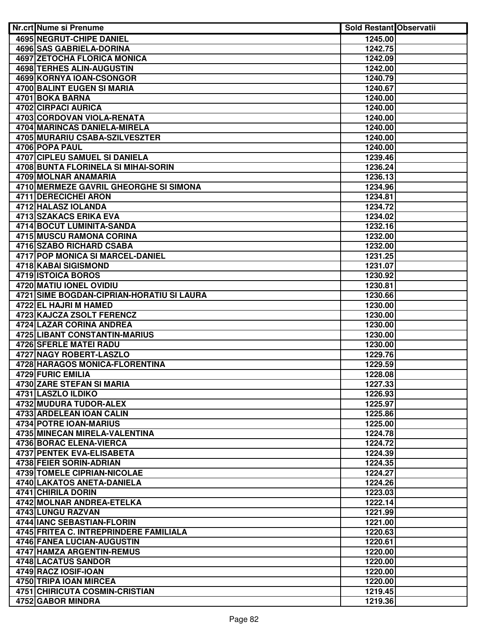| Nr.crt Nume si Prenume                            | <b>Sold Restant Observatii</b> |  |
|---------------------------------------------------|--------------------------------|--|
| <b>4695 NEGRUT-CHIPE DANIEL</b>                   | 1245.00                        |  |
| <b>4696 SAS GABRIELA-DORINA</b>                   | 1242.75                        |  |
| <b>4697 ZETOCHA FLORICA MONICA</b>                | 1242.09                        |  |
| <b>4698 TERHES ALIN-AUGUSTIN</b>                  | 1242.00                        |  |
| 4699 KORNYA IOAN-CSONGOR                          | 1240.79                        |  |
| <b>4700 BALINT EUGEN SI MARIA</b>                 | 1240.67                        |  |
| 4701 BOKA BARNA                                   | 1240.00                        |  |
| 4702 CIRPACI AURICA                               | 1240.00                        |  |
| 4703 CORDOVAN VIOLA-RENATA                        | 1240.00                        |  |
| 4704 MARINCAS DANIELA-MIRELA                      | 1240.00                        |  |
| 4705 MURARIU CSABA-SZILVESZTER                    | 1240.00                        |  |
| 4706 POPA PAUL                                    | 1240.00                        |  |
| 4707 CIPLEU SAMUEL SI DANIELA                     | 1239.46                        |  |
| 4708 BUNTA FLORINELA SI MIHAI-SORIN               | 1236.24                        |  |
| 4709 MOLNAR ANAMARIA                              | 1236.13                        |  |
| 4710 MERMEZE GAVRIL GHEORGHE SI SIMONA            | 1234.96                        |  |
| <b>4711 DERECICHEI ARON</b>                       | 1234.81                        |  |
| 4712 HALASZ IOLANDA                               | 1234.72                        |  |
| <b>4713 SZAKACS ERIKA EVA</b>                     | 1234.02                        |  |
| <b>4714 BOCUT LUMINITA-SANDA</b>                  | 1232.16                        |  |
| <b>4715 MUSCU RAMONA CORINA</b>                   | 1232.00                        |  |
| 4716 SZABO RICHARD CSABA                          | 1232.00                        |  |
| 4717 POP MONICA SI MARCEL-DANIEL                  | 1231.25                        |  |
| 4718 KABAI SIGISMOND                              | 1231.07                        |  |
| 4719 ISTOICA BOROS                                | 1230.92                        |  |
| 4720 MATIU IONEL OVIDIU                           | 1230.81                        |  |
| 4721 SIME BOGDAN-CIPRIAN-HORATIU SI LAURA         | 1230.66                        |  |
| 4722 EL HAJRI M HAMED                             | 1230.00                        |  |
| 4723 KAJCZA ZSOLT FERENCZ                         | 1230.00                        |  |
| <b>4724 LAZAR CORINA ANDREA</b>                   | 1230.00<br>1230.00             |  |
| 4725 LIBANT CONSTANTIN-MARIUS                     |                                |  |
| 4726 SFERLE MATEI RADU<br>4727 NAGY ROBERT-LASZLO | 1230.00<br>1229.76             |  |
| 4728 HARAGOS MONICA-FLORENTINA                    | 1229.59                        |  |
| 4729 FURIC EMILIA                                 | 1228.08                        |  |
| 4730 ZARE STEFAN SI MARIA                         | 1227.33                        |  |
| 4731 LASZLO ILDIKO                                | 1226.93                        |  |
| 4732 MUDURA TUDOR-ALEX                            | 1225.97                        |  |
| 4733 ARDELEAN IOAN CALIN                          | 1225.86                        |  |
| 4734 POTRE IOAN-MARIUS                            | 1225.00                        |  |
| 4735 MINECAN MIRELA-VALENTINA                     | 1224.78                        |  |
| 4736 BORAC ELENA-VIERCA                           | 1224.72                        |  |
| 4737 PENTEK EVA-ELISABETA                         | 1224.39                        |  |
| 4738 FEIER SORIN-ADRIAN                           | 1224.35                        |  |
| 4739 TOMELE CIPRIAN-NICOLAE                       | 1224.27                        |  |
| 4740 LAKATOS ANETA-DANIELA                        | 1224.26                        |  |
| 4741 CHIRILA DORIN                                | 1223.03                        |  |
| 4742 MOLNAR ANDREA-ETELKA                         | 1222.14                        |  |
| 4743 LUNGU RAZVAN                                 | 1221.99                        |  |
| 4744 IANC SEBASTIAN-FLORIN                        | 1221.00                        |  |
| 4745 FRITEA C. INTREPRINDERE FAMILIALA            | 1220.63                        |  |
| 4746 FANEA LUCIAN-AUGUSTIN                        | 1220.61                        |  |
| 4747 HAMZA ARGENTIN-REMUS                         | 1220.00                        |  |
| <b>4748 LACATUS SANDOR</b>                        | 1220.00                        |  |
| 4749 RACZ IOSIF-IOAN                              | 1220.00                        |  |
| 4750 TRIPA IOAN MIRCEA                            | 1220.00                        |  |
| 4751 CHIRICUTA COSMIN-CRISTIAN                    | 1219.45                        |  |
| 4752 GABOR MINDRA                                 | 1219.36                        |  |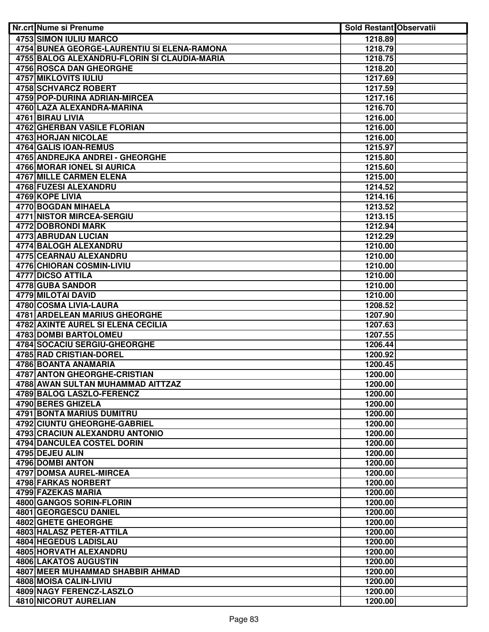| Nr.crt Nume si Prenume                                 | <b>Sold Restant Observatii</b> |  |
|--------------------------------------------------------|--------------------------------|--|
| 4753 SIMON IULIU MARCO                                 | 1218.89                        |  |
| 4754 BUNEA GEORGE-LAURENTIU SI ELENA-RAMONA            | 1218.79                        |  |
| 4755 BALOG ALEXANDRU-FLORIN SI CLAUDIA-MARIA           | 1218.75                        |  |
| <b>4756 ROSCA DAN GHEORGHE</b>                         | 1218.20                        |  |
| <b>4757 MIKLOVITS IULIU</b>                            | 1217.69                        |  |
| <b>4758 SCHVARCZ ROBERT</b>                            | 1217.59                        |  |
| 4759 POP-DURINA ADRIAN-MIRCEA                          | 1217.16                        |  |
| 4760 LAZA ALEXANDRA-MARINA                             | 1216.70                        |  |
| 4761 BIRAU LIVIA                                       | 1216.00                        |  |
| <b>4762 GHERBAN VASILE FLORIAN</b>                     | 1216.00                        |  |
| 4763 HORJAN NICOLAE                                    | 1216.00                        |  |
| 4764 GALIS IOAN-REMUS                                  | 1215.97                        |  |
| 4765 ANDREJKA ANDREI - GHEORGHE                        | 1215.80                        |  |
| 4766 MORAR IONEL SI AURICA                             | 1215.60                        |  |
| 4767 MILLE CARMEN ELENA                                | 1215.00                        |  |
| 4768 FUZESI ALEXANDRU                                  | 1214.52                        |  |
| 4769 KOPE LIVIA                                        | 1214.16                        |  |
| 4770 BOGDAN MIHAELA                                    | 1213.52                        |  |
| 4771 NISTOR MIRCEA-SERGIU                              | 1213.15                        |  |
| <b>4772 DOBRONDI MARK</b>                              | 1212.94                        |  |
| 4773 ABRUDAN LUCIAN                                    | 1212.29                        |  |
| 4774 BALOGH ALEXANDRU                                  | 1210.00                        |  |
| <b>4775 CEARNAU ALEXANDRU</b>                          | 1210.00                        |  |
| 4776 CHIORAN COSMIN-LIVIU                              | 1210.00                        |  |
| 4777 DICSO ATTILA                                      | 1210.00                        |  |
| 4778 GUBA SANDOR                                       | 1210.00                        |  |
| <b>4779 MILOTAI DAVID</b>                              | 1210.00                        |  |
| 4780 COSMA LIVIA-LAURA                                 | 1208.52                        |  |
| <b>4781 ARDELEAN MARIUS GHEORGHE</b>                   | 1207.90                        |  |
| 4782 AXINTE AUREL SI ELENA CECILIA                     | 1207.63                        |  |
| <b>4783 DOMBI BARTOLOMEU</b>                           | 1207.55                        |  |
| 4784 SOCACIU SERGIU-GHEORGHE                           | 1206.44                        |  |
| 4785 RAD CRISTIAN-DOREL                                | 1200.92                        |  |
| 4786 BOANTA ANAMARIA                                   | 1200.45                        |  |
| <b>4787 ANTON GHEORGHE-CRISTIAN</b>                    | 1200.00                        |  |
| 4788 AWAN SULTAN MUHAMMAD AITTZAZ                      | 1200.00                        |  |
| 4789 BALOG LASZLO-FERENCZ                              | 1200.00                        |  |
| 4790 BERES GHIZELA<br><b>4791 BONTA MARIUS DUMITRU</b> | 1200.00                        |  |
| 4792 CIUNTU GHEORGHE-GABRIEL                           | 1200.00<br>1200.00             |  |
| 4793 CRACIUN ALEXANDRU ANTONIO                         | 1200.00                        |  |
| 4794 DANCULEA COSTEL DORIN                             | 1200.00                        |  |
| 4795 DEJEU ALIN                                        | 1200.00                        |  |
| 4796 DOMBI ANTON                                       | 1200.00                        |  |
| 4797 DOMSA AUREL-MIRCEA                                | 1200.00                        |  |
| 4798 FARKAS NORBERT                                    | 1200.00                        |  |
| 4799 FAZEKAS MARIA                                     | 1200.00                        |  |
| 4800 GANGOS SORIN-FLORIN                               | 1200.00                        |  |
| 4801 GEORGESCU DANIEL                                  | 1200.00                        |  |
| 4802 GHETE GHEORGHE                                    | 1200.00                        |  |
| 4803 HALASZ PETER-ATTILA                               | 1200.00                        |  |
| 4804 HEGEDUS LADISLAU                                  | 1200.00                        |  |
| 4805 HORVATH ALEXANDRU                                 | 1200.00                        |  |
| <b>4806 LAKATOS AUGUSTIN</b>                           | 1200.00                        |  |
| 4807 MEER MUHAMMAD SHABBIR AHMAD                       | 1200.00                        |  |
| 4808 MOISA CALIN-LIVIU                                 | 1200.00                        |  |
| 4809 NAGY FERENCZ-LASZLO                               | 1200.00                        |  |
| <b>4810 NICORUT AURELIAN</b>                           | 1200.00                        |  |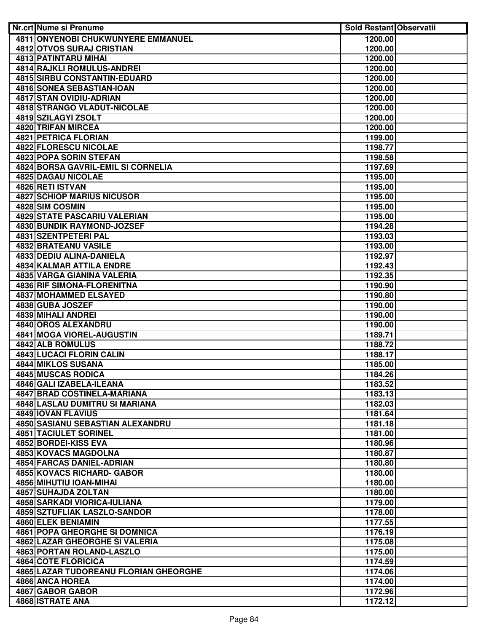| Nr.crt Nume si Prenume                              | <b>Sold Restant Observatii</b> |  |
|-----------------------------------------------------|--------------------------------|--|
| 4811 ONYENOBI CHUKWUNYERE EMMANUEL                  | 1200.00                        |  |
| <b>4812 OTVOS SURAJ CRISTIAN</b>                    | 1200.00                        |  |
| <b>4813 PATINTARU MIHAI</b>                         | 1200.00                        |  |
| <b>4814 RAJKLI ROMULUS-ANDREI</b>                   | 1200.00                        |  |
| <b>4815 SIRBU CONSTANTIN-EDUARD</b>                 | 1200.00                        |  |
| <b>4816 SONEA SEBASTIAN-IOAN</b>                    | 1200.00                        |  |
| 4817 STAN OVIDIU-ADRIAN                             | 1200.00                        |  |
| 4818 STRANGO VLADUT-NICOLAE                         | 1200.00                        |  |
| 4819 SZILAGYI ZSOLT                                 | 1200.00                        |  |
| 4820 TRIFAN MIRCEA                                  | 1200.00                        |  |
| 4821 PETRICA FLORIAN                                | 1199.00                        |  |
| 4822 FLORESCU NICOLAE                               | 1198.77                        |  |
| 4823 POPA SORIN STEFAN                              | 1198.58                        |  |
| 4824 BORSA GAVRIL-EMIL SI CORNELIA                  | 1197.69                        |  |
| <b>4825 DAGAU NICOLAE</b>                           | 1195.00                        |  |
| 4826 RETI ISTVAN                                    | 1195.00                        |  |
| <b>4827 SCHIOP MARIUS NICUSOR</b>                   | 1195.00                        |  |
| 4828 SIM COSMIN                                     | 1195.00                        |  |
| 4829 STATE PASCARIU VALERIAN                        | 1195.00                        |  |
| 4830 BUNDIK RAYMOND-JOZSEF                          | 1194.28                        |  |
| <b>4831 SZENTPETERI PAL</b>                         | 1193.03                        |  |
| 4832 BRATEANU VASILE                                | 1193.00                        |  |
| 4833 DEDIU ALINA-DANIELA                            | 1192.97                        |  |
| 4834 KALMAR ATTILA ENDRE                            | 1192.43                        |  |
| 4835 VARGA GIANINA VALERIA                          | 1192.35                        |  |
| 4836 RIF SIMONA-FLORENITNA                          | 1190.90                        |  |
| 4837 MOHAMMED ELSAYED                               | 1190.80                        |  |
| 4838 GUBA JOSZEF                                    | 1190.00                        |  |
| <b>4839 MIHALI ANDREI</b>                           | 1190.00                        |  |
| 4840 OROS ALEXANDRU                                 | 1190.00                        |  |
| 4841 MOGA VIOREL-AUGUSTIN                           | 1189.71                        |  |
| <b>4842 ALB ROMULUS</b><br>4843 LUCACI FLORIN CALIN | 1188.72                        |  |
| 4844 MIKLOS SUSANA                                  | 1188.17<br>1185.00             |  |
| 4845 MUSCAS RODICA                                  | 1184.26                        |  |
| 4846 GALI IZABELA-ILEANA                            | 1183.52                        |  |
| 4847 BRAD COSTINELA-MARIANA                         | 1183.13                        |  |
| 4848 LASLAU DUMITRU SI MARIANA                      | 1182.03                        |  |
| 4849 IOVAN FLAVIUS                                  | 1181.64                        |  |
| 4850 SASIANU SEBASTIAN ALEXANDRU                    | 1181.18                        |  |
| 4851 TACIULET SORINEL                               | 1181.00                        |  |
| 4852 BORDEI-KISS EVA                                | 1180.96                        |  |
| <b>4853 KOVACS MAGDOLNA</b>                         | 1180.87                        |  |
| 4854 FARCAS DANIEL-ADRIAN                           | 1180.80                        |  |
| 4855 KOVACS RICHARD- GABOR                          | 1180.00                        |  |
| 4856 MIHUTIU IOAN-MIHAI                             | 1180.00                        |  |
| 4857 SUHAJDA ZOLTAN                                 | 1180.00                        |  |
| 4858 SARKADI VIORICA-IULIANA                        | 1179.00                        |  |
| 4859 SZTUFLIAK LASZLO-SANDOR                        | 1178.00                        |  |
| 4860 ELEK BENIAMIN                                  | 1177.55                        |  |
| 4861 POPA GHEORGHE SI DOMNICA                       | 1176.19                        |  |
| 4862 LAZAR GHEORGHE SI VALERIA                      | 1175.08                        |  |
| <b>4863 PORTAN ROLAND-LASZLO</b>                    | 1175.00                        |  |
| 4864 COTE FLORICICA                                 | 1174.59                        |  |
| <b>4865 LAZAR TUDOREANU FLORIAN GHEORGHE</b>        | 1174.06                        |  |
| 4866 ANCA HOREA                                     | 1174.00                        |  |
| 4867 GABOR GABOR                                    | 1172.96                        |  |
| 4868 ISTRATE ANA                                    | 1172.12                        |  |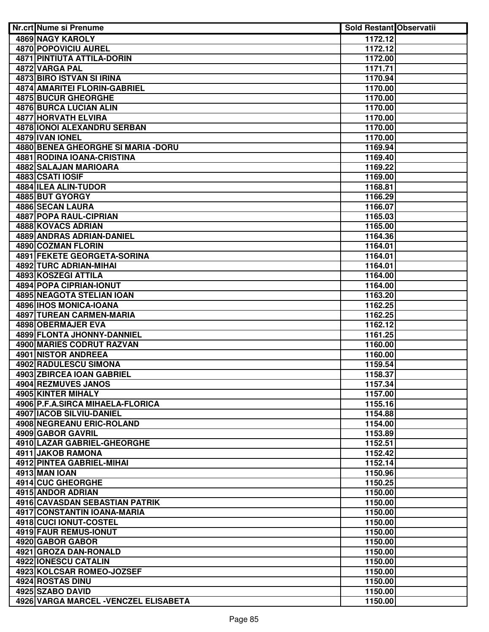| <b>Nr.crt Nume si Prenume</b>         | <b>Sold Restant Observatii</b> |  |
|---------------------------------------|--------------------------------|--|
| <b>4869 NAGY KAROLY</b>               | 1172.12                        |  |
| <b>4870 POPOVICIU AUREL</b>           | 1172.12                        |  |
| <b>4871 PINTIUTA ATTILA-DORIN</b>     | 1172.00                        |  |
| 4872 VARGA PAL                        | 1171.71                        |  |
| <b>4873 BIRO ISTVAN SI IRINA</b>      | 1170.94                        |  |
| <b>4874 AMARITEI FLORIN-GABRIEL</b>   | 1170.00                        |  |
| <b>4875 BUCUR GHEORGHE</b>            | 1170.00                        |  |
| 4876 BURCA LUCIAN ALIN                | 1170.00                        |  |
| 4877 HORVATH ELVIRA                   | 1170.00                        |  |
| 4878 IONOI ALEXANDRU SERBAN           | 1170.00                        |  |
| 4879 IVAN IONEL                       | 1170.00                        |  |
| 4880 BENEA GHEORGHE SI MARIA - DORU   | 1169.94                        |  |
| 4881 RODINA IOANA-CRISTINA            | 1169.40                        |  |
| 4882 SALAJAN MARIOARA                 | 1169.22                        |  |
| 4883 CSATI IOSIF                      | 1169.00                        |  |
| 4884 ILEA ALIN-TUDOR                  | 1168.81                        |  |
| 4885 BUT GYORGY                       | 1166.29                        |  |
| 4886 SECAN LAURA                      | 1166.07                        |  |
| 4887 POPA RAUL-CIPRIAN                | 1165.03                        |  |
| 4888 KOVACS ADRIAN                    | 1165.00                        |  |
| 4889 ANDRAS ADRIAN-DANIEL             | 1164.36                        |  |
| 4890 COZMAN FLORIN                    | 1164.01                        |  |
| 4891 FEKETE GEORGETA-SORINA           | 1164.01                        |  |
| 4892 TURC ADRIAN-MIHAI                | 1164.01                        |  |
| 4893 KOSZEGI ATTILA                   | 1164.00                        |  |
| 4894 POPA CIPRIAN-IONUT               | 1164.00                        |  |
| <b>4895 NEAGOTA STELIAN IOAN</b>      | 1163.20                        |  |
| 4896 IHOS MONICA-IOANA                | 1162.25                        |  |
| 4897 TUREAN CARMEN-MARIA              | 1162.25                        |  |
| 4898 OBERMAJER EVA                    | 1162.12                        |  |
| 4899 FLONTA JHONNY-DANNIEL            | 1161.25                        |  |
| 4900 MARIES CODRUT RAZVAN             | 1160.00                        |  |
| 4901 NISTOR ANDREEA                   | 1160.00                        |  |
| 4902 RADULESCU SIMONA                 | 1159.54                        |  |
| 4903 ZBIRCEA IOAN GABRIEL             | 1158.37                        |  |
| 4904 REZMUVES JANOS                   | 1157.34                        |  |
| 4905 KINTER MIHALY                    | 1157.00                        |  |
| 4906 P.F.A.SIRCA MIHAELA-FLORICA      | 1155.16                        |  |
| <b>4907 IACOB SILVIU-DANIEL</b>       | 1154.88                        |  |
| 4908 NEGREANU ERIC-ROLAND             | 1154.00                        |  |
| 4909 GABOR GAVRIL                     | 1153.89                        |  |
| 4910 LAZAR GABRIEL-GHEORGHE           | 1152.51                        |  |
| 4911 JAKOB RAMONA                     | 1152.42                        |  |
| 4912 PINTEA GABRIEL-MIHAI             | 1152.14                        |  |
| 4913 MAN IOAN                         | 1150.96                        |  |
| 4914 CUC GHEORGHE                     | 1150.25                        |  |
| 4915 ANDOR ADRIAN                     | 1150.00                        |  |
| 4916 CAVASDAN SEBASTIAN PATRIK        | 1150.00                        |  |
| 4917 CONSTANTIN IOANA-MARIA           | 1150.00                        |  |
| 4918 CUCI IONUT-COSTEL                | 1150.00                        |  |
| 4919 FAUR REMUS-IONUT                 | 1150.00                        |  |
| 4920 GABOR GABOR                      | 1150.00                        |  |
| 4921 GROZA DAN-RONALD                 | 1150.00                        |  |
| 4922 IONESCU CATALIN                  | 1150.00                        |  |
| 4923 KOLCSAR ROMEO-JOZSEF             | 1150.00                        |  |
| 4924 ROSTAS DINU                      | 1150.00                        |  |
| 4925 SZABO DAVID                      | 1150.00                        |  |
| 4926 VARGA MARCEL - VENCZEL ELISABETA | 1150.00                        |  |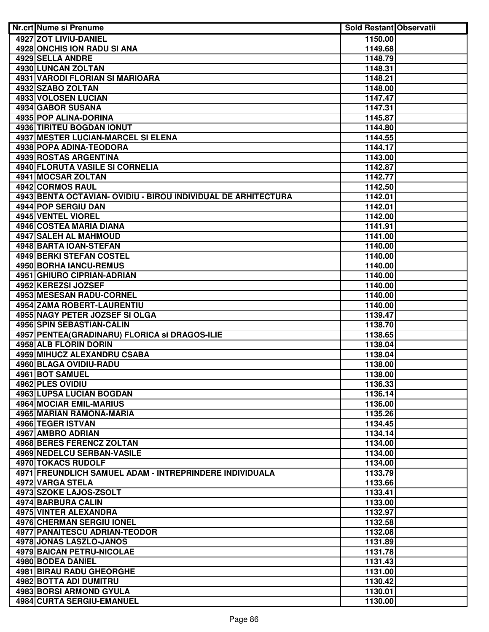| <b>Nr.crt Nume si Prenume</b>                                 | <b>Sold Restant Observatii</b> |  |
|---------------------------------------------------------------|--------------------------------|--|
| 4927 ZOT LIVIU-DANIEL                                         | 1150.00                        |  |
| <b>4928 ONCHIS ION RADU SI ANA</b>                            | 1149.68                        |  |
| 4929 SELLA ANDRE                                              | 1148.79                        |  |
| 4930 LUNCAN ZOLTAN                                            | 1148.31                        |  |
| <b>4931 VARODI FLORIAN SI MARIOARA</b>                        | 1148.21                        |  |
| 4932 SZABO ZOLTAN                                             | 1148.00                        |  |
| 4933 VOLOSEN LUCIAN                                           | 1147.47                        |  |
| 4934 GABOR SUSANA                                             | 1147.31                        |  |
| 4935 POP ALINA-DORINA                                         | 1145.87                        |  |
| 4936 TIRITEU BOGDAN IONUT                                     | 1144.80                        |  |
| 4937 MESTER LUCIAN-MARCEL SI ELENA                            | 1144.55                        |  |
| 4938 POPA ADINA-TEODORA                                       | 1144.17                        |  |
| 4939 ROSTAS ARGENTINA                                         | 1143.00                        |  |
| 4940 FLORUTA VASILE SI CORNELIA                               | 1142.87                        |  |
| 4941 MOCSAR ZOLTAN                                            | 1142.77                        |  |
| 4942 CORMOS RAUL                                              | 1142.50                        |  |
| 4943 BENTA OCTAVIAN- OVIDIU - BIROU INDIVIDUAL DE ARHITECTURA | 1142.01                        |  |
| 4944 POP SERGIU DAN                                           | 1142.01                        |  |
| <b>4945 VENTEL VIOREL</b>                                     | 1142.00                        |  |
| 4946 COSTEA MARIA DIANA                                       | 1141.91                        |  |
| 4947 SALEH AL MAHMOUD                                         | 1141.00                        |  |
| 4948 BARTA IOAN-STEFAN                                        | 1140.00                        |  |
| 4949 BERKI STEFAN COSTEL                                      | 1140.00                        |  |
| 4950 BORHA IANCU-REMUS                                        | 1140.00                        |  |
| <b>4951 GHIURO CIPRIAN-ADRIAN</b>                             | 1140.00                        |  |
| 4952 KEREZSI JOZSEF                                           | 1140.00                        |  |
| <b>4953 MESESAN RADU-CORNEL</b>                               | 1140.00                        |  |
| <b>4954 ZAMA ROBERT-LAURENTIU</b>                             | 1140.00                        |  |
| 4955 NAGY PETER JOZSEF SI OLGA                                | 1139.47                        |  |
| 4956 SPIN SEBASTIAN-CALIN                                     | 1138.70                        |  |
| 4957 PENTEA(GRADINARU) FLORICA si DRAGOS-ILIE                 | 1138.65                        |  |
| 4958 ALB FLORIN DORIN                                         | 1138.04                        |  |
| 4959 MIHUCZ ALEXANDRU CSABA                                   | 1138.04                        |  |
| 4960 BLAGA OVIDIU-RADU                                        | 1138.00                        |  |
| 4961 BOT SAMUEL                                               | 1138.00                        |  |
| 4962 PLES OVIDIU                                              | 1136.33                        |  |
| 4963 LUPSA LUCIAN BOGDAN                                      | 1136.14                        |  |
| <b>4964 MOCIAR EMIL-MARIUS</b>                                | 1136.00                        |  |
| 4965 MARIAN RAMONA-MARIA                                      | 1135.26                        |  |
| 4966 TEGER ISTVAN                                             | 1134.45                        |  |
| 4967 AMBRO ADRIAN<br>4968 BERES FERENCZ ZOLTAN                | 1134.14                        |  |
| <b>4969 NEDELCU SERBAN-VASILE</b>                             | 1134.00                        |  |
| 4970 TOKACS RUDOLF                                            | 1134.00<br>1134.00             |  |
| 4971 FREUNDLICH SAMUEL ADAM - INTREPRINDERE INDIVIDUALA       | 1133.79                        |  |
| 4972 VARGA STELA                                              | 1133.66                        |  |
| 4973 SZOKE LAJOS-ZSOLT                                        | 1133.41                        |  |
| 4974 BARBURA CALIN                                            | 1133.00                        |  |
| 4975 VINTER ALEXANDRA                                         | 1132.97                        |  |
| 4976 CHERMAN SERGIU IONEL                                     | 1132.58                        |  |
| 4977 PANAITESCU ADRIAN-TEODOR                                 | 1132.08                        |  |
| 4978 JONAS LASZLO-JANOS                                       | 1131.89                        |  |
| <b>4979 BAICAN PETRU-NICOLAE</b>                              | 1131.78                        |  |
| 4980 BODEA DANIEL                                             | 1131.43                        |  |
| <b>4981 BIRAU RADU GHEORGHE</b>                               | 1131.00                        |  |
| 4982 BOTTA ADI DUMITRU                                        | 1130.42                        |  |
| 4983 BORSI ARMOND GYULA                                       | 1130.01                        |  |
| 4984 CURTA SERGIU-EMANUEL                                     | 1130.00                        |  |
|                                                               |                                |  |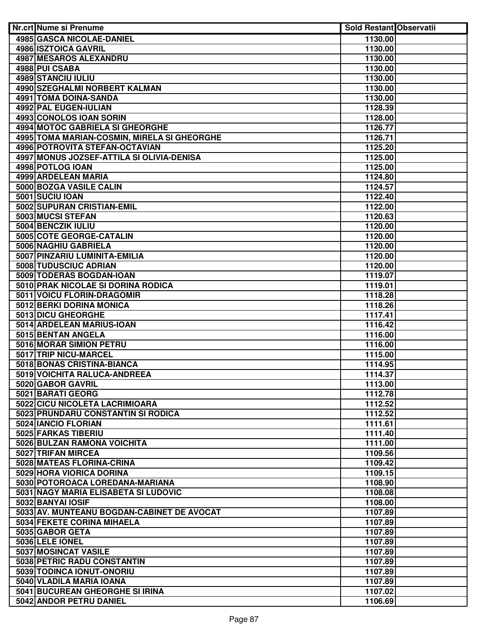| Nr.crt Nume si Prenume                      | <b>Sold Restant Observatii</b> |  |
|---------------------------------------------|--------------------------------|--|
| <b>4985 GASCA NICOLAE-DANIEL</b>            | 1130.00                        |  |
| <b>4986 ISZTOICA GAVRIL</b>                 | 1130.00                        |  |
| <b>4987 MESAROS ALEXANDRU</b>               | 1130.00                        |  |
| 4988 PUI CSABA                              | 1130.00                        |  |
| 4989 STANCIU IULIU                          | 1130.00                        |  |
| 4990 SZEGHALMI NORBERT KALMAN               | 1130.00                        |  |
| 4991 TOMA DOINA-SANDA                       | 1130.00                        |  |
| 4992 PAL EUGEN-IULIAN                       | 1128.39                        |  |
| 4993 CONOLOS IOAN SORIN                     | 1128.00                        |  |
| 4994 MOTOC GABRIELA SI GHEORGHE             | 1126.77                        |  |
| 4995 TOMA MARIAN-COSMIN, MIRELA SI GHEORGHE | 1126.71                        |  |
| 4996 POTROVITA STEFAN-OCTAVIAN              | 1125.20                        |  |
| 4997 MONUS JOZSEF-ATTILA SI OLIVIA-DENISA   |                                |  |
|                                             | 1125.00                        |  |
| 4998 POTLOG IOAN                            | 1125.00                        |  |
| 4999 ARDELEAN MARIA                         | 1124.80                        |  |
| 5000 BOZGA VASILE CALIN                     | 1124.57                        |  |
| 5001 SUCIU IOAN                             | 1122.40                        |  |
| 5002 SUPURAN CRISTIAN-EMIL                  | 1122.00                        |  |
| 5003 MUCSI STEFAN                           | 1120.63                        |  |
| 5004 BENCZIK IULIU                          | 1120.00                        |  |
| 5005 COTE GEORGE-CATALIN                    | 1120.00                        |  |
| 5006 NAGHIU GABRIELA                        | 1120.00                        |  |
| 5007 PINZARIU LUMINITA-EMILIA               | 1120.00                        |  |
| 5008 TUDUSCIUC ADRIAN                       | 1120.00                        |  |
| 5009 TODERAS BOGDAN-IOAN                    | 1119.07                        |  |
| 5010 PRAK NICOLAE SI DORINA RODICA          | 1119.01                        |  |
| 5011 VOICU FLORIN-DRAGOMIR                  | 1118.28                        |  |
| 5012 BERKI DORINA MONICA                    | 1118.26                        |  |
| 5013 DICU GHEORGHE                          | 1117.41                        |  |
| 5014 ARDELEAN MARIUS-IOAN                   | 1116.42                        |  |
| 5015 BENTAN ANGELA                          | 1116.00                        |  |
| 5016 MORAR SIMION PETRU                     | 1116.00                        |  |
| 5017 TRIP NICU-MARCEL                       | 1115.00                        |  |
| 5018 BONAS CRISTINA-BIANCA                  | 1114.95                        |  |
| 5019 VOICHITA RALUCA-ANDREEA                | 1114.37                        |  |
| 5020 GABOR GAVRIL                           | 1113.00                        |  |
| 5021 BARATI GEORG                           | 1112.78                        |  |
| 5022 CICU NICOLETA LACRIMIOARA              | 1112.52                        |  |
| 5023 PRUNDARU CONSTANTIN SI RODICA          | 1112.52                        |  |
| 5024 IANCIO FLORIAN                         | 1111.61                        |  |
| 5025 FARKAS TIBERIU                         | 1111.40                        |  |
| 5026 BULZAN RAMONA VOICHITA                 | 1111.00                        |  |
| 5027 TRIFAN MIRCEA                          | 1109.56                        |  |
| 5028 MATEAS FLORINA-CRINA                   | 1109.42                        |  |
| 5029 HORA VIORICA DORINA                    | 1109.15                        |  |
| 5030 POTOROACA LOREDANA-MARIANA             | 1108.90                        |  |
| 5031 NAGY MARIA ELISABETA SI LUDOVIC        | 1108.08                        |  |
| 5032 BANYAI IOSIF                           | 1108.00                        |  |
| 5033 AV. MUNTEANU BOGDAN-CABINET DE AVOCAT  | 1107.89                        |  |
| 5034 FEKETE CORINA MIHAELA                  | 1107.89                        |  |
| 5035 GABOR GETA                             | 1107.89                        |  |
| 5036 LELE IONEL                             | 1107.89                        |  |
| 5037 MOSINCAT VASILE                        | 1107.89                        |  |
| 5038 PETRIC RADU CONSTANTIN                 | 1107.89                        |  |
| 5039 TODINCA IONUT-ONORIU                   | 1107.89                        |  |
| 5040 VLADILA MARIA IOANA                    | 1107.89                        |  |
| 5041 BUCUREAN GHEORGHE SI IRINA             | 1107.02                        |  |
| 5042 ANDOR PETRU DANIEL                     | 1106.69                        |  |
|                                             |                                |  |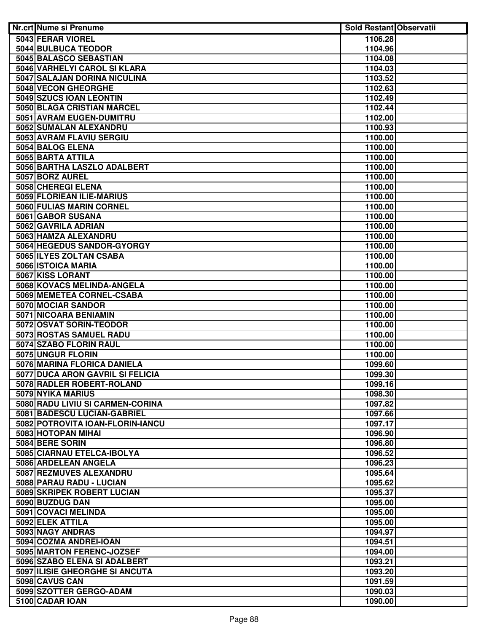| Nr.crt Nume si Prenume                            | <b>Sold Restant Observatii</b> |  |
|---------------------------------------------------|--------------------------------|--|
| 5043 FERAR VIOREL                                 | 1106.28                        |  |
| 5044 BULBUCA TEODOR                               | 1104.96                        |  |
| 5045 BALASCO SEBASTIAN                            | 1104.08                        |  |
| 5046 VARHELYI CAROL SI KLARA                      | 1104.03                        |  |
| 5047 SALAJAN DORINA NICULINA                      | 1103.52                        |  |
| 5048 VECON GHEORGHE                               | 1102.63                        |  |
| 5049 SZUCS IOAN LEONTIN                           | 1102.49                        |  |
| 5050 BLAGA CRISTIAN MARCEL                        | 1102.44                        |  |
| 5051 AVRAM EUGEN-DUMITRU                          | 1102.00                        |  |
| 5052 SUMALAN ALEXANDRU                            | 1100.93                        |  |
| 5053 AVRAM FLAVIU SERGIU                          | 1100.00                        |  |
| 5054 BALOG ELENA                                  | 1100.00                        |  |
| 5055 BARTA ATTILA                                 | 1100.00                        |  |
| 5056 BARTHA LASZLO ADALBERT                       | 1100.00                        |  |
| 5057 BORZ AUREL                                   | 1100.00                        |  |
| 5058 CHEREGI ELENA                                | 1100.00                        |  |
| 5059 FLORIEAN ILIE-MARIUS                         | 1100.00                        |  |
| 5060 FULIAS MARIN CORNEL                          | 1100.00                        |  |
| 5061 GABOR SUSANA                                 | 1100.00                        |  |
| 5062 GAVRILA ADRIAN                               | 1100.00                        |  |
| 5063 HAMZA ALEXANDRU                              | 1100.00                        |  |
| 5064 HEGEDUS SANDOR-GYORGY                        | 1100.00                        |  |
| 5065 ILYES ZOLTAN CSABA                           | 1100.00                        |  |
| 5066 ISTOICA MARIA                                | 1100.00                        |  |
| 5067 KISS LORANT                                  | 1100.00                        |  |
| 5068 KOVACS MELINDA-ANGELA                        | 1100.00                        |  |
| 5069 MEMETEA CORNEL-CSABA                         | 1100.00                        |  |
| 5070 MOCIAR SANDOR                                | 1100.00                        |  |
| 5071 NICOARA BENIAMIN                             | 1100.00                        |  |
| 5072 OSVAT SORIN-TEODOR                           | 1100.00                        |  |
| 5073 ROSTAS SAMUEL RADU<br>5074 SZABO FLORIN RAUL | 1100.00                        |  |
| 5075 UNGUR FLORIN                                 | 1100.00<br>1100.00             |  |
| 5076 MARINA FLORICA DANIELA                       | 1099.60                        |  |
| 5077 DUCA ARON GAVRIL SI FELICIA                  | 1099.30                        |  |
| 5078 RADLER ROBERT-ROLAND                         | 1099.16                        |  |
| 5079 NYIKA MARIUS                                 | 1098.30                        |  |
| 5080 RADU LIVIU SI CARMEN-CORINA                  | 1097.82                        |  |
| 5081 BADESCU LUCIAN-GABRIEL                       | 1097.66                        |  |
| 5082 POTROVITA IOAN-FLORIN-IANCU                  | 1097.17                        |  |
| 5083 HOTOPAN MIHAI                                | 1096.90                        |  |
| 5084 BERE SORIN                                   | 1096.80                        |  |
| 5085 CIARNAU ETELCA-IBOLYA                        | 1096.52                        |  |
| 5086 ARDELEAN ANGELA                              | 1096.23                        |  |
| 5087 REZMUVES ALEXANDRU                           | 1095.64                        |  |
| 5088 PARAU RADU - LUCIAN                          | 1095.62                        |  |
| 5089 SKRIPEK ROBERT LUCIAN                        | 1095.37                        |  |
| 5090 BUZDUG DAN                                   | 1095.00                        |  |
| 5091 COVACI MELINDA                               | 1095.00                        |  |
| 5092 ELEK ATTILA                                  | 1095.00                        |  |
| 5093 NAGY ANDRAS                                  | 1094.97                        |  |
| 5094 COZMA ANDREI-IOAN                            | 1094.51                        |  |
| 5095 MARTON FERENC-JOZSEF                         | 1094.00                        |  |
| 5096 SZABO ELENA SI ADALBERT                      | 1093.21                        |  |
| 5097 ILISIE GHEORGHE SI ANCUTA                    | 1093.20                        |  |
| 5098 CAVUS CAN                                    | 1091.59                        |  |
| 5099 SZOTTER GERGO-ADAM                           | 1090.03                        |  |
| 5100 CADAR IOAN                                   | 1090.00                        |  |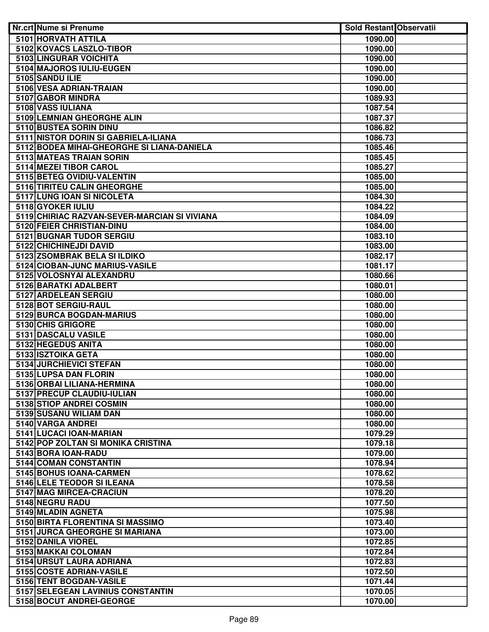| Nr.crt Nume si Prenume                           | <b>Sold Restant Observatii</b> |  |
|--------------------------------------------------|--------------------------------|--|
| 5101 HORVATH ATTILA                              | 1090.00                        |  |
| 5102 KOVACS LASZLO-TIBOR                         | 1090.00                        |  |
| 5103 LINGURAR VOICHITA                           | 1090.00                        |  |
| 5104 MAJOROS IULIU-EUGEN                         | 1090.00                        |  |
| 5105 SANDU ILIE                                  | 1090.00                        |  |
| 5106 VESA ADRIAN-TRAIAN                          | 1090.00                        |  |
| 5107 GABOR MINDRA                                | 1089.93                        |  |
| 5108 VASS IULIANA                                | 1087.54                        |  |
| 5109 LEMNIAN GHEORGHE ALIN                       | 1087.37                        |  |
| 5110 BUSTEA SORIN DINU                           | 1086.82                        |  |
| 5111 NISTOR DORIN SI GABRIELA-ILIANA             | 1086.73                        |  |
| 5112 BODEA MIHAI-GHEORGHE SI LIANA-DANIELA       | 1085.46                        |  |
| 5113 MATEAS TRAIAN SORIN                         | 1085.45                        |  |
| 5114 MEZEI TIBOR CAROL                           | 1085.27                        |  |
| 5115 BETEG OVIDIU-VALENTIN                       | 1085.00                        |  |
| 5116 TIRITEU CALIN GHEORGHE                      | 1085.00                        |  |
| 5117 LUNG IOAN SI NICOLETA                       | 1084.30                        |  |
| 5118 GYOKER IULIU                                | 1084.22                        |  |
| 5119 CHIRIAC RAZVAN-SEVER-MARCIAN SI VIVIANA     | 1084.09                        |  |
| 5120 FEIER CHRISTIAN-DINU                        | 1084.00                        |  |
| 5121 BUGNAR TUDOR SERGIU                         | 1083.10                        |  |
| 5122 CHICHINEJDI DAVID                           | 1083.00                        |  |
| 5123 ZSOMBRAK BELA SI ILDIKO                     | 1082.17                        |  |
| 5124 CIOBAN-JUNC MARIUS-VASILE                   | 1081.17                        |  |
| 5125 VOLOSNYAI ALEXANDRU                         | 1080.66                        |  |
| 5126 BARATKI ADALBERT                            | 1080.01                        |  |
| 5127 ARDELEAN SERGIU                             | 1080.00                        |  |
| 5128 BOT SERGIU-RAUL                             | 1080.00                        |  |
| 5129 BURCA BOGDAN-MARIUS                         | 1080.00                        |  |
| 5130 CHIS GRIGORE                                | 1080.00                        |  |
| 5131 DASCALU VASILE                              | 1080.00                        |  |
| 5132 HEGEDUS ANITA                               | 1080.00                        |  |
| 5133 ISZTOIKA GETA                               | 1080.00                        |  |
| 5134 JURCHIEVICI STEFAN<br>5135 LUPSA DAN FLORIN | 1080.00<br>1080.00             |  |
| 5136 ORBAI LILIANA-HERMINA                       | 1080.00                        |  |
| 5137 PRECUP CLAUDIU-IULIAN                       | 1080.00                        |  |
| 5138 STIOP ANDREI COSMIN                         | 1080.00                        |  |
| 5139 SUSANU WILIAM DAN                           | 1080.00                        |  |
| 5140 VARGA ANDREI                                | 1080.00                        |  |
| 5141 LUCACI IOAN-MARIAN                          | 1079.29                        |  |
| 5142 POP ZOLTAN SI MONIKA CRISTINA               | 1079.18                        |  |
| 5143 BORA IOAN-RADU                              | 1079.00                        |  |
| 5144 COMAN CONSTANTIN                            | 1078.94                        |  |
| 5145 BOHUS IOANA-CARMEN                          | 1078.62                        |  |
| 5146 LELE TEODOR SI ILEANA                       | 1078.58                        |  |
| 5147 MAG MIRCEA-CRACIUN                          | 1078.20                        |  |
| 5148 NEGRU RADU                                  | 1077.50                        |  |
| 5149 MLADIN AGNETA                               | 1075.98                        |  |
| 5150 BIRTA FLORENTINA SI MASSIMO                 | 1073.40                        |  |
| 5151 JURCA GHEORGHE SI MARIANA                   | 1073.00                        |  |
| 5152 DANILA VIOREL                               | 1072.85                        |  |
| 5153 MAKKAI COLOMAN                              | 1072.84                        |  |
| 5154 URSUT LAURA ADRIANA                         | 1072.83                        |  |
| 5155 COSTE ADRIAN-VASILE                         | 1072.50                        |  |
| 5156 TENT BOGDAN-VASILE                          | 1071.44                        |  |
| 5157 SELEGEAN LAVINIUS CONSTANTIN                | 1070.05                        |  |
| 5158 BOCUT ANDREI-GEORGE                         | 1070.00                        |  |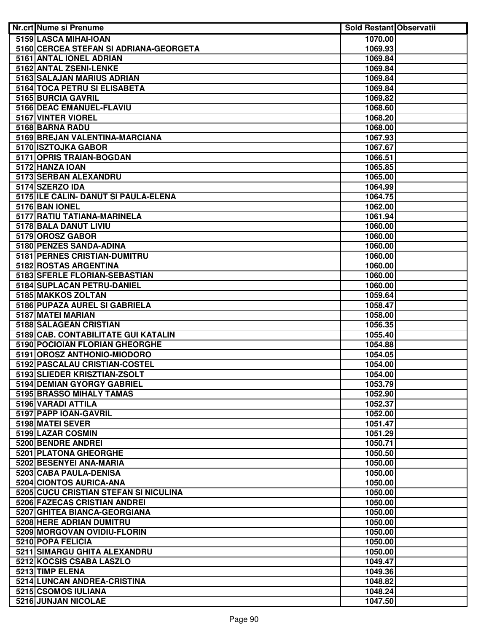| <b>Nr.crt Nume si Prenume</b>                                 | <b>Sold Restant Observatii</b> |  |
|---------------------------------------------------------------|--------------------------------|--|
| 5159 LASCA MIHAI-IOAN                                         | 1070.00                        |  |
| 5160 CERCEA STEFAN SI ADRIANA-GEORGETA                        | 1069.93                        |  |
| 5161 ANTAL IONEL ADRIAN                                       | 1069.84                        |  |
| 5162 ANTAL ZSENI-LENKE                                        | 1069.84                        |  |
| 5163 SALAJAN MARIUS ADRIAN                                    | 1069.84                        |  |
| 5164 TOCA PETRU SI ELISABETA                                  | 1069.84                        |  |
| 5165 BURCIA GAVRIL                                            | 1069.82                        |  |
| 5166 DEAC EMANUEL-FLAVIU                                      | 1068.60                        |  |
| 5167 VINTER VIOREL                                            | 1068.20                        |  |
| 5168 BARNA RADU                                               | 1068.00                        |  |
| 5169 BREJAN VALENTINA-MARCIANA                                | 1067.93                        |  |
| 5170 ISZTOJKA GABOR                                           | 1067.67                        |  |
| 5171 OPRIS TRAIAN-BOGDAN                                      | 1066.51                        |  |
| 5172 HANZA IOAN                                               | 1065.85                        |  |
| 5173 SERBAN ALEXANDRU                                         | 1065.00                        |  |
| 5174 SZERZO IDA                                               | 1064.99                        |  |
| 5175 ILE CALIN- DANUT SI PAULA-ELENA                          | 1064.75                        |  |
| 5176 BAN IONEL                                                | 1062.00                        |  |
| 5177 RATIU TATIANA-MARINELA                                   | 1061.94                        |  |
| 5178 BALA DANUT LIVIU                                         | 1060.00                        |  |
| 5179 OROSZ GABOR                                              | 1060.00                        |  |
| 5180 PENZES SANDA-ADINA                                       | 1060.00                        |  |
| 5181 PERNES CRISTIAN-DUMITRU                                  | 1060.00                        |  |
| 5182 ROSTAS ARGENTINA                                         | 1060.00                        |  |
| 5183 SFERLE FLORIAN-SEBASTIAN                                 | 1060.00                        |  |
| 5184 SUPLACAN PETRU-DANIEL                                    | 1060.00                        |  |
| 5185 MAKKOS ZOLTAN                                            | 1059.64                        |  |
| 5186 PUPAZA AUREL SI GABRIELA                                 | 1058.47                        |  |
| 5187 MATEI MARIAN                                             | 1058.00                        |  |
| 5188 SALAGEAN CRISTIAN                                        | 1056.35                        |  |
| 5189 CAB. CONTABILITATE GUI KATALIN                           | 1055.40                        |  |
| 5190 POCIOIAN FLORIAN GHEORGHE<br>5191 OROSZ ANTHONIO-MIODORO | 1054.88                        |  |
| 5192 PASCALAU CRISTIAN-COSTEL                                 | 1054.05<br>1054.00             |  |
| 5193 SLIEDER KRISZTIAN-ZSOLT                                  | 1054.00                        |  |
| 5194 DEMIAN GYORGY GABRIEL                                    | 1053.79                        |  |
| 5195 BRASSO MIHALY TAMAS                                      | 1052.90                        |  |
| 5196 VARADI ATTILA                                            | 1052.37                        |  |
| 5197 PAPP IOAN-GAVRIL                                         | 1052.00                        |  |
| 5198 MATEI SEVER                                              | 1051.47                        |  |
| 5199 LAZAR COSMIN                                             | 1051.29                        |  |
| 5200 BENDRE ANDREI                                            | 1050.71                        |  |
| 5201 PLATONA GHEORGHE                                         | 1050.50                        |  |
| 5202 BESENYEI ANA-MARIA                                       | 1050.00                        |  |
| 5203 CABA PAULA-DENISA                                        | 1050.00                        |  |
| 5204 CIONTOS AURICA-ANA                                       | 1050.00                        |  |
| 5205 CUCU CRISTIAN STEFAN SI NICULINA                         | 1050.00                        |  |
| 5206 FAZECAS CRISTIAN ANDREI                                  | 1050.00                        |  |
| 5207 GHITEA BIANCA-GEORGIANA                                  | 1050.00                        |  |
| 5208 HERE ADRIAN DUMITRU                                      | 1050.00                        |  |
| 5209 MORGOVAN OVIDIU-FLORIN                                   | 1050.00                        |  |
| 5210 POPA FELICIA                                             | 1050.00                        |  |
| 5211 SIMARGU GHITA ALEXANDRU                                  | 1050.00                        |  |
| 5212 KOCSIS CSABA LASZLO                                      | 1049.47                        |  |
| 5213 TIMP ELENA                                               | 1049.36                        |  |
| 5214 LUNCAN ANDREA-CRISTINA                                   | 1048.82                        |  |
| 5215 CSOMOS IULIANA                                           | 1048.24                        |  |
| 5216 JUNJAN NICOLAE                                           | 1047.50                        |  |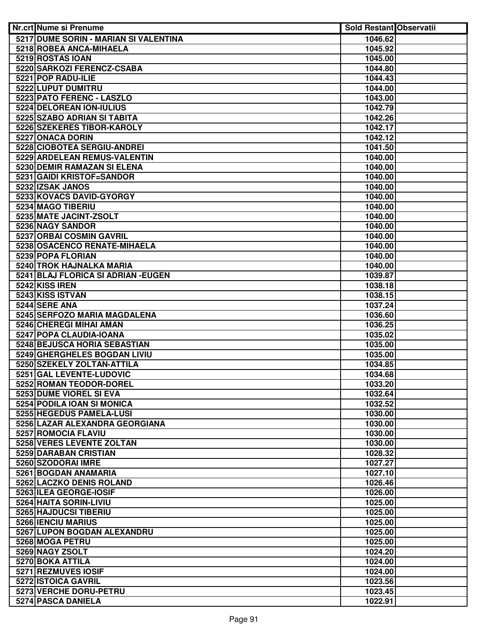| Nr.crt Nume si Prenume                                       | <b>Sold Restant Observatii</b> |  |
|--------------------------------------------------------------|--------------------------------|--|
| 5217 DUME SORIN - MARIAN SI VALENTINA                        | 1046.62                        |  |
| 5218 ROBEA ANCA-MIHAELA                                      | 1045.92                        |  |
| 5219 ROSTAS IOAN                                             | 1045.00                        |  |
| 5220 SARKOZI FERENCZ-CSABA                                   | 1044.80                        |  |
| 5221 POP RADU-ILIE                                           | 1044.43                        |  |
| 5222 LUPUT DUMITRU                                           | 1044.00                        |  |
| 5223 PATO FERENC - LASZLO                                    | 1043.00                        |  |
| 5224 DELOREAN ION-IULIUS                                     | 1042.79                        |  |
| 5225 SZABO ADRIAN SI TABITA                                  | 1042.26                        |  |
| 5226 SZEKERES TIBOR-KAROLY                                   | 1042.17                        |  |
| 5227 ONACA DORIN                                             | 1042.12                        |  |
| 5228 CIOBOTEA SERGIU-ANDREI                                  | 1041.50                        |  |
| 5229 ARDELEAN REMUS-VALENTIN                                 | 1040.00                        |  |
| 5230 DEMIR RAMAZAN SI ELENA                                  | 1040.00                        |  |
| 5231 GAIDI KRISTOF=SANDOR                                    | 1040.00                        |  |
| 5232 IZSAK JANOS                                             | 1040.00                        |  |
| 5233 KOVACS DAVID-GYORGY                                     | 1040.00                        |  |
| 5234 MAGO TIBERIU                                            | 1040.00                        |  |
| 5235 MATE JACINT-ZSOLT                                       | 1040.00                        |  |
| 5236 NAGY SANDOR                                             | 1040.00                        |  |
| 5237 ORBAI COSMIN GAVRIL                                     | 1040.00                        |  |
| 5238 OSACENCO RENATE-MIHAELA                                 | 1040.00                        |  |
| 5239 POPA FLORIAN                                            | 1040.00                        |  |
| 5240 TROK HAJNALKA MARIA                                     | 1040.00                        |  |
| 5241 BLAJ FLORICA SI ADRIAN - EUGEN                          | 1039.87                        |  |
| 5242 KISS IREN                                               | 1038.18                        |  |
| 5243 KISS ISTVAN                                             | 1038.15                        |  |
| 5244 SERE ANA                                                | 1037.24                        |  |
| 5245 SERFOZO MARIA MAGDALENA                                 | 1036.60                        |  |
| 5246 CHEREGI MIHAI AMAN                                      | 1036.25                        |  |
| 5247 POPA CLAUDIA-IOANA                                      | 1035.02                        |  |
| 5248 BEJUSCA HORIA SEBASTIAN<br>5249 GHERGHELES BOGDAN LIVIU | 1035.00<br>1035.00             |  |
| 5250 SZEKELY ZOLTAN-ATTILA                                   | 1034.85                        |  |
| 5251 GAL LEVENTE-LUDOVIC                                     | 1034.68                        |  |
| 5252 ROMAN TEODOR-DOREL                                      | 1033.20                        |  |
| 5253 DUME VIOREL SI EVA                                      | 1032.64                        |  |
| 5254 PODILA IOAN SI MONICA                                   | 1032.52                        |  |
| 5255 HEGEDUS PAMELA-LUSI                                     | 1030.00                        |  |
| 5256 LAZAR ALEXANDRA GEORGIANA                               | 1030.00                        |  |
| 5257 ROMOCIA FLAVIU                                          | 1030.00                        |  |
| 5258 VERES LEVENTE ZOLTAN                                    | 1030.00                        |  |
| 5259 DARABAN CRISTIAN                                        | 1028.32                        |  |
| 5260 SZODORAI IMRE                                           | 1027.27                        |  |
| 5261 BOGDAN ANAMARIA                                         | 1027.10                        |  |
| 5262 LACZKO DENIS ROLAND                                     | 1026.46                        |  |
| 5263 ILEA GEORGE-IOSIF                                       | 1026.00                        |  |
| 5264 HAITA SORIN-LIVIU                                       | 1025.00                        |  |
| 5265 HAJDUCSI TIBERIU                                        | 1025.00                        |  |
| 5266 IENCIU MARIUS                                           | 1025.00                        |  |
| 5267 LUPON BOGDAN ALEXANDRU                                  | 1025.00                        |  |
| 5268 MOGA PETRU                                              | 1025.00                        |  |
| 5269 NAGY ZSOLT                                              | 1024.20                        |  |
| 5270 BOKA ATTILA                                             | 1024.00                        |  |
| 5271 REZMUVES IOSIF                                          | 1024.00                        |  |
| 5272 ISTOICA GAVRIL                                          | 1023.56                        |  |
| 5273 VERCHE DORU-PETRU                                       | 1023.45                        |  |
| 5274 PASCA DANIELA                                           | 1022.91                        |  |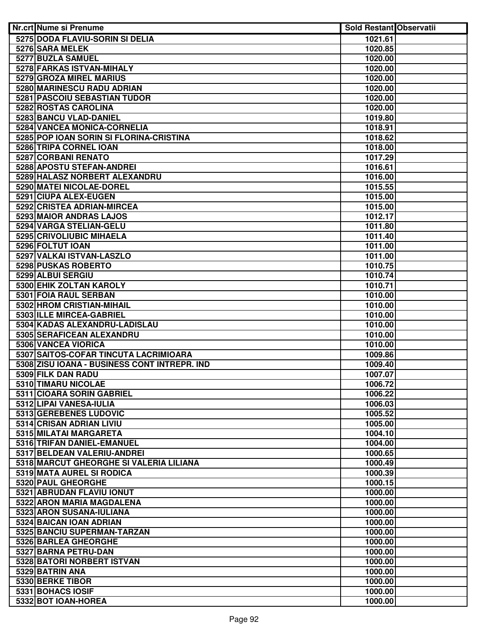| <b>Nr.crt Nume si Prenume</b>                                | <b>Sold Restant Observatii</b> |  |
|--------------------------------------------------------------|--------------------------------|--|
| 5275 DODA FLAVIU-SORIN SI DELIA                              | 1021.61                        |  |
| 5276 SARA MELEK                                              | 1020.85                        |  |
| 5277 BUZLA SAMUEL                                            | 1020.00                        |  |
| 5278 FARKAS ISTVAN-MIHALY                                    | 1020.00                        |  |
| 5279 GROZA MIREL MARIUS                                      | 1020.00                        |  |
| 5280 MARINESCU RADU ADRIAN                                   | 1020.00                        |  |
| 5281 PASCOIU SEBASTIAN TUDOR                                 | 1020.00                        |  |
| 5282 ROSTAS CAROLINA                                         | 1020.00                        |  |
| 5283 BANCU VLAD-DANIEL                                       | 1019.80                        |  |
| 5284 VANCEA MONICA-CORNELIA                                  | 1018.91                        |  |
| 5285 POP IOAN SORIN SI FLORINA-CRISTINA                      | 1018.62                        |  |
| 5286 TRIPA CORNEL IOAN                                       | 1018.00                        |  |
| 5287 CORBANI RENATO                                          | 1017.29                        |  |
| 5288 APOSTU STEFAN-ANDREI                                    | 1016.61                        |  |
| 5289 HALASZ NORBERT ALEXANDRU                                | 1016.00                        |  |
| 5290 MATEI NICOLAE-DOREL                                     | 1015.55                        |  |
| 5291 CIUPA ALEX-EUGEN                                        | 1015.00                        |  |
| 5292 CRISTEA ADRIAN-MIRCEA                                   | 1015.00                        |  |
| 5293 MAIOR ANDRAS LAJOS                                      | 1012.17                        |  |
| 5294 VARGA STELIAN-GELU                                      | 1011.80                        |  |
| 5295 CRIVOLIUBIC MIHAELA                                     | 1011.40                        |  |
| 5296 FOLTUT IOAN                                             | 1011.00                        |  |
| 5297 VALKAI ISTVAN-LASZLO                                    | 1011.00                        |  |
| 5298 PUSKAS ROBERTO                                          | 1010.75                        |  |
| 5299 ALBUI SERGIU                                            | 1010.74                        |  |
| 5300 EHIK ZOLTAN KAROLY                                      | 1010.71                        |  |
| 5301 FOIA RAUL SERBAN                                        | 1010.00                        |  |
| 5302 HROM CRISTIAN-MIHAIL                                    | 1010.00                        |  |
| 5303 ILLE MIRCEA-GABRIEL                                     | 1010.00                        |  |
| 5304 KADAS ALEXANDRU-LADISLAU                                | 1010.00                        |  |
| 5305 SERAFICEAN ALEXANDRU                                    | 1010.00                        |  |
| 5306 VANCEA VIORICA<br>5307 SAITOS-COFAR TINCUTA LACRIMIOARA | 1010.00<br>1009.86             |  |
| 5308 ZISU IOANA - BUSINESS CONT INTREPR. IND                 | 1009.40                        |  |
| 5309 FILK DAN RADU                                           | 1007.07                        |  |
| 5310 TIMARU NICOLAE                                          | 1006.72                        |  |
| 5311 CIOARA SORIN GABRIEL                                    | 1006.22                        |  |
| 5312 LIPAI VANESA-IULIA                                      | 1006.03                        |  |
| 5313 GEREBENES LUDOVIC                                       | 1005.52                        |  |
| 5314 CRISAN ADRIAN LIVIU                                     | 1005.00                        |  |
| 5315 MILATAI MARGARETA                                       | 1004.10                        |  |
| 5316 TRIFAN DANIEL-EMANUEL                                   | 1004.00                        |  |
| 5317 BELDEAN VALERIU-ANDREI                                  | 1000.65                        |  |
| 5318 MARCUT GHEORGHE SI VALERIA LILIANA                      | 1000.49                        |  |
| 5319 MATA AUREL SI RODICA                                    | 1000.39                        |  |
| 5320 PAUL GHEORGHE                                           | 1000.15                        |  |
| 5321 ABRUDAN FLAVIU IONUT                                    | 1000.00                        |  |
| 5322 ARON MARIA MAGDALENA                                    | 1000.00                        |  |
| 5323 ARON SUSANA-IULIANA                                     | 1000.00                        |  |
| 5324 BAICAN IOAN ADRIAN                                      | 1000.00                        |  |
| 5325 BANCIU SUPERMAN-TARZAN                                  | 1000.00                        |  |
| 5326 BARLEA GHEORGHE                                         | 1000.00                        |  |
| 5327 BARNA PETRU-DAN                                         | 1000.00                        |  |
| 5328 BATORI NORBERT ISTVAN                                   | 1000.00                        |  |
| 5329 BATRIN ANA                                              | 1000.00                        |  |
| 5330 BERKE TIBOR                                             | 1000.00                        |  |
| 5331 BOHACS IOSIF                                            | 1000.00                        |  |
| 5332 BOT IOAN-HOREA                                          | 1000.00                        |  |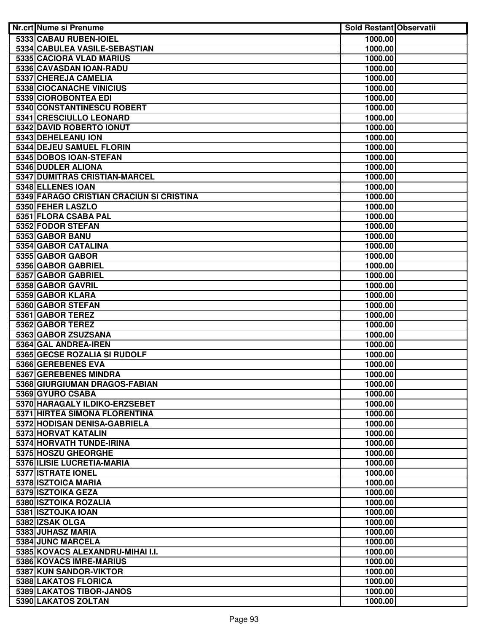| <b>Nr.crt Nume si Prenume</b>                        | <b>Sold Restant Observatii</b> |  |
|------------------------------------------------------|--------------------------------|--|
| 5333 CABAU RUBEN-IOIEL                               | 1000.00                        |  |
| 5334 CABULEA VASILE-SEBASTIAN                        | 1000.00                        |  |
| 5335 CACIORA VLAD MARIUS                             | 1000.00                        |  |
| 5336 CAVASDAN IOAN-RADU                              | 1000.00                        |  |
| 5337 CHEREJA CAMELIA                                 | 1000.00                        |  |
| 5338 CIOCANACHE VINICIUS                             | 1000.00                        |  |
| 5339 CIOROBONTEA EDI                                 | 1000.00                        |  |
| 5340 CONSTANTINESCU ROBERT                           | 1000.00                        |  |
| 5341 CRESCIULLO LEONARD                              | 1000.00                        |  |
| 5342 DAVID ROBERTO IONUT                             | 1000.00                        |  |
| 5343 DEHELEANU ION                                   | 1000.00                        |  |
| 5344 DEJEU SAMUEL FLORIN                             | 1000.00                        |  |
| 5345 DOBOS IOAN-STEFAN                               | 1000.00                        |  |
| 5346 DUDLER ALIONA                                   | 1000.00                        |  |
| 5347 DUMITRAS CRISTIAN-MARCEL                        | 1000.00                        |  |
| 5348 ELLENES IOAN                                    | 1000.00                        |  |
| 5349 FARAGO CRISTIAN CRACIUN SI CRISTINA             | 1000.00                        |  |
| 5350 FEHER LASZLO                                    | 1000.00                        |  |
| 5351 FLORA CSABA PAL                                 | 1000.00                        |  |
| 5352 FODOR STEFAN                                    | 1000.00                        |  |
| 5353 GABOR BANU                                      | 1000.00                        |  |
| 5354 GABOR CATALINA                                  | 1000.00                        |  |
| 5355 GABOR GABOR                                     | 1000.00                        |  |
| 5356 GABOR GABRIEL                                   | 1000.00                        |  |
| 5357 GABOR GABRIEL                                   | 1000.00                        |  |
| 5358 GABOR GAVRIL                                    | 1000.00                        |  |
| 5359 GABOR KLARA                                     | 1000.00                        |  |
| 5360 GABOR STEFAN                                    | 1000.00                        |  |
| 5361 GABOR TEREZ                                     | 1000.00                        |  |
| 5362 GABOR TEREZ                                     | 1000.00                        |  |
| 5363 GABOR ZSUZSANA                                  | 1000.00                        |  |
| 5364 GAL ANDREA-IREN<br>5365 GECSE ROZALIA SI RUDOLF | 1000.00<br>1000.00             |  |
| 5366 GEREBENES EVA                                   | 1000.00                        |  |
| 5367 GEREBENES MINDRA                                | 1000.00                        |  |
| 5368 GIURGIUMAN DRAGOS-FABIAN                        | 1000.00                        |  |
| 5369 GYURO CSABA                                     | 1000.00                        |  |
| 5370 HARAGALY ILDIKO-ERZSEBET                        | 1000.00                        |  |
| 5371 HIRTEA SIMONA FLORENTINA                        | 1000.00                        |  |
| 5372 HODISAN DENISA-GABRIELA                         | 1000.00                        |  |
| 5373 HORVAT KATALIN                                  | 1000.00                        |  |
| 5374 HORVATH TUNDE-IRINA                             | 1000.00                        |  |
| 5375 HOSZU GHEORGHE                                  | 1000.00                        |  |
| 5376 ILISIE LUCRETIA-MARIA                           | 1000.00                        |  |
| 5377 ISTRATE IONEL                                   | 1000.00                        |  |
| 5378 ISZTOICA MARIA                                  | 1000.00                        |  |
| 5379 ISZTOIKA GEZA                                   | 1000.00                        |  |
| 5380 ISZTOIKA ROZALIA                                | 1000.00                        |  |
| 5381 ISZTOJKA IOAN                                   | 1000.00                        |  |
| 5382 IZSAK OLGA                                      | 1000.00                        |  |
| 5383 JUHASZ MARIA                                    | 1000.00                        |  |
| 5384 JUNC MARCELA                                    | 1000.00                        |  |
| 5385 KOVACS ALEXANDRU-MIHAI I.I.                     | 1000.00                        |  |
| 5386 KOVACS IMRE-MARIUS                              | 1000.00                        |  |
| 5387 KUN SANDOR-VIKTOR                               | 1000.00                        |  |
| 5388 LAKATOS FLORICA                                 | 1000.00                        |  |
| 5389 LAKATOS TIBOR-JANOS                             | 1000.00                        |  |
| 5390 LAKATOS ZOLTAN                                  | 1000.00                        |  |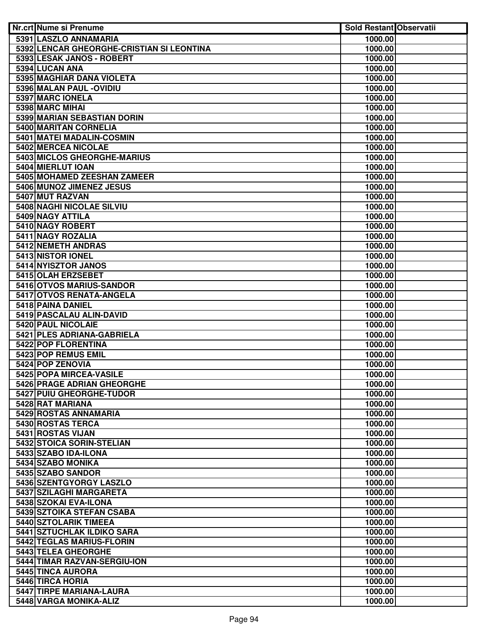| Nr.crt Nume si Prenume                     | <b>Sold Restant Observatii</b> |  |
|--------------------------------------------|--------------------------------|--|
| 5391 LASZLO ANNAMARIA                      | 1000.00                        |  |
| 5392 LENCAR GHEORGHE-CRISTIAN SI LEONTINA  | 1000.00                        |  |
| 5393 LESAK JANOS - ROBERT                  | 1000.00                        |  |
| 5394 LUCAN ANA                             | 1000.00                        |  |
| 5395 MAGHIAR DANA VIOLETA                  | 1000.00                        |  |
| 5396 MALAN PAUL - OVIDIU                   | 1000.00                        |  |
| 5397 MARC IONELA                           | 1000.00                        |  |
| 5398 MARC MIHAI                            | 1000.00                        |  |
| 5399 MARIAN SEBASTIAN DORIN                | 1000.00                        |  |
| 5400 MARITAN CORNELIA                      | 1000.00                        |  |
| 5401 MATEI MADALIN-COSMIN                  | 1000.00                        |  |
| 5402 MERCEA NICOLAE                        | 1000.00                        |  |
| 5403 MICLOS GHEORGHE-MARIUS                | 1000.00                        |  |
| 5404 MIERLUT IOAN                          | 1000.00                        |  |
| 5405 MOHAMED ZEESHAN ZAMEER                | 1000.00                        |  |
| 5406 MUNOZ JIMENEZ JESUS                   | 1000.00                        |  |
| 5407 MUT RAZVAN                            | 1000.00                        |  |
| <b>5408 NAGHI NICOLAE SILVIU</b>           | 1000.00                        |  |
| 5409 NAGY ATTILA                           | 1000.00                        |  |
| 5410 NAGY ROBERT                           | 1000.00                        |  |
| 5411 NAGY ROZALIA                          | 1000.00                        |  |
| 5412 NEMETH ANDRAS                         | 1000.00                        |  |
| 5413 NISTOR IONEL                          | 1000.00                        |  |
| 5414 NYISZTOR JANOS                        | 1000.00                        |  |
| 5415 OLAH ERZSEBET                         | 1000.00                        |  |
| 5416 OTVOS MARIUS-SANDOR                   | 1000.00                        |  |
| 5417 OTVOS RENATA-ANGELA                   | 1000.00                        |  |
| 5418 PAINA DANIEL                          | 1000.00                        |  |
| 5419 PASCALAU ALIN-DAVID                   | 1000.00                        |  |
| <b>5420 PAUL NICOLAIE</b>                  | 1000.00                        |  |
| 5421 PLES ADRIANA-GABRIELA                 | 1000.00                        |  |
| 5422 POP FLORENTINA                        | 1000.00                        |  |
| 5423 POP REMUS EMIL                        | 1000.00                        |  |
| 5424 POP ZENOVIA                           | 1000.00                        |  |
| 5425 POPA MIRCEA-VASILE                    | 1000.00                        |  |
| 5426 PRAGE ADRIAN GHEORGHE                 | 1000.00                        |  |
| 5427 PUIU GHEORGHE-TUDOR                   | 1000.00                        |  |
| 5428 RAT MARIANA                           | 1000.00                        |  |
| 5429 ROSTAS ANNAMARIA<br>5430 ROSTAS TERCA | 1000.00                        |  |
| 5431 ROSTAS VIJAN                          | 1000.00<br>1000.00             |  |
| 5432 STOICA SORIN-STELIAN                  | 1000.00                        |  |
| 5433 SZABO IDA-ILONA                       | 1000.00                        |  |
| 5434 SZABO MONIKA                          | 1000.00                        |  |
| 5435 SZABO SANDOR                          | 1000.00                        |  |
| 5436 SZENTGYORGY LASZLO                    | 1000.00                        |  |
| 5437 SZILAGHI MARGARETA                    | 1000.00                        |  |
| 5438 SZOKAI EVA-ILONA                      | 1000.00                        |  |
| 5439 SZTOIKA STEFAN CSABA                  | 1000.00                        |  |
| 5440 SZTOLARIK TIMEEA                      | 1000.00                        |  |
| 5441 SZTUCHLAK ILDIKO SARA                 | 1000.00                        |  |
| 5442 TEGLAS MARIUS-FLORIN                  | 1000.00                        |  |
| 5443 TELEA GHEORGHE                        | 1000.00                        |  |
| 5444 TIMAR RAZVAN-SERGIU-ION               | 1000.00                        |  |
| 5445 TINCA AURORA                          | 1000.00                        |  |
| 5446 TIRCA HORIA                           | 1000.00                        |  |
| 5447 TIRPE MARIANA-LAURA                   | 1000.00                        |  |
| 5448 VARGA MONIKA-ALIZ                     | 1000.00                        |  |